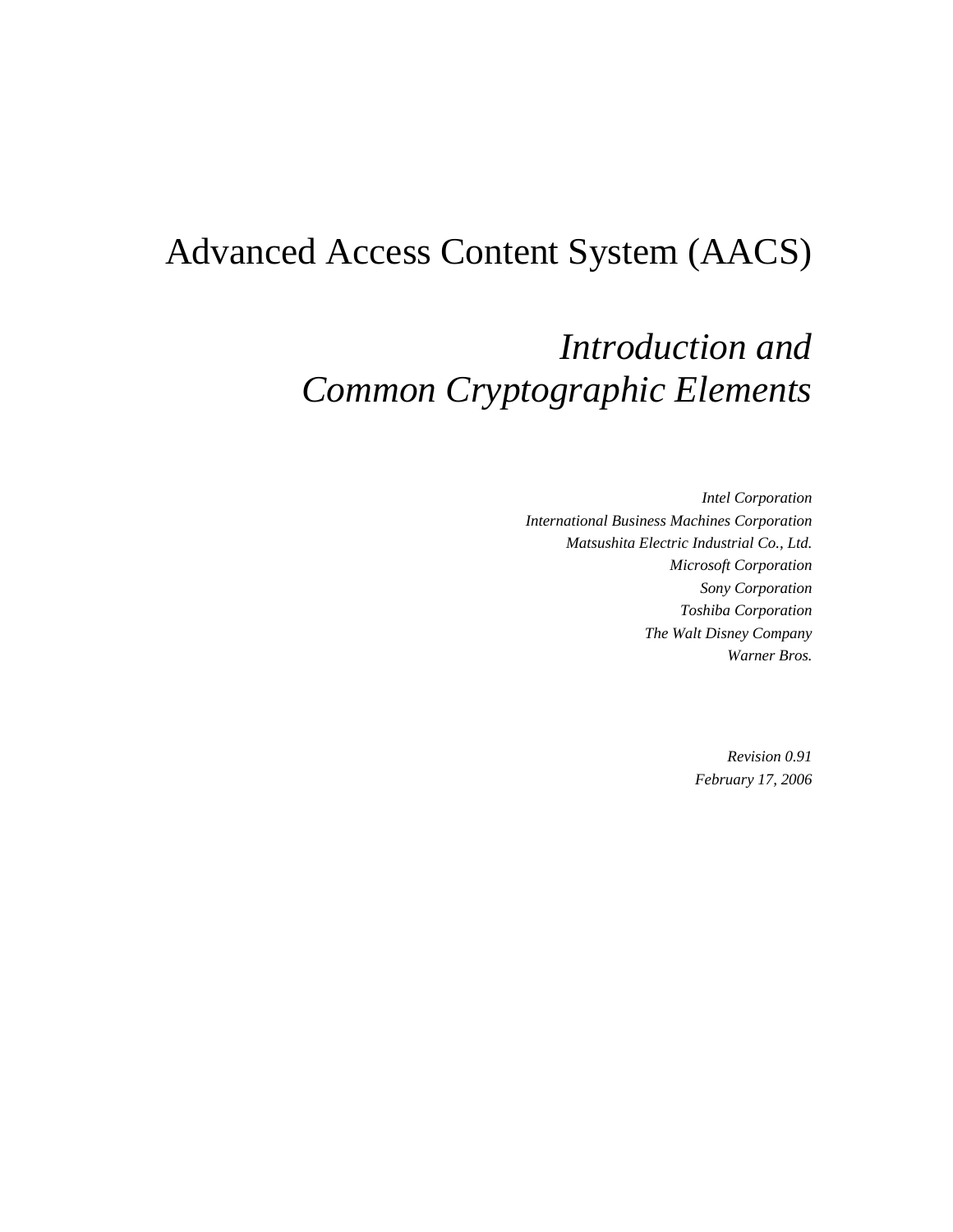# Advanced Access Content System (AACS)

# *Introduction and Common Cryptographic Elements*

*Intel Corporation International Business Machines Corporation Matsushita Electric Industrial Co., Ltd. Microsoft Corporation Sony Corporation Toshiba Corporation The Walt Disney Company Warner Bros.* 

> *Revision 0.91 February 17, 2006*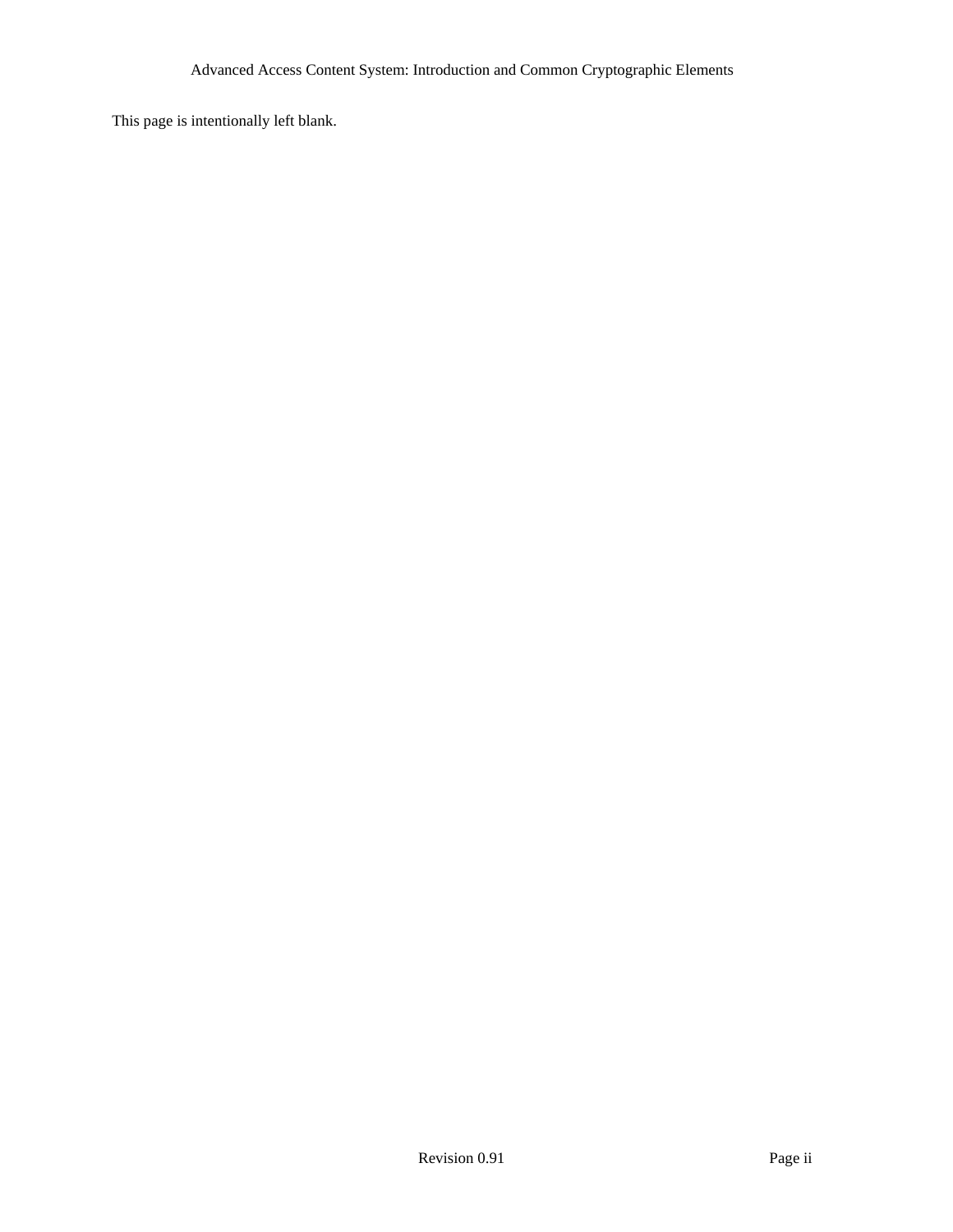This page is intentionally left blank.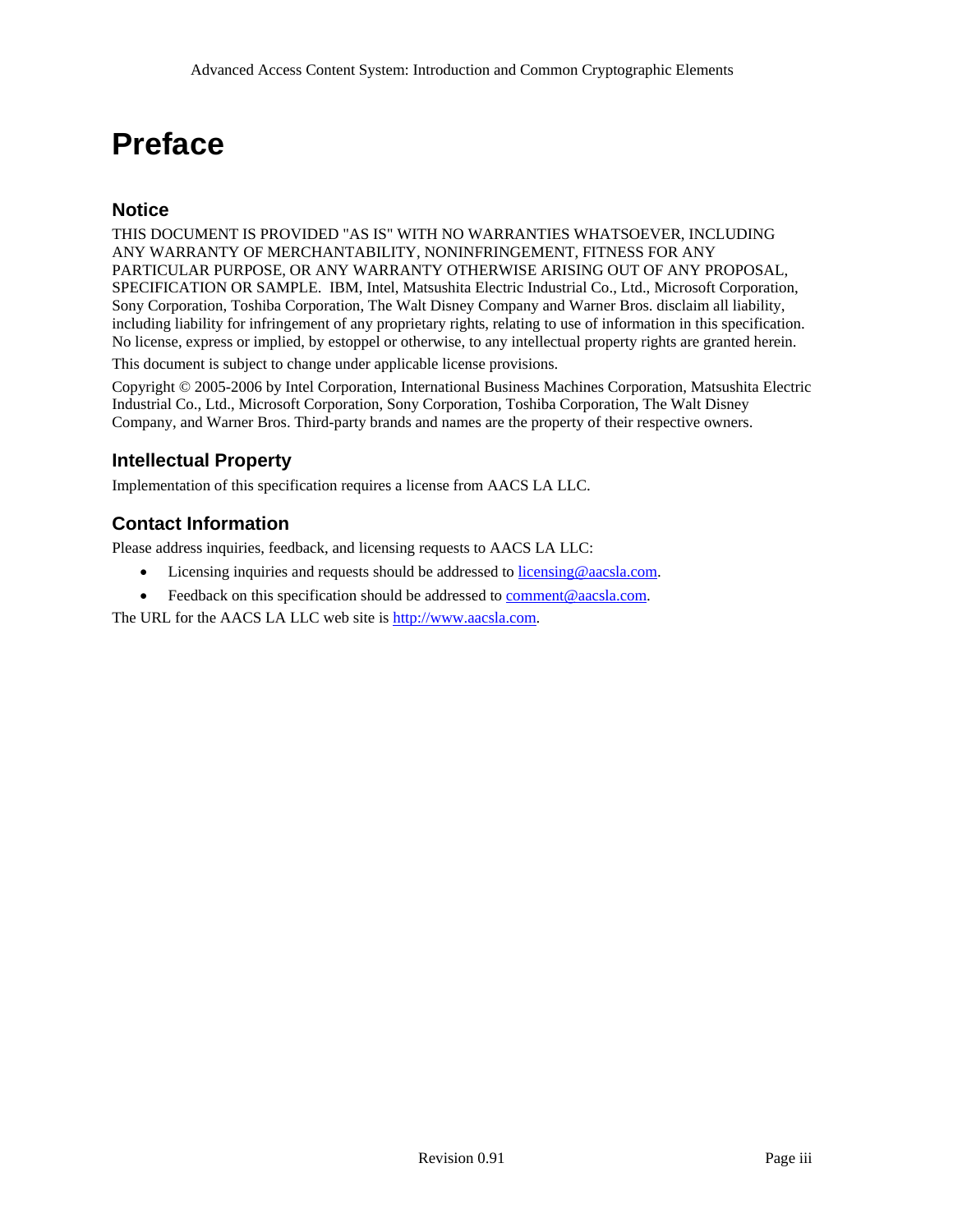# **Preface**

#### **Notice**

THIS DOCUMENT IS PROVIDED "AS IS" WITH NO WARRANTIES WHATSOEVER, INCLUDING ANY WARRANTY OF MERCHANTABILITY, NONINFRINGEMENT, FITNESS FOR ANY PARTICULAR PURPOSE, OR ANY WARRANTY OTHERWISE ARISING OUT OF ANY PROPOSAL, SPECIFICATION OR SAMPLE. IBM, Intel, Matsushita Electric Industrial Co., Ltd., Microsoft Corporation, Sony Corporation, Toshiba Corporation, The Walt Disney Company and Warner Bros. disclaim all liability, including liability for infringement of any proprietary rights, relating to use of information in this specification. No license, express or implied, by estoppel or otherwise, to any intellectual property rights are granted herein.

This document is subject to change under applicable license provisions.

Copyright © 2005-2006 by Intel Corporation, International Business Machines Corporation, Matsushita Electric Industrial Co., Ltd., Microsoft Corporation, Sony Corporation, Toshiba Corporation, The Walt Disney Company, and Warner Bros. Third-party brands and names are the property of their respective owners.

#### **Intellectual Property**

Implementation of this specification requires a license from AACS LA LLC.

### **Contact Information**

Please address inquiries, feedback, and licensing requests to AACS LA LLC:

- Licensing inquiries and requests should be addressed to  $\frac{1}{\text{icensing}@aacsla.com}$ .
- Feedback on this specification should be addressed to comment@aacsla.com.

The URL for the AACS LA LLC web site is http://www.aacsla.com.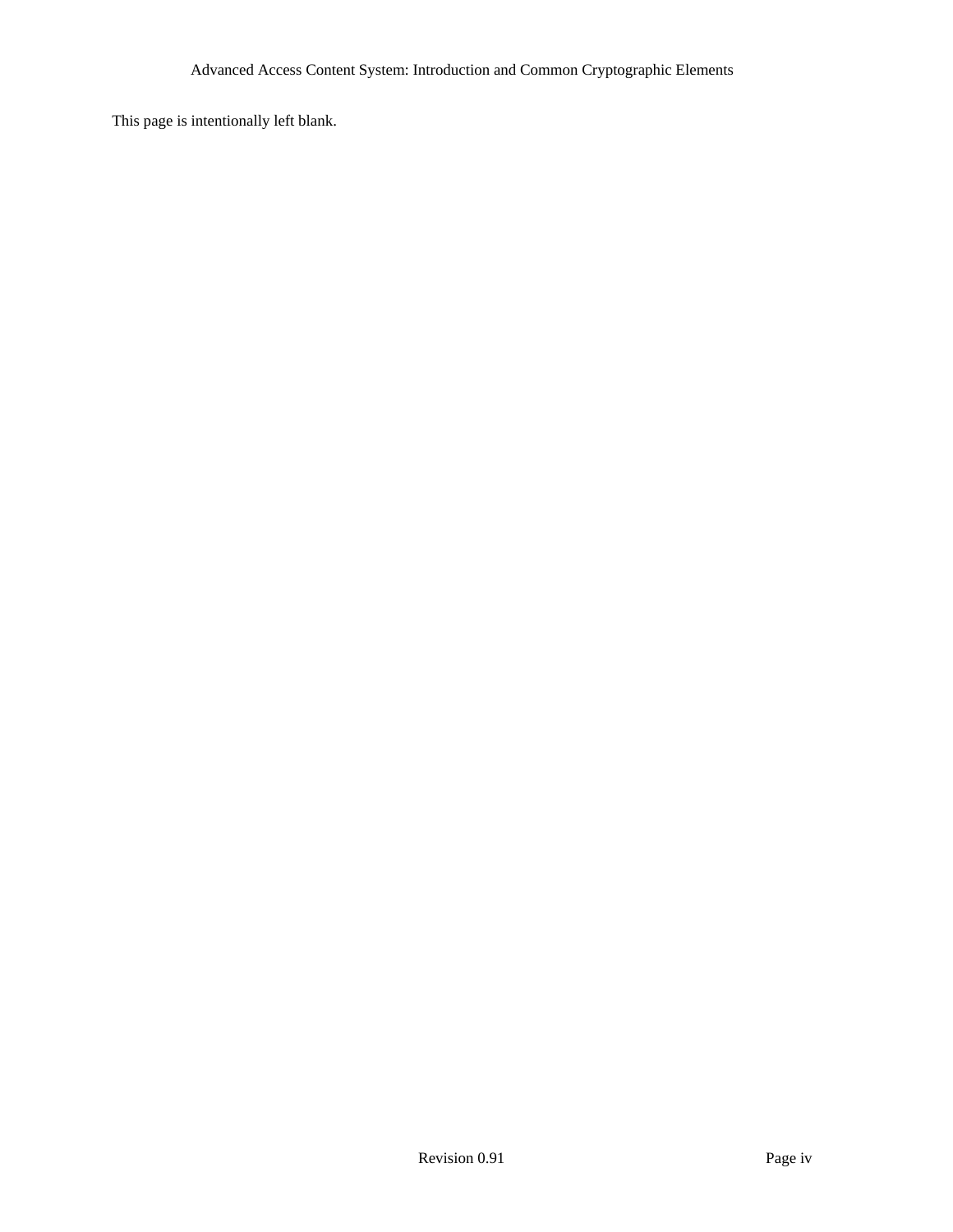This page is intentionally left blank.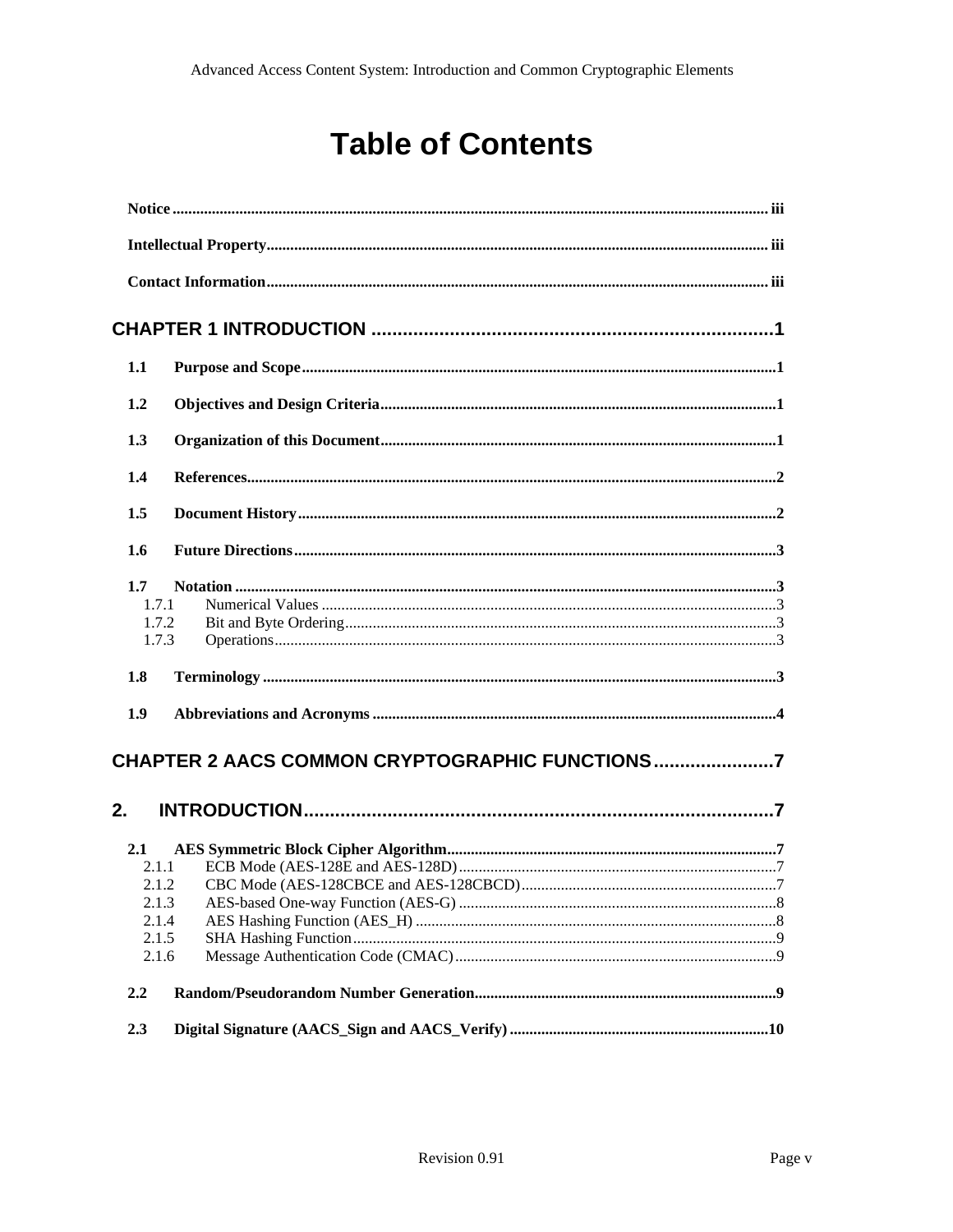# **Table of Contents**

| 1.1                            |                                                |  |
|--------------------------------|------------------------------------------------|--|
| 1.2                            |                                                |  |
| 1.3                            |                                                |  |
| 1.4                            |                                                |  |
| 1.5                            |                                                |  |
| 1.6                            |                                                |  |
| 1.7<br>1.7.1<br>1.7.2<br>1.7.3 |                                                |  |
| 1.8                            |                                                |  |
| 1.9                            | CHAPTER 2 AACS COMMON CRYPTOGRAPHIC FUNCTIONS7 |  |
| 2.                             |                                                |  |
| 2.1                            |                                                |  |
| 2.1.1                          |                                                |  |
| 2.1.2                          |                                                |  |
| 2.1.4                          | 2.1.3                                          |  |
| 2.1.5                          |                                                |  |
| 2.1.6                          |                                                |  |
| 2.2                            |                                                |  |
| 2.3                            |                                                |  |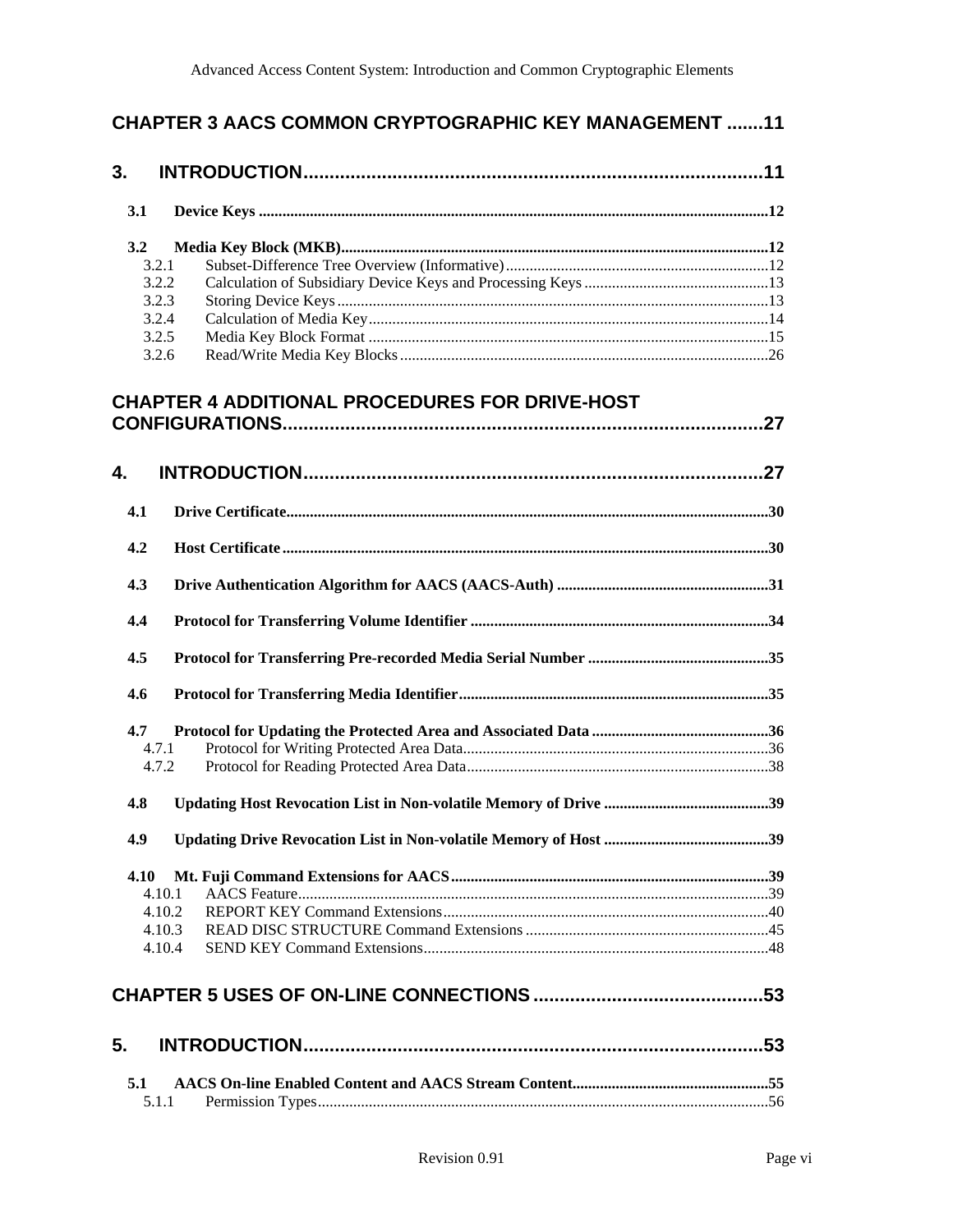## **CHAPTER 3 AACS COMMON CRYPTOGRAPHIC KEY MANAGEMENT .......11**

| 3.   |                                                       |       |
|------|-------------------------------------------------------|-------|
| 3.1  |                                                       |       |
| 3.2  |                                                       |       |
|      | 3.2.1                                                 |       |
|      | 3.2.2                                                 |       |
|      | 3.2.3                                                 |       |
|      | 3.2.4                                                 |       |
|      | 3.2.5                                                 |       |
|      | 3.2.6                                                 |       |
|      | <b>CHAPTER 4 ADDITIONAL PROCEDURES FOR DRIVE-HOST</b> | $-27$ |
|      |                                                       |       |
| 4.   |                                                       |       |
| 4.1  |                                                       |       |
| 4.2  |                                                       |       |
| 4.3  |                                                       |       |
| 4.4  |                                                       |       |
| 4.5  |                                                       |       |
| 4.6  |                                                       |       |
| 4.7  |                                                       |       |
|      | 4.7.1                                                 |       |
|      | 4.7.2                                                 |       |
| 4.8  |                                                       |       |
| 4.9  |                                                       |       |
| 4.10 |                                                       |       |
|      | 4.10.1                                                |       |
|      | 4.10.2                                                |       |
|      | 4.10.3                                                |       |
|      | 4.10.4                                                |       |
|      |                                                       |       |
| 5.   |                                                       |       |
| 5.1  |                                                       |       |
|      | 5.1.1                                                 |       |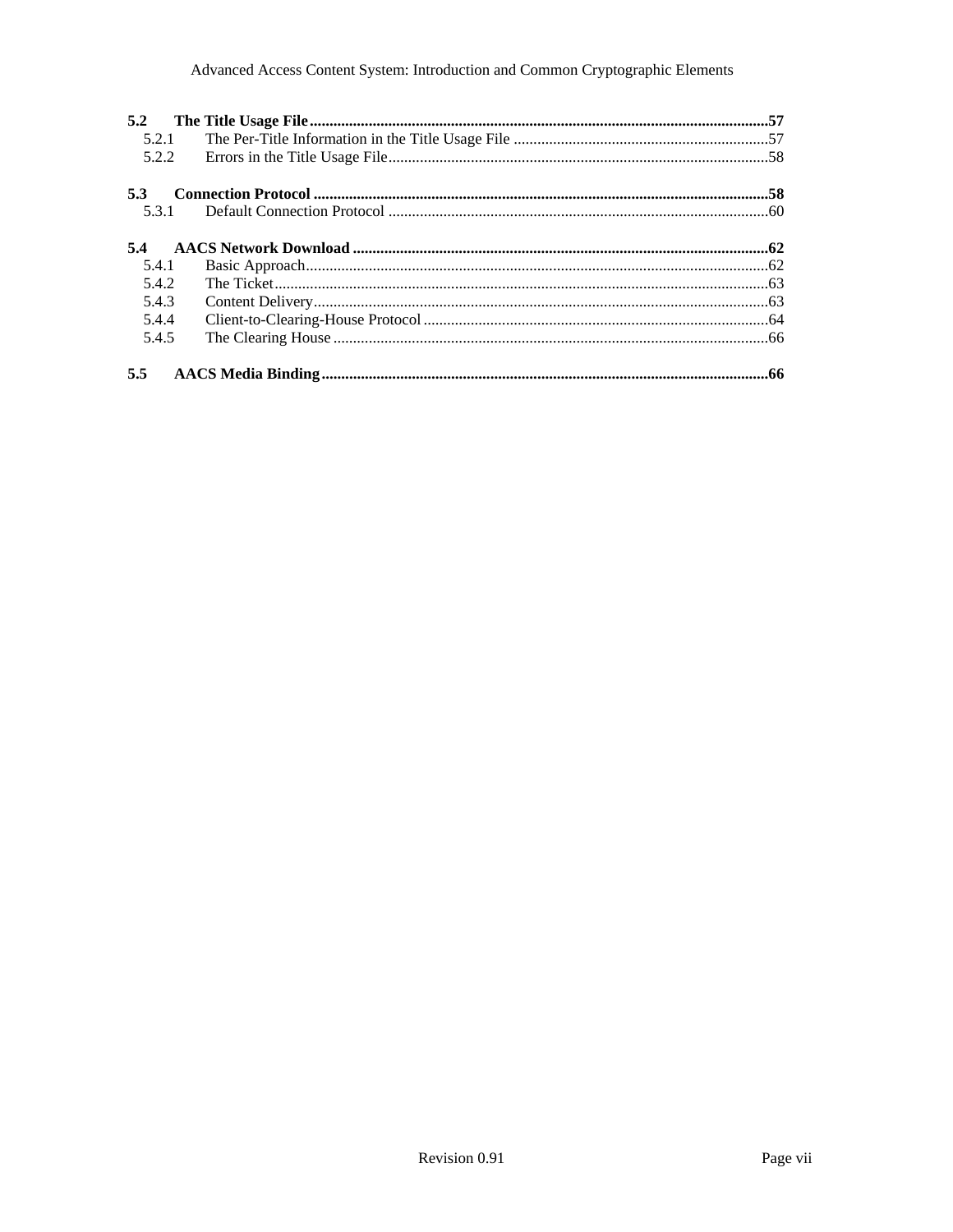| 5.2   |  |
|-------|--|
| 5.2.1 |  |
| 5.2.2 |  |
| 5.3   |  |
| 5.3.1 |  |
|       |  |
| 5.4   |  |
| 5.4.1 |  |
| 5.4.2 |  |
| 5.4.3 |  |
| 5.4.4 |  |
| 5.4.5 |  |
|       |  |
| 5.5   |  |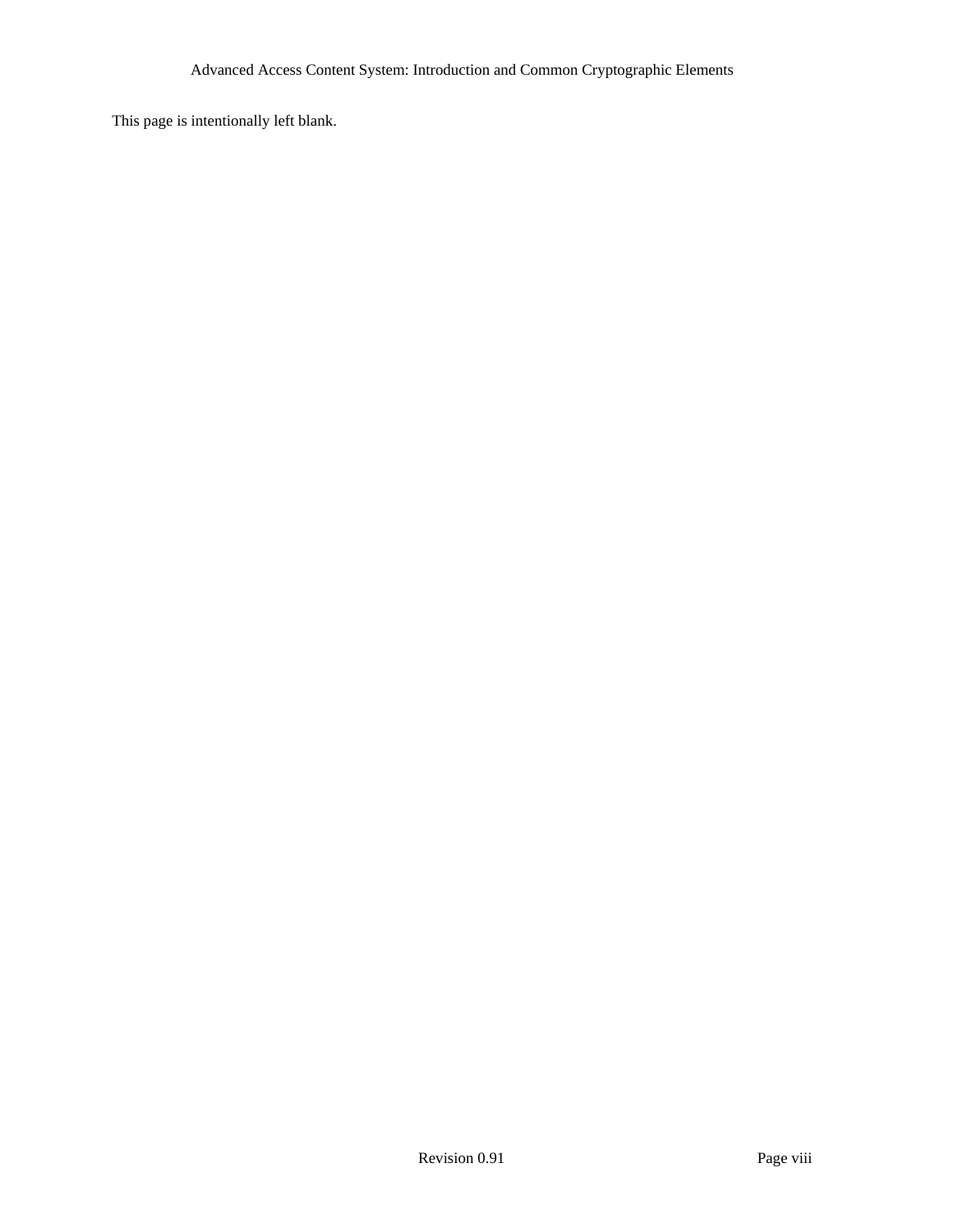This page is intentionally left blank.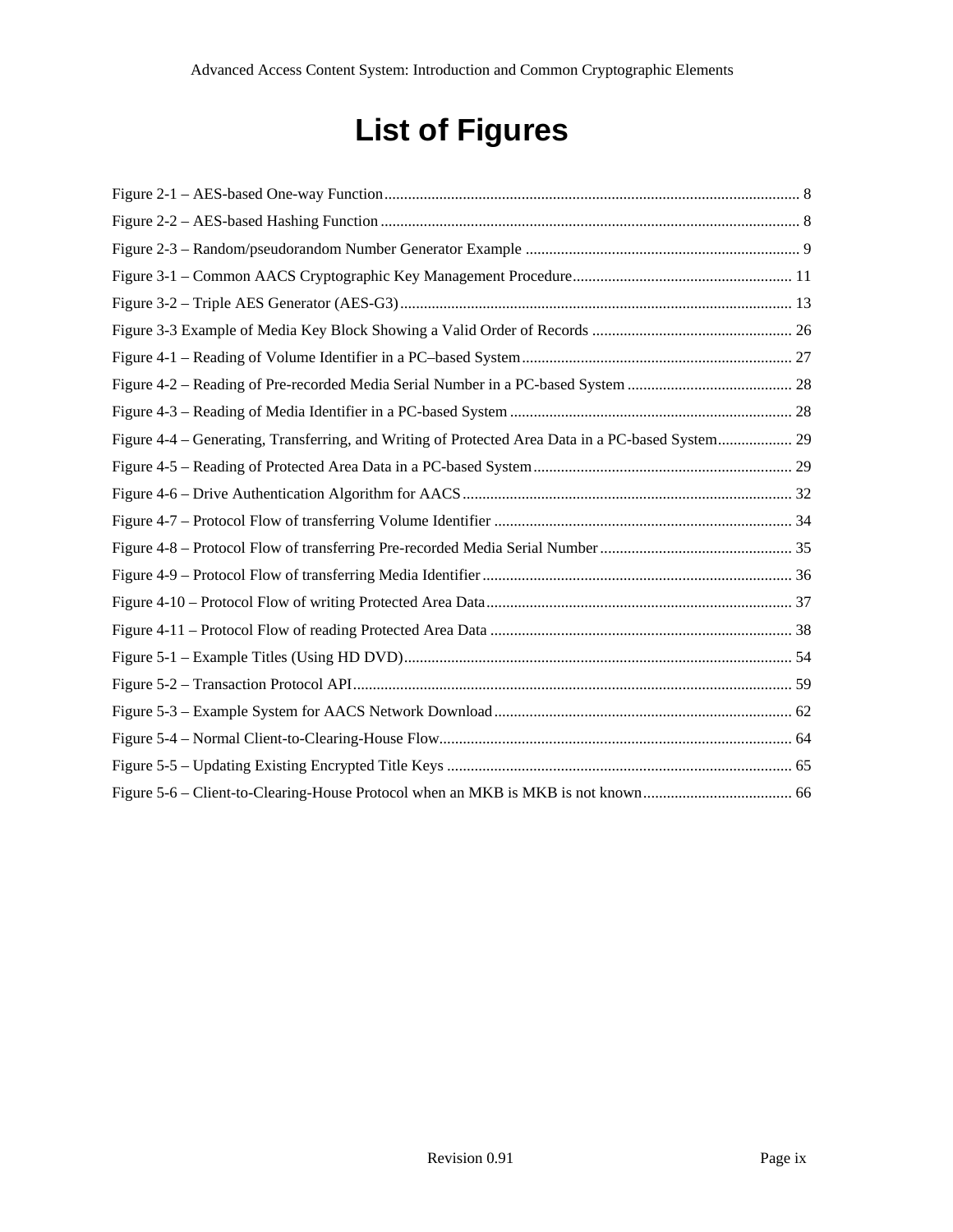# **List of Figures**

| Figure 4-4 – Generating, Transferring, and Writing of Protected Area Data in a PC-based System 29 |  |
|---------------------------------------------------------------------------------------------------|--|
|                                                                                                   |  |
|                                                                                                   |  |
|                                                                                                   |  |
|                                                                                                   |  |
|                                                                                                   |  |
|                                                                                                   |  |
|                                                                                                   |  |
|                                                                                                   |  |
|                                                                                                   |  |
|                                                                                                   |  |
|                                                                                                   |  |
|                                                                                                   |  |
|                                                                                                   |  |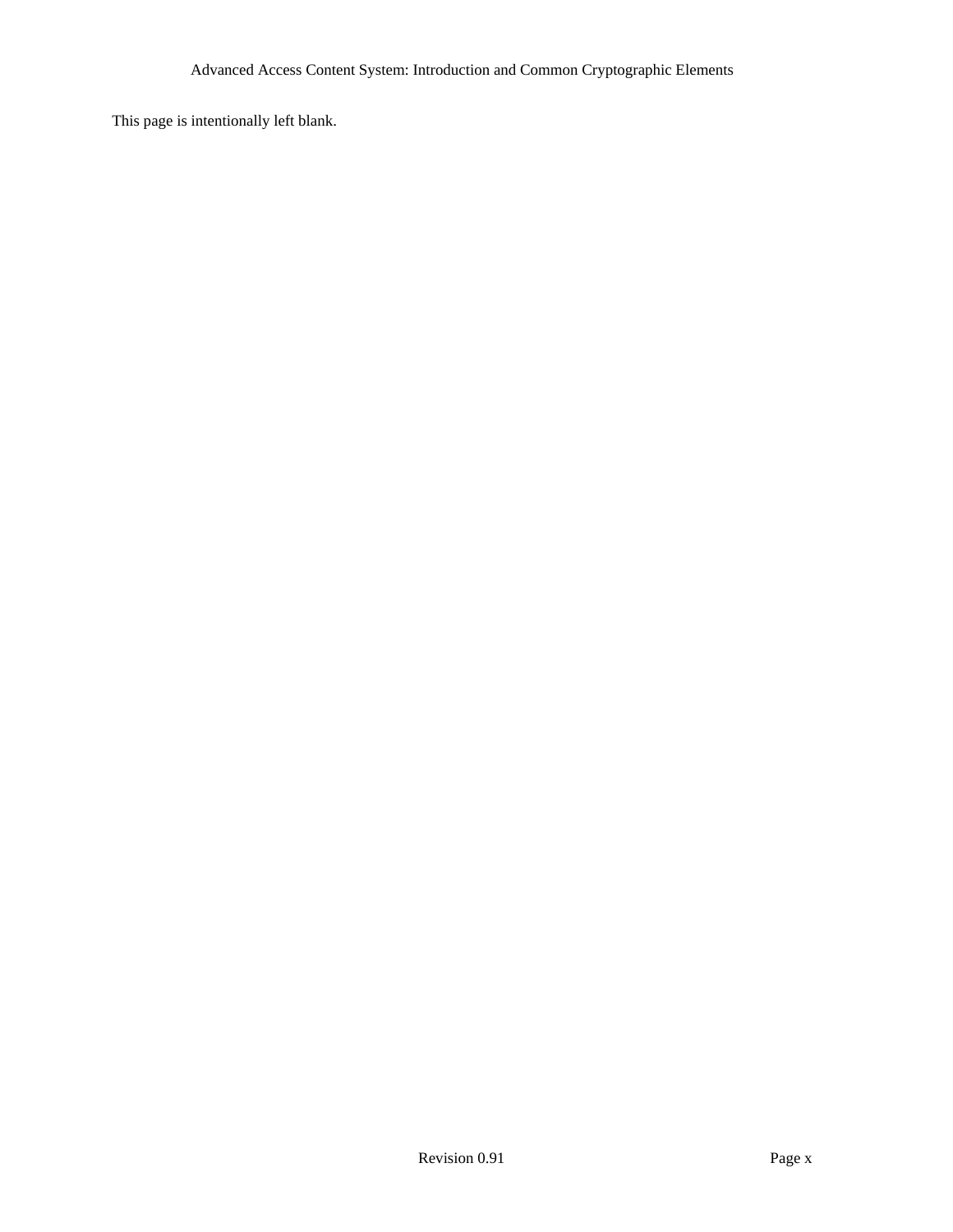This page is intentionally left blank.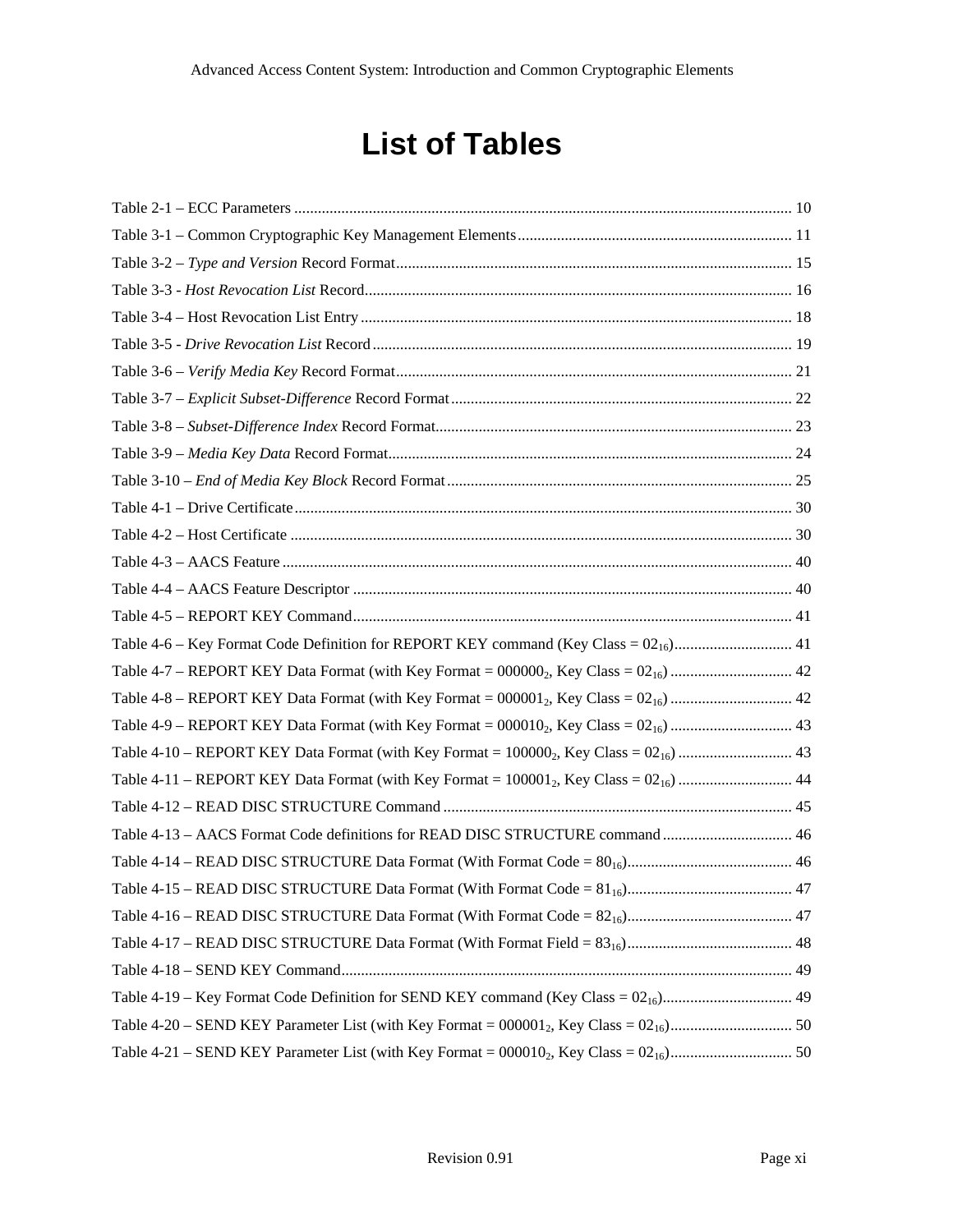# **List of Tables**

| Table 4-13 - AACS Format Code definitions for READ DISC STRUCTURE command  46 |  |
|-------------------------------------------------------------------------------|--|
|                                                                               |  |
|                                                                               |  |
|                                                                               |  |
|                                                                               |  |
|                                                                               |  |
|                                                                               |  |
|                                                                               |  |
|                                                                               |  |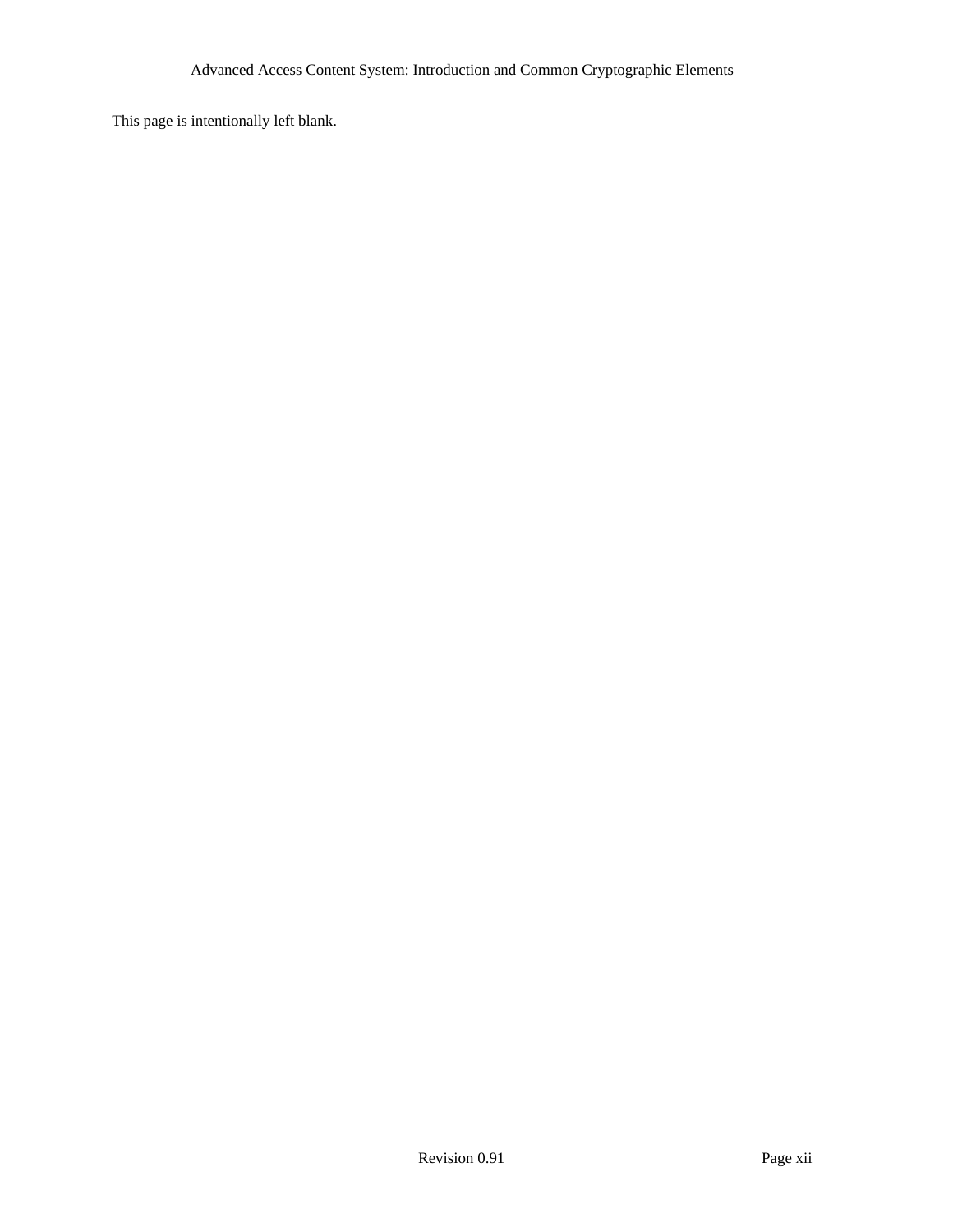This page is intentionally left blank.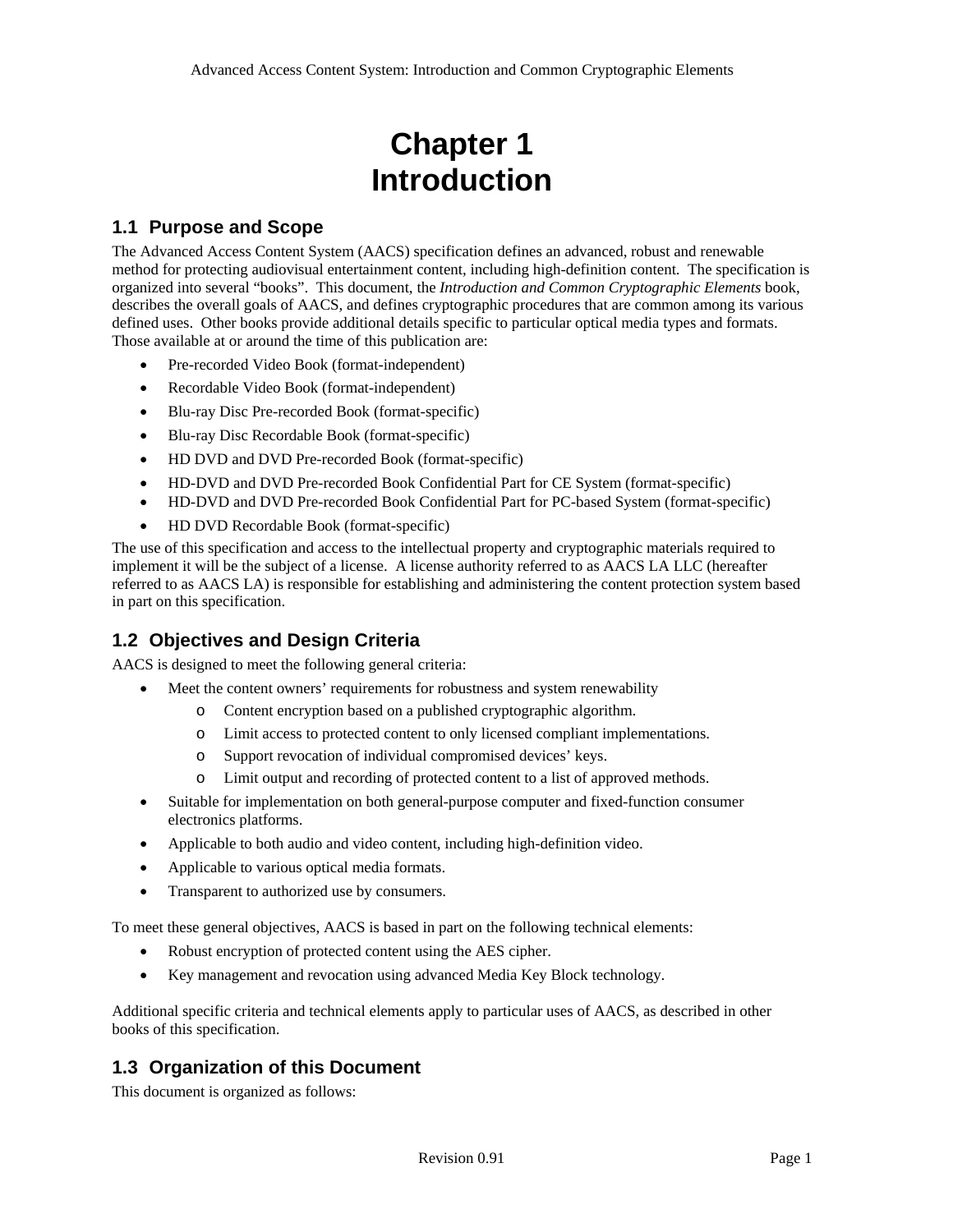# **Chapter 1 Introduction**

#### **1.1 Purpose and Scope**

The Advanced Access Content System (AACS) specification defines an advanced, robust and renewable method for protecting audiovisual entertainment content, including high-definition content. The specification is organized into several "books". This document, the *Introduction and Common Cryptographic Elements* book, describes the overall goals of AACS, and defines cryptographic procedures that are common among its various defined uses. Other books provide additional details specific to particular optical media types and formats. Those available at or around the time of this publication are:

- Pre-recorded Video Book (format-independent)
- Recordable Video Book (format-independent)
- Blu-ray Disc Pre-recorded Book (format-specific)
- Blu-ray Disc Recordable Book (format-specific)
- HD DVD and DVD Pre-recorded Book (format-specific)
- HD-DVD and DVD Pre-recorded Book Confidential Part for CE System (format-specific)
- HD-DVD and DVD Pre-recorded Book Confidential Part for PC-based System (format-specific)
- HD DVD Recordable Book (format-specific)

The use of this specification and access to the intellectual property and cryptographic materials required to implement it will be the subject of a license. A license authority referred to as AACS LA LLC (hereafter referred to as AACS LA) is responsible for establishing and administering the content protection system based in part on this specification.

#### **1.2 Objectives and Design Criteria**

AACS is designed to meet the following general criteria:

- Meet the content owners' requirements for robustness and system renewability
	- o Content encryption based on a published cryptographic algorithm.
	- o Limit access to protected content to only licensed compliant implementations.
	- o Support revocation of individual compromised devices' keys.
	- o Limit output and recording of protected content to a list of approved methods.
- Suitable for implementation on both general-purpose computer and fixed-function consumer electronics platforms.
- Applicable to both audio and video content, including high-definition video.
- Applicable to various optical media formats.
- Transparent to authorized use by consumers.

To meet these general objectives, AACS is based in part on the following technical elements:

- Robust encryption of protected content using the AES cipher.
- Key management and revocation using advanced Media Key Block technology.

Additional specific criteria and technical elements apply to particular uses of AACS, as described in other books of this specification.

#### **1.3 Organization of this Document**

This document is organized as follows: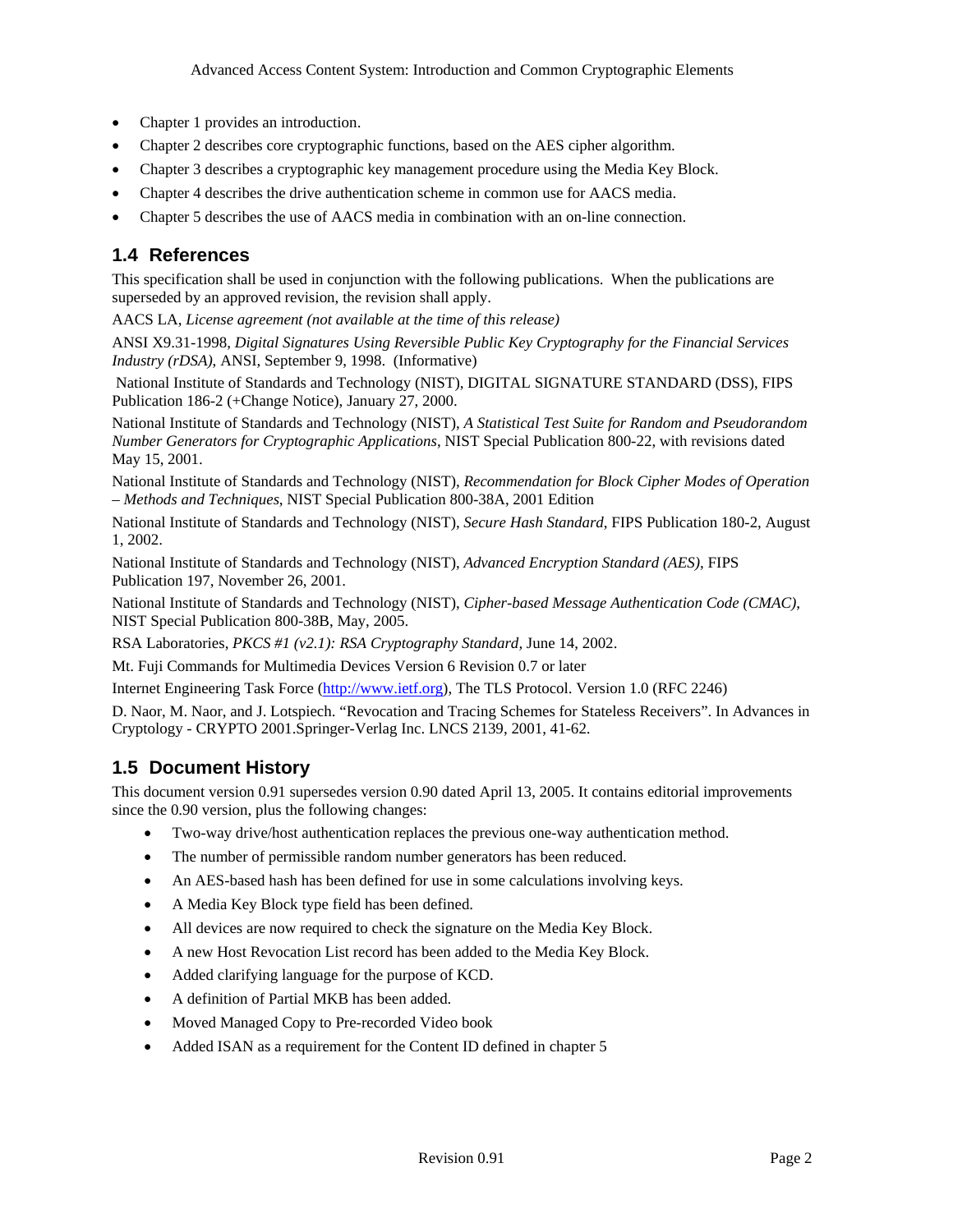- Chapter 1 provides an introduction.
- Chapter 2 describes core cryptographic functions, based on the AES cipher algorithm.
- Chapter 3 describes a cryptographic key management procedure using the Media Key Block.
- Chapter 4 describes the drive authentication scheme in common use for AACS media.
- Chapter 5 describes the use of AACS media in combination with an on-line connection.

#### **1.4 References**

This specification shall be used in conjunction with the following publications. When the publications are superseded by an approved revision, the revision shall apply.

AACS LA, *License agreement (not available at the time of this release)*

ANSI X9.31-1998, *Digital Signatures Using Reversible Public Key Cryptography for the Financial Services Industry (rDSA)*, ANSI, September 9, 1998. (Informative)

 National Institute of Standards and Technology (NIST), DIGITAL SIGNATURE STANDARD (DSS), FIPS Publication 186-2 (+Change Notice), January 27, 2000.

National Institute of Standards and Technology (NIST), *A Statistical Test Suite for Random and Pseudorandom Number Generators for Cryptographic Applications*, NIST Special Publication 800-22, with revisions dated May 15, 2001.

National Institute of Standards and Technology (NIST), *Recommendation for Block Cipher Modes of Operation – Methods and Techniques*, NIST Special Publication 800-38A, 2001 Edition

National Institute of Standards and Technology (NIST), *Secure Hash Standard*, FIPS Publication 180-2, August 1, 2002.

National Institute of Standards and Technology (NIST), *Advanced Encryption Standard (AES)*, FIPS Publication 197, November 26, 2001.

National Institute of Standards and Technology (NIST), *Cipher-based Message Authentication Code (CMAC)*, NIST Special Publication 800-38B, May, 2005.

RSA Laboratories, *PKCS #1 (v2.1): RSA Cryptography Standard,* June 14, 2002.

Mt. Fuji Commands for Multimedia Devices Version 6 Revision 0.7 or later

Internet Engineering Task Force (http://www.ietf.org), The TLS Protocol. Version 1.0 (RFC 2246)

D. Naor, M. Naor, and J. Lotspiech. "Revocation and Tracing Schemes for Stateless Receivers". In Advances in Cryptology - CRYPTO 2001.Springer-Verlag Inc. LNCS 2139, 2001, 41-62.

#### **1.5 Document History**

This document version 0.91 supersedes version 0.90 dated April 13, 2005. It contains editorial improvements since the 0.90 version, plus the following changes:

- Two-way drive/host authentication replaces the previous one-way authentication method.
- The number of permissible random number generators has been reduced.
- An AES-based hash has been defined for use in some calculations involving keys.
- A Media Key Block type field has been defined.
- All devices are now required to check the signature on the Media Key Block.
- A new Host Revocation List record has been added to the Media Key Block.
- Added clarifying language for the purpose of KCD.
- A definition of Partial MKB has been added.
- Moved Managed Copy to Pre-recorded Video book
- Added ISAN as a requirement for the Content ID defined in chapter 5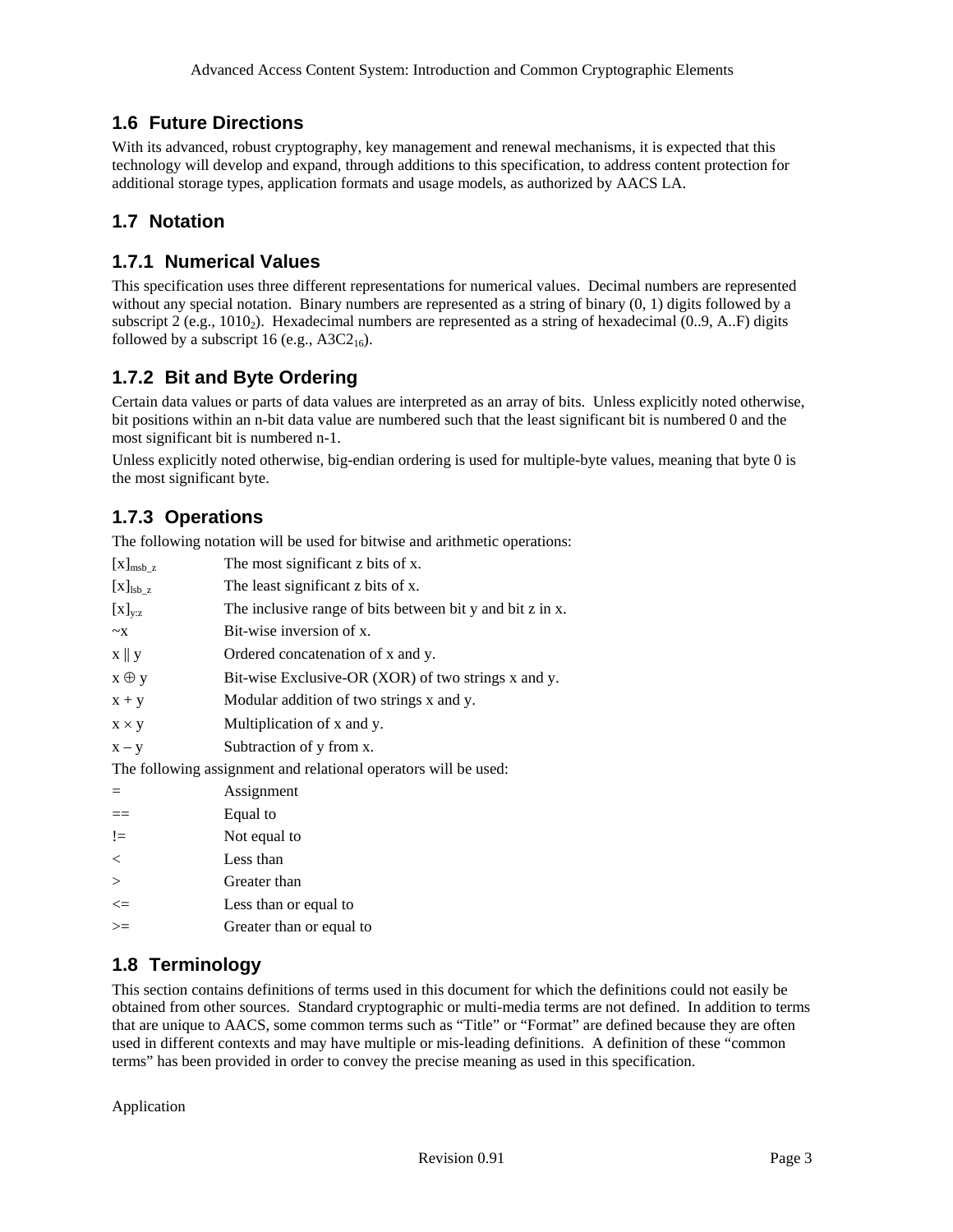### **1.6 Future Directions**

With its advanced, robust cryptography, key management and renewal mechanisms, it is expected that this technology will develop and expand, through additions to this specification, to address content protection for additional storage types, application formats and usage models, as authorized by AACS LA.

## **1.7 Notation**

#### **1.7.1 Numerical Values**

This specification uses three different representations for numerical values. Decimal numbers are represented without any special notation. Binary numbers are represented as a string of binary (0, 1) digits followed by a subscript 2 (e.g., 1010<sub>2</sub>). Hexadecimal numbers are represented as a string of hexadecimal (0..9, A..F) digits followed by a subscript 16 (e.g.,  $A3C2_{16}$ ).

### **1.7.2 Bit and Byte Ordering**

Certain data values or parts of data values are interpreted as an array of bits. Unless explicitly noted otherwise, bit positions within an n-bit data value are numbered such that the least significant bit is numbered 0 and the most significant bit is numbered n-1.

Unless explicitly noted otherwise, big-endian ordering is used for multiple-byte values, meaning that byte 0 is the most significant byte.

## **1.7.3 Operations**

The following notation will be used for bitwise and arithmetic operations:

| $[x]_{msb_z}$        | The most significant z bits of x.                               |
|----------------------|-----------------------------------------------------------------|
| $[x]_{\text{lsb z}}$ | The least significant z bits of x.                              |
| $[x]_{y:z}$          | The inclusive range of bits between bit y and bit z in x.       |
| $\sim$ X             | Bit-wise inversion of x.                                        |
| $x \parallel y$      | Ordered concatenation of x and y.                               |
| $x \oplus y$         | Bit-wise Exclusive-OR (XOR) of two strings x and y.             |
| $x + y$              | Modular addition of two strings x and y.                        |
| $x \times y$         | Multiplication of x and y.                                      |
| $X - Y$              | Subtraction of y from x.                                        |
|                      | The following assignment and relational operators will be used: |
| $=$                  | Assignment                                                      |
| $==$                 | Equal to                                                        |
| $!=$                 | Not equal to                                                    |
| $\,<$                | Less than                                                       |
| $\geq$               | Greater than                                                    |
| $\leq$               | Less than or equal to                                           |
| $>=$                 | Greater than or equal to                                        |

## **1.8 Terminology**

This section contains definitions of terms used in this document for which the definitions could not easily be obtained from other sources. Standard cryptographic or multi-media terms are not defined. In addition to terms that are unique to AACS, some common terms such as "Title" or "Format" are defined because they are often used in different contexts and may have multiple or mis-leading definitions. A definition of these "common terms" has been provided in order to convey the precise meaning as used in this specification.

Application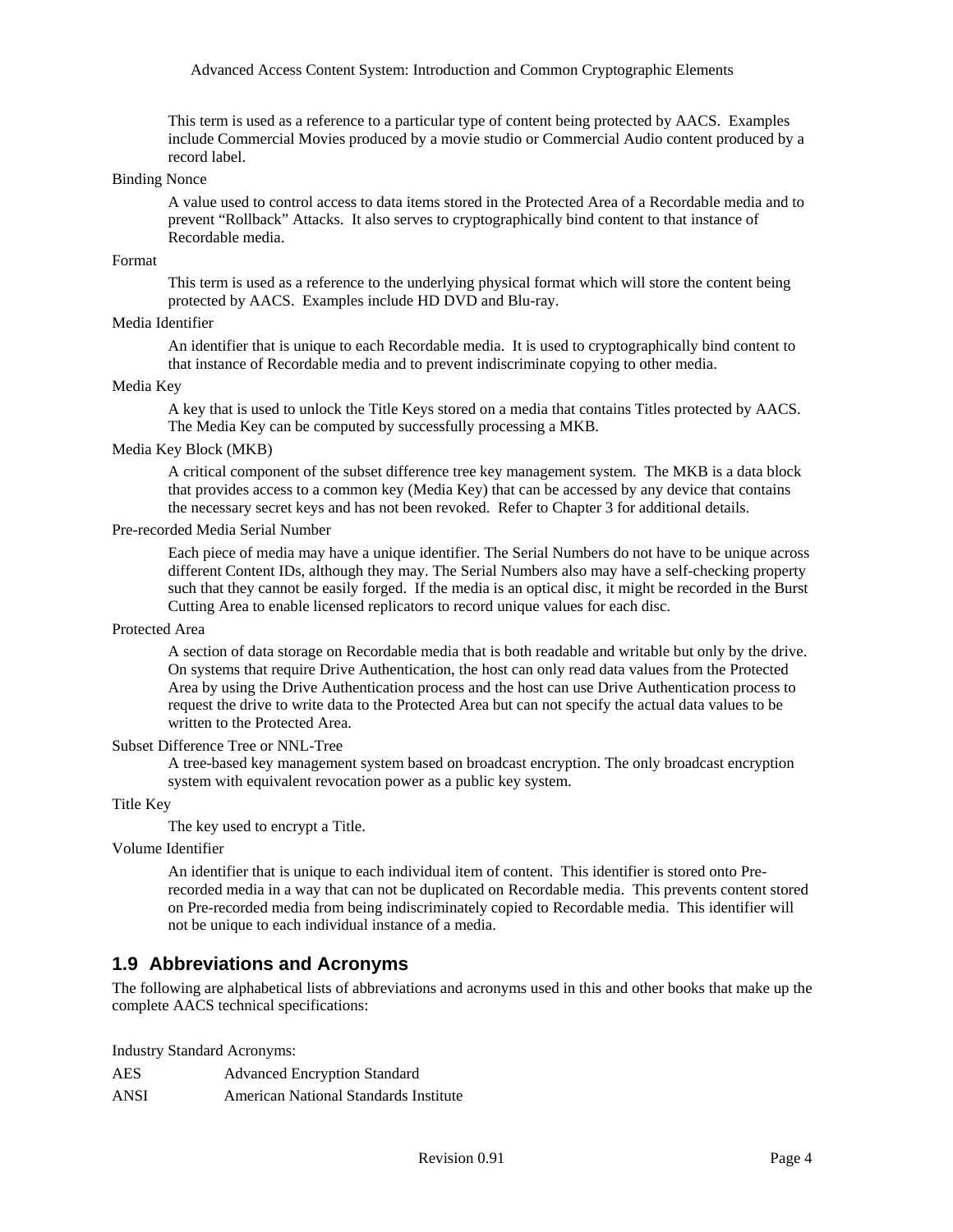#### Advanced Access Content System: Introduction and Common Cryptographic Elements

This term is used as a reference to a particular type of content being protected by AACS. Examples include Commercial Movies produced by a movie studio or Commercial Audio content produced by a record label.

#### Binding Nonce

A value used to control access to data items stored in the Protected Area of a Recordable media and to prevent "Rollback" Attacks. It also serves to cryptographically bind content to that instance of Recordable media.

#### Format

This term is used as a reference to the underlying physical format which will store the content being protected by AACS. Examples include HD DVD and Blu-ray.

#### Media Identifier

An identifier that is unique to each Recordable media. It is used to cryptographically bind content to that instance of Recordable media and to prevent indiscriminate copying to other media.

#### Media Key

A key that is used to unlock the Title Keys stored on a media that contains Titles protected by AACS. The Media Key can be computed by successfully processing a MKB.

#### Media Key Block (MKB)

A critical component of the subset difference tree key management system. The MKB is a data block that provides access to a common key (Media Key) that can be accessed by any device that contains the necessary secret keys and has not been revoked. Refer to Chapter 3 for additional details.

#### Pre-recorded Media Serial Number

Each piece of media may have a unique identifier. The Serial Numbers do not have to be unique across different Content IDs, although they may. The Serial Numbers also may have a self-checking property such that they cannot be easily forged. If the media is an optical disc, it might be recorded in the Burst Cutting Area to enable licensed replicators to record unique values for each disc.

#### Protected Area

A section of data storage on Recordable media that is both readable and writable but only by the drive. On systems that require Drive Authentication, the host can only read data values from the Protected Area by using the Drive Authentication process and the host can use Drive Authentication process to request the drive to write data to the Protected Area but can not specify the actual data values to be written to the Protected Area.

#### Subset Difference Tree or NNL-Tree

A tree-based key management system based on broadcast encryption. The only broadcast encryption system with equivalent revocation power as a public key system.

#### Title Key

The key used to encrypt a Title.

#### Volume Identifier

An identifier that is unique to each individual item of content. This identifier is stored onto Prerecorded media in a way that can not be duplicated on Recordable media. This prevents content stored on Pre-recorded media from being indiscriminately copied to Recordable media. This identifier will not be unique to each individual instance of a media.

#### **1.9 Abbreviations and Acronyms**

The following are alphabetical lists of abbreviations and acronyms used in this and other books that make up the complete AACS technical specifications:

Industry Standard Acronyms:

| <b>AES</b> | <b>Advanced Encryption Standard</b>   |
|------------|---------------------------------------|
| ANSI       | American National Standards Institute |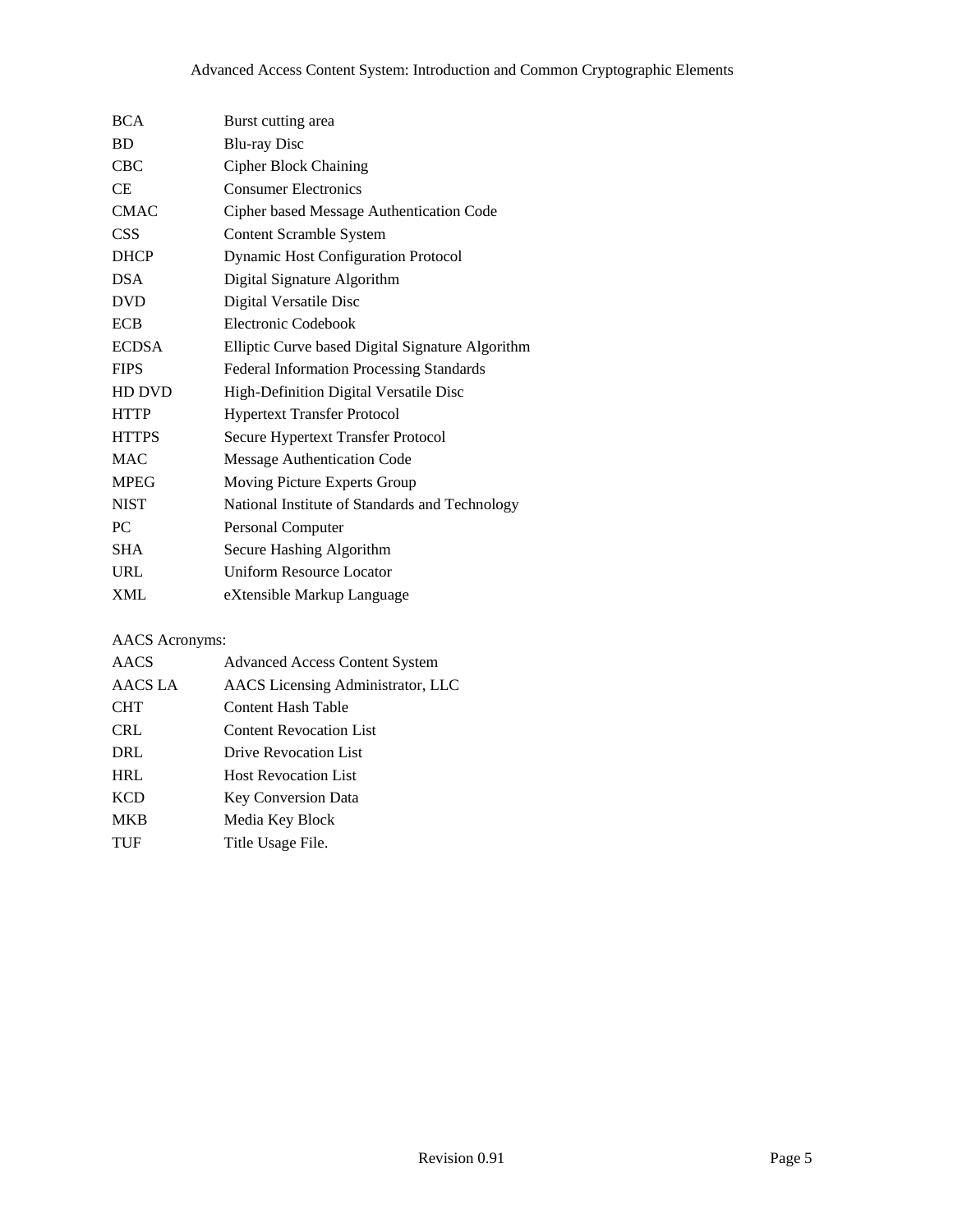| <b>BCA</b>   | Burst cutting area                               |
|--------------|--------------------------------------------------|
| <b>BD</b>    | <b>Blu-ray Disc</b>                              |
| <b>CBC</b>   | <b>Cipher Block Chaining</b>                     |
| <b>CE</b>    | <b>Consumer Electronics</b>                      |
| <b>CMAC</b>  | Cipher based Message Authentication Code         |
| <b>CSS</b>   | <b>Content Scramble System</b>                   |
| <b>DHCP</b>  | <b>Dynamic Host Configuration Protocol</b>       |
| <b>DSA</b>   | Digital Signature Algorithm                      |
| <b>DVD</b>   | Digital Versatile Disc                           |
| <b>ECB</b>   | Electronic Codebook                              |
| <b>ECDSA</b> | Elliptic Curve based Digital Signature Algorithm |
| <b>FIPS</b>  | <b>Federal Information Processing Standards</b>  |
| HD DVD       | High-Definition Digital Versatile Disc           |
| <b>HTTP</b>  | <b>Hypertext Transfer Protocol</b>               |
| <b>HTTPS</b> | Secure Hypertext Transfer Protocol               |
| <b>MAC</b>   | <b>Message Authentication Code</b>               |
| <b>MPEG</b>  | Moving Picture Experts Group                     |
| <b>NIST</b>  | National Institute of Standards and Technology   |
| PC.          | Personal Computer                                |
| <b>SHA</b>   | Secure Hashing Algorithm                         |
| <b>URL</b>   | <b>Uniform Resource Locator</b>                  |
| <b>XML</b>   | eXtensible Markup Language                       |

#### AACS Acronyms:

| AACS       | <b>Advanced Access Content System</b> |
|------------|---------------------------------------|
| AACS LA    | AACS Licensing Administrator, LLC     |
| <b>CHT</b> | Content Hash Table                    |
| <b>CRL</b> | <b>Content Revocation List</b>        |
| DRL        | Drive Revocation List                 |
| <b>HRL</b> | <b>Host Revocation List</b>           |
| <b>KCD</b> | Key Conversion Data                   |
| <b>MKB</b> | Media Key Block                       |
| TUF        | Title Usage File.                     |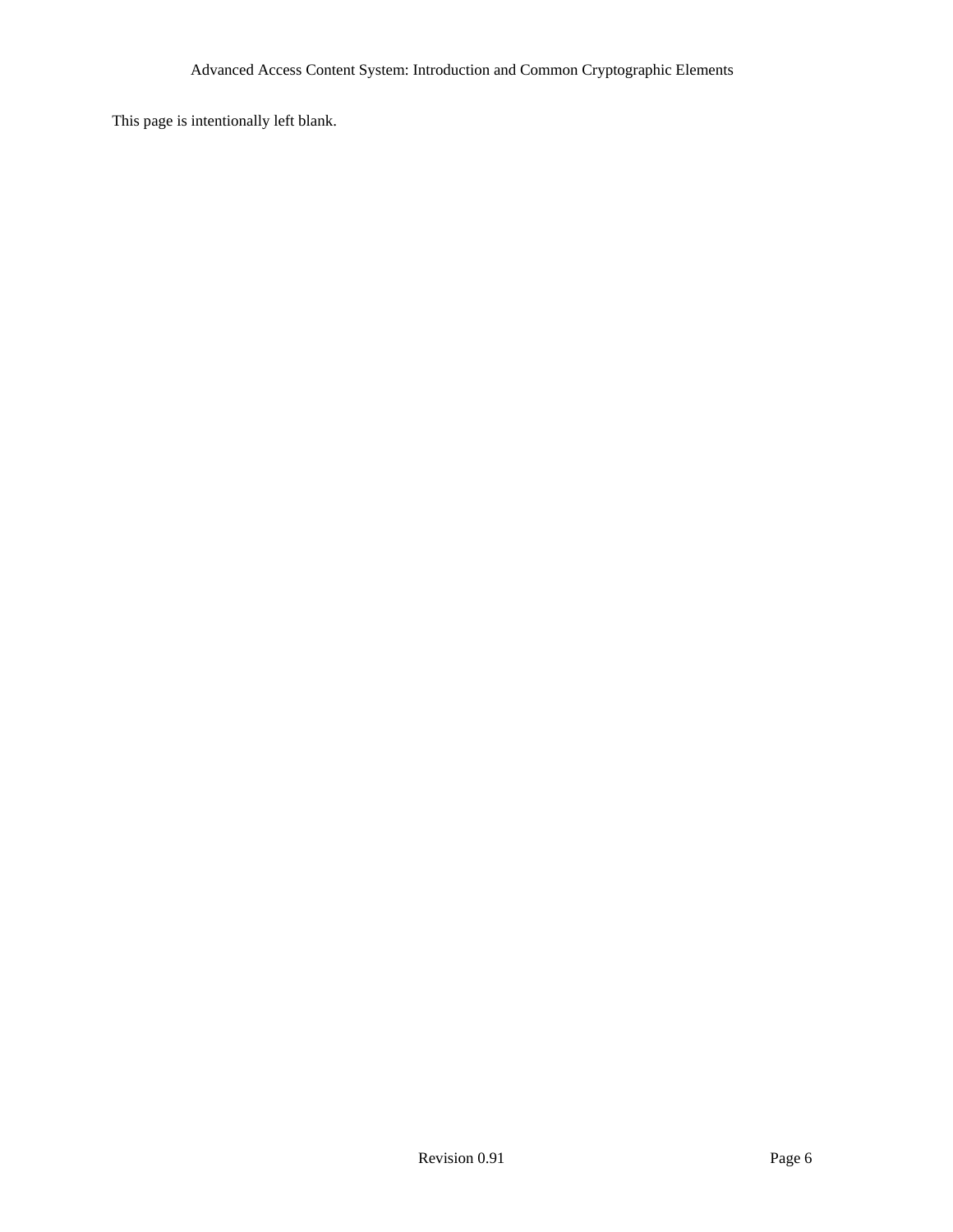This page is intentionally left blank.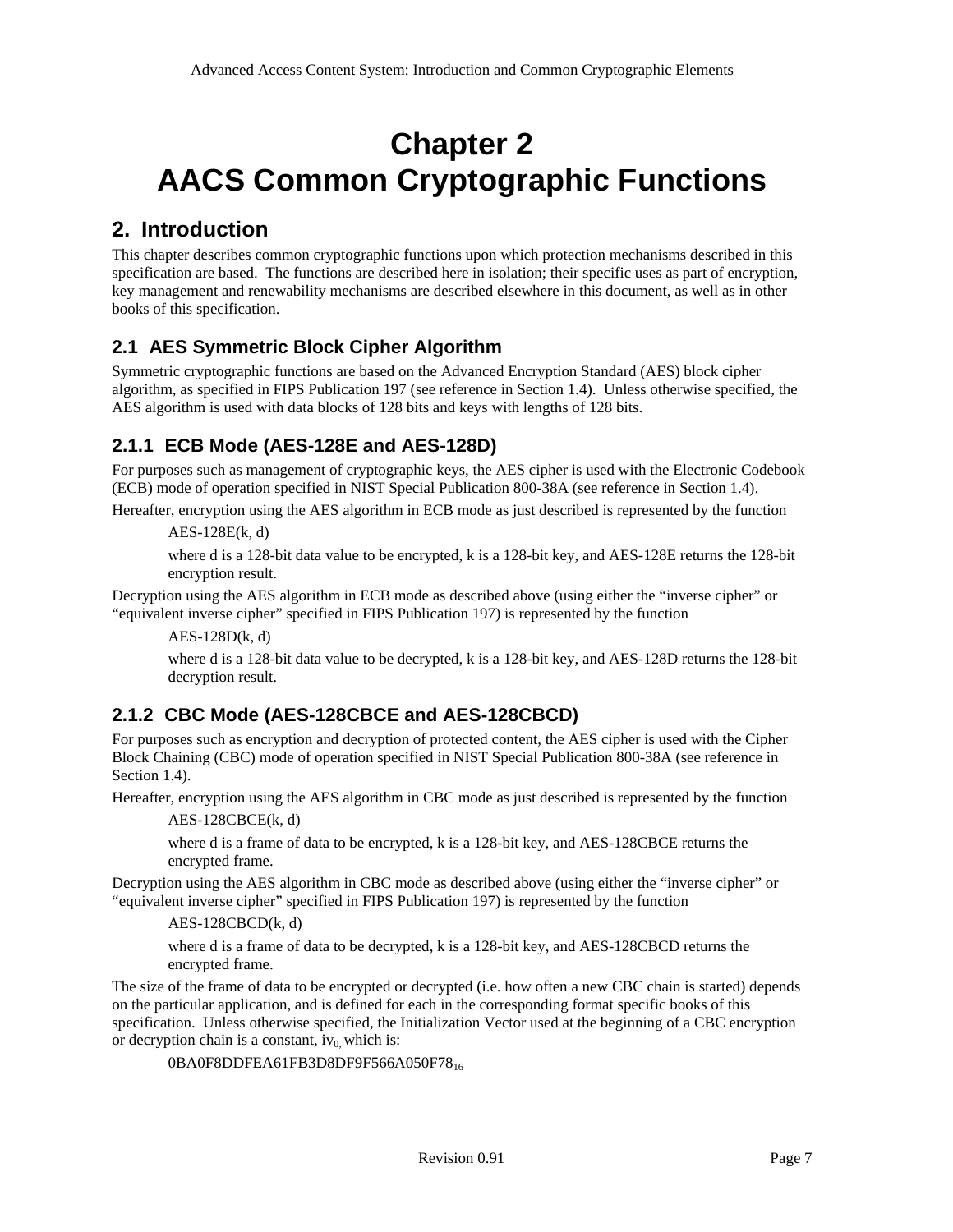# **Chapter 2 AACS Common Cryptographic Functions**

## **2. Introduction**

This chapter describes common cryptographic functions upon which protection mechanisms described in this specification are based. The functions are described here in isolation; their specific uses as part of encryption, key management and renewability mechanisms are described elsewhere in this document, as well as in other books of this specification.

## **2.1 AES Symmetric Block Cipher Algorithm**

Symmetric cryptographic functions are based on the Advanced Encryption Standard (AES) block cipher algorithm, as specified in FIPS Publication 197 (see reference in Section 1.4). Unless otherwise specified, the AES algorithm is used with data blocks of 128 bits and keys with lengths of 128 bits.

## **2.1.1 ECB Mode (AES-128E and AES-128D)**

For purposes such as management of cryptographic keys, the AES cipher is used with the Electronic Codebook (ECB) mode of operation specified in NIST Special Publication 800-38A (see reference in Section 1.4).

Hereafter, encryption using the AES algorithm in ECB mode as just described is represented by the function

AES-128E(k, d)

 where d is a 128-bit data value to be encrypted, k is a 128-bit key, and AES-128E returns the 128-bit encryption result.

Decryption using the AES algorithm in ECB mode as described above (using either the "inverse cipher" or "equivalent inverse cipher" specified in FIPS Publication 197) is represented by the function

AES-128D(k, d)

 where d is a 128-bit data value to be decrypted, k is a 128-bit key, and AES-128D returns the 128-bit decryption result.

## **2.1.2 CBC Mode (AES-128CBCE and AES-128CBCD)**

For purposes such as encryption and decryption of protected content, the AES cipher is used with the Cipher Block Chaining (CBC) mode of operation specified in NIST Special Publication 800-38A (see reference in Section 1.4).

Hereafter, encryption using the AES algorithm in CBC mode as just described is represented by the function

AES-128CBCE(k, d)

 where d is a frame of data to be encrypted, k is a 128-bit key, and AES-128CBCE returns the encrypted frame.

Decryption using the AES algorithm in CBC mode as described above (using either the "inverse cipher" or "equivalent inverse cipher" specified in FIPS Publication 197) is represented by the function

AES-128CBCD(k, d)

 where d is a frame of data to be decrypted, k is a 128-bit key, and AES-128CBCD returns the encrypted frame.

The size of the frame of data to be encrypted or decrypted (i.e. how often a new CBC chain is started) depends on the particular application, and is defined for each in the corresponding format specific books of this specification. Unless otherwise specified, the Initialization Vector used at the beginning of a CBC encryption or decryption chain is a constant, iv<sub>0</sub> which is:

0BA0F8DDFEA61FB3D8DF9F566A050F7816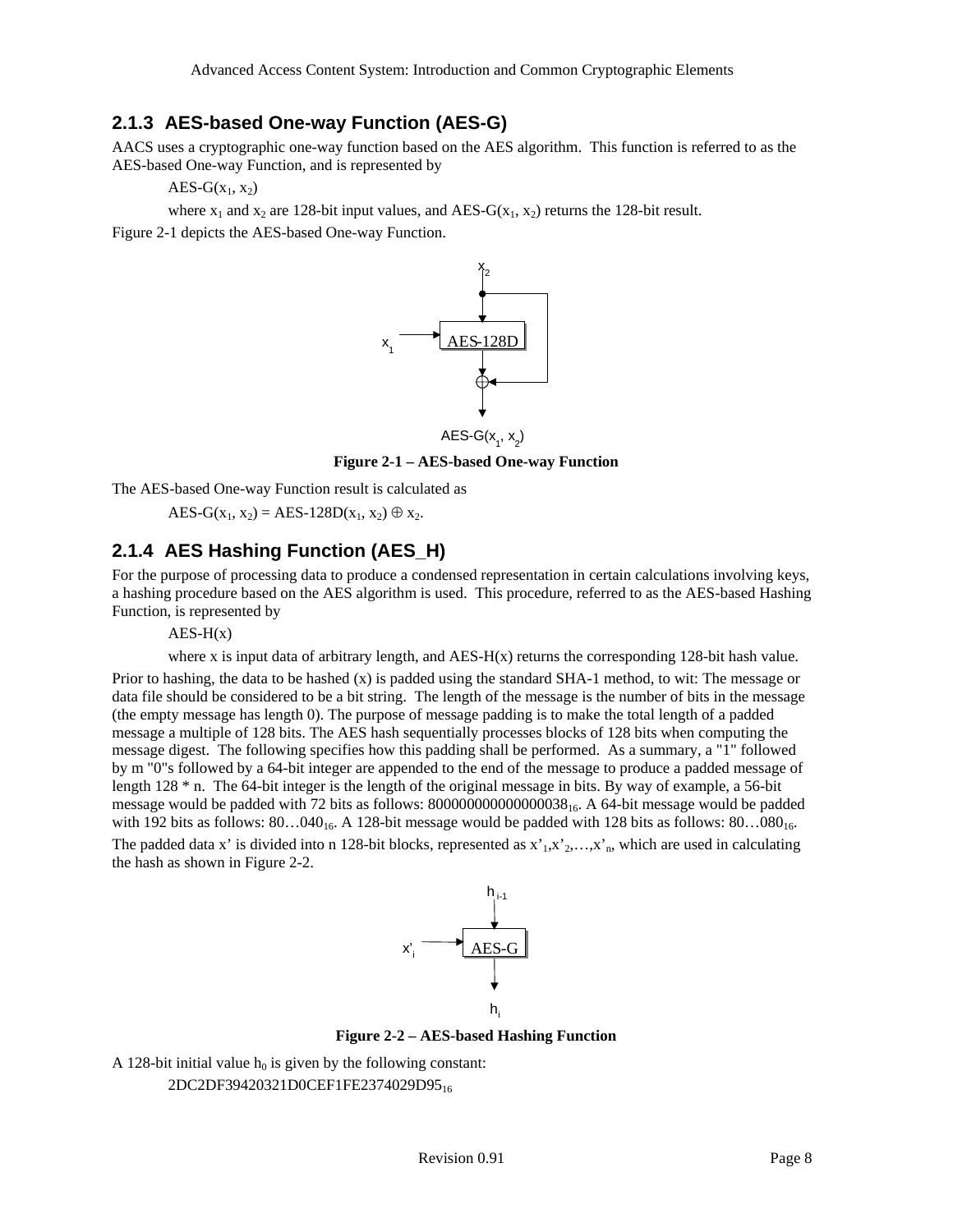### **2.1.3 AES-based One-way Function (AES-G)**

AACS uses a cryptographic one-way function based on the AES algorithm. This function is referred to as the AES-based One-way Function, and is represented by

AES-G $(x_1, x_2)$ 

where  $x_1$  and  $x_2$  are 128-bit input values, and AES-G( $x_1$ ,  $x_2$ ) returns the 128-bit result.

Figure 2-1 depicts the AES-based One-way Function.



AES-G( $x_1, x_2$ )

**Figure 2-1 – AES-based One-way Function** 

The AES-based One-way Function result is calculated as

AES-G( $x_1, x_2$ ) = AES-128D( $x_1, x_2$ )  $\oplus x_2$ .

## **2.1.4 AES Hashing Function (AES\_H)**

For the purpose of processing data to produce a condensed representation in certain calculations involving keys, a hashing procedure based on the AES algorithm is used. This procedure, referred to as the AES-based Hashing Function, is represented by

 $AES-H(x)$ 

where x is input data of arbitrary length, and  $\text{AES-H}(x)$  returns the corresponding 128-bit hash value.

Prior to hashing, the data to be hashed (x) is padded using the standard SHA-1 method, to wit: The message or data file should be considered to be a bit string. The length of the message is the number of bits in the message (the empty message has length 0). The purpose of message padding is to make the total length of a padded message a multiple of 128 bits. The AES hash sequentially processes blocks of 128 bits when computing the message digest. The following specifies how this padding shall be performed. As a summary, a "1" followed by m "0"s followed by a 64-bit integer are appended to the end of the message to produce a padded message of length 128 \* n. The 64-bit integer is the length of the original message in bits. By way of example, a 56-bit message would be padded with 72 bits as follows: 80000000000000003816. A 64-bit message would be padded with 192 bits as follows:  $80...040_{16}$ . A 128-bit message would be padded with 128 bits as follows:  $80...080_{16}$ . The padded data x' is divided into n 128-bit blocks, represented as  $x'_{1},x'_{2},...,x'_{n}$ , which are used in calculating the hash as shown in Figure 2-2.



**Figure 2-2 – AES-based Hashing Function** 

A 128-bit initial value  $h_0$  is given by the following constant: 2DC2DF39420321D0CEF1FE2374029D95<sub>16</sub>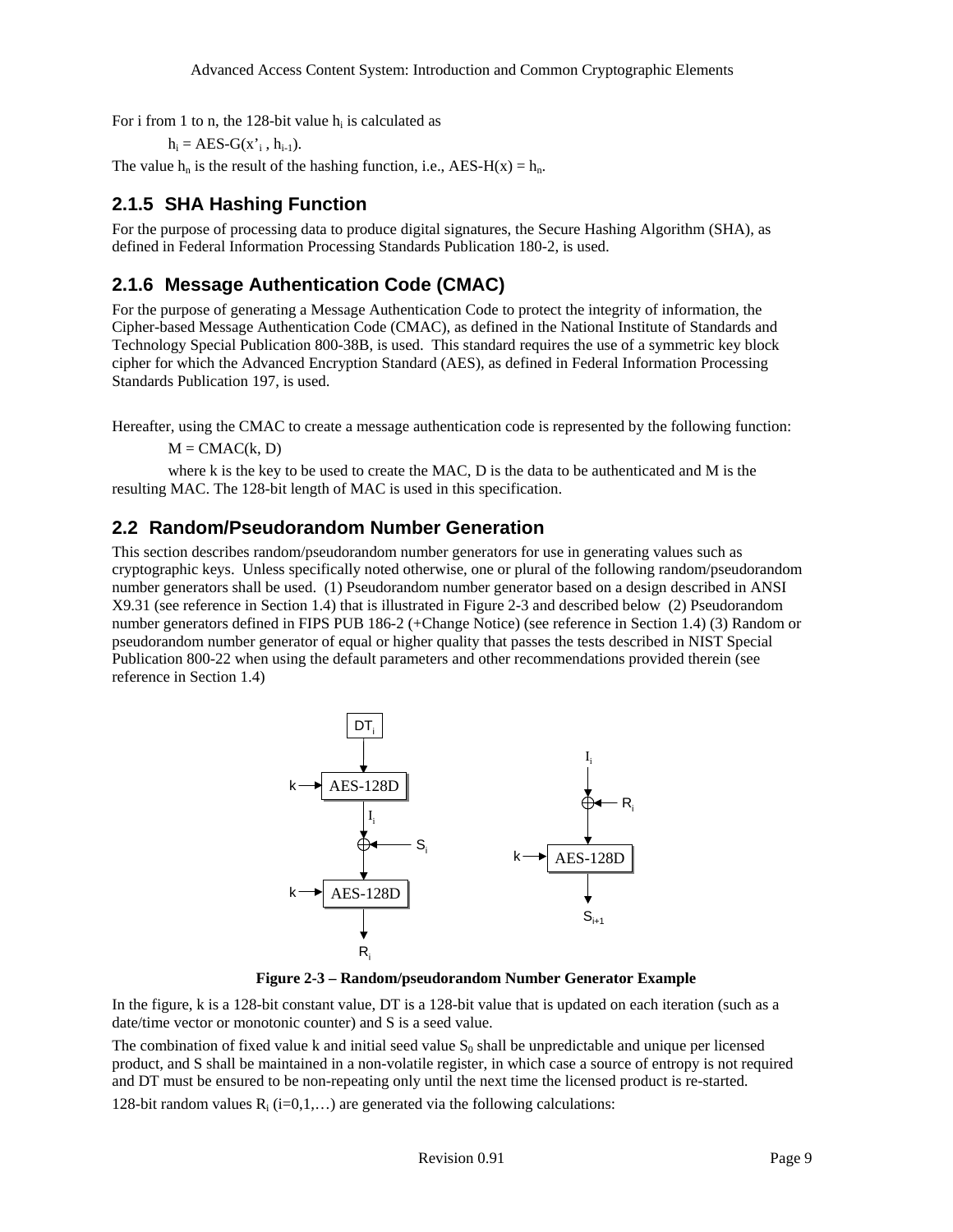For i from 1 to n, the 128-bit value  $h_i$  is calculated as

 $h_i = AES-G(x_i, h_{i-1}).$ 

The value  $h_n$  is the result of the hashing function, i.e., AES-H(x) =  $h_n$ .

#### **2.1.5 SHA Hashing Function**

For the purpose of processing data to produce digital signatures, the Secure Hashing Algorithm (SHA), as defined in Federal Information Processing Standards Publication 180-2, is used.

#### **2.1.6 Message Authentication Code (CMAC)**

For the purpose of generating a Message Authentication Code to protect the integrity of information, the Cipher-based Message Authentication Code (CMAC), as defined in the National Institute of Standards and Technology Special Publication 800-38B, is used. This standard requires the use of a symmetric key block cipher for which the Advanced Encryption Standard (AES), as defined in Federal Information Processing Standards Publication 197, is used.

Hereafter, using the CMAC to create a message authentication code is represented by the following function:

 $M = CMAC(k, D)$ 

 where k is the key to be used to create the MAC, D is the data to be authenticated and M is the resulting MAC. The 128-bit length of MAC is used in this specification.

#### **2.2 Random/Pseudorandom Number Generation**

This section describes random/pseudorandom number generators for use in generating values such as cryptographic keys. Unless specifically noted otherwise, one or plural of the following random/pseudorandom number generators shall be used. (1) Pseudorandom number generator based on a design described in ANSI X9.31 (see reference in Section 1.4) that is illustrated in Figure 2-3 and described below (2) Pseudorandom number generators defined in FIPS PUB 186-2 (+Change Notice) (see reference in Section 1.4) (3) Random or pseudorandom number generator of equal or higher quality that passes the tests described in NIST Special Publication 800-22 when using the default parameters and other recommendations provided therein (see reference in Section 1.4)



**Figure 2-3 – Random/pseudorandom Number Generator Example** 

In the figure, k is a 128-bit constant value, DT is a 128-bit value that is updated on each iteration (such as a date/time vector or monotonic counter) and S is a seed value.

The combination of fixed value k and initial seed value  $S_0$  shall be unpredictable and unique per licensed product, and S shall be maintained in a non-volatile register, in which case a source of entropy is not required and DT must be ensured to be non-repeating only until the next time the licensed product is re-started.

128-bit random values  $R_i$  (i=0,1,...) are generated via the following calculations: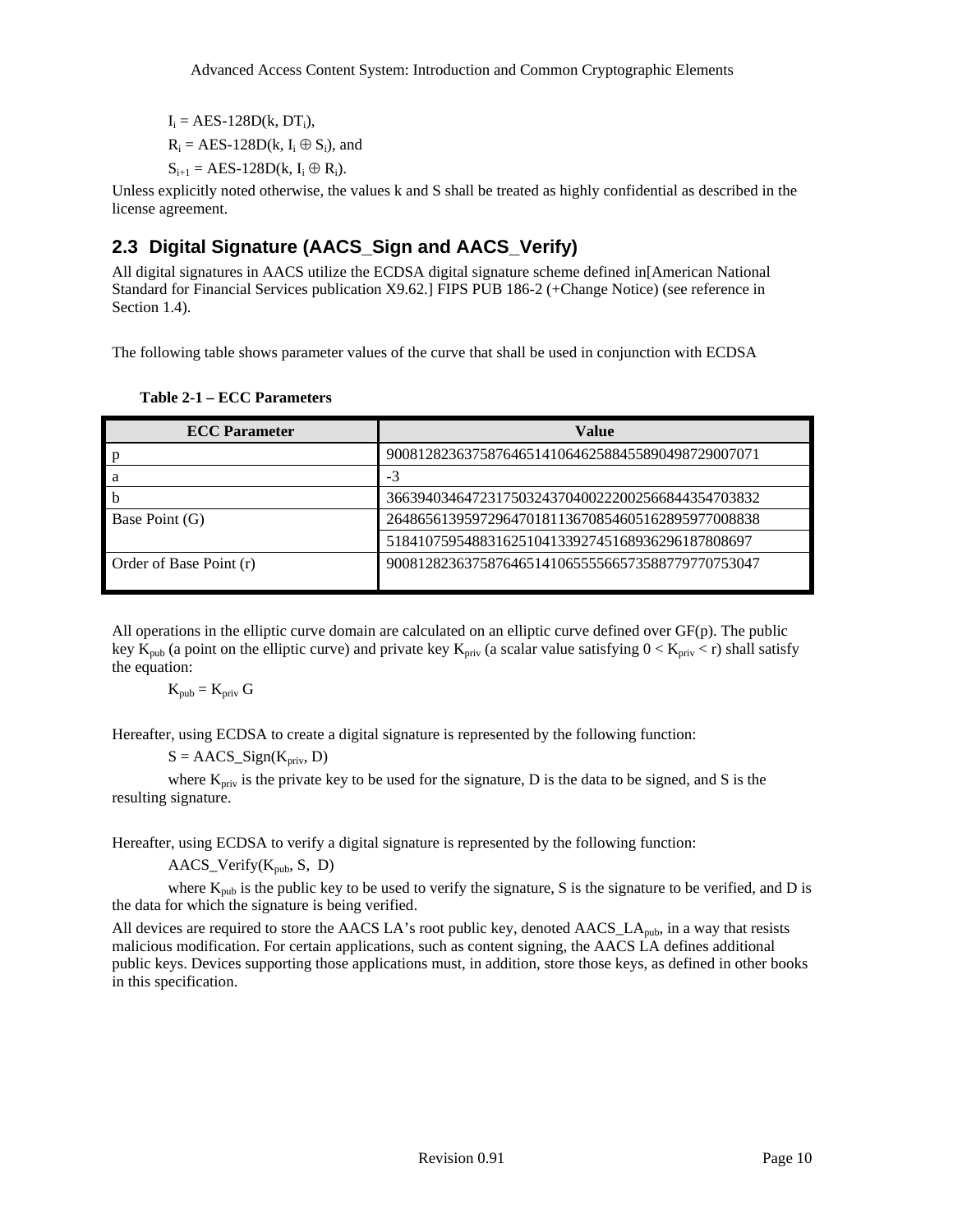$I_i = AES-128D(k, DT_i),$  $R_i = AES-128D(k, I_i \oplus S_i)$ , and

 $S_{i+1} = AES-128D(k, I_i \oplus R_i).$ 

Unless explicitly noted otherwise, the values k and S shall be treated as highly confidential as described in the license agreement.

## **2.3 Digital Signature (AACS\_Sign and AACS\_Verify)**

All digital signatures in AACS utilize the ECDSA digital signature scheme defined in[American National Standard for Financial Services publication X9.62.] FIPS PUB 186-2 (+Change Notice) (see reference in Section 1.4).

The following table shows parameter values of the curve that shall be used in conjunction with ECDSA

| <b>ECC</b> Parameter    | Value                                            |  |  |  |
|-------------------------|--------------------------------------------------|--|--|--|
|                         | 900812823637587646514106462588455890498729007071 |  |  |  |
|                         | $-3$                                             |  |  |  |
|                         | 366394034647231750324370400222002566844354703832 |  |  |  |
| Base Point (G)          | 264865613959729647018113670854605162895977008838 |  |  |  |
|                         | 51841075954883162510413392745168936296187808697  |  |  |  |
| Order of Base Point (r) | 900812823637587646514106555566573588779770753047 |  |  |  |
|                         |                                                  |  |  |  |

**Table 2-1 – ECC Parameters** 

All operations in the elliptic curve domain are calculated on an elliptic curve defined over GF(p). The public key K<sub>pub</sub> (a point on the elliptic curve) and private key K<sub>priv</sub> (a scalar value satisfying  $0 < K_{\text{priv}} < r$ ) shall satisfy the equation:

 $K_{\text{pub}} = K_{\text{priv}} G$ 

Hereafter, using ECDSA to create a digital signature is represented by the following function:

 $S =$  AACS\_Sign( $K_{\text{priv}}$ , D)

where  $K_{\text{priv}}$  is the private key to be used for the signature, D is the data to be signed, and S is the resulting signature.

Hereafter, using ECDSA to verify a digital signature is represented by the following function:

 $AACS$  Verify( $K_{pub}$ , S, D)

where  $K_{pub}$  is the public key to be used to verify the signature, S is the signature to be verified, and D is the data for which the signature is being verified.

All devices are required to store the AACS LA's root public key, denoted AACS\_LA<sub>pub</sub>, in a way that resists malicious modification. For certain applications, such as content signing, the AACS LA defines additional public keys. Devices supporting those applications must, in addition, store those keys, as defined in other books in this specification.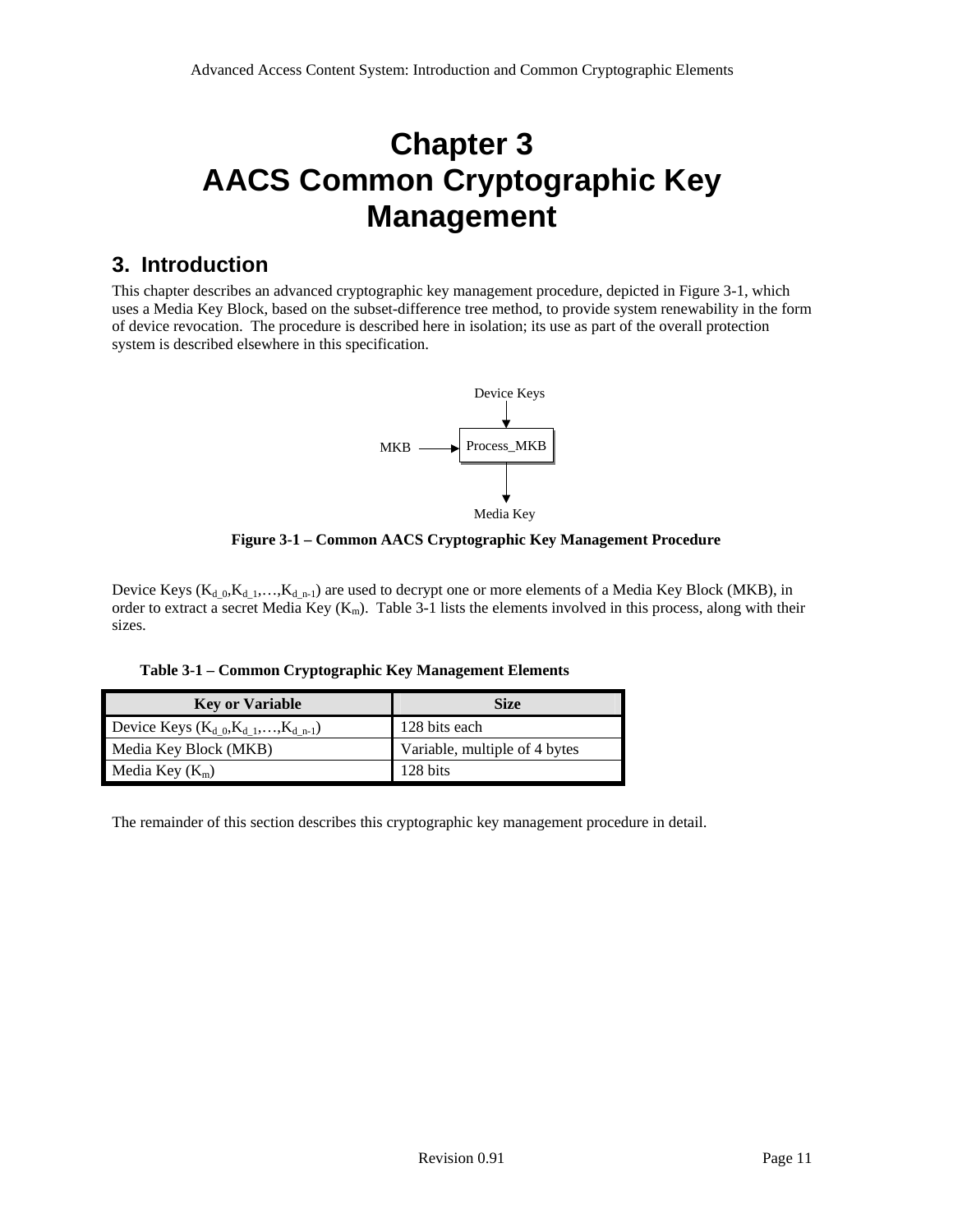## **Chapter 3 AACS Common Cryptographic Key Management**

## **3. Introduction**

This chapter describes an advanced cryptographic key management procedure, depicted in Figure 3-1, which uses a Media Key Block, based on the subset-difference tree method, to provide system renewability in the form of device revocation. The procedure is described here in isolation; its use as part of the overall protection system is described elsewhere in this specification.



**Figure 3-1 – Common AACS Cryptographic Key Management Procedure** 

Device Keys  $(K_{d_0}, K_{d_1},..., K_{d_n-1})$  are used to decrypt one or more elements of a Media Key Block (MKB), in order to extract a secret Media Key  $(K_m)$ . Table 3-1 lists the elements involved in this process, along with their sizes.

**Table 3-1 – Common Cryptographic Key Management Elements** 

| <b>Key or Variable</b>                       | <b>Size</b>                   |  |  |
|----------------------------------------------|-------------------------------|--|--|
| Device Keys $(K_{d_0}, K_{d_1},, K_{d_n-1})$ | 128 bits each                 |  |  |
| Media Key Block (MKB)                        | Variable, multiple of 4 bytes |  |  |
| Media Key $(K_m)$                            | 128 bits                      |  |  |

The remainder of this section describes this cryptographic key management procedure in detail.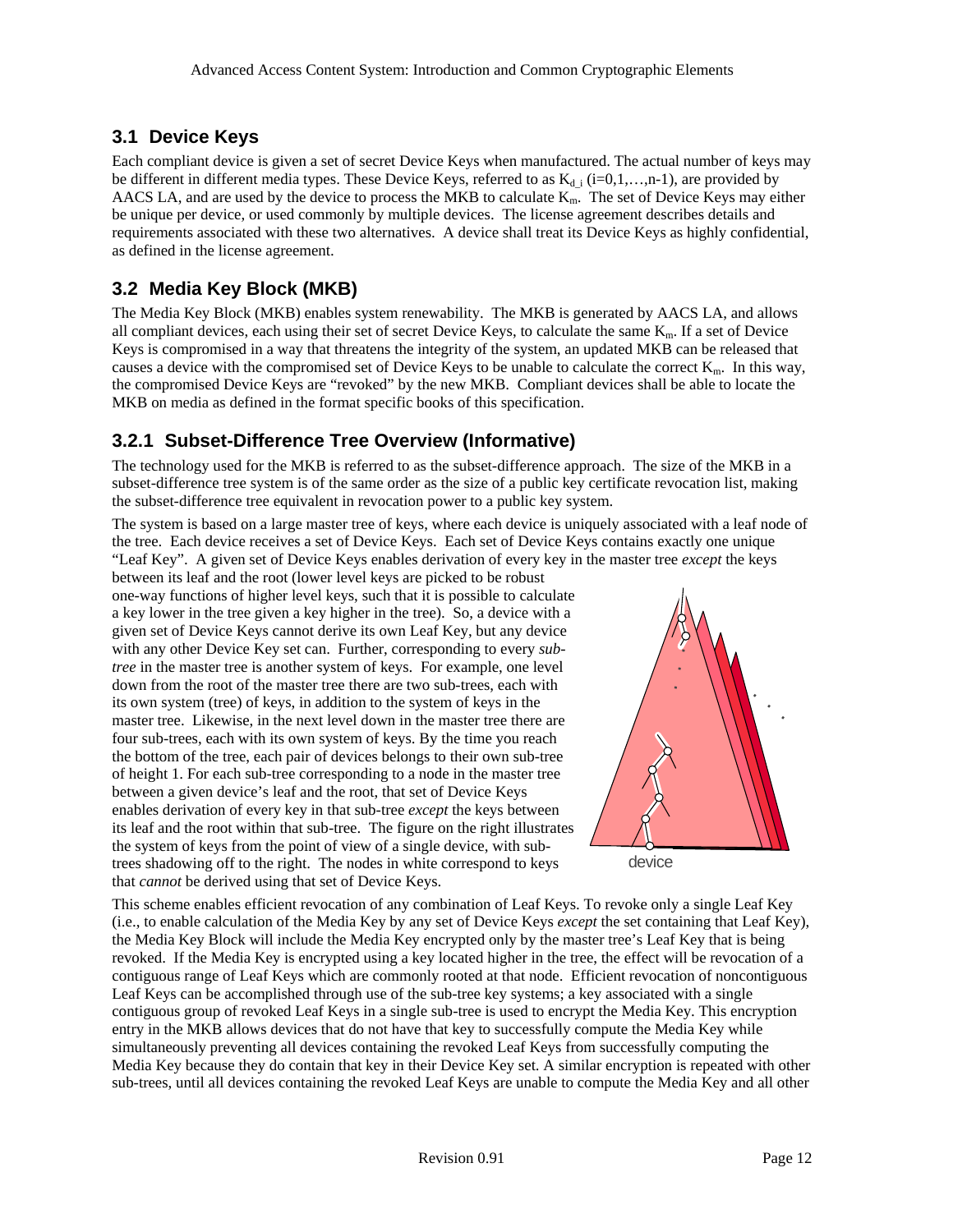## **3.1 Device Keys**

Each compliant device is given a set of secret Device Keys when manufactured. The actual number of keys may be different in different media types. These Device Keys, referred to as  $K_{d,i}$  (i=0,1,...,n-1), are provided by AACS LA, and are used by the device to process the MKB to calculate  $K_m$ . The set of Device Keys may either be unique per device, or used commonly by multiple devices. The license agreement describes details and requirements associated with these two alternatives. A device shall treat its Device Keys as highly confidential, as defined in the license agreement.

## **3.2 Media Key Block (MKB)**

The Media Key Block (MKB) enables system renewability. The MKB is generated by AACS LA, and allows all compliant devices, each using their set of secret Device Keys, to calculate the same  $K_m$ . If a set of Device Keys is compromised in a way that threatens the integrity of the system, an updated MKB can be released that causes a device with the compromised set of Device Keys to be unable to calculate the correct  $K_m$ . In this way, the compromised Device Keys are "revoked" by the new MKB. Compliant devices shall be able to locate the MKB on media as defined in the format specific books of this specification.

## **3.2.1 Subset-Difference Tree Overview (Informative)**

The technology used for the MKB is referred to as the subset-difference approach. The size of the MKB in a subset-difference tree system is of the same order as the size of a public key certificate revocation list, making the subset-difference tree equivalent in revocation power to a public key system.

The system is based on a large master tree of keys, where each device is uniquely associated with a leaf node of the tree. Each device receives a set of Device Keys. Each set of Device Keys contains exactly one unique "Leaf Key". A given set of Device Keys enables derivation of every key in the master tree *except* the keys

between its leaf and the root (lower level keys are picked to be robust one-way functions of higher level keys, such that it is possible to calculate a key lower in the tree given a key higher in the tree). So, a device with a given set of Device Keys cannot derive its own Leaf Key, but any device with any other Device Key set can. Further, corresponding to every *subtree* in the master tree is another system of keys. For example, one level down from the root of the master tree there are two sub-trees, each with its own system (tree) of keys, in addition to the system of keys in the master tree. Likewise, in the next level down in the master tree there are four sub-trees, each with its own system of keys. By the time you reach the bottom of the tree, each pair of devices belongs to their own sub-tree of height 1. For each sub-tree corresponding to a node in the master tree between a given device's leaf and the root, that set of Device Keys enables derivation of every key in that sub-tree *except* the keys between its leaf and the root within that sub-tree. The figure on the right illustrates the system of keys from the point of view of a single device, with subtrees shadowing off to the right. The nodes in white correspond to keys that *cannot* be derived using that set of Device Keys.



This scheme enables efficient revocation of any combination of Leaf Keys. To revoke only a single Leaf Key (i.e., to enable calculation of the Media Key by any set of Device Keys *except* the set containing that Leaf Key), the Media Key Block will include the Media Key encrypted only by the master tree's Leaf Key that is being revoked. If the Media Key is encrypted using a key located higher in the tree, the effect will be revocation of a contiguous range of Leaf Keys which are commonly rooted at that node. Efficient revocation of noncontiguous Leaf Keys can be accomplished through use of the sub-tree key systems; a key associated with a single contiguous group of revoked Leaf Keys in a single sub-tree is used to encrypt the Media Key. This encryption entry in the MKB allows devices that do not have that key to successfully compute the Media Key while simultaneously preventing all devices containing the revoked Leaf Keys from successfully computing the Media Key because they do contain that key in their Device Key set. A similar encryption is repeated with other sub-trees, until all devices containing the revoked Leaf Keys are unable to compute the Media Key and all other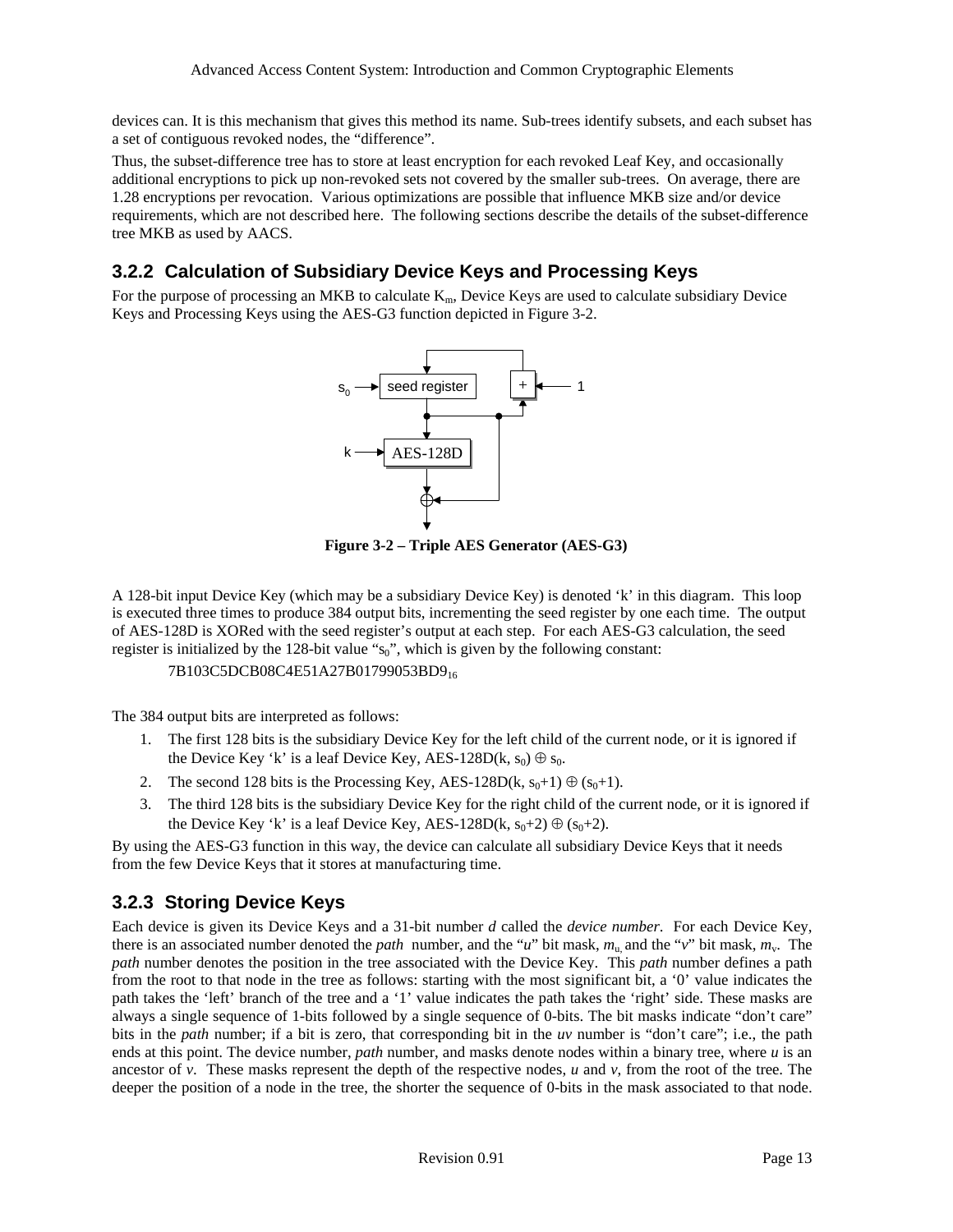devices can. It is this mechanism that gives this method its name. Sub-trees identify subsets, and each subset has a set of contiguous revoked nodes, the "difference".

Thus, the subset-difference tree has to store at least encryption for each revoked Leaf Key, and occasionally additional encryptions to pick up non-revoked sets not covered by the smaller sub-trees. On average, there are 1.28 encryptions per revocation. Various optimizations are possible that influence MKB size and/or device requirements, which are not described here. The following sections describe the details of the subset-difference tree MKB as used by AACS.

### **3.2.2 Calculation of Subsidiary Device Keys and Processing Keys**

For the purpose of processing an MKB to calculate  $K_m$ , Device Keys are used to calculate subsidiary Device Keys and Processing Keys using the AES-G3 function depicted in Figure 3-2.



**Figure 3-2 – Triple AES Generator (AES-G3)** 

A 128-bit input Device Key (which may be a subsidiary Device Key) is denoted 'k' in this diagram. This loop is executed three times to produce 384 output bits, incrementing the seed register by one each time. The output of AES-128D is XORed with the seed register's output at each step. For each AES-G3 calculation, the seed register is initialized by the 128-bit value " $s_0$ ", which is given by the following constant:

7B103C5DCB08C4E51A27B01799053BD916

The 384 output bits are interpreted as follows:

- 1. The first 128 bits is the subsidiary Device Key for the left child of the current node, or it is ignored if the Device Key 'k' is a leaf Device Key, AES-128D(k,  $s_0$ )  $\oplus s_0$ .
- 2. The second 128 bits is the Processing Key, AES-128D(k,  $s_0+1$ )  $\oplus$  ( $s_0+1$ ).
- 3. The third 128 bits is the subsidiary Device Key for the right child of the current node, or it is ignored if the Device Key 'k' is a leaf Device Key, AES-128D(k,  $s_0+2$ )  $\oplus$  ( $s_0+2$ ).

By using the AES-G3 function in this way, the device can calculate all subsidiary Device Keys that it needs from the few Device Keys that it stores at manufacturing time.

## **3.2.3 Storing Device Keys**

Each device is given its Device Keys and a 31-bit number *d* called the *device number*. For each Device Key, there is an associated number denoted the *path* number, and the "*u*" bit mask, *m*u, and the "*v*" bit mask, *m*v. The *path* number denotes the position in the tree associated with the Device Key. This *path* number defines a path from the root to that node in the tree as follows: starting with the most significant bit, a '0' value indicates the path takes the 'left' branch of the tree and a '1' value indicates the path takes the 'right' side. These masks are always a single sequence of 1-bits followed by a single sequence of 0-bits. The bit masks indicate "don't care" bits in the *path* number; if a bit is zero, that corresponding bit in the *uv* number is "don't care"; i.e., the path ends at this point. The device number, *path* number, and masks denote nodes within a binary tree, where  $u$  is an ancestor of *v*. These masks represent the depth of the respective nodes, *u* and *v*, from the root of the tree. The deeper the position of a node in the tree, the shorter the sequence of 0-bits in the mask associated to that node.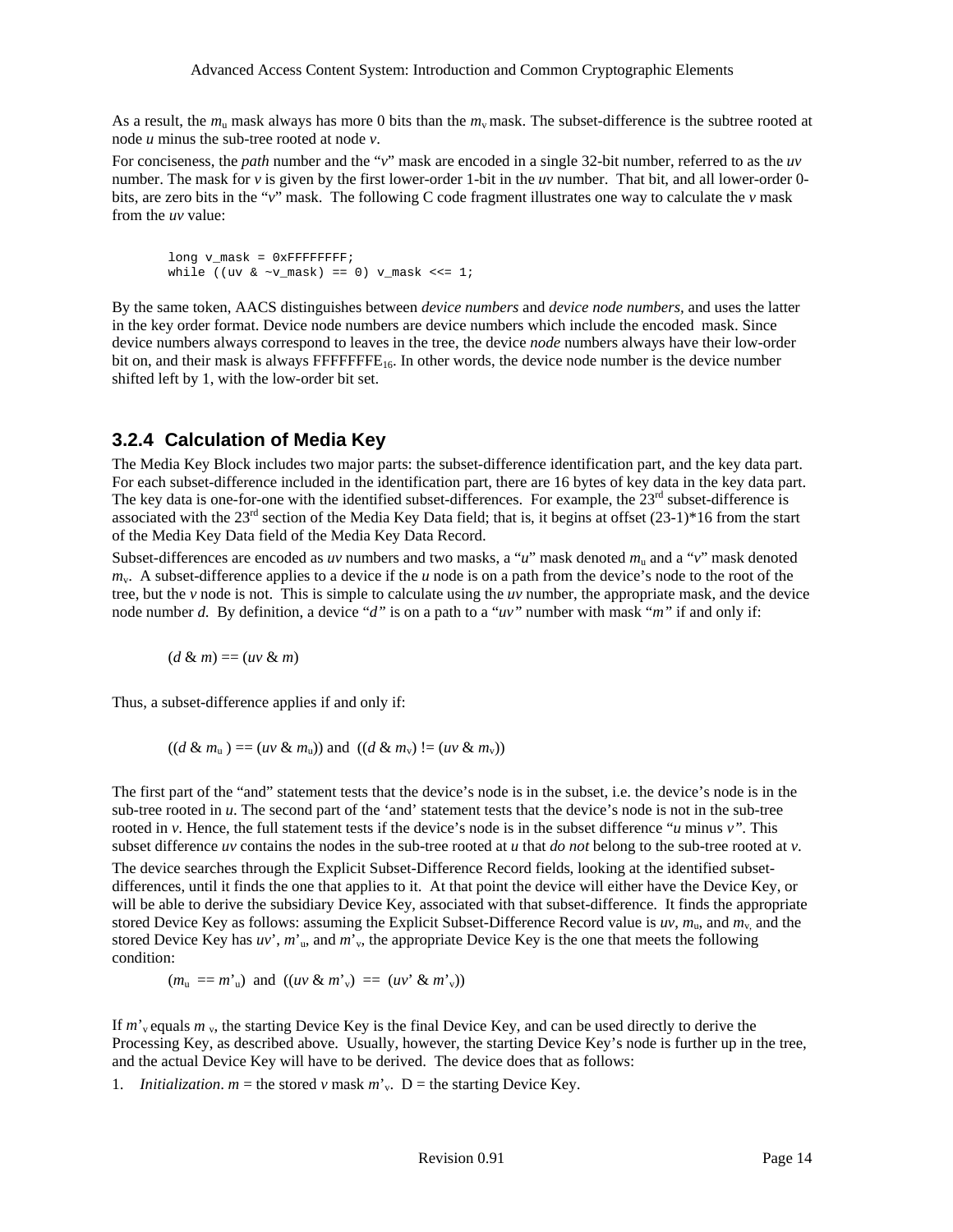As a result, the  $m_u$  mask always has more 0 bits than the  $m_v$  mask. The subset-difference is the subtree rooted at node *u* minus the sub-tree rooted at node *v*.

For conciseness, the *path* number and the "*v*" mask are encoded in a single 32-bit number, referred to as the *uv*  number. The mask for *v* is given by the first lower-order 1-bit in the *uv* number. That bit, and all lower-order 0bits, are zero bits in the "*v*" mask. The following C code fragment illustrates one way to calculate the *v* mask from the *uv* value:

long v\_mask = 0xFFFFFFFF; while ((uv  $\& \sim v_{\text{mask}}$ ) == 0) v\_mask <<= 1;

By the same token, AACS distinguishes between *device numbers* and *device node numbers,* and uses the latter in the key order format. Device node numbers are device numbers which include the encoded mask. Since device numbers always correspond to leaves in the tree, the device *node* numbers always have their low-order bit on, and their mask is always FFFFFFFE16. In other words, the device node number is the device number shifted left by 1, with the low-order bit set.

### **3.2.4 Calculation of Media Key**

The Media Key Block includes two major parts: the subset-difference identification part, and the key data part. For each subset-difference included in the identification part, there are 16 bytes of key data in the key data part. The key data is one-for-one with the identified subset-differences. For example, the  $23<sup>rd</sup>$  subset-difference is associated with the 23rd section of the Media Key Data field; that is, it begins at offset (23-1)\*16 from the start of the Media Key Data field of the Media Key Data Record.

Subset-differences are encoded as *uv* numbers and two masks, a "*u*" mask denoted *m*u and a "*v*" mask denoted *m*v. A subset-difference applies to a device if the *u* node is on a path from the device's node to the root of the tree, but the *v* node is not. This is simple to calculate using the *uv* number, the appropriate mask, and the device node number *d*. By definition, a device "*d"* is on a path to a "*uv"* number with mask "*m"* if and only if:

 $(d \& m) = (uv \& m)$ 

Thus, a subset-difference applies if and only if:

 $((d \& m_u) = (uv \& m_u))$  and  $((d \& m_v) = (uv \& m_v))$ 

The first part of the "and" statement tests that the device's node is in the subset, i.e. the device's node is in the sub-tree rooted in *u*. The second part of the 'and' statement tests that the device's node is not in the sub-tree rooted in *v*. Hence, the full statement tests if the device's node is in the subset difference "*u* minus *v".* This subset difference *uv* contains the nodes in the sub-tree rooted at *u* that *do not* belong to the sub-tree rooted at *v*. The device searches through the Explicit Subset-Difference Record fields, looking at the identified subsetdifferences, until it finds the one that applies to it. At that point the device will either have the Device Key, or will be able to derive the subsidiary Device Key, associated with that subset-difference. It finds the appropriate stored Device Key as follows: assuming the Explicit Subset-Difference Record value is  $uv$ ,  $m_u$ , and  $m_v$ , and the stored Device Key has  $uv'$ ,  $m'$ <sub>u</sub>, and  $m'$ <sub>y</sub>, the appropriate Device Key is the one that meets the following condition:

$$
(m_{\mathrm{u}} = m_{\mathrm{u}}) \text{ and } ((uv \& m_{\mathrm{v}}) = (uv' \& m_{\mathrm{v}}))
$$

If *m*'v equals *m* v, the starting Device Key is the final Device Key, and can be used directly to derive the Processing Key, as described above. Usually, however, the starting Device Key's node is further up in the tree, and the actual Device Key will have to be derived. The device does that as follows:

1. *Initialization.*  $m =$  the stored  $v$  mask  $m_v$ .  $D =$  the starting Device Key.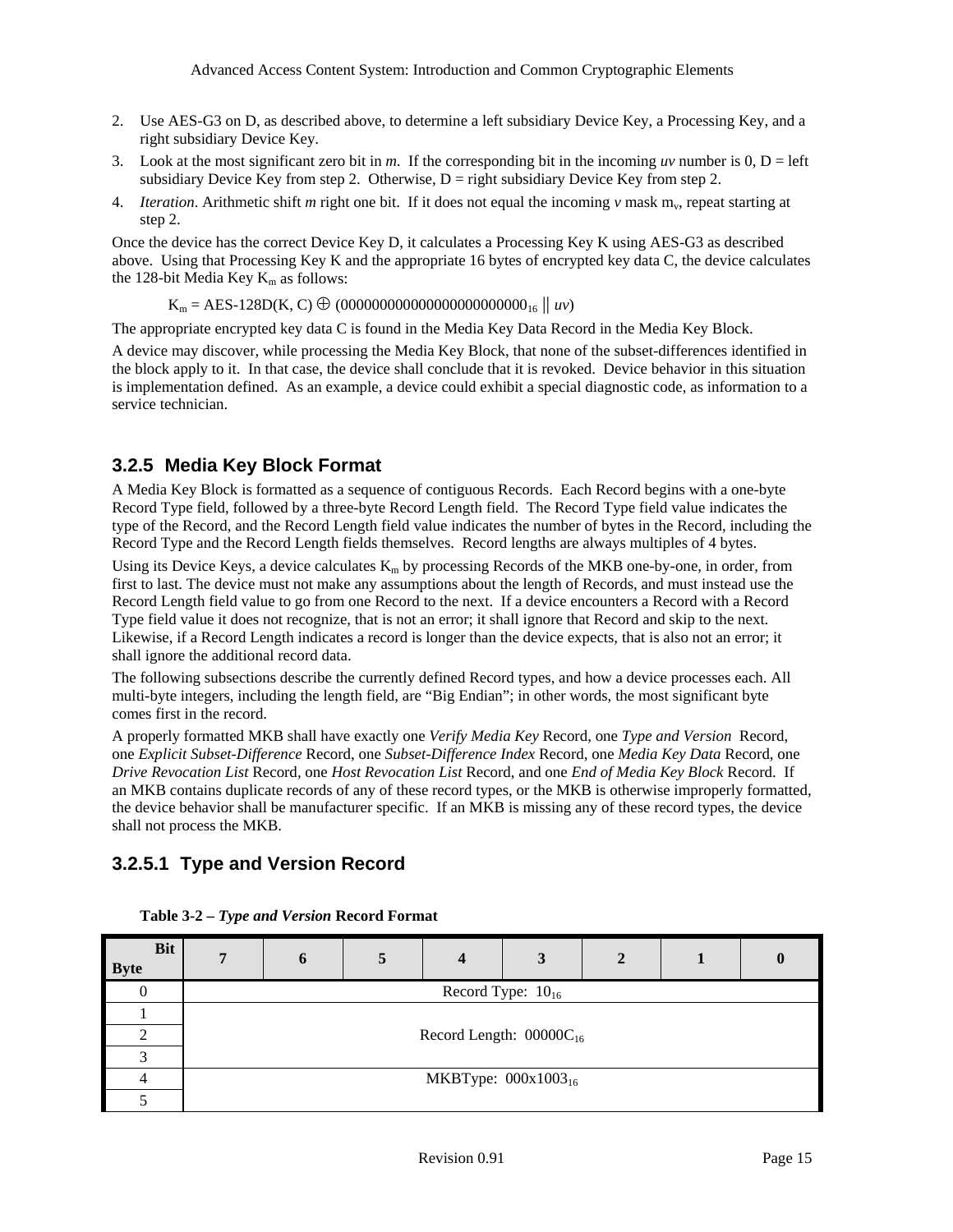- 2. Use AES-G3 on D, as described above, to determine a left subsidiary Device Key, a Processing Key, and a right subsidiary Device Key.
- 3. Look at the most significant zero bit in *m*. If the corresponding bit in the incoming *uv* number is  $0, D = left$ subsidiary Device Key from step 2. Otherwise,  $D =$  right subsidiary Device Key from step 2.
- 4. *Iteration*. Arithmetic shift *m* right one bit. If it does not equal the incoming *v* mask  $m_v$ , repeat starting at step 2.

Once the device has the correct Device Key D, it calculates a Processing Key K using AES-G3 as described above. Using that Processing Key K and the appropriate 16 bytes of encrypted key data C, the device calculates the 128-bit Media Key  $K_m$  as follows:

 $K_m = AES-128D(K, C) \bigoplus (000000000000000000000000_{16} || uv)$ 

The appropriate encrypted key data C is found in the Media Key Data Record in the Media Key Block.

A device may discover, while processing the Media Key Block, that none of the subset-differences identified in the block apply to it. In that case, the device shall conclude that it is revoked. Device behavior in this situation is implementation defined. As an example, a device could exhibit a special diagnostic code, as information to a service technician.

#### **3.2.5 Media Key Block Format**

A Media Key Block is formatted as a sequence of contiguous Records. Each Record begins with a one-byte Record Type field, followed by a three-byte Record Length field. The Record Type field value indicates the type of the Record, and the Record Length field value indicates the number of bytes in the Record, including the Record Type and the Record Length fields themselves. Record lengths are always multiples of 4 bytes.

Using its Device Keys, a device calculates  $K_m$  by processing Records of the MKB one-by-one, in order, from first to last. The device must not make any assumptions about the length of Records, and must instead use the Record Length field value to go from one Record to the next. If a device encounters a Record with a Record Type field value it does not recognize, that is not an error; it shall ignore that Record and skip to the next. Likewise, if a Record Length indicates a record is longer than the device expects, that is also not an error; it shall ignore the additional record data.

The following subsections describe the currently defined Record types, and how a device processes each. All multi-byte integers, including the length field, are "Big Endian"; in other words, the most significant byte comes first in the record.

A properly formatted MKB shall have exactly one *Verify Media Key* Record, one *Type and Version* Record, one *Explicit Subset-Difference* Record, one *Subset-Difference Index* Record, one *Media Key Data* Record, one *Drive Revocation List* Record*,* one *Host Revocation List* Record, and one *End of Media Key Block* Record. If an MKB contains duplicate records of any of these record types, or the MKB is otherwise improperly formatted, the device behavior shall be manufacturer specific. If an MKB is missing any of these record types, the device shall not process the MKB.

## **3.2.5.1 Type and Version Record**

| <b>Bit</b><br><b>Byte</b> | -                            | 6                      |  |  | 3 |  |  |  |
|---------------------------|------------------------------|------------------------|--|--|---|--|--|--|
|                           |                              | Record Type: $10_{16}$ |  |  |   |  |  |  |
|                           |                              |                        |  |  |   |  |  |  |
|                           | Record Length: $00000C_{16}$ |                        |  |  |   |  |  |  |
|                           |                              |                        |  |  |   |  |  |  |
|                           | MKBType: $000x1003_{16}$     |                        |  |  |   |  |  |  |
|                           |                              |                        |  |  |   |  |  |  |

| Table 3-2 – Type and Version Record Format |
|--------------------------------------------|
|--------------------------------------------|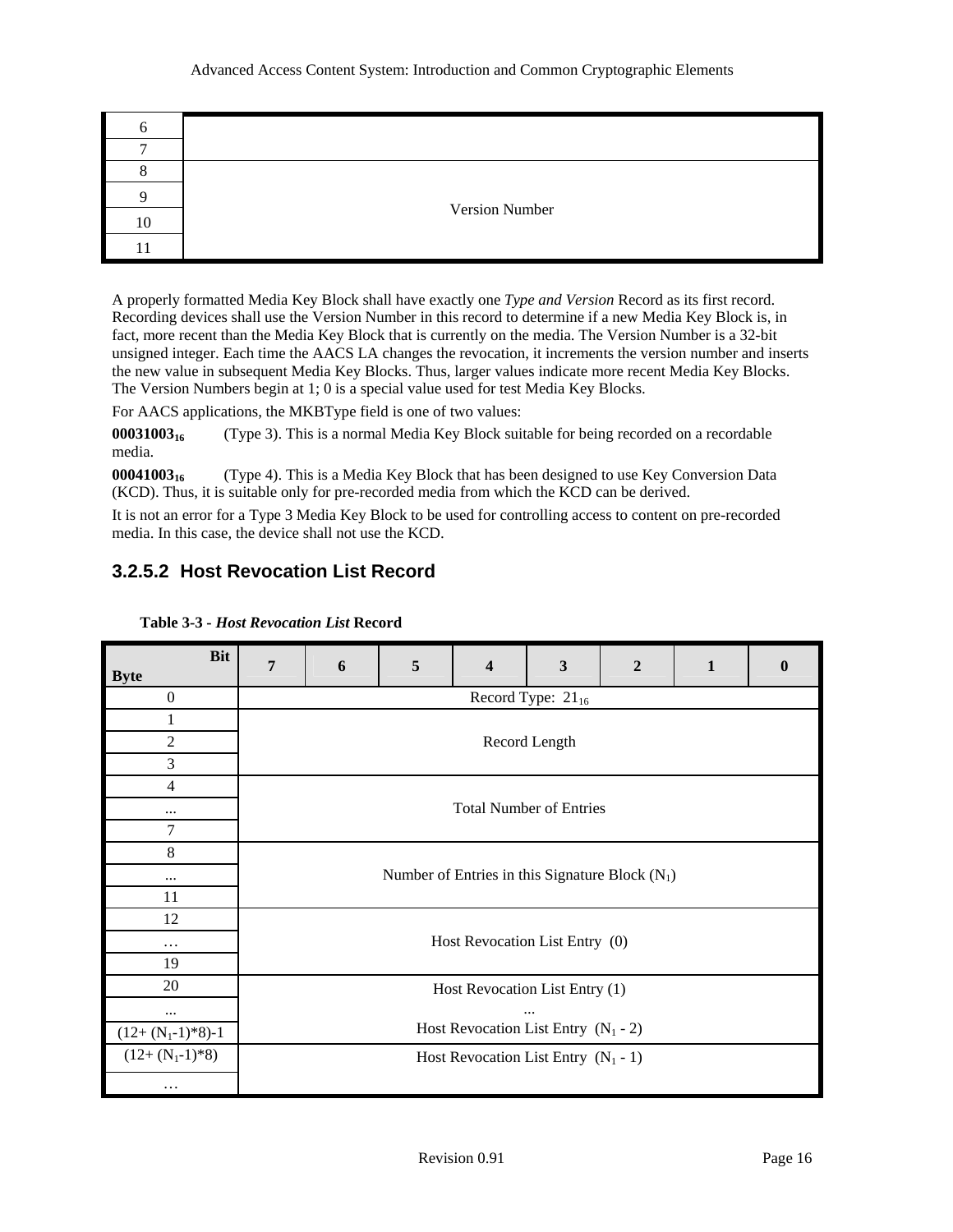| 10 | Version Number |
|----|----------------|
|    |                |

A properly formatted Media Key Block shall have exactly one *Type and Version* Record as its first record. Recording devices shall use the Version Number in this record to determine if a new Media Key Block is, in fact, more recent than the Media Key Block that is currently on the media. The Version Number is a 32-bit unsigned integer. Each time the AACS LA changes the revocation, it increments the version number and inserts the new value in subsequent Media Key Blocks. Thus, larger values indicate more recent Media Key Blocks. The Version Numbers begin at 1; 0 is a special value used for test Media Key Blocks.

For AACS applications, the MKBType field is one of two values:

**0003100316** (Type 3). This is a normal Media Key Block suitable for being recorded on a recordable media.

**0004100316** (Type 4). This is a Media Key Block that has been designed to use Key Conversion Data (KCD). Thus, it is suitable only for pre-recorded media from which the KCD can be derived.

It is not an error for a Type 3 Media Key Block to be used for controlling access to content on pre-recorded media. In this case, the device shall not use the KCD.

## **3.2.5.2 Host Revocation List Record**

| <b>Bit</b>         | $\overline{7}$                 | 6                                      | 5 | 4                                                 | $\mathbf{3}$ | $\overline{2}$ | 1 | 0 |  |  |  |
|--------------------|--------------------------------|----------------------------------------|---|---------------------------------------------------|--------------|----------------|---|---|--|--|--|
| <b>Byte</b>        |                                |                                        |   |                                                   |              |                |   |   |  |  |  |
| $\boldsymbol{0}$   |                                | Record Type: $21_{16}$                 |   |                                                   |              |                |   |   |  |  |  |
| 1                  |                                |                                        |   |                                                   |              |                |   |   |  |  |  |
| $\overline{2}$     |                                | Record Length                          |   |                                                   |              |                |   |   |  |  |  |
| 3                  |                                |                                        |   |                                                   |              |                |   |   |  |  |  |
| $\overline{4}$     |                                |                                        |   |                                                   |              |                |   |   |  |  |  |
| $\cdots$           | <b>Total Number of Entries</b> |                                        |   |                                                   |              |                |   |   |  |  |  |
| 7                  |                                |                                        |   |                                                   |              |                |   |   |  |  |  |
| 8                  |                                |                                        |   |                                                   |              |                |   |   |  |  |  |
| $\cdots$           |                                |                                        |   | Number of Entries in this Signature Block $(N_1)$ |              |                |   |   |  |  |  |
| 11                 |                                |                                        |   |                                                   |              |                |   |   |  |  |  |
| 12                 |                                |                                        |   |                                                   |              |                |   |   |  |  |  |
| .                  |                                |                                        |   | Host Revocation List Entry (0)                    |              |                |   |   |  |  |  |
| 19                 |                                |                                        |   |                                                   |              |                |   |   |  |  |  |
| 20                 |                                | Host Revocation List Entry (1)         |   |                                                   |              |                |   |   |  |  |  |
| $\cdots$           |                                |                                        |   |                                                   |              |                |   |   |  |  |  |
| $(12+(N_1-1)*8)-1$ |                                | Host Revocation List Entry $(N_1 - 2)$ |   |                                                   |              |                |   |   |  |  |  |
| $(12+(N_1-1)*8)$   |                                |                                        |   | Host Revocation List Entry $(N_1 - 1)$            |              |                |   |   |  |  |  |
| .                  |                                |                                        |   |                                                   |              |                |   |   |  |  |  |

**Table 3-3 -** *Host Revocation List* **Record**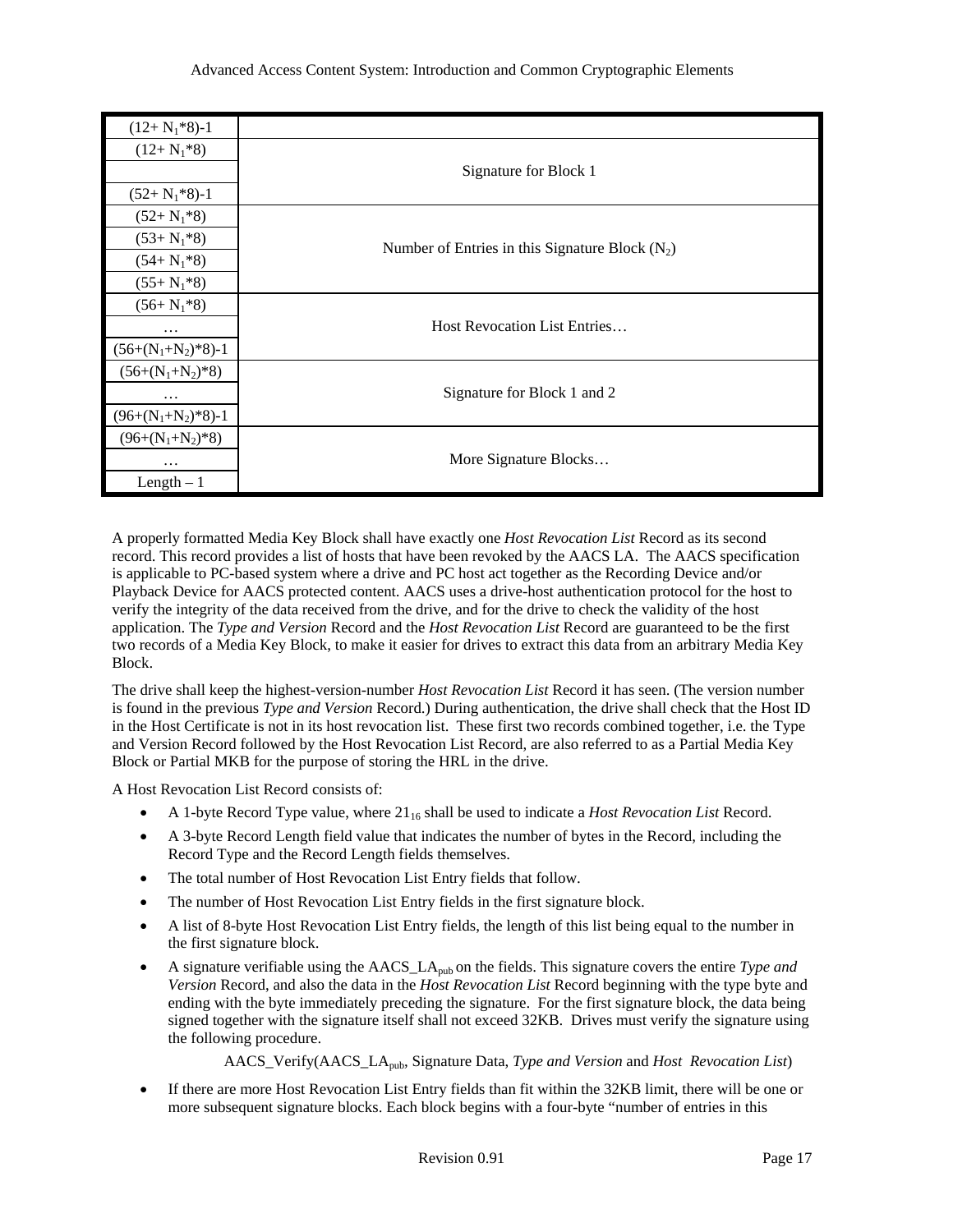| $(12+N_1*8)-1$       |                                                   |
|----------------------|---------------------------------------------------|
| $(12+N_1*8)$         |                                                   |
|                      | Signature for Block 1                             |
| $(52 + N_1 * 8) - 1$ |                                                   |
| $(52 + N1*8)$        |                                                   |
| $(53 + N_1^*8)$      | Number of Entries in this Signature Block $(N_2)$ |
| $(54 + N_1 * 8)$     |                                                   |
| $(55 + N_1^*8)$      |                                                   |
| $(56+ N1*8)$         |                                                   |
| $\cdots$             | Host Revocation List Entries                      |
| $(56+(N_1+N_2)*8)-1$ |                                                   |
| $(56+(N_1+N_2)*8)$   |                                                   |
| $\cdots$             | Signature for Block 1 and 2                       |
| $(96+(N_1+N_2)*8)-1$ |                                                   |
| $(96+(N_1+N_2)*8)$   |                                                   |
| $\cdots$             | More Signature Blocks                             |
| Length $-1$          |                                                   |

A properly formatted Media Key Block shall have exactly one *Host Revocation List* Record as its second record. This record provides a list of hosts that have been revoked by the AACS LA. The AACS specification is applicable to PC-based system where a drive and PC host act together as the Recording Device and/or Playback Device for AACS protected content. AACS uses a drive-host authentication protocol for the host to verify the integrity of the data received from the drive, and for the drive to check the validity of the host application. The *Type and Version* Record and the *Host Revocation List* Record are guaranteed to be the first two records of a Media Key Block, to make it easier for drives to extract this data from an arbitrary Media Key Block.

The drive shall keep the highest-version-number *Host Revocation List* Record it has seen. (The version number is found in the previous *Type and Version* Record.) During authentication, the drive shall check that the Host ID in the Host Certificate is not in its host revocation list. These first two records combined together, i.e. the Type and Version Record followed by the Host Revocation List Record, are also referred to as a Partial Media Key Block or Partial MKB for the purpose of storing the HRL in the drive.

A Host Revocation List Record consists of:

- A 1-byte Record Type value, where  $21_{16}$  shall be used to indicate a *Host Revocation List* Record.
- A 3-byte Record Length field value that indicates the number of bytes in the Record, including the Record Type and the Record Length fields themselves.
- The total number of Host Revocation List Entry fields that follow.
- The number of Host Revocation List Entry fields in the first signature block.
- A list of 8-byte Host Revocation List Entry fields, the length of this list being equal to the number in the first signature block.
- A signature verifiable using the AACS\_LApub on the fields. This signature covers the entire *Type and Version* Record, and also the data in the *Host Revocation List* Record beginning with the type byte and ending with the byte immediately preceding the signature. For the first signature block, the data being signed together with the signature itself shall not exceed 32KB. Drives must verify the signature using the following procedure.

AACS\_Verify(AACS\_LApub, Signature Data, *Type and Version* and *Host Revocation List*)

• If there are more Host Revocation List Entry fields than fit within the 32KB limit, there will be one or more subsequent signature blocks. Each block begins with a four-byte "number of entries in this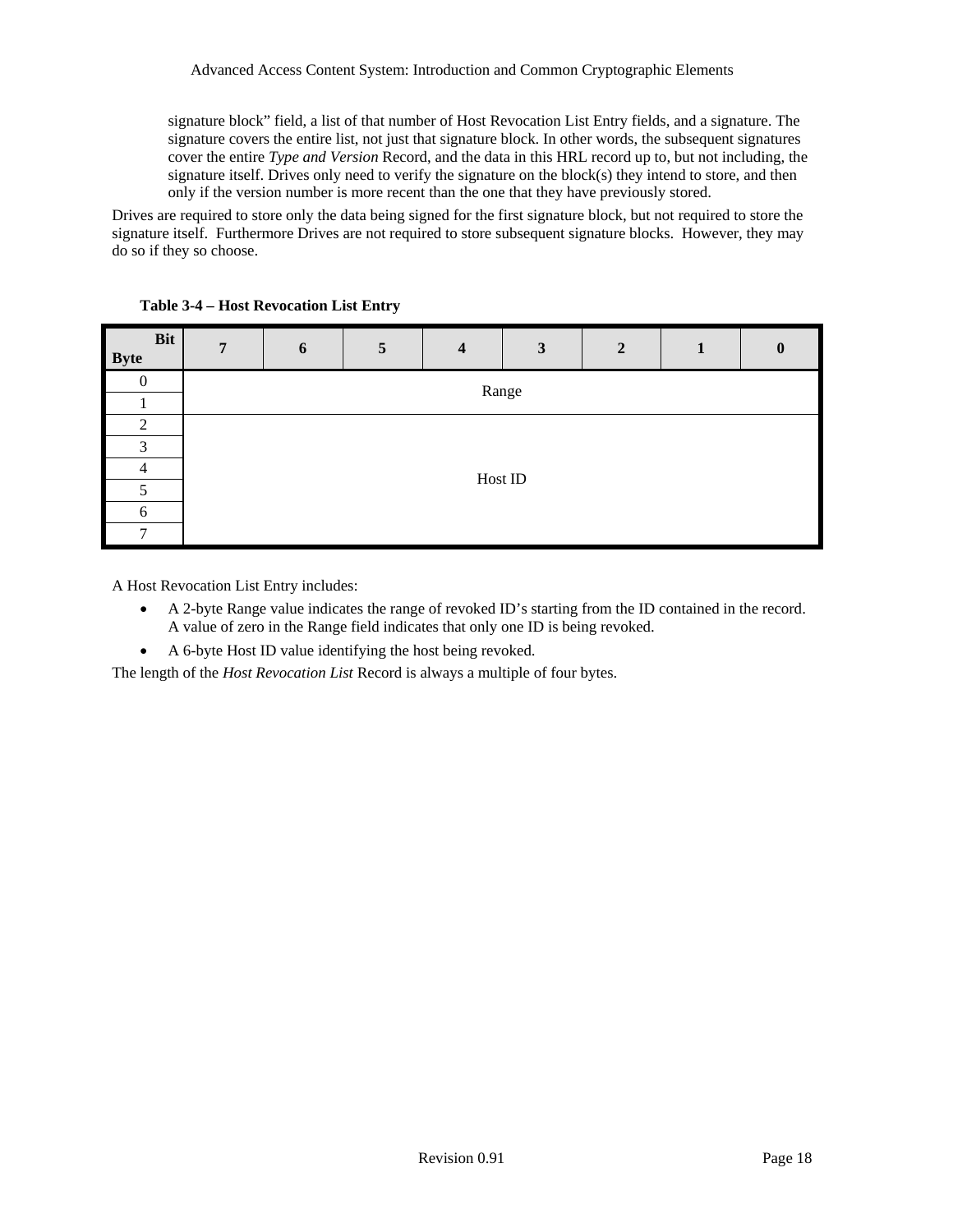signature block" field, a list of that number of Host Revocation List Entry fields, and a signature. The signature covers the entire list, not just that signature block. In other words, the subsequent signatures cover the entire *Type and Version* Record, and the data in this HRL record up to, but not including, the signature itself. Drives only need to verify the signature on the block(s) they intend to store, and then only if the version number is more recent than the one that they have previously stored.

Drives are required to store only the data being signed for the first signature block, but not required to store the signature itself. Furthermore Drives are not required to store subsequent signature blocks. However, they may do so if they so choose.

| <b>Bit</b><br><b>Byte</b> | 7 | 6                                                                                 | 5 | $\overline{\mathbf{4}}$ | $\mathbf{3}$ | $\boldsymbol{2}$ |  | $\bf{0}$ |  |  |  |
|---------------------------|---|-----------------------------------------------------------------------------------|---|-------------------------|--------------|------------------|--|----------|--|--|--|
| $\Omega$                  |   |                                                                                   |   |                         |              |                  |  |          |  |  |  |
|                           |   | Range                                                                             |   |                         |              |                  |  |          |  |  |  |
| $\mathfrak{D}$            |   |                                                                                   |   |                         |              |                  |  |          |  |  |  |
| 3                         |   |                                                                                   |   |                         |              |                  |  |          |  |  |  |
| 4                         |   | $\operatorname*{HostID}% \left( \mathcal{M}\right) \equiv\operatorname*{HostID}%$ |   |                         |              |                  |  |          |  |  |  |
| 5                         |   |                                                                                   |   |                         |              |                  |  |          |  |  |  |
| 6                         |   |                                                                                   |   |                         |              |                  |  |          |  |  |  |
| 7                         |   |                                                                                   |   |                         |              |                  |  |          |  |  |  |

#### **Table 3-4 – Host Revocation List Entry**

A Host Revocation List Entry includes:

- A 2-byte Range value indicates the range of revoked ID's starting from the ID contained in the record. A value of zero in the Range field indicates that only one ID is being revoked.
- A 6-byte Host ID value identifying the host being revoked.

The length of the *Host Revocation List* Record is always a multiple of four bytes.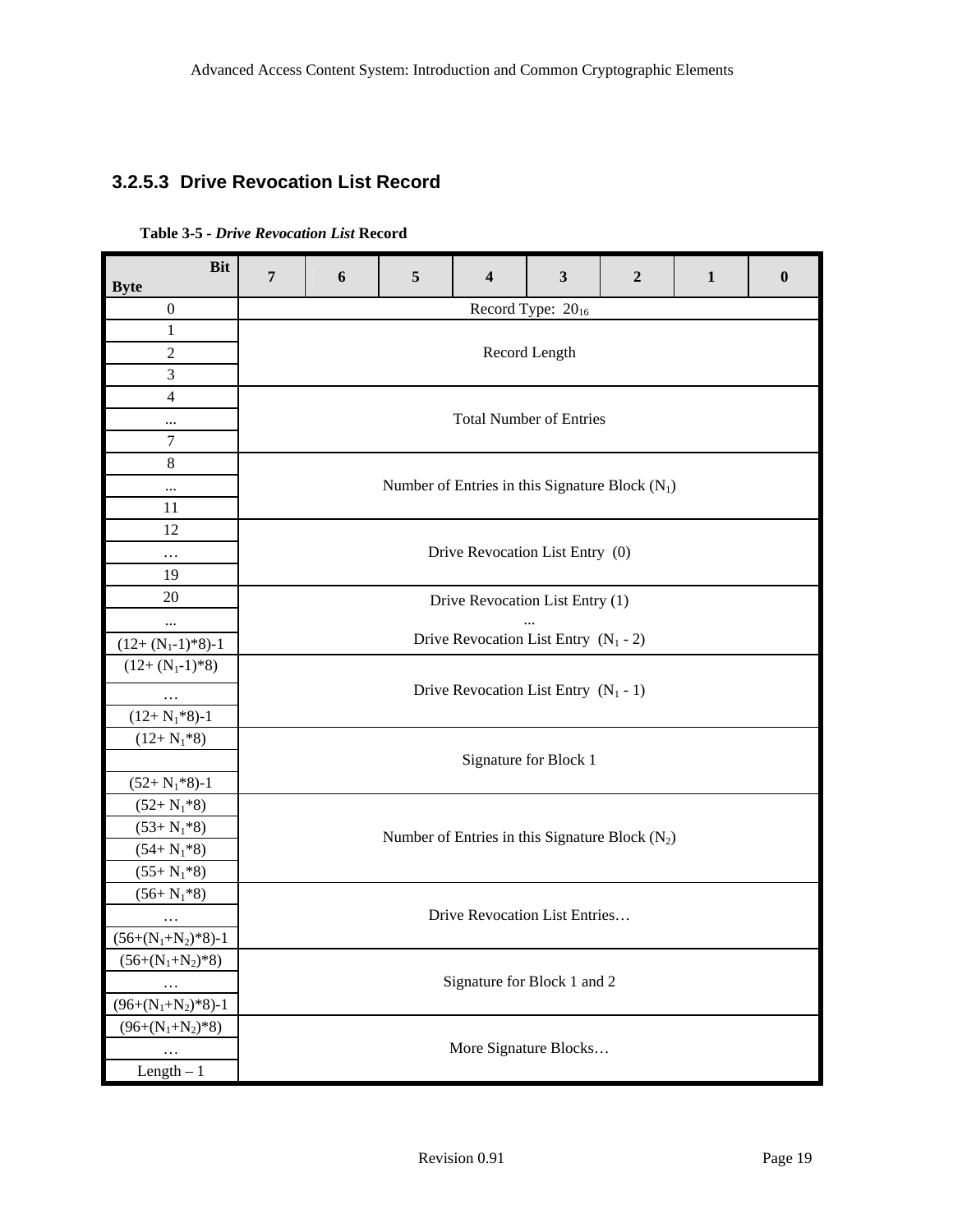## **3.2.5.3 Drive Revocation List Record**

| <b>Bit</b>           | $\overline{7}$                | 6                                                 | 5 | $\overline{\mathbf{4}}$                 | $\overline{\mathbf{3}}$ | $\overline{2}$                                    | $\mathbf{1}$ | $\boldsymbol{0}$ |  |  |  |  |
|----------------------|-------------------------------|---------------------------------------------------|---|-----------------------------------------|-------------------------|---------------------------------------------------|--------------|------------------|--|--|--|--|
| <b>Byte</b>          |                               |                                                   |   |                                         |                         |                                                   |              |                  |  |  |  |  |
| $\boldsymbol{0}$     | Record Type: 20 <sub>16</sub> |                                                   |   |                                         |                         |                                                   |              |                  |  |  |  |  |
| $\mathbf{1}$         |                               | Record Length                                     |   |                                         |                         |                                                   |              |                  |  |  |  |  |
| $\boldsymbol{2}$     |                               |                                                   |   |                                         |                         |                                                   |              |                  |  |  |  |  |
| 3                    |                               |                                                   |   |                                         |                         |                                                   |              |                  |  |  |  |  |
| $\overline{4}$       |                               |                                                   |   |                                         |                         |                                                   |              |                  |  |  |  |  |
| $\cdots$             |                               | <b>Total Number of Entries</b>                    |   |                                         |                         |                                                   |              |                  |  |  |  |  |
| $\tau$               |                               |                                                   |   |                                         |                         |                                                   |              |                  |  |  |  |  |
| $\,8\,$              |                               |                                                   |   |                                         |                         |                                                   |              |                  |  |  |  |  |
| $\ldots$             |                               | Number of Entries in this Signature Block $(N_1)$ |   |                                         |                         |                                                   |              |                  |  |  |  |  |
| 11                   |                               |                                                   |   |                                         |                         |                                                   |              |                  |  |  |  |  |
| 12                   |                               |                                                   |   |                                         |                         |                                                   |              |                  |  |  |  |  |
| $\cdots$             |                               | Drive Revocation List Entry (0)                   |   |                                         |                         |                                                   |              |                  |  |  |  |  |
| 19                   |                               |                                                   |   |                                         |                         |                                                   |              |                  |  |  |  |  |
| 20                   |                               |                                                   |   | Drive Revocation List Entry (1)         |                         |                                                   |              |                  |  |  |  |  |
| $\cdots$             |                               | Drive Revocation List Entry $(N_1 - 2)$           |   |                                         |                         |                                                   |              |                  |  |  |  |  |
| $(12+(N_1-1)*8)-1$   |                               |                                                   |   |                                         |                         |                                                   |              |                  |  |  |  |  |
| $(12+(N_1-1)*8)$     |                               |                                                   |   |                                         |                         |                                                   |              |                  |  |  |  |  |
| $\cdots$             |                               |                                                   |   | Drive Revocation List Entry $(N_1 - 1)$ |                         |                                                   |              |                  |  |  |  |  |
| $(12+N_1*8)-1$       |                               |                                                   |   |                                         |                         |                                                   |              |                  |  |  |  |  |
| $(12+N_1*8)$         |                               |                                                   |   |                                         |                         |                                                   |              |                  |  |  |  |  |
|                      |                               |                                                   |   |                                         | Signature for Block 1   |                                                   |              |                  |  |  |  |  |
| $(52 + N_1*8) - 1$   |                               |                                                   |   |                                         |                         |                                                   |              |                  |  |  |  |  |
| $(52 + N_1 * 8)$     |                               |                                                   |   |                                         |                         |                                                   |              |                  |  |  |  |  |
| $(53+ N_1*8)$        |                               |                                                   |   |                                         |                         |                                                   |              |                  |  |  |  |  |
| $(54 + N_1*8)$       |                               |                                                   |   |                                         |                         | Number of Entries in this Signature Block $(N_2)$ |              |                  |  |  |  |  |
| $(55+ N_1*8)$        |                               |                                                   |   |                                         |                         |                                                   |              |                  |  |  |  |  |
| $(56+ N_1*8)$        |                               |                                                   |   |                                         |                         |                                                   |              |                  |  |  |  |  |
| $\cdots$             |                               |                                                   |   | Drive Revocation List Entries           |                         |                                                   |              |                  |  |  |  |  |
| $(56+(N_1+N_2)*8)-1$ |                               |                                                   |   |                                         |                         |                                                   |              |                  |  |  |  |  |
| $(56+(N_1+N_2)*8)$   |                               |                                                   |   |                                         |                         |                                                   |              |                  |  |  |  |  |
| $\cdots$             |                               |                                                   |   | Signature for Block 1 and 2             |                         |                                                   |              |                  |  |  |  |  |
| $(96+(N_1+N_2)*8)-1$ |                               |                                                   |   |                                         |                         |                                                   |              |                  |  |  |  |  |
| $(96+(N_1+N_2)*8)$   |                               |                                                   |   |                                         |                         |                                                   |              |                  |  |  |  |  |
| .                    |                               |                                                   |   | More Signature Blocks                   |                         |                                                   |              |                  |  |  |  |  |
| $Length - 1$         |                               |                                                   |   |                                         |                         |                                                   |              |                  |  |  |  |  |

**Table 3-5 -** *Drive Revocation List* **Record**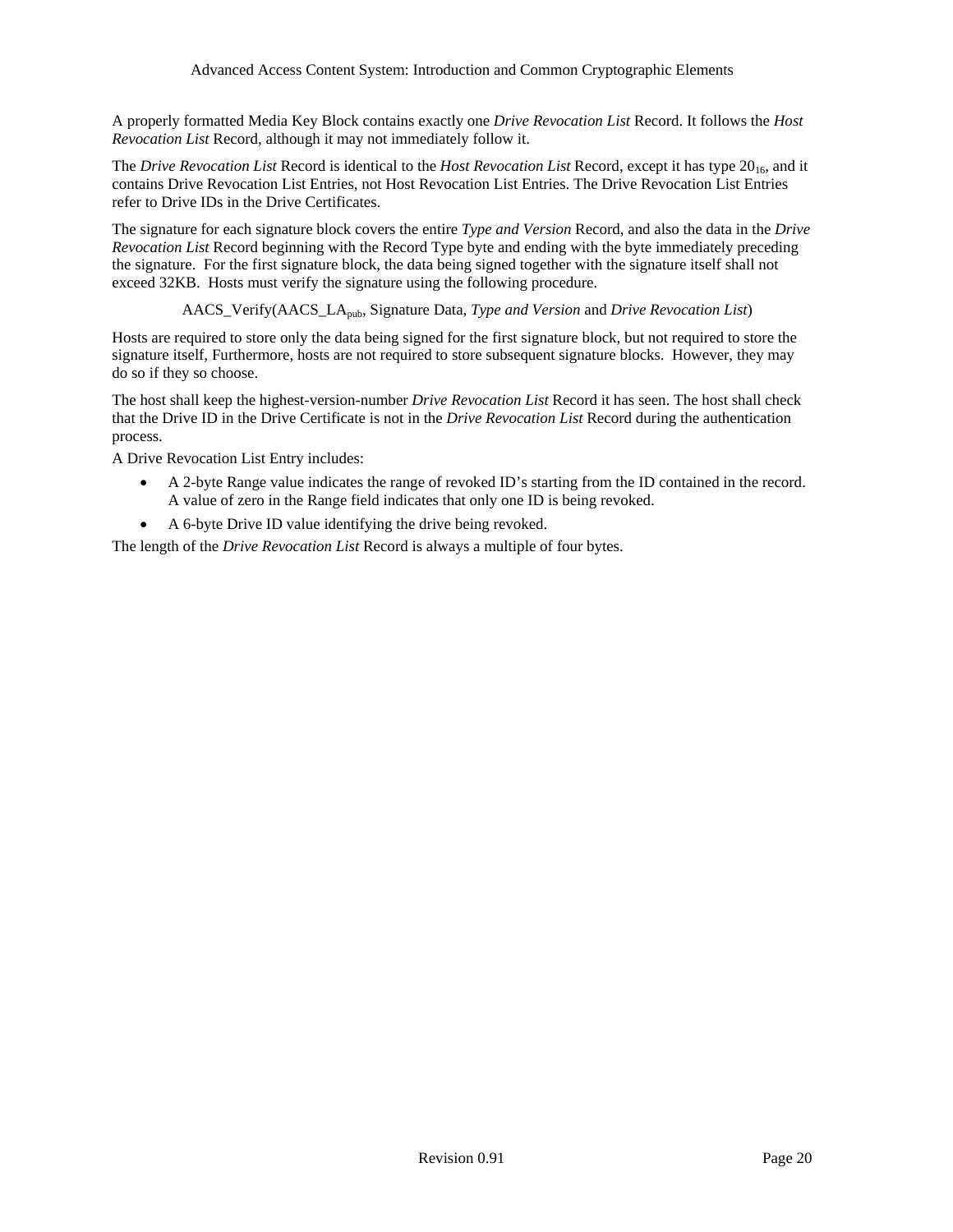A properly formatted Media Key Block contains exactly one *Drive Revocation List* Record. It follows the *Host Revocation List* Record, although it may not immediately follow it.

The *Drive Revocation List* Record is identical to the *Host Revocation List* Record, except it has type 20<sub>16</sub>, and it contains Drive Revocation List Entries, not Host Revocation List Entries. The Drive Revocation List Entries refer to Drive IDs in the Drive Certificates.

The signature for each signature block covers the entire *Type and Version* Record, and also the data in the *Drive Revocation List* Record beginning with the Record Type byte and ending with the byte immediately preceding the signature. For the first signature block, the data being signed together with the signature itself shall not exceed 32KB. Hosts must verify the signature using the following procedure.

AACS\_Verify(AACS\_LApub, Signature Data, *Type and Version* and *Drive Revocation List*)

Hosts are required to store only the data being signed for the first signature block, but not required to store the signature itself, Furthermore, hosts are not required to store subsequent signature blocks. However, they may do so if they so choose.

The host shall keep the highest-version-number *Drive Revocation List* Record it has seen. The host shall check that the Drive ID in the Drive Certificate is not in the *Drive Revocation List* Record during the authentication process.

A Drive Revocation List Entry includes:

- A 2-byte Range value indicates the range of revoked ID's starting from the ID contained in the record. A value of zero in the Range field indicates that only one ID is being revoked.
- A 6-byte Drive ID value identifying the drive being revoked.

The length of the *Drive Revocation List* Record is always a multiple of four bytes.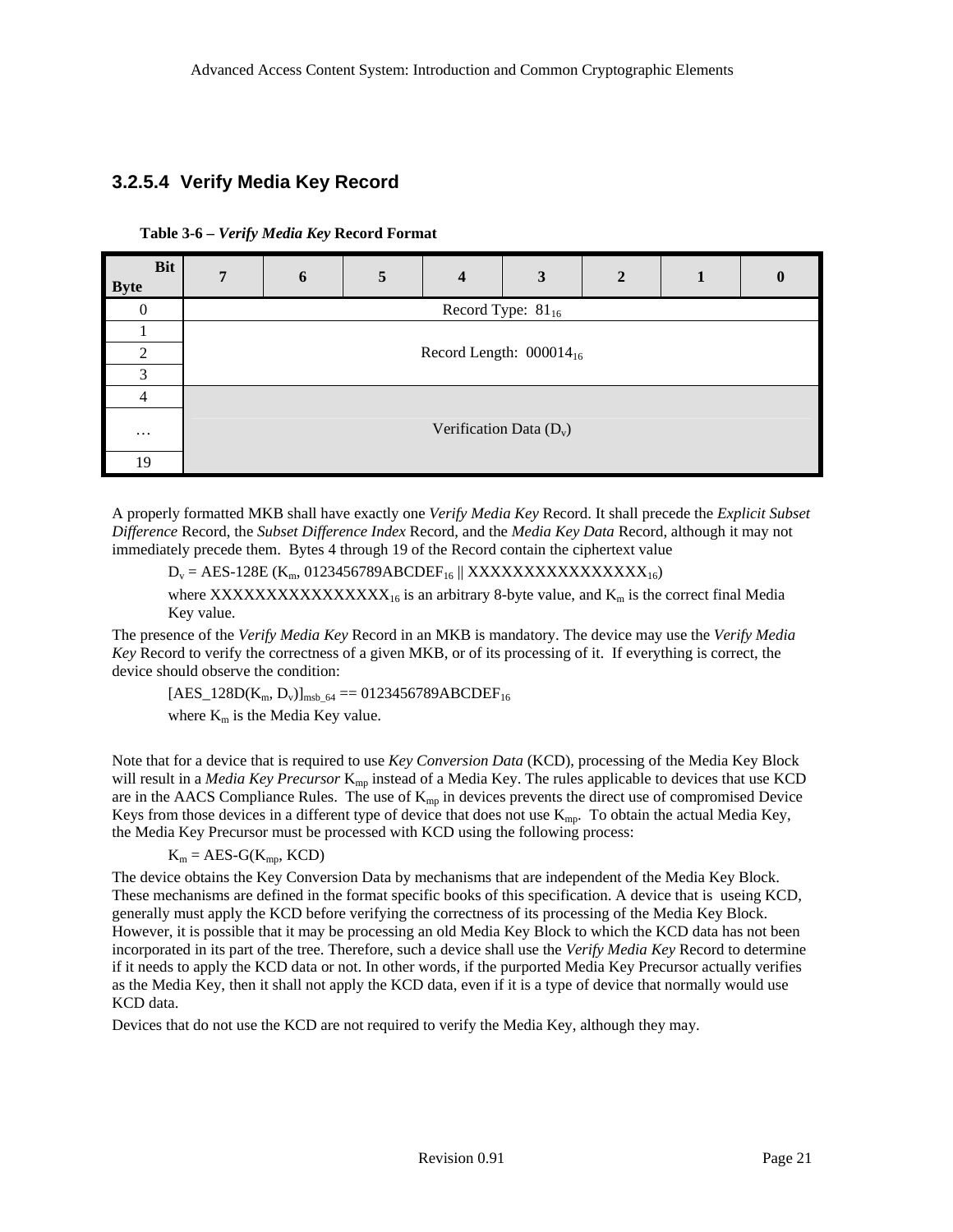### **3.2.5.4 Verify Media Key Record**

| <b>Bit</b><br><b>Byte</b> | 7 | 6                            | 5 | 4 | 3 | 2 |  | $\mathbf 0$ |  |  |  |
|---------------------------|---|------------------------------|---|---|---|---|--|-------------|--|--|--|
| 0                         |   | Record Type: $81_{16}$       |   |   |   |   |  |             |  |  |  |
|                           |   |                              |   |   |   |   |  |             |  |  |  |
| ◠                         |   | Record Length: $000014_{16}$ |   |   |   |   |  |             |  |  |  |
| $\mathcal{R}$             |   |                              |   |   |   |   |  |             |  |  |  |
| 4                         |   |                              |   |   |   |   |  |             |  |  |  |
| $\cdots$                  |   | Verification Data $(D_v)$    |   |   |   |   |  |             |  |  |  |
| 19                        |   |                              |   |   |   |   |  |             |  |  |  |

A properly formatted MKB shall have exactly one *Verify Media Key* Record. It shall precede the *Explicit Subset Difference* Record, the *Subset Difference Index* Record, and the *Media Key Data* Record, although it may not immediately precede them. Bytes 4 through 19 of the Record contain the ciphertext value

 $D_v = AES-128E (K_m, 0123456789ABCDEF_{16} || XXXXXXXXXXXXXXX)$ 

where XXXXXXXXXXXXXXXX<sub>16</sub> is an arbitrary 8-byte value, and  $K_m$  is the correct final Media Key value.

The presence of the *Verify Media Key* Record in an MKB is mandatory. The device may use the *Verify Media Key* Record to verify the correctness of a given MKB, or of its processing of it. If everything is correct, the device should observe the condition:

 $[AES_128D(K_m, D_v)]_{msb}$  64 = 0123456789ABCDEF<sub>16</sub> where  $K_m$  is the Media Key value.

Note that for a device that is required to use *Key Conversion Data* (KCD), processing of the Media Key Block will result in a *Media Key Precursor* K<sub>mp</sub> instead of a Media Key. The rules applicable to devices that use KCD are in the AACS Compliance Rules. The use of  $K_{mp}$  in devices prevents the direct use of compromised Device Keys from those devices in a different type of device that does not use  $K_{mp}$ . To obtain the actual Media Key, the Media Key Precursor must be processed with KCD using the following process:

$$
K_m = AES\text{-}G(K_{mp}, KCD)
$$

The device obtains the Key Conversion Data by mechanisms that are independent of the Media Key Block. These mechanisms are defined in the format specific books of this specification. A device that is useing KCD, generally must apply the KCD before verifying the correctness of its processing of the Media Key Block. However, it is possible that it may be processing an old Media Key Block to which the KCD data has not been incorporated in its part of the tree. Therefore, such a device shall use the *Verify Media Key* Record to determine if it needs to apply the KCD data or not. In other words, if the purported Media Key Precursor actually verifies as the Media Key, then it shall not apply the KCD data, even if it is a type of device that normally would use KCD data.

Devices that do not use the KCD are not required to verify the Media Key, although they may.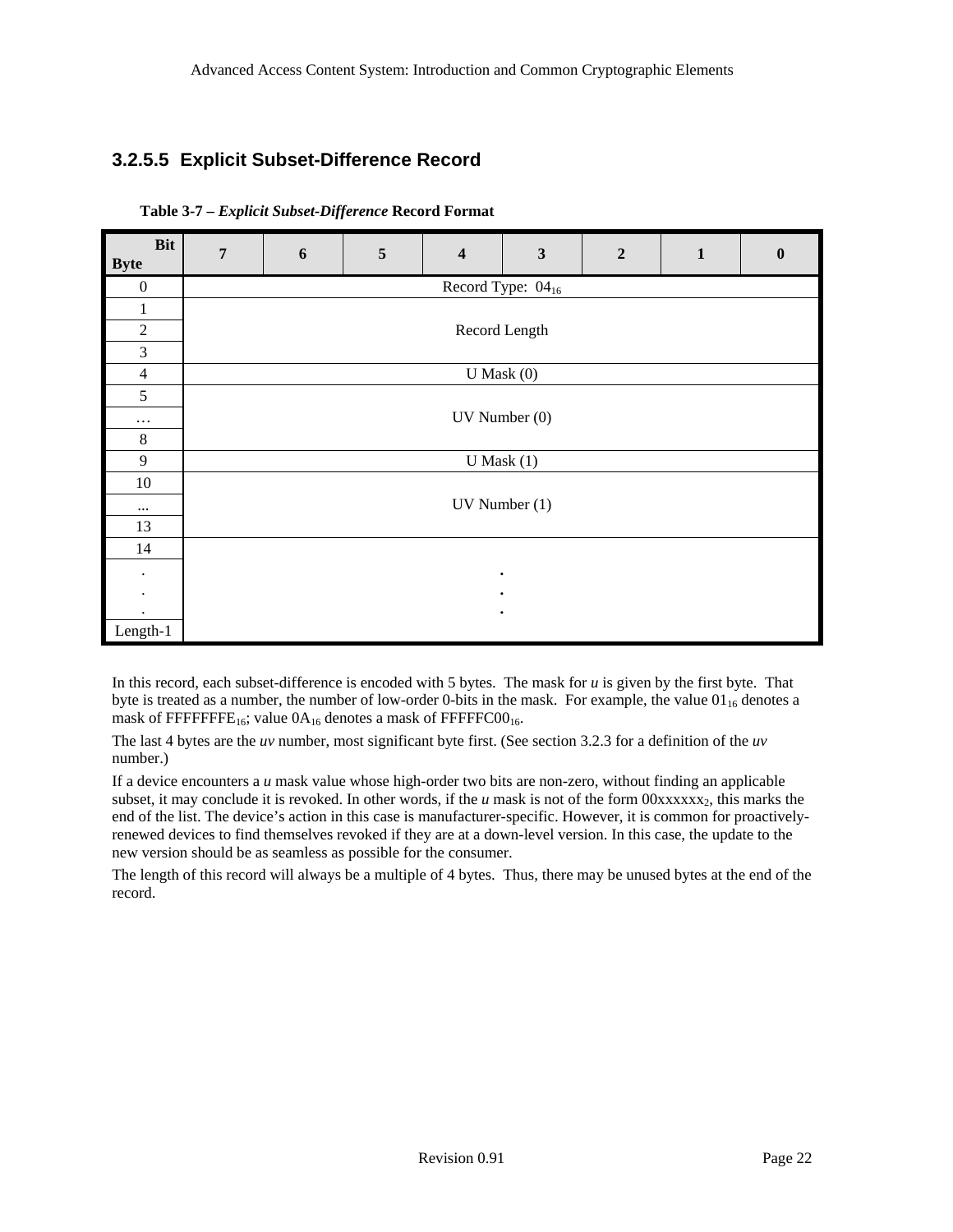### **3.2.5.5 Explicit Subset-Difference Record**

| <b>Bit</b>       | $\overline{7}$                | 6             | $\sqrt{5}$ | $\overline{\mathbf{4}}$ | $\mathbf{3}$ | $\mathbf 2$ | $\mathbf{1}$ | $\boldsymbol{0}$ |  |
|------------------|-------------------------------|---------------|------------|-------------------------|--------------|-------------|--------------|------------------|--|
| <b>Byte</b>      |                               |               |            |                         |              |             |              |                  |  |
| $\boldsymbol{0}$ | Record Type: 04 <sub>16</sub> |               |            |                         |              |             |              |                  |  |
| $\,1$            |                               |               |            |                         |              |             |              |                  |  |
| $\sqrt{2}$       | Record Length                 |               |            |                         |              |             |              |                  |  |
| $\overline{3}$   |                               |               |            |                         |              |             |              |                  |  |
| $\overline{4}$   |                               |               |            | $U$ Mask $(0)$          |              |             |              |                  |  |
| 5                |                               |               |            |                         |              |             |              |                  |  |
| $\cdots$         |                               | UV Number (0) |            |                         |              |             |              |                  |  |
| $\,8\,$          |                               |               |            |                         |              |             |              |                  |  |
| $\mathbf{9}$     |                               |               |            | $U$ Mask $(1)$          |              |             |              |                  |  |
| $10\,$           |                               |               |            |                         |              |             |              |                  |  |
| $\cdots$         |                               |               |            | UV Number (1)           |              |             |              |                  |  |
| 13               |                               |               |            |                         |              |             |              |                  |  |
| 14               |                               |               |            |                         |              |             |              |                  |  |
|                  |                               |               |            | $\bullet$               |              |             |              |                  |  |
|                  |                               |               |            |                         |              |             |              |                  |  |
|                  |                               |               |            | ٠                       |              |             |              |                  |  |
| Length-1         |                               |               |            |                         |              |             |              |                  |  |

**Table 3-7 –** *Explicit Subset-Difference* **Record Format** 

In this record, each subset-difference is encoded with 5 bytes. The mask for *u* is given by the first byte. That byte is treated as a number, the number of low-order 0-bits in the mask. For example, the value  $01_{16}$  denotes a mask of FFFFFFFFE<sub>16</sub>; value  $0A_{16}$  denotes a mask of FFFFFC $00_{16}$ .

The last 4 bytes are the *uv* number, most significant byte first. (See section 3.2.3 for a definition of the *uv*  number.)

If a device encounters a *u* mask value whose high-order two bits are non-zero, without finding an applicable subset, it may conclude it is revoked. In other words, if the  $u$  mask is not of the form  $00xxxxx_2$ , this marks the end of the list. The device's action in this case is manufacturer-specific. However, it is common for proactivelyrenewed devices to find themselves revoked if they are at a down-level version. In this case, the update to the new version should be as seamless as possible for the consumer.

The length of this record will always be a multiple of 4 bytes. Thus, there may be unused bytes at the end of the record.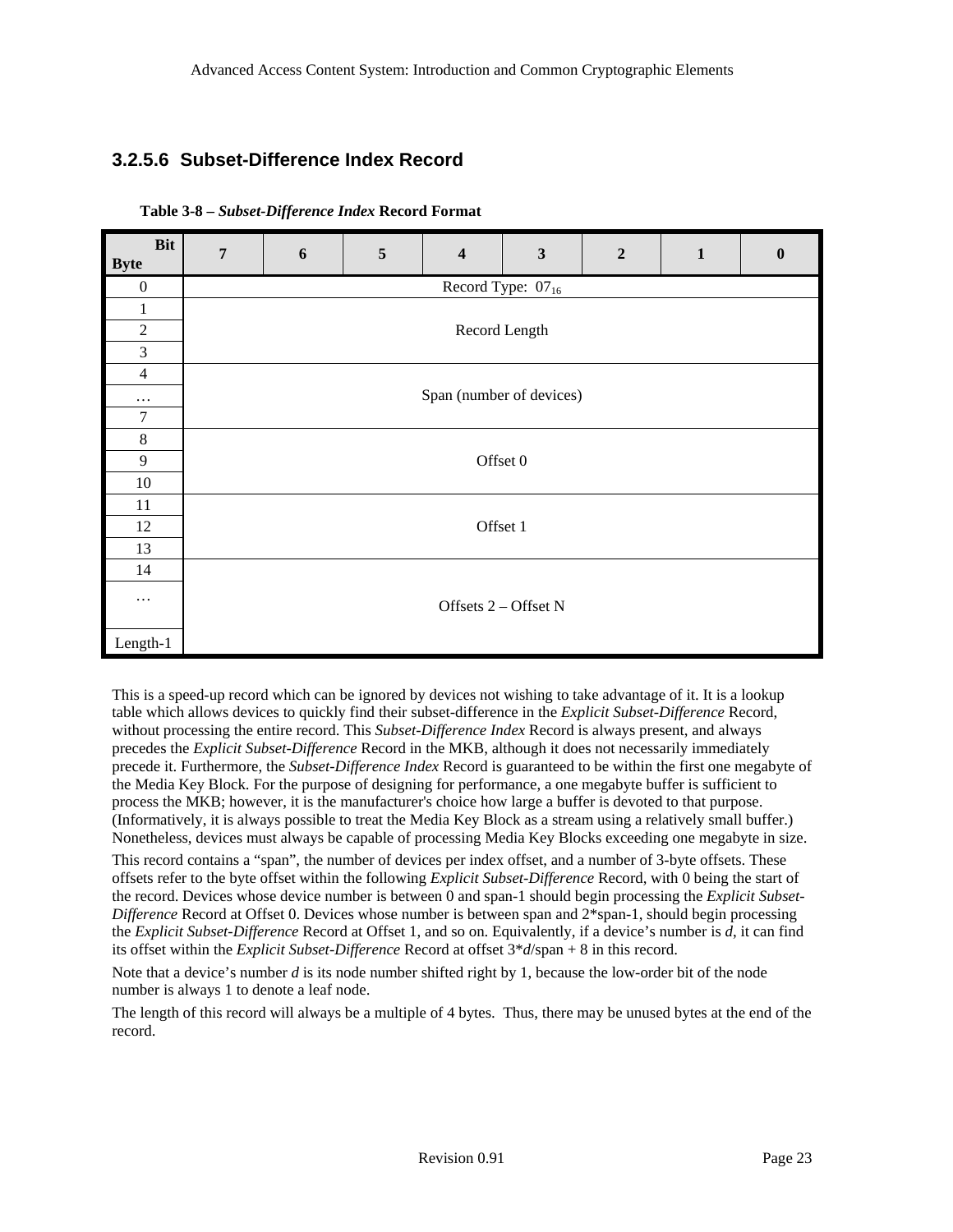#### **3.2.5.6 Subset-Difference Index Record**

| <b>Bit</b><br><b>Byte</b> | $\overline{7}$ | $\boldsymbol{6}$              | $\overline{5}$ | $\overline{\mathbf{4}}$ | $\mathbf{3}$ | $\boldsymbol{2}$ | $\mathbf{1}$ | $\boldsymbol{0}$ |  |  |  |
|---------------------------|----------------|-------------------------------|----------------|-------------------------|--------------|------------------|--------------|------------------|--|--|--|
| $\boldsymbol{0}$          |                | Record Type: 07 <sub>16</sub> |                |                         |              |                  |              |                  |  |  |  |
| $\mathbf{1}$              |                |                               |                |                         |              |                  |              |                  |  |  |  |
| $\sqrt{2}$                | Record Length  |                               |                |                         |              |                  |              |                  |  |  |  |
| $\mathfrak{Z}$            |                |                               |                |                         |              |                  |              |                  |  |  |  |
| $\overline{4}$            |                |                               |                |                         |              |                  |              |                  |  |  |  |
| $\cdots$                  |                | Span (number of devices)      |                |                         |              |                  |              |                  |  |  |  |
| $\tau$                    |                |                               |                |                         |              |                  |              |                  |  |  |  |
| $\,$ 8 $\,$               |                |                               |                |                         |              |                  |              |                  |  |  |  |
| 9                         |                |                               |                | Offset 0                |              |                  |              |                  |  |  |  |
| $10\,$                    |                |                               |                |                         |              |                  |              |                  |  |  |  |
| 11                        |                |                               |                |                         |              |                  |              |                  |  |  |  |
| 12                        |                |                               |                | Offset 1                |              |                  |              |                  |  |  |  |
| 13                        |                |                               |                |                         |              |                  |              |                  |  |  |  |
| 14                        |                |                               |                |                         |              |                  |              |                  |  |  |  |
| $\cdots$                  |                |                               |                | Offsets 2 - Offset N    |              |                  |              |                  |  |  |  |
| Length-1                  |                |                               |                |                         |              |                  |              |                  |  |  |  |

**Table 3-8 –** *Subset-Difference Index* **Record Format** 

This is a speed-up record which can be ignored by devices not wishing to take advantage of it. It is a lookup table which allows devices to quickly find their subset-difference in the *Explicit Subset-Difference* Record, without processing the entire record. This *Subset-Difference Index* Record is always present, and always precedes the *Explicit Subset-Difference* Record in the MKB, although it does not necessarily immediately precede it. Furthermore, the *Subset-Difference Index* Record is guaranteed to be within the first one megabyte of the Media Key Block. For the purpose of designing for performance, a one megabyte buffer is sufficient to process the MKB; however, it is the manufacturer's choice how large a buffer is devoted to that purpose. (Informatively, it is always possible to treat the Media Key Block as a stream using a relatively small buffer.) Nonetheless, devices must always be capable of processing Media Key Blocks exceeding one megabyte in size.

This record contains a "span", the number of devices per index offset, and a number of 3-byte offsets. These offsets refer to the byte offset within the following *Explicit Subset-Difference* Record, with 0 being the start of the record. Devices whose device number is between 0 and span-1 should begin processing the *Explicit Subset-Difference* Record at Offset 0. Devices whose number is between span and 2\*span-1, should begin processing the *Explicit Subset-Difference* Record at Offset 1, and so on. Equivalently, if a device's number is *d*, it can find its offset within the *Explicit Subset-Difference* Record at offset 3\**d*/span + 8 in this record.

Note that a device's number *d* is its node number shifted right by 1, because the low-order bit of the node number is always 1 to denote a leaf node.

The length of this record will always be a multiple of 4 bytes. Thus, there may be unused bytes at the end of the record.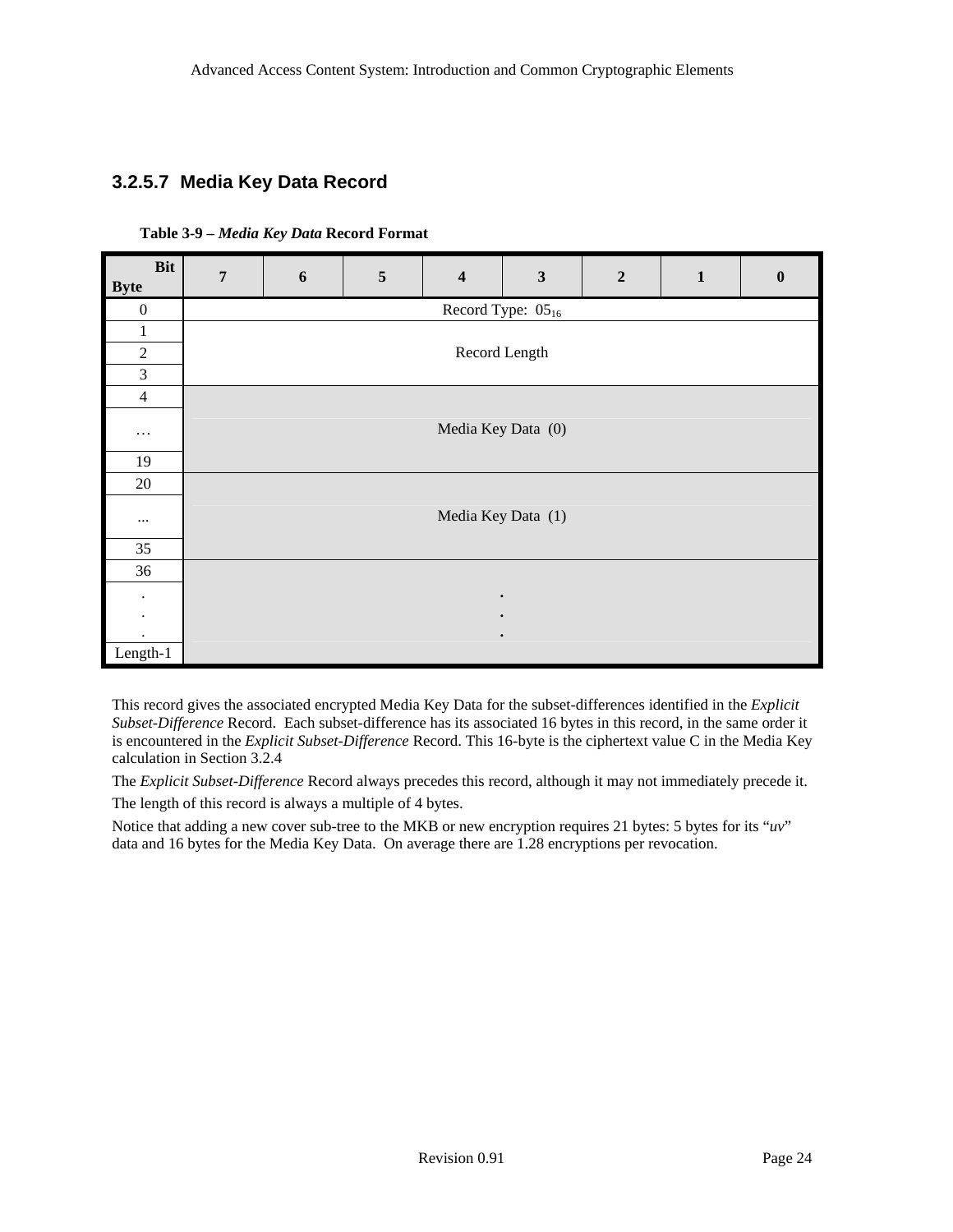### **3.2.5.7 Media Key Data Record**

| <b>Bit</b><br><b>Byte</b>   | $\overline{7}$ | 6                      | 5 | $\overline{\mathbf{4}}$ | $\mathbf{3}$       | $\overline{2}$ | 1 | $\bf{0}$ |  |  |  |
|-----------------------------|----------------|------------------------|---|-------------------------|--------------------|----------------|---|----------|--|--|--|
| $\boldsymbol{0}$            |                | Record Type: $05_{16}$ |   |                         |                    |                |   |          |  |  |  |
| 1                           |                |                        |   |                         |                    |                |   |          |  |  |  |
| $\sqrt{2}$                  | Record Length  |                        |   |                         |                    |                |   |          |  |  |  |
| $\ensuremath{\mathfrak{Z}}$ |                |                        |   |                         |                    |                |   |          |  |  |  |
| $\overline{4}$              |                |                        |   |                         |                    |                |   |          |  |  |  |
| $\cdots$                    |                | Media Key Data (0)     |   |                         |                    |                |   |          |  |  |  |
| 19                          |                |                        |   |                         |                    |                |   |          |  |  |  |
| $20\,$                      |                |                        |   |                         |                    |                |   |          |  |  |  |
|                             |                |                        |   |                         | Media Key Data (1) |                |   |          |  |  |  |
| 35                          |                |                        |   |                         |                    |                |   |          |  |  |  |
| 36                          |                |                        |   |                         |                    |                |   |          |  |  |  |
|                             |                |                        |   |                         |                    |                |   |          |  |  |  |
|                             |                |                        |   |                         |                    |                |   |          |  |  |  |
|                             |                |                        |   |                         |                    |                |   |          |  |  |  |
| Length-1                    |                |                        |   |                         |                    |                |   |          |  |  |  |

**Table 3-9 –** *Media Key Data* **Record Format** 

This record gives the associated encrypted Media Key Data for the subset-differences identified in the *Explicit Subset-Difference* Record. Each subset-difference has its associated 16 bytes in this record, in the same order it is encountered in the *Explicit Subset-Difference* Record. This 16-byte is the ciphertext value C in the Media Key calculation in Section 3.2.4

The *Explicit Subset-Difference* Record always precedes this record, although it may not immediately precede it. The length of this record is always a multiple of 4 bytes.

Notice that adding a new cover sub-tree to the MKB or new encryption requires 21 bytes: 5 bytes for its "*uv*" data and 16 bytes for the Media Key Data. On average there are 1.28 encryptions per revocation.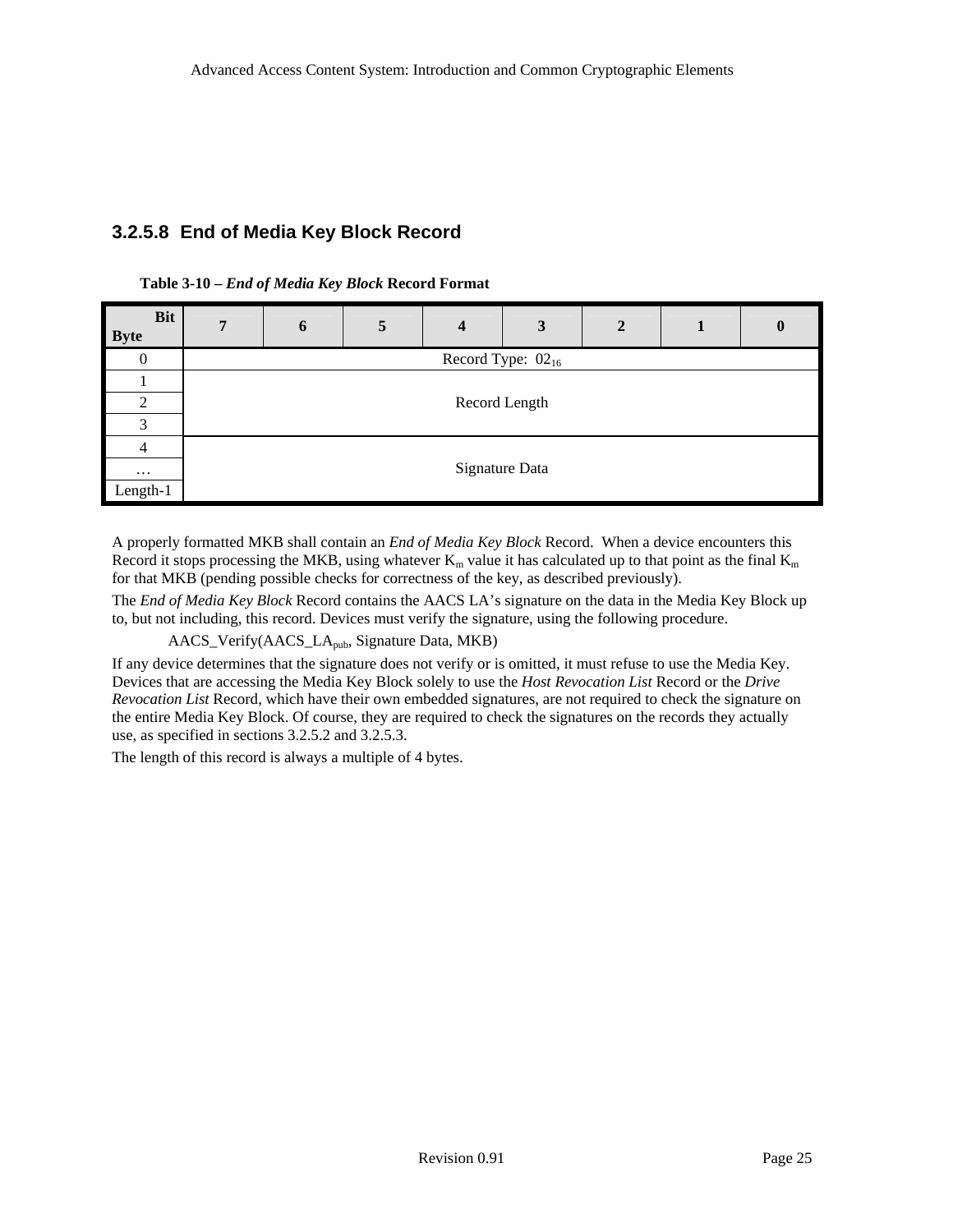## **3.2.5.8 End of Media Key Block Record**

|  |  |  |  | Table 3-10 – End of Media Key Block Record Format |
|--|--|--|--|---------------------------------------------------|
|--|--|--|--|---------------------------------------------------|

| <b>Bit</b><br><b>Byte</b> | 7 | 6                      | 5 | $\overline{\mathbf{4}}$ | 3 | 2 |  | $\bf{0}$ |  |  |  |  |
|---------------------------|---|------------------------|---|-------------------------|---|---|--|----------|--|--|--|--|
| $\theta$                  |   | Record Type: $02_{16}$ |   |                         |   |   |  |          |  |  |  |  |
|                           |   |                        |   |                         |   |   |  |          |  |  |  |  |
| 2                         |   |                        |   | Record Length           |   |   |  |          |  |  |  |  |
| 3                         |   |                        |   |                         |   |   |  |          |  |  |  |  |
|                           |   |                        |   |                         |   |   |  |          |  |  |  |  |
| $\cdots$                  |   | Signature Data         |   |                         |   |   |  |          |  |  |  |  |
| Length-1                  |   |                        |   |                         |   |   |  |          |  |  |  |  |

A properly formatted MKB shall contain an *End of Media Key Block* Record. When a device encounters this Record it stops processing the MKB, using whatever  $K_m$  value it has calculated up to that point as the final  $K_m$ for that MKB (pending possible checks for correctness of the key, as described previously).

The *End of Media Key Block* Record contains the AACS LA's signature on the data in the Media Key Block up to, but not including, this record. Devices must verify the signature, using the following procedure.

AACS\_Verify(AACS\_LA<sub>pub</sub>, Signature Data, MKB)

If any device determines that the signature does not verify or is omitted, it must refuse to use the Media Key. Devices that are accessing the Media Key Block solely to use the *Host Revocation List* Record or the *Drive Revocation List* Record, which have their own embedded signatures, are not required to check the signature on the entire Media Key Block. Of course, they are required to check the signatures on the records they actually use, as specified in sections 3.2.5.2 and 3.2.5.3.

The length of this record is always a multiple of 4 bytes.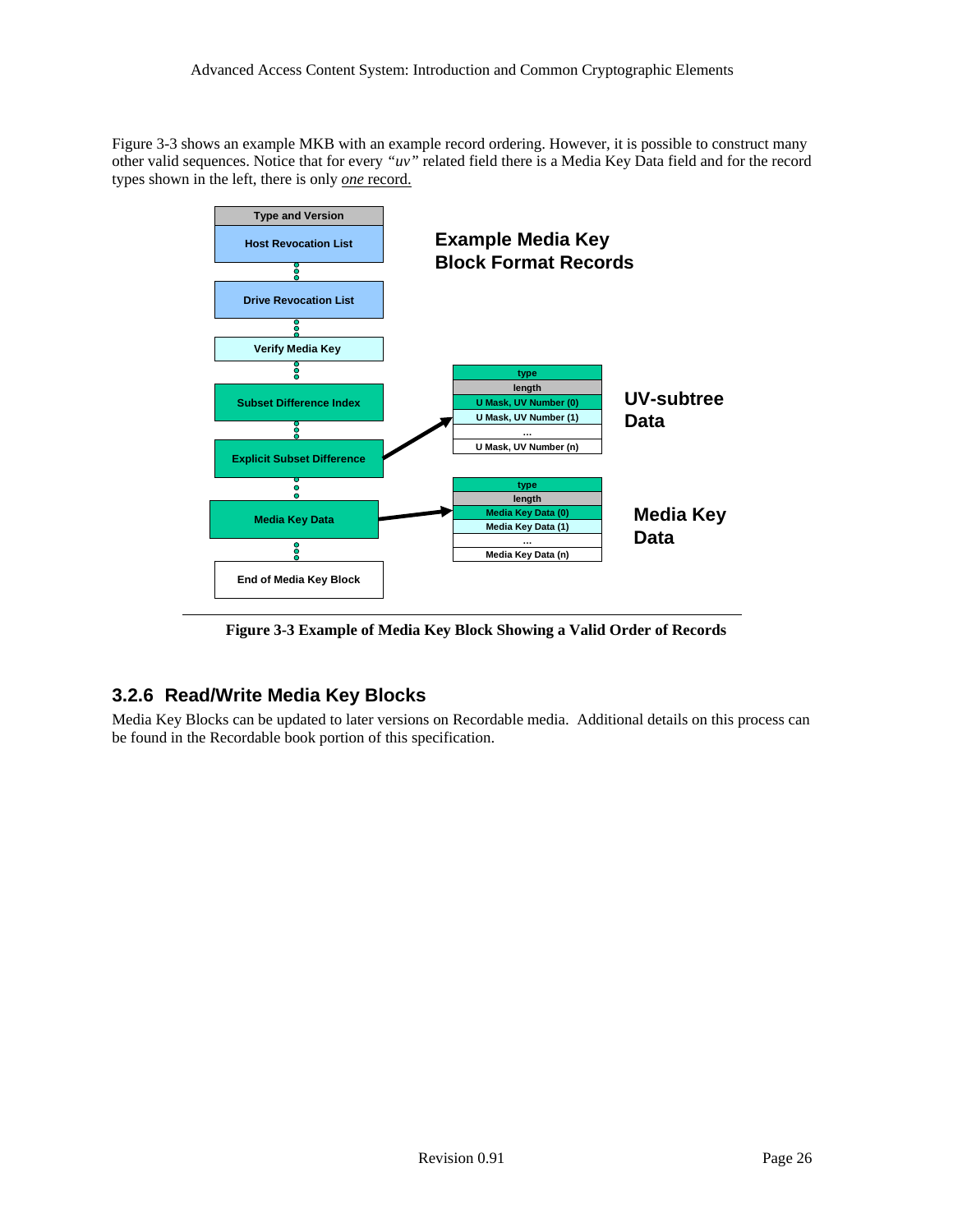Figure 3-3 shows an example MKB with an example record ordering. However, it is possible to construct many other valid sequences. Notice that for every *"uv"* related field there is a Media Key Data field and for the record types shown in the left, there is only *one* record.



**Figure 3-3 Example of Media Key Block Showing a Valid Order of Records** 

## **3.2.6 Read/Write Media Key Blocks**

Media Key Blocks can be updated to later versions on Recordable media. Additional details on this process can be found in the Recordable book portion of this specification.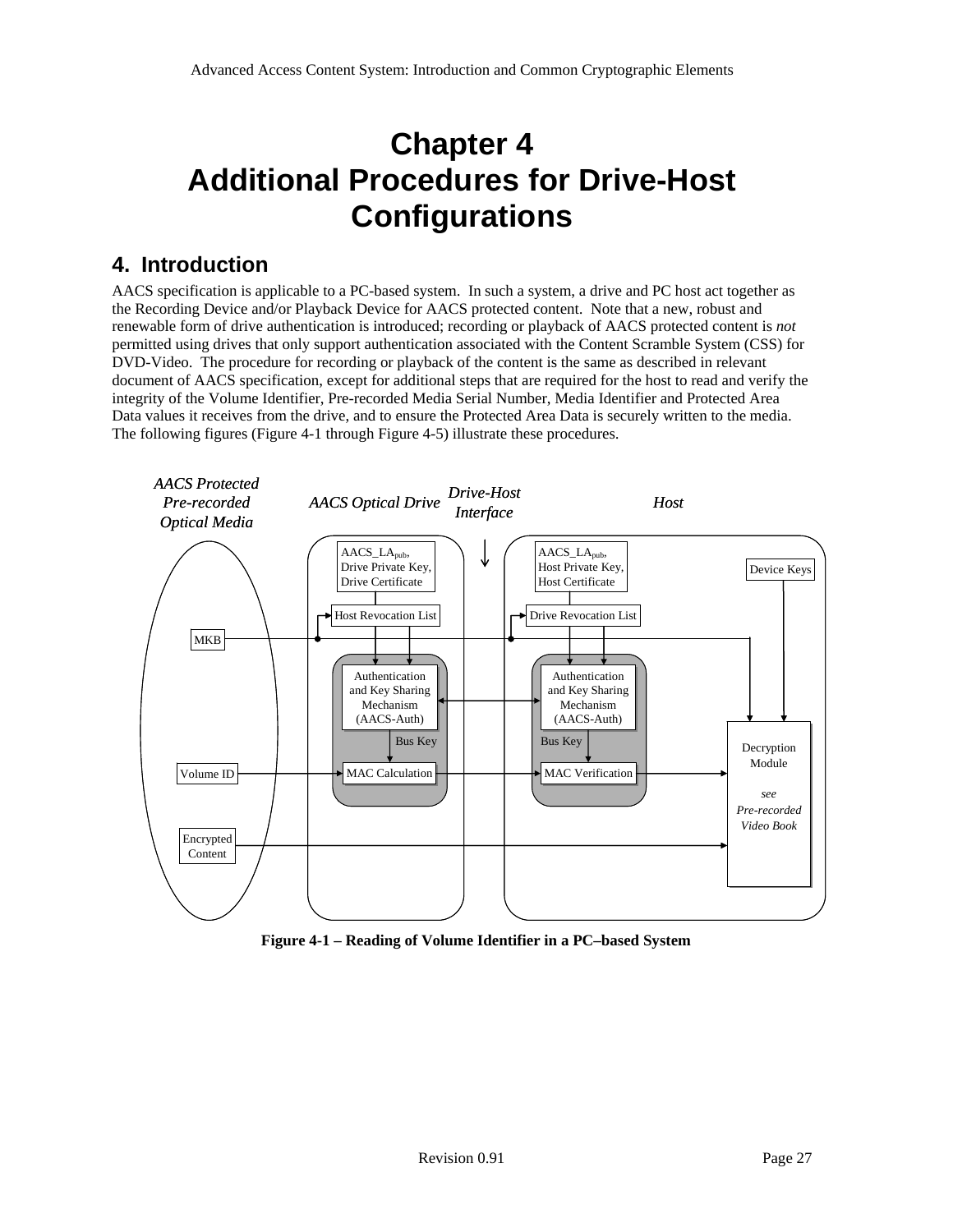# **Chapter 4 Additional Procedures for Drive-Host Configurations**

# **4. Introduction**

AACS specification is applicable to a PC-based system. In such a system, a drive and PC host act together as the Recording Device and/or Playback Device for AACS protected content. Note that a new, robust and renewable form of drive authentication is introduced; recording or playback of AACS protected content is *not* permitted using drives that only support authentication associated with the Content Scramble System (CSS) for DVD-Video. The procedure for recording or playback of the content is the same as described in relevant document of AACS specification, except for additional steps that are required for the host to read and verify the integrity of the Volume Identifier, Pre-recorded Media Serial Number, Media Identifier and Protected Area Data values it receives from the drive, and to ensure the Protected Area Data is securely written to the media. The following figures (Figure 4-1 through Figure 4-5) illustrate these procedures.



**Figure 4-1 – Reading of Volume Identifier in a PC–based System**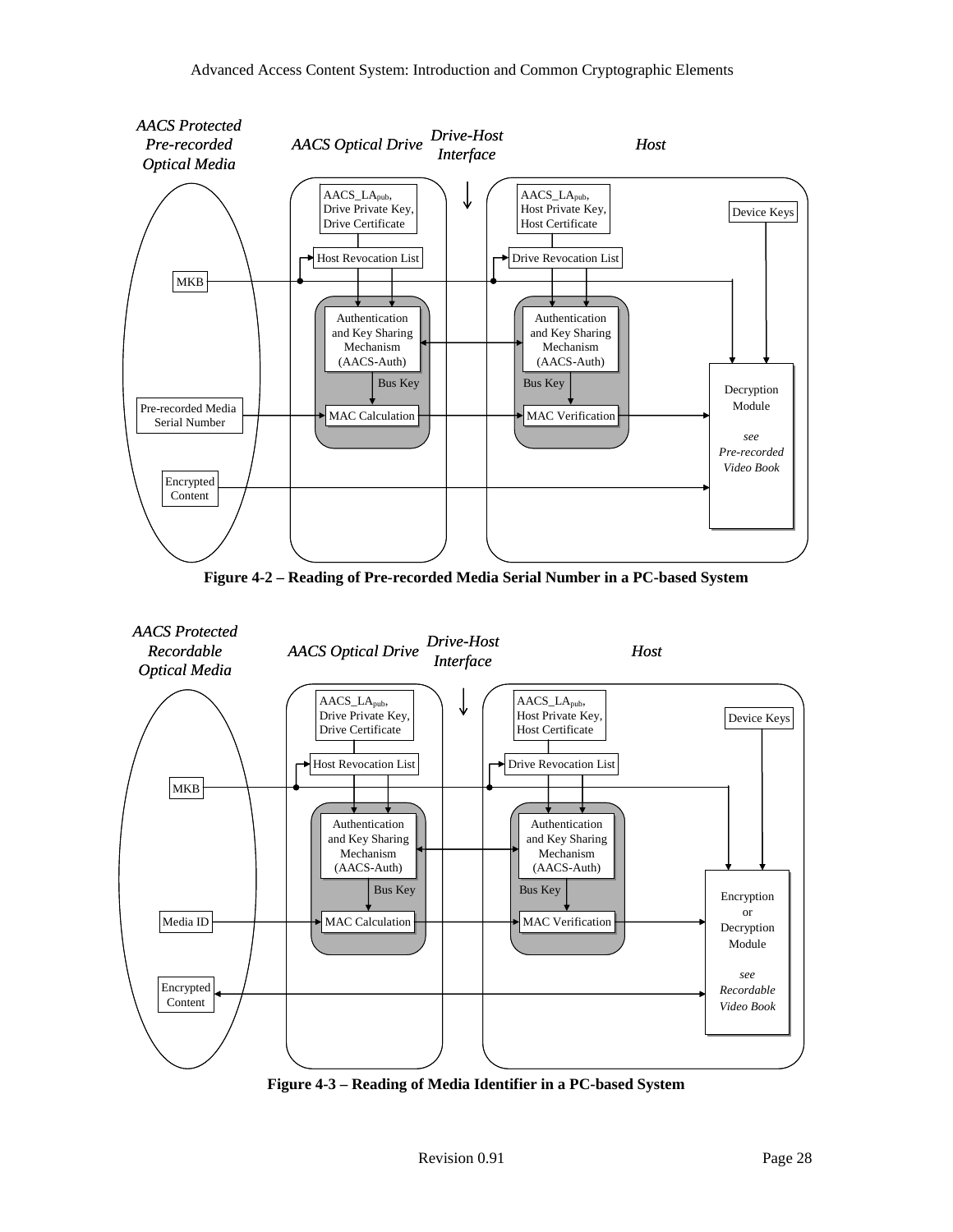

**Figure 4-2 – Reading of Pre-recorded Media Serial Number in a PC-based System** 



**Figure 4-3 – Reading of Media Identifier in a PC-based System**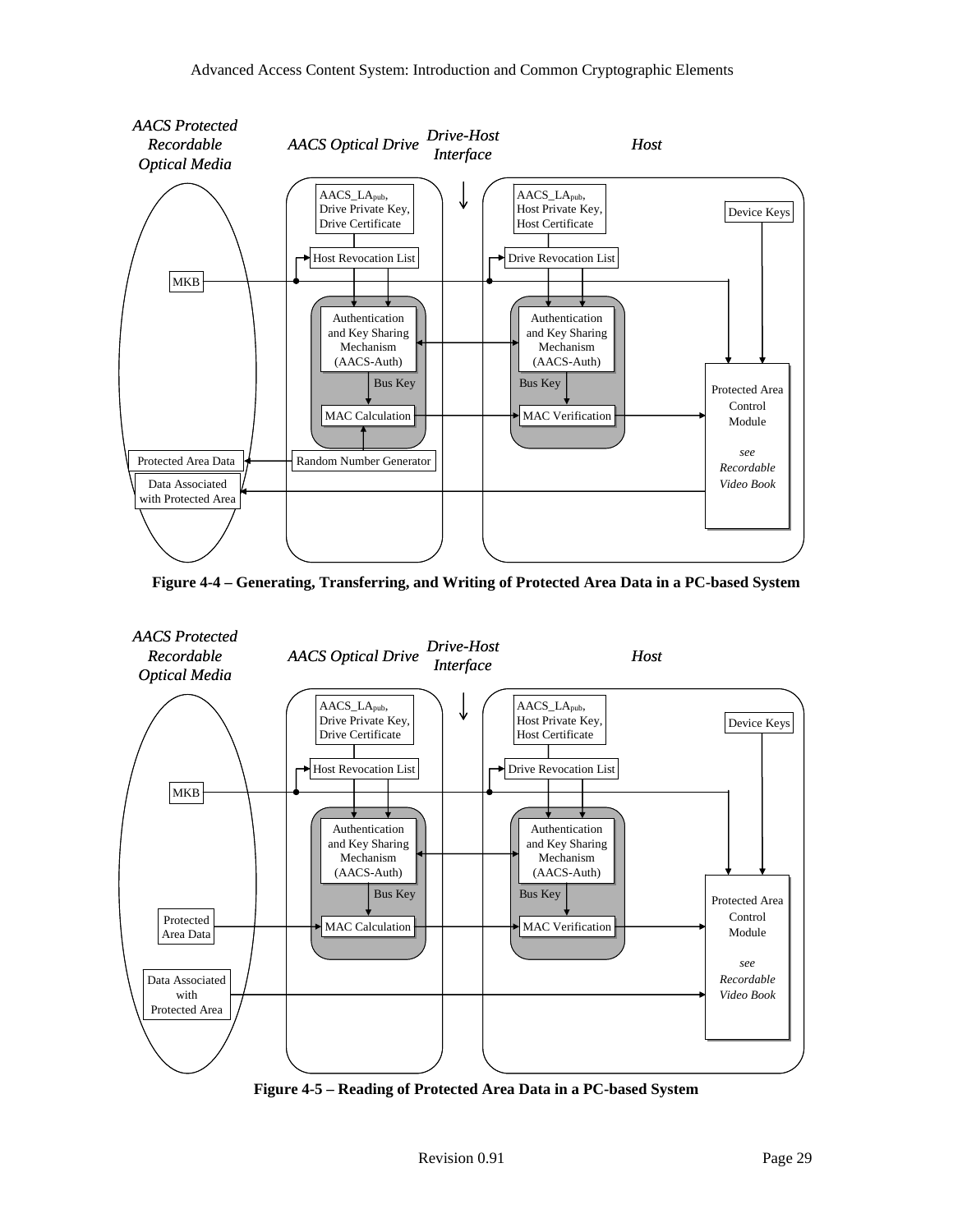

**Figure 4-4 – Generating, Transferring, and Writing of Protected Area Data in a PC-based System** 



**Figure 4-5 – Reading of Protected Area Data in a PC-based System**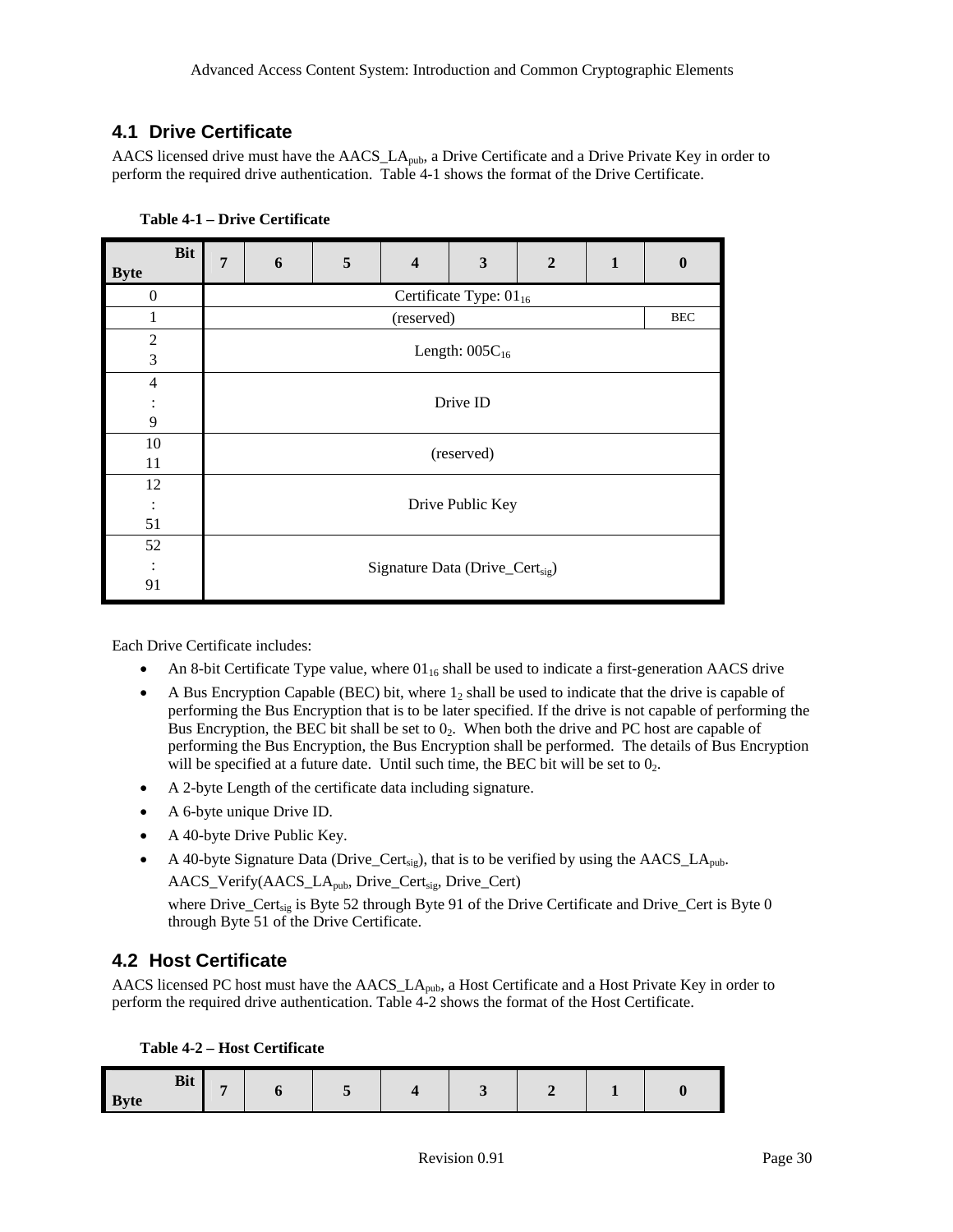#### **4.1 Drive Certificate**

AACS licensed drive must have the AACS\_LA<sub>pub</sub>, a Drive Certificate and a Drive Private Key in order to perform the required drive authentication. Table 4-1 shows the format of the Drive Certificate.

| <b>Bit</b><br><b>Byte</b> | $\overline{7}$ | 6                                  | 5 | $\overline{\mathbf{4}}$        | $\mathbf{3}$ | $\overline{2}$ | 1 | $\boldsymbol{0}$ |  |  |  |  |
|---------------------------|----------------|------------------------------------|---|--------------------------------|--------------|----------------|---|------------------|--|--|--|--|
| $\mathbf{0}$              |                | Certificate Type: 01 <sub>16</sub> |   |                                |              |                |   |                  |  |  |  |  |
|                           |                |                                    |   | (reserved)                     |              |                |   | <b>BEC</b>       |  |  |  |  |
| $\overline{2}$<br>3       |                | Length: $005C_{16}$                |   |                                |              |                |   |                  |  |  |  |  |
| $\overline{4}$<br>9       |                | Drive ID                           |   |                                |              |                |   |                  |  |  |  |  |
| 10<br>11                  |                | (reserved)                         |   |                                |              |                |   |                  |  |  |  |  |
| 12<br>51                  |                | Drive Public Key                   |   |                                |              |                |   |                  |  |  |  |  |
| 52<br>91                  |                |                                    |   | Signature Data (Drive_Certsig) |              |                |   |                  |  |  |  |  |

Each Drive Certificate includes:

- An 8-bit Certificate Type value, where  $01_{16}$  shall be used to indicate a first-generation AACS drive
- A Bus Encryption Capable (BEC) bit, where  $1<sub>2</sub>$  shall be used to indicate that the drive is capable of performing the Bus Encryption that is to be later specified. If the drive is not capable of performing the Bus Encryption, the BEC bit shall be set to  $0<sub>2</sub>$ . When both the drive and PC host are capable of performing the Bus Encryption, the Bus Encryption shall be performed. The details of Bus Encryption will be specified at a future date. Until such time, the BEC bit will be set to  $0<sub>2</sub>$ .
- A 2-byte Length of the certificate data including signature.
- A 6-byte unique Drive ID.
- A 40-byte Drive Public Key.
- A 40-byte Signature Data (Drive\_Cert<sub>sig</sub>), that is to be verified by using the AACS\_LA<sub>pub</sub>. AACS\_Verify(AACS\_LA<sub>pub</sub>, Drive\_Cert<sub>sig</sub>, Drive\_Cert)

where Drive\_Cert<sub>sig</sub> is Byte 52 through Byte 91 of the Drive Certificate and Drive\_Cert is Byte 0 through Byte 51 of the Drive Certificate.

#### **4.2 Host Certificate**

AACS licensed PC host must have the AACS\_LA<sub>pub</sub>, a Host Certificate and a Host Private Key in order to perform the required drive authentication. Table 4-2 shows the format of the Host Certificate.

**Table 4-2 – Host Certificate** 

| <b>Bit</b><br>_<br><b>Byte</b> | $\cdot$<br>- |
|--------------------------------|--------------|
|--------------------------------|--------------|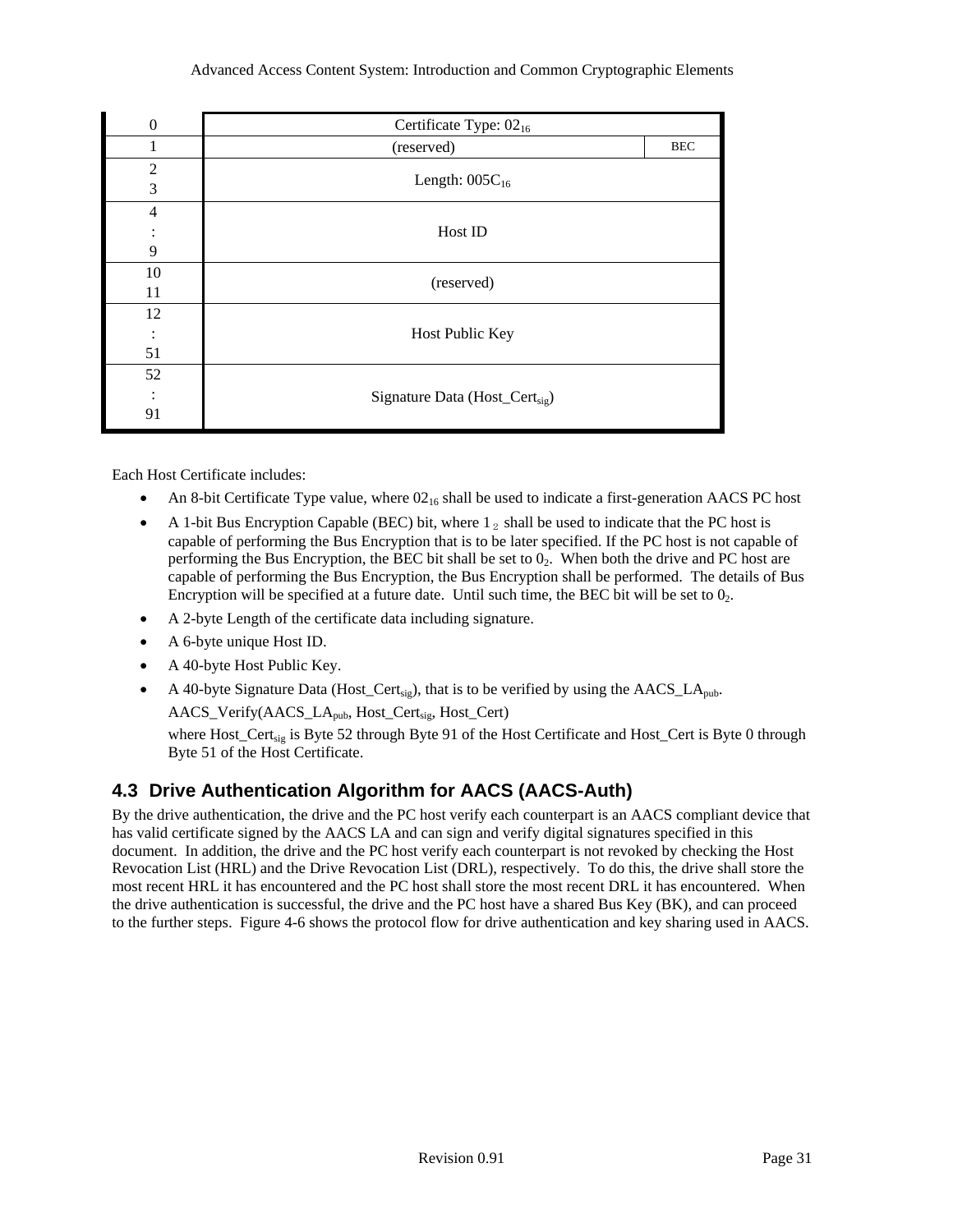| 0                   | Certificate Type: 02 <sub>16</sub> |            |
|---------------------|------------------------------------|------------|
|                     | (reserved)                         | <b>BEC</b> |
| $\overline{2}$<br>3 | Length: $005C_{16}$                |            |
| 4<br>9              | Host ID                            |            |
| 10<br>11            | (reserved)                         |            |
| 12<br>51            | Host Public Key                    |            |
| 52<br>91            | Signature Data (Host_Certsig)      |            |

Each Host Certificate includes:

- An 8-bit Certificate Type value, where  $02_{16}$  shall be used to indicate a first-generation AACS PC host
- A 1-bit Bus Encryption Capable (BEC) bit, where  $1<sub>2</sub>$  shall be used to indicate that the PC host is capable of performing the Bus Encryption that is to be later specified. If the PC host is not capable of performing the Bus Encryption, the BEC bit shall be set to 02. When both the drive and PC host are capable of performing the Bus Encryption, the Bus Encryption shall be performed. The details of Bus Encryption will be specified at a future date. Until such time, the BEC bit will be set to  $0<sub>2</sub>$ .
- A 2-byte Length of the certificate data including signature.
- A 6-byte unique Host ID.
- A 40-byte Host Public Key.
- A 40-byte Signature Data (Host\_Cert<sub>sig</sub>), that is to be verified by using the AACS\_LA<sub>pub</sub>.

AACS\_Verify(AACS\_LA<sub>pub</sub>, Host\_Cert<sub>sig</sub>, Host\_Cert)

where Host\_Cert<sub>sig</sub> is Byte 52 through Byte 91 of the Host Certificate and Host\_Cert is Byte 0 through Byte 51 of the Host Certificate.

## **4.3 Drive Authentication Algorithm for AACS (AACS-Auth)**

By the drive authentication, the drive and the PC host verify each counterpart is an AACS compliant device that has valid certificate signed by the AACS LA and can sign and verify digital signatures specified in this document. In addition, the drive and the PC host verify each counterpart is not revoked by checking the Host Revocation List (HRL) and the Drive Revocation List (DRL), respectively. To do this, the drive shall store the most recent HRL it has encountered and the PC host shall store the most recent DRL it has encountered. When the drive authentication is successful, the drive and the PC host have a shared Bus Key (BK), and can proceed to the further steps. Figure 4-6 shows the protocol flow for drive authentication and key sharing used in AACS.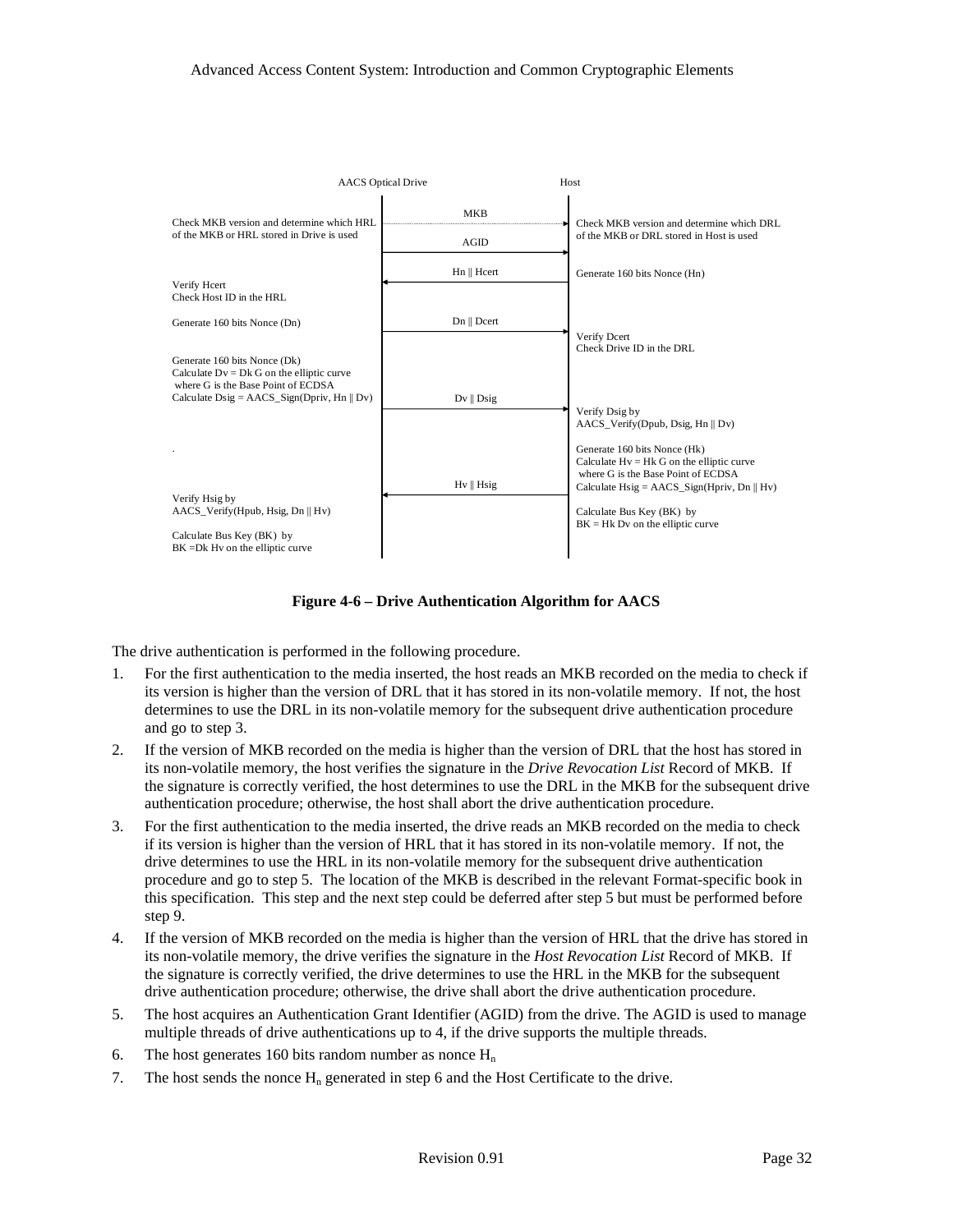

**Figure 4-6 – Drive Authentication Algorithm for AACS** 

The drive authentication is performed in the following procedure.

- 1. For the first authentication to the media inserted, the host reads an MKB recorded on the media to check if its version is higher than the version of DRL that it has stored in its non-volatile memory. If not, the host determines to use the DRL in its non-volatile memory for the subsequent drive authentication procedure and go to step 3.
- 2. If the version of MKB recorded on the media is higher than the version of DRL that the host has stored in its non-volatile memory, the host verifies the signature in the *Drive Revocation List* Record of MKB. If the signature is correctly verified, the host determines to use the DRL in the MKB for the subsequent drive authentication procedure; otherwise, the host shall abort the drive authentication procedure.
- 3. For the first authentication to the media inserted, the drive reads an MKB recorded on the media to check if its version is higher than the version of HRL that it has stored in its non-volatile memory. If not, the drive determines to use the HRL in its non-volatile memory for the subsequent drive authentication procedure and go to step 5. The location of the MKB is described in the relevant Format-specific book in this specification. This step and the next step could be deferred after step 5 but must be performed before step 9.
- 4. If the version of MKB recorded on the media is higher than the version of HRL that the drive has stored in its non-volatile memory, the drive verifies the signature in the *Host Revocation List* Record of MKB. If the signature is correctly verified, the drive determines to use the HRL in the MKB for the subsequent drive authentication procedure; otherwise, the drive shall abort the drive authentication procedure.
- 5. The host acquires an Authentication Grant Identifier (AGID) from the drive. The AGID is used to manage multiple threads of drive authentications up to 4, if the drive supports the multiple threads.
- 6. The host generates 160 bits random number as nonce  $H_n$
- 7. The host sends the nonce  $H_n$  generated in step 6 and the Host Certificate to the drive.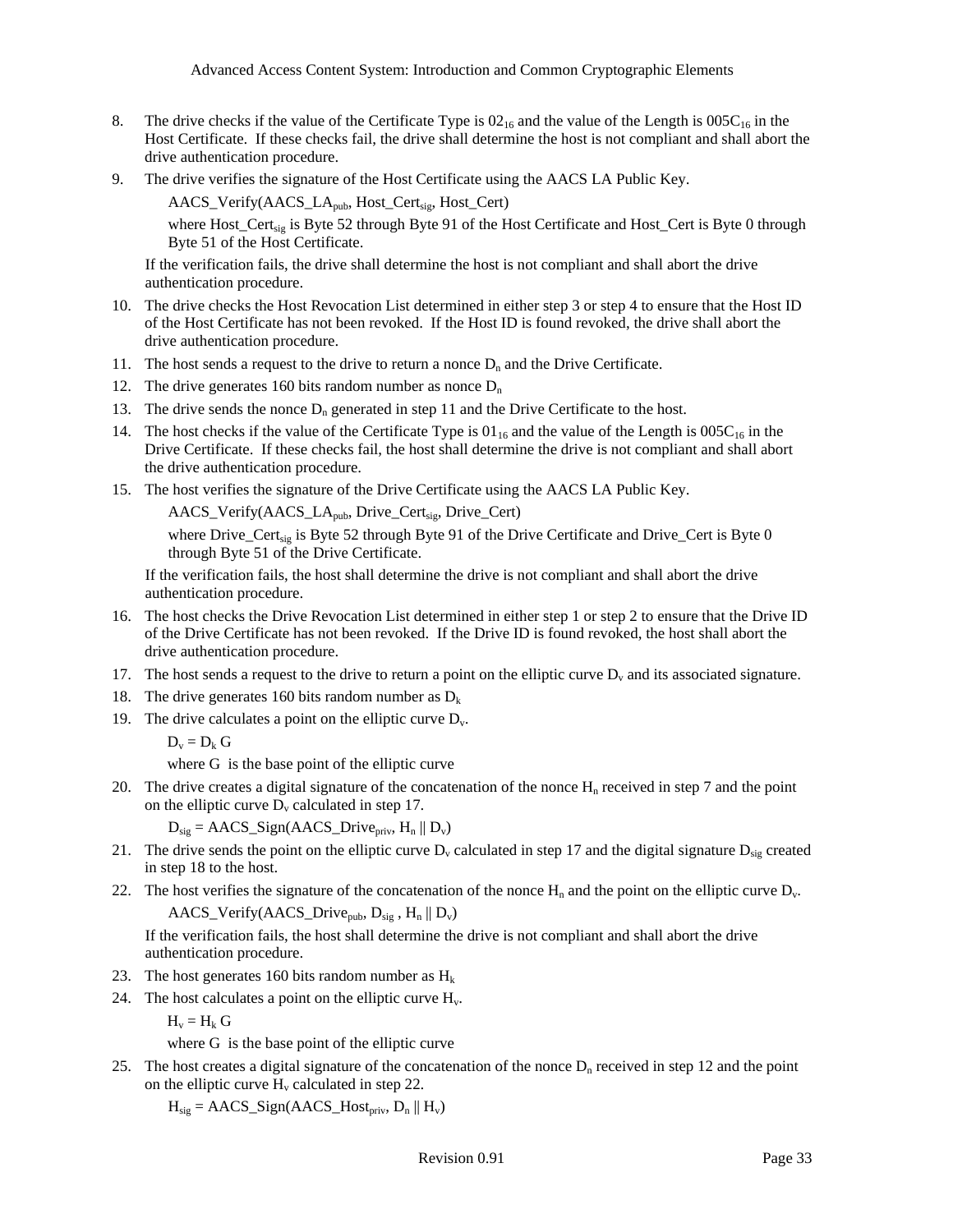- 8. The drive checks if the value of the Certificate Type is  $02_{16}$  and the value of the Length is  $005C_{16}$  in the Host Certificate. If these checks fail, the drive shall determine the host is not compliant and shall abort the drive authentication procedure.
- 9. The drive verifies the signature of the Host Certificate using the AACS LA Public Key.

AACS\_Verify(AACS\_LA<sub>pub</sub>, Host\_Cert<sub>sig</sub>, Host\_Cert)

where Host\_Cert<sub>sig</sub> is Byte 52 through Byte 91 of the Host Certificate and Host\_Cert is Byte 0 through Byte 51 of the Host Certificate.

If the verification fails, the drive shall determine the host is not compliant and shall abort the drive authentication procedure.

- 10. The drive checks the Host Revocation List determined in either step 3 or step 4 to ensure that the Host ID of the Host Certificate has not been revoked. If the Host ID is found revoked, the drive shall abort the drive authentication procedure.
- 11. The host sends a request to the drive to return a nonce  $D_n$  and the Drive Certificate.
- 12. The drive generates 160 bits random number as nonce  $D_n$
- 13. The drive sends the nonce  $D_n$  generated in step 11 and the Drive Certificate to the host.
- 14. The host checks if the value of the Certificate Type is  $01_{16}$  and the value of the Length is  $005C_{16}$  in the Drive Certificate. If these checks fail, the host shall determine the drive is not compliant and shall abort the drive authentication procedure.
- 15. The host verifies the signature of the Drive Certificate using the AACS LA Public Key.

AACS\_Verify(AACS\_LA<sub>pub</sub>, Drive\_Cert<sub>sig</sub>, Drive\_Cert)

where Drive\_Cert<sub>sig</sub> is Byte 52 through Byte 91 of the Drive Certificate and Drive\_Cert is Byte 0 through Byte 51 of the Drive Certificate.

If the verification fails, the host shall determine the drive is not compliant and shall abort the drive authentication procedure.

- 16. The host checks the Drive Revocation List determined in either step 1 or step 2 to ensure that the Drive ID of the Drive Certificate has not been revoked. If the Drive ID is found revoked, the host shall abort the drive authentication procedure.
- 17. The host sends a request to the drive to return a point on the elliptic curve  $D<sub>v</sub>$  and its associated signature.
- 18. The drive generates 160 bits random number as  $D_k$
- 19. The drive calculates a point on the elliptic curve  $D_v$ .

$$
D_v=D_k\;G
$$

where G is the base point of the elliptic curve

20. The drive creates a digital signature of the concatenation of the nonce  $H<sub>n</sub>$  received in step 7 and the point on the elliptic curve  $D_v$  calculated in step 17.

 $D_{sig} = AACS\_Sign(AACS\_Dirive_{priv}, H_n || D_v)$ 

- 21. The drive sends the point on the elliptic curve  $D_v$  calculated in step 17 and the digital signature  $D_{sig}$  created in step 18 to the host.
- 22. The host verifies the signature of the concatenation of the nonce  $H_n$  and the point on the elliptic curve  $D_v$ . AACS\_Verify(AACS\_Drive<sub>pub</sub>,  $D_{sig}$ ,  $H_n \parallel D_v$ )

If the verification fails, the host shall determine the drive is not compliant and shall abort the drive authentication procedure.

- 23. The host generates 160 bits random number as  $H_k$
- 24. The host calculates a point on the elliptic curve  $H_v$ .

 $H_v = H_k$  G

where G is the base point of the elliptic curve

25. The host creates a digital signature of the concatenation of the nonce  $D_n$  received in step 12 and the point on the elliptic curve  $H<sub>v</sub>$  calculated in step 22.

 $H_{sig} = AACS$ \_Sign( $AACS$ \_Host<sub>priv</sub>,  $D_n \parallel H_v$ )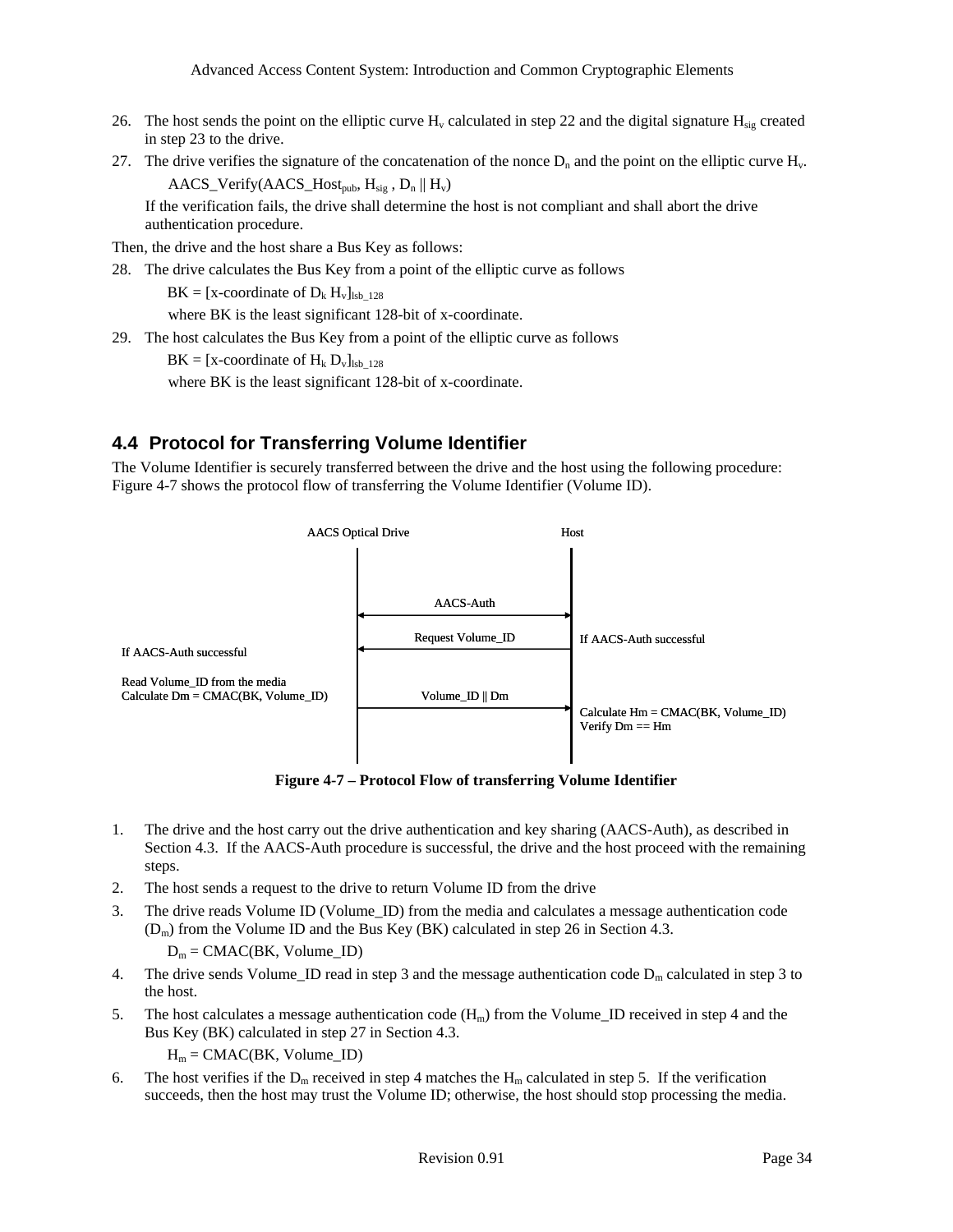- 26. The host sends the point on the elliptic curve  $H_v$  calculated in step 22 and the digital signature  $H_{\rm sig}$  created in step 23 to the drive.
- 27. The drive verifies the signature of the concatenation of the nonce  $D_n$  and the point on the elliptic curve  $H_v$ . AACS\_Verify(AACS\_Host<sub>pub</sub>,  $H_{sig}$ ,  $D_n \parallel H_v$ )

If the verification fails, the drive shall determine the host is not compliant and shall abort the drive authentication procedure.

Then, the drive and the host share a Bus Key as follows:

28. The drive calculates the Bus Key from a point of the elliptic curve as follows

 $BK = [x-coordinate of D_k H_v]_{lsb-128}$ 

where BK is the least significant 128-bit of x-coordinate.

29. The host calculates the Bus Key from a point of the elliptic curve as follows

```
BK = [x-coordinate of H_k D_v]_{lsb-128}
```
where BK is the least significant 128-bit of x-coordinate.

## **4.4 Protocol for Transferring Volume Identifier**

The Volume Identifier is securely transferred between the drive and the host using the following procedure: Figure 4-7 shows the protocol flow of transferring the Volume Identifier (Volume ID).



**Figure 4-7 – Protocol Flow of transferring Volume Identifier** 

- 1. The drive and the host carry out the drive authentication and key sharing (AACS-Auth), as described in Section 4.3. If the AACS-Auth procedure is successful, the drive and the host proceed with the remaining steps.
- 2. The host sends a request to the drive to return Volume ID from the drive
- 3. The drive reads Volume ID (Volume\_ID) from the media and calculates a message authentication code  $(D<sub>m</sub>)$  from the Volume ID and the Bus Key (BK) calculated in step 26 in Section 4.3.

 $D_m = CMAC(BK, Volume\_ID)$ 

- 4. The drive sends Volume\_ID read in step 3 and the message authentication code  $D_m$  calculated in step 3 to the host.
- 5. The host calculates a message authentication code  $(H_m)$  from the Volume\_ID received in step 4 and the Bus Key (BK) calculated in step 27 in Section 4.3.

 $H_m = CMAC(BK, Volume\_ID)$ 

6. The host verifies if the  $D_m$  received in step 4 matches the  $H_m$  calculated in step 5. If the verification succeeds, then the host may trust the Volume ID; otherwise, the host should stop processing the media.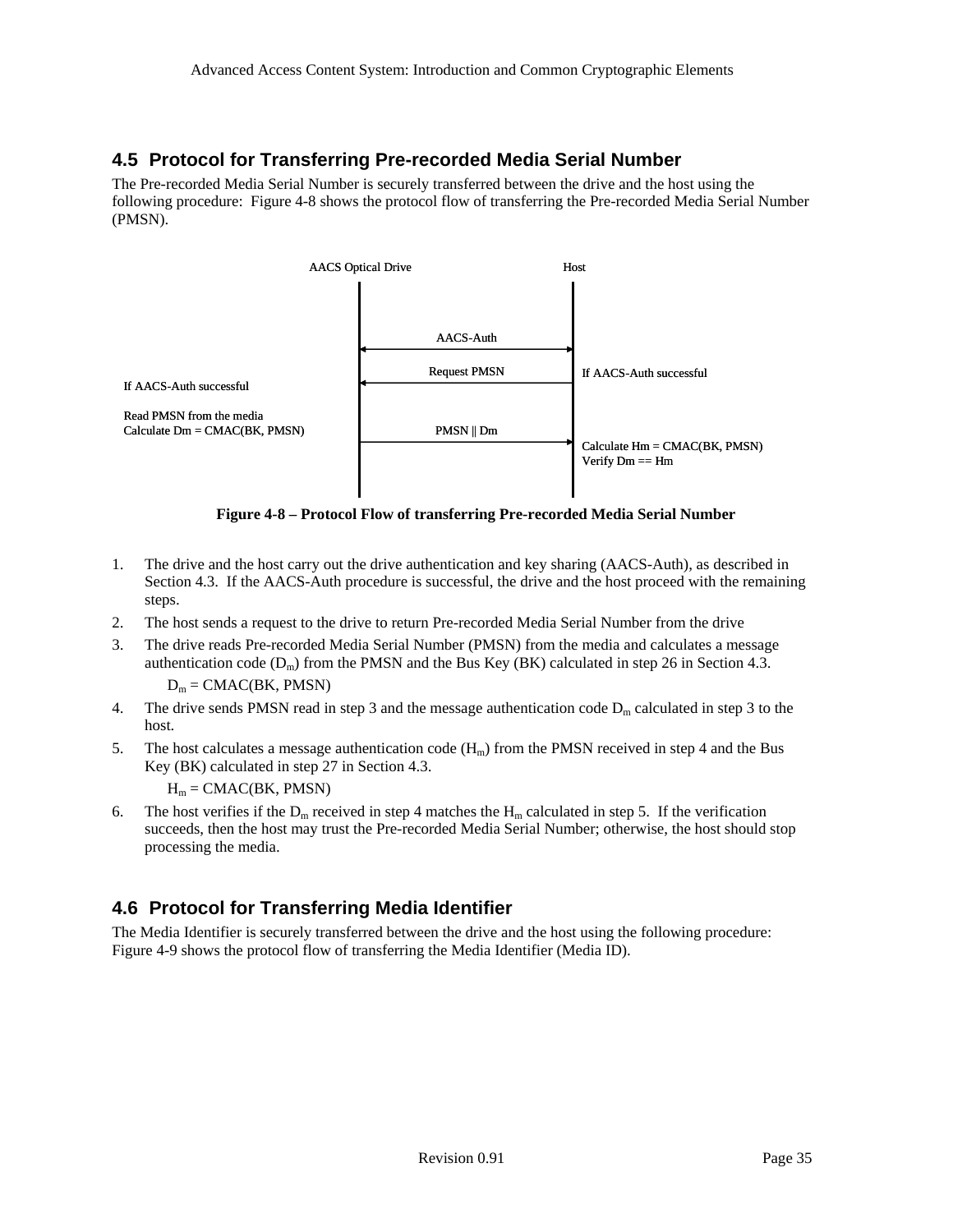#### **4.5 Protocol for Transferring Pre-recorded Media Serial Number**

The Pre-recorded Media Serial Number is securely transferred between the drive and the host using the following procedure: Figure 4-8 shows the protocol flow of transferring the Pre-recorded Media Serial Number (PMSN).



**Figure 4-8 – Protocol Flow of transferring Pre-recorded Media Serial Number** 

- 1. The drive and the host carry out the drive authentication and key sharing (AACS-Auth), as described in Section 4.3. If the AACS-Auth procedure is successful, the drive and the host proceed with the remaining steps.
- 2. The host sends a request to the drive to return Pre-recorded Media Serial Number from the drive
- 3. The drive reads Pre-recorded Media Serial Number (PMSN) from the media and calculates a message authentication code  $(D_m)$  from the PMSN and the Bus Key (BK) calculated in step 26 in Section 4.3.

 $D_m = CMAC(BK, PMSN)$ 

- 4. The drive sends PMSN read in step 3 and the message authentication code  $D_m$  calculated in step 3 to the host.
- 5. The host calculates a message authentication code  $(H_m)$  from the PMSN received in step 4 and the Bus Key (BK) calculated in step 27 in Section 4.3.

 $H_m = CMAC(BK, PMSN)$ 

6. The host verifies if the  $D_m$  received in step 4 matches the  $H_m$  calculated in step 5. If the verification succeeds, then the host may trust the Pre-recorded Media Serial Number; otherwise, the host should stop processing the media.

## **4.6 Protocol for Transferring Media Identifier**

The Media Identifier is securely transferred between the drive and the host using the following procedure: Figure 4-9 shows the protocol flow of transferring the Media Identifier (Media ID).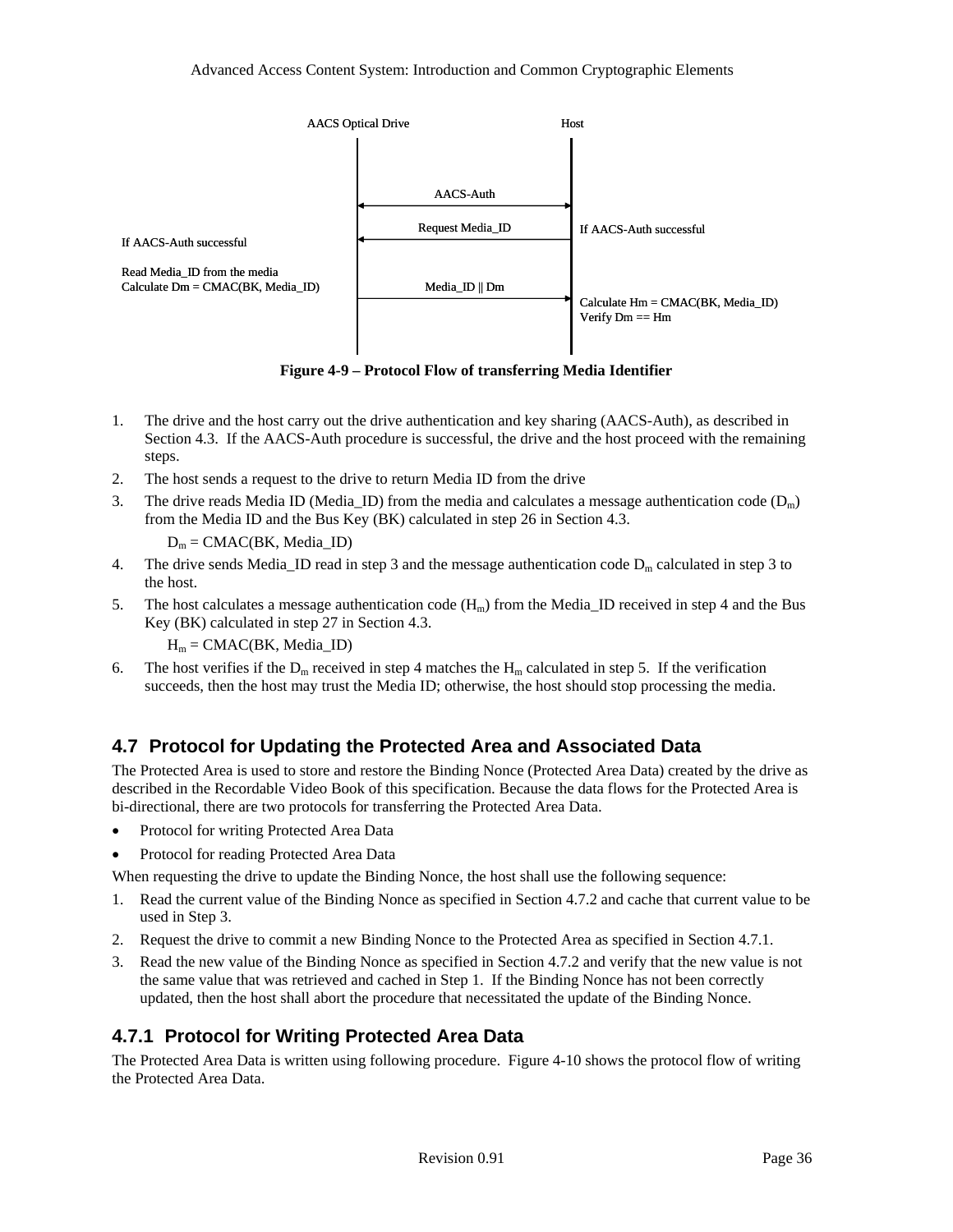

**Figure 4-9 – Protocol Flow of transferring Media Identifier** 

- 1. The drive and the host carry out the drive authentication and key sharing (AACS-Auth), as described in Section 4.3. If the AACS-Auth procedure is successful, the drive and the host proceed with the remaining steps.
- 2. The host sends a request to the drive to return Media ID from the drive
- 3. The drive reads Media ID (Media ID) from the media and calculates a message authentication code  $(D_m)$ from the Media ID and the Bus Key (BK) calculated in step 26 in Section 4.3.

 $D_m = CMAC(BK, Media ID)$ 

- 4. The drive sends Media\_ID read in step 3 and the message authentication code  $D_m$  calculated in step 3 to the host.
- 5. The host calculates a message authentication code  $(H_m)$  from the Media\_ID received in step 4 and the Bus Key (BK) calculated in step 27 in Section 4.3.

 $H_m = CMAC(BK, MediaID)$ </u>

6. The host verifies if the  $D_m$  received in step 4 matches the  $H_m$  calculated in step 5. If the verification succeeds, then the host may trust the Media ID; otherwise, the host should stop processing the media.

## **4.7 Protocol for Updating the Protected Area and Associated Data**

The Protected Area is used to store and restore the Binding Nonce (Protected Area Data) created by the drive as described in the Recordable Video Book of this specification. Because the data flows for the Protected Area is bi-directional, there are two protocols for transferring the Protected Area Data.

- Protocol for writing Protected Area Data
- Protocol for reading Protected Area Data

When requesting the drive to update the Binding Nonce, the host shall use the following sequence:

- 1. Read the current value of the Binding Nonce as specified in Section 4.7.2 and cache that current value to be used in Step 3.
- 2. Request the drive to commit a new Binding Nonce to the Protected Area as specified in Section 4.7.1.
- 3. Read the new value of the Binding Nonce as specified in Section 4.7.2 and verify that the new value is not the same value that was retrieved and cached in Step 1. If the Binding Nonce has not been correctly updated, then the host shall abort the procedure that necessitated the update of the Binding Nonce.

## **4.7.1 Protocol for Writing Protected Area Data**

The Protected Area Data is written using following procedure. Figure 4-10 shows the protocol flow of writing the Protected Area Data.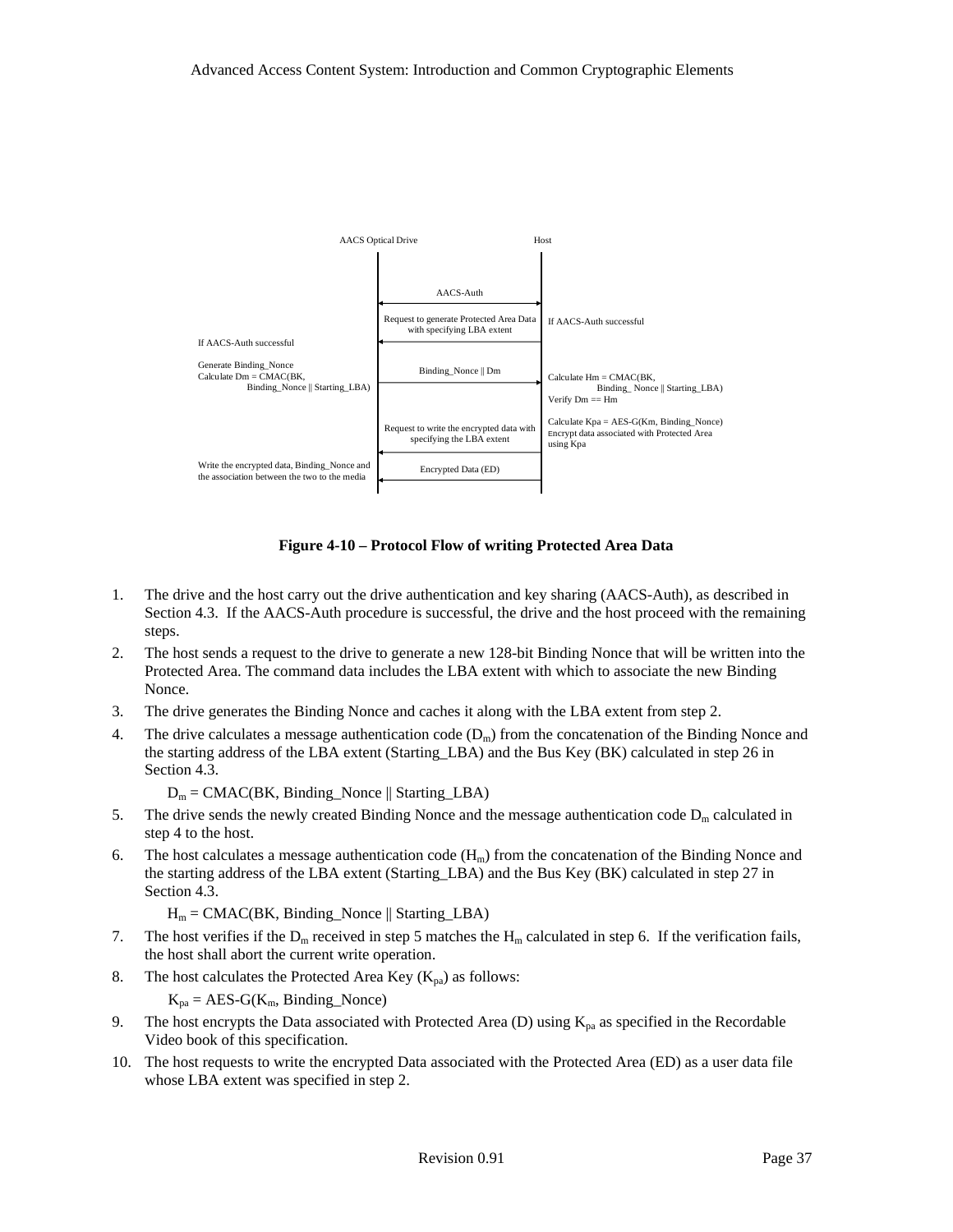

**Figure 4-10 – Protocol Flow of writing Protected Area Data** 

- 1. The drive and the host carry out the drive authentication and key sharing (AACS-Auth), as described in Section 4.3. If the AACS-Auth procedure is successful, the drive and the host proceed with the remaining steps.
- 2. The host sends a request to the drive to generate a new 128-bit Binding Nonce that will be written into the Protected Area. The command data includes the LBA extent with which to associate the new Binding Nonce.
- 3. The drive generates the Binding Nonce and caches it along with the LBA extent from step 2.
- 4. The drive calculates a message authentication code  $(D_m)$  from the concatenation of the Binding Nonce and the starting address of the LBA extent (Starting\_LBA) and the Bus Key (BK) calculated in step 26 in Section 4.3.

 $D_m = CMAC(BK, Binding_Nonce || Starting_LBA)$ 

- 5. The drive sends the newly created Binding Nonce and the message authentication code  $D_m$  calculated in step 4 to the host.
- 6. The host calculates a message authentication code  $(H_m)$  from the concatenation of the Binding Nonce and the starting address of the LBA extent (Starting\_LBA) and the Bus Key (BK) calculated in step 27 in Section 4.3.

 $H_m = CMAC(BK, Binding_Nonce \parallel Starting_LBA)$ 

- 7. The host verifies if the  $D_m$  received in step 5 matches the  $H_m$  calculated in step 6. If the verification fails, the host shall abort the current write operation.
- 8. The host calculates the Protected Area Key  $(K_{pa})$  as follows:

 $K_{pa} = AES-G(K_m, Binding\_None)$ 

- 9. The host encrypts the Data associated with Protected Area (D) using  $K_{pa}$  as specified in the Recordable Video book of this specification.
- 10. The host requests to write the encrypted Data associated with the Protected Area (ED) as a user data file whose LBA extent was specified in step 2.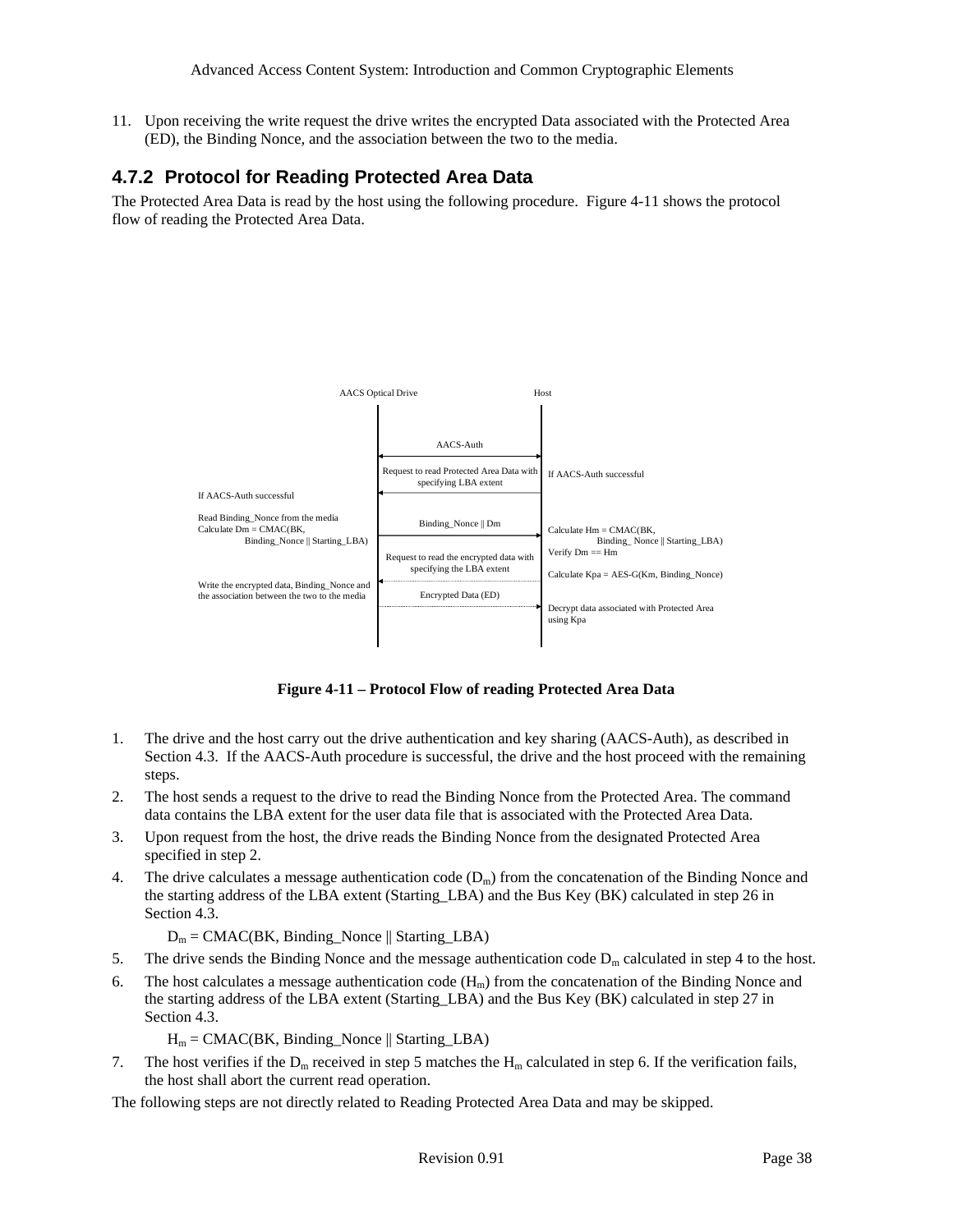11. Upon receiving the write request the drive writes the encrypted Data associated with the Protected Area (ED), the Binding Nonce, and the association between the two to the media.

#### **4.7.2 Protocol for Reading Protected Area Data**

The Protected Area Data is read by the host using the following procedure. Figure 4-11 shows the protocol flow of reading the Protected Area Data.



**Figure 4-11 – Protocol Flow of reading Protected Area Data** 

- 1. The drive and the host carry out the drive authentication and key sharing (AACS-Auth), as described in Section 4.3. If the AACS-Auth procedure is successful, the drive and the host proceed with the remaining steps.
- 2. The host sends a request to the drive to read the Binding Nonce from the Protected Area. The command data contains the LBA extent for the user data file that is associated with the Protected Area Data.
- 3. Upon request from the host, the drive reads the Binding Nonce from the designated Protected Area specified in step 2.
- 4. The drive calculates a message authentication code  $(D<sub>m</sub>)$  from the concatenation of the Binding Nonce and the starting address of the LBA extent (Starting\_LBA) and the Bus Key (BK) calculated in step 26 in Section 4.3.

 $D_m = CMAC(BK, Binding_Nonce || Starting_LBA)$ 

- 5. The drive sends the Binding Nonce and the message authentication code  $D_m$  calculated in step 4 to the host.
- 6. The host calculates a message authentication code  $(H_m)$  from the concatenation of the Binding Nonce and the starting address of the LBA extent (Starting\_LBA) and the Bus Key (BK) calculated in step 27 in Section 4.3.

 $H_m = CMAC(BK, Binding_Nonce || Starting_LBA)$ 

7. The host verifies if the  $D_m$  received in step 5 matches the  $H_m$  calculated in step 6. If the verification fails, the host shall abort the current read operation.

The following steps are not directly related to Reading Protected Area Data and may be skipped.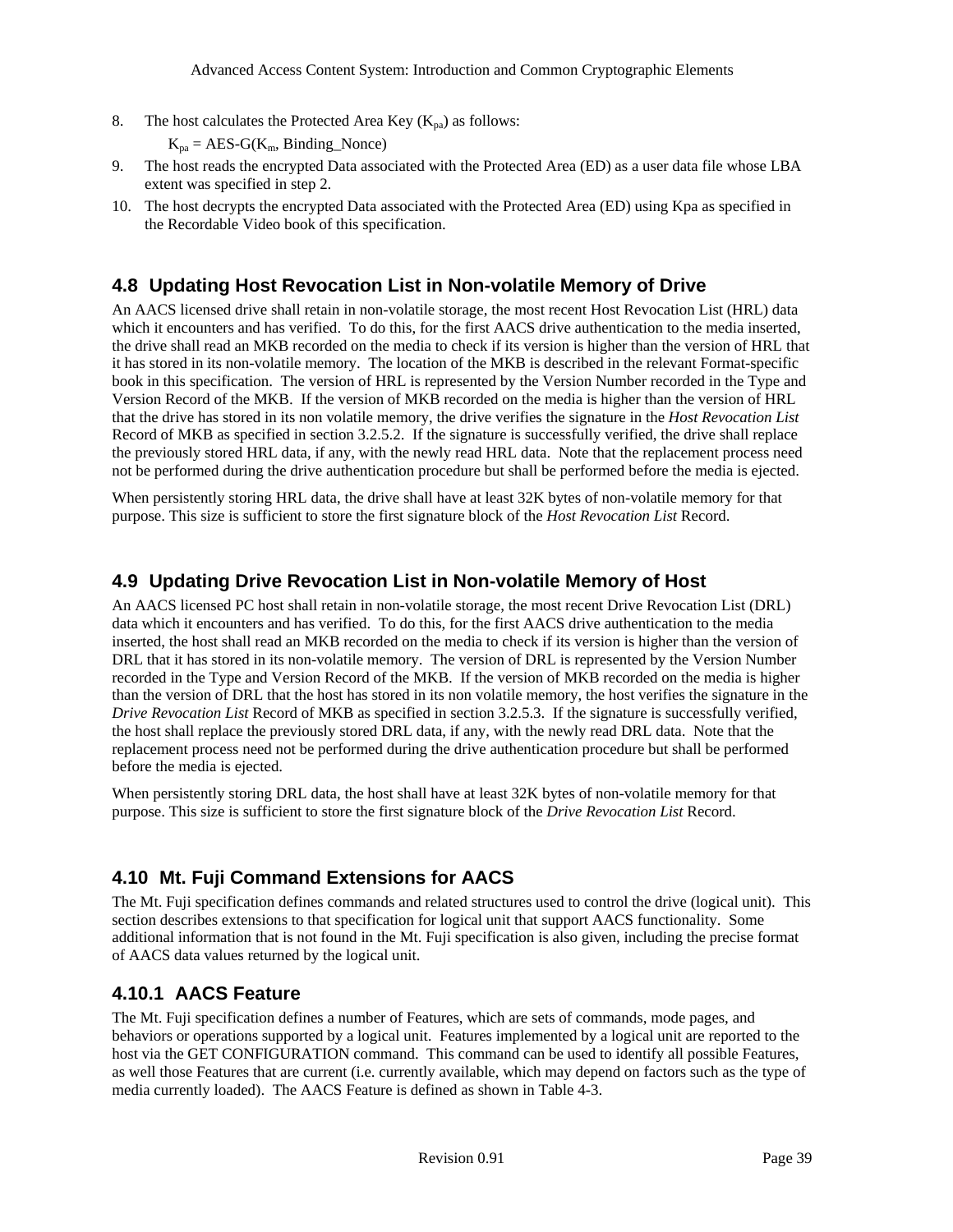8. The host calculates the Protected Area Key  $(K_{pa})$  as follows:

$$
K_{pa} = AES-G(K_m, Binding\_None)
$$

- 9. The host reads the encrypted Data associated with the Protected Area (ED) as a user data file whose LBA extent was specified in step 2.
- 10. The host decrypts the encrypted Data associated with the Protected Area (ED) using Kpa as specified in the Recordable Video book of this specification.

#### **4.8 Updating Host Revocation List in Non-volatile Memory of Drive**

An AACS licensed drive shall retain in non-volatile storage, the most recent Host Revocation List (HRL) data which it encounters and has verified. To do this, for the first AACS drive authentication to the media inserted, the drive shall read an MKB recorded on the media to check if its version is higher than the version of HRL that it has stored in its non-volatile memory. The location of the MKB is described in the relevant Format-specific book in this specification. The version of HRL is represented by the Version Number recorded in the Type and Version Record of the MKB. If the version of MKB recorded on the media is higher than the version of HRL that the drive has stored in its non volatile memory, the drive verifies the signature in the *Host Revocation List*  Record of MKB as specified in section 3.2.5.2. If the signature is successfully verified, the drive shall replace the previously stored HRL data, if any, with the newly read HRL data. Note that the replacement process need not be performed during the drive authentication procedure but shall be performed before the media is ejected.

When persistently storing HRL data, the drive shall have at least  $32K$  bytes of non-volatile memory for that purpose. This size is sufficient to store the first signature block of the *Host Revocation List* Record.

#### **4.9 Updating Drive Revocation List in Non-volatile Memory of Host**

An AACS licensed PC host shall retain in non-volatile storage, the most recent Drive Revocation List (DRL) data which it encounters and has verified. To do this, for the first AACS drive authentication to the media inserted, the host shall read an MKB recorded on the media to check if its version is higher than the version of DRL that it has stored in its non-volatile memory. The version of DRL is represented by the Version Number recorded in the Type and Version Record of the MKB. If the version of MKB recorded on the media is higher than the version of DRL that the host has stored in its non volatile memory, the host verifies the signature in the *Drive Revocation List* Record of MKB as specified in section 3.2.5.3. If the signature is successfully verified, the host shall replace the previously stored DRL data, if any, with the newly read DRL data. Note that the replacement process need not be performed during the drive authentication procedure but shall be performed before the media is ejected.

When persistently storing DRL data, the host shall have at least 32K bytes of non-volatile memory for that purpose. This size is sufficient to store the first signature block of the *Drive Revocation List* Record.

## **4.10 Mt. Fuji Command Extensions for AACS**

The Mt. Fuji specification defines commands and related structures used to control the drive (logical unit). This section describes extensions to that specification for logical unit that support AACS functionality. Some additional information that is not found in the Mt. Fuji specification is also given, including the precise format of AACS data values returned by the logical unit.

#### **4.10.1 AACS Feature**

The Mt. Fuji specification defines a number of Features, which are sets of commands, mode pages, and behaviors or operations supported by a logical unit. Features implemented by a logical unit are reported to the host via the GET CONFIGURATION command. This command can be used to identify all possible Features, as well those Features that are current (i.e. currently available, which may depend on factors such as the type of media currently loaded). The AACS Feature is defined as shown in Table 4-3.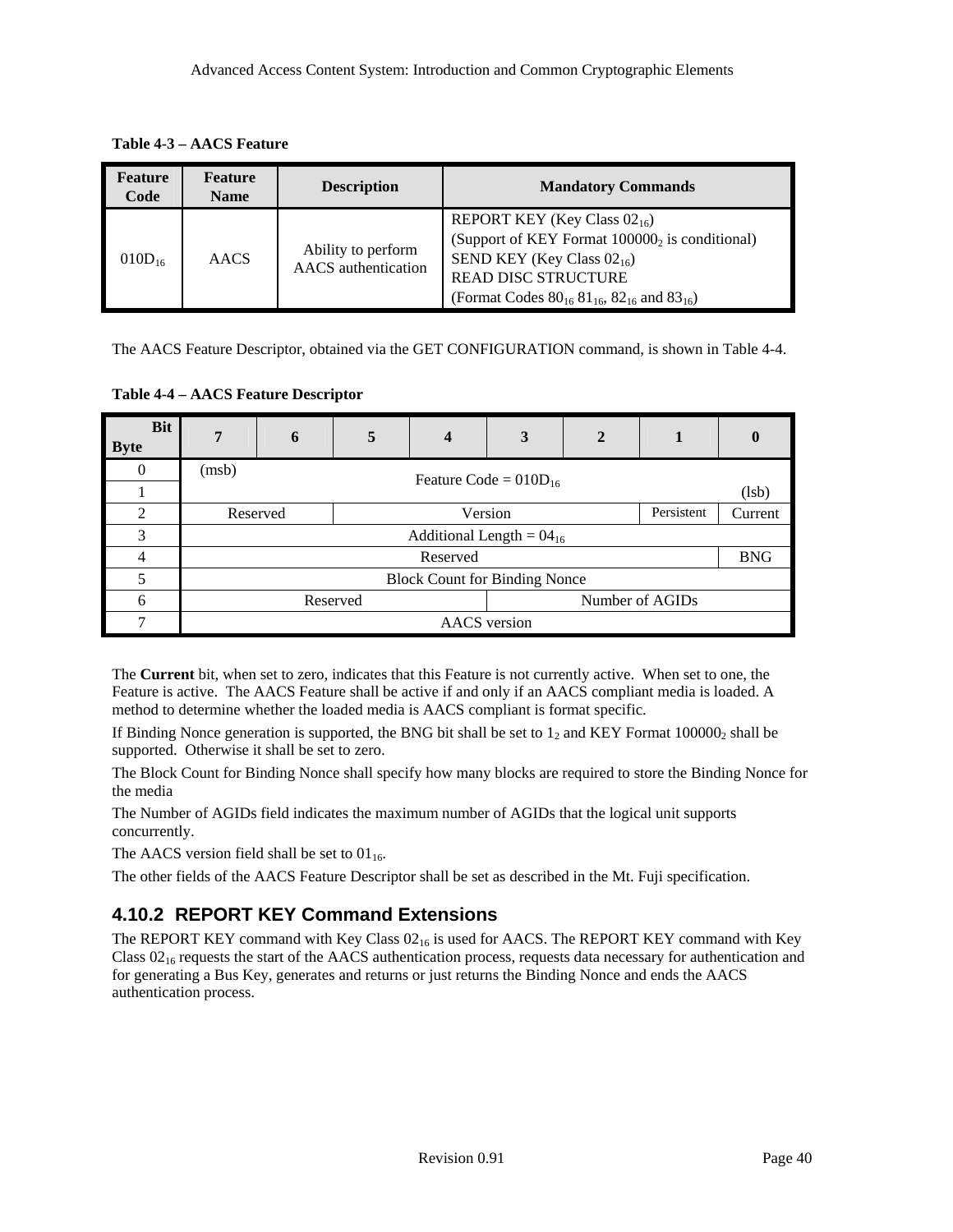**Table 4-3 – AACS Feature** 

| <b>Feature</b><br>Code | Feature<br><b>Name</b> | <b>Description</b>                               | <b>Mandatory Commands</b>                                                                                                                                                                                                 |
|------------------------|------------------------|--------------------------------------------------|---------------------------------------------------------------------------------------------------------------------------------------------------------------------------------------------------------------------------|
| $010D_{16}$            | AACS                   | Ability to perform<br><b>AACS</b> authentication | REPORT KEY (Key Class $02_{16}$ )<br>(Support of KEY Format $1000002$ is conditional)<br>SEND KEY (Key Class $02_{16}$ )<br><b>READ DISC STRUCTURE</b><br>(Format Codes $80_{16}$ , $81_{16}$ , $82_{16}$ and $83_{16}$ ) |

The AACS Feature Descriptor, obtained via the GET CONFIGURATION command, is shown in Table 4-4.

| <b>Bit</b><br><b>Byte</b> | 7                                    | 6                           | 5 | 4                             | 3            | $\mathbf 2$ |            |         |  |  |  |
|---------------------------|--------------------------------------|-----------------------------|---|-------------------------------|--------------|-------------|------------|---------|--|--|--|
|                           | (msb)                                | Feature Code = $010D_{16}$  |   |                               |              |             |            |         |  |  |  |
|                           |                                      |                             |   |                               |              |             |            | (lsb)   |  |  |  |
| $\mathfrak{D}$            |                                      | Reserved                    |   |                               | Version      |             | Persistent | Current |  |  |  |
| 3                         |                                      |                             |   | Additional Length = $04_{16}$ |              |             |            |         |  |  |  |
|                           | Reserved                             |                             |   |                               |              |             |            |         |  |  |  |
|                           | <b>Block Count for Binding Nonce</b> |                             |   |                               |              |             |            |         |  |  |  |
| 6                         |                                      | Number of AGIDs<br>Reserved |   |                               |              |             |            |         |  |  |  |
| 7                         |                                      |                             |   |                               | AACS version |             |            |         |  |  |  |

**Table 4-4 – AACS Feature Descriptor** 

The **Current** bit, when set to zero, indicates that this Feature is not currently active. When set to one, the Feature is active. The AACS Feature shall be active if and only if an AACS compliant media is loaded. A method to determine whether the loaded media is AACS compliant is format specific.

If Binding Nonce generation is supported, the BNG bit shall be set to  $1<sub>2</sub>$  and KEY Format 100000<sub>2</sub> shall be supported. Otherwise it shall be set to zero.

The Block Count for Binding Nonce shall specify how many blocks are required to store the Binding Nonce for the media

The Number of AGIDs field indicates the maximum number of AGIDs that the logical unit supports concurrently.

The AACS version field shall be set to  $01_{16}$ .

The other fields of the AACS Feature Descriptor shall be set as described in the Mt. Fuji specification.

## **4.10.2 REPORT KEY Command Extensions**

The REPORT KEY command with Key Class  $02_{16}$  is used for AACS. The REPORT KEY command with Key Class  $02_{16}$  requests the start of the AACS authentication process, requests data necessary for authentication and for generating a Bus Key, generates and returns or just returns the Binding Nonce and ends the AACS authentication process.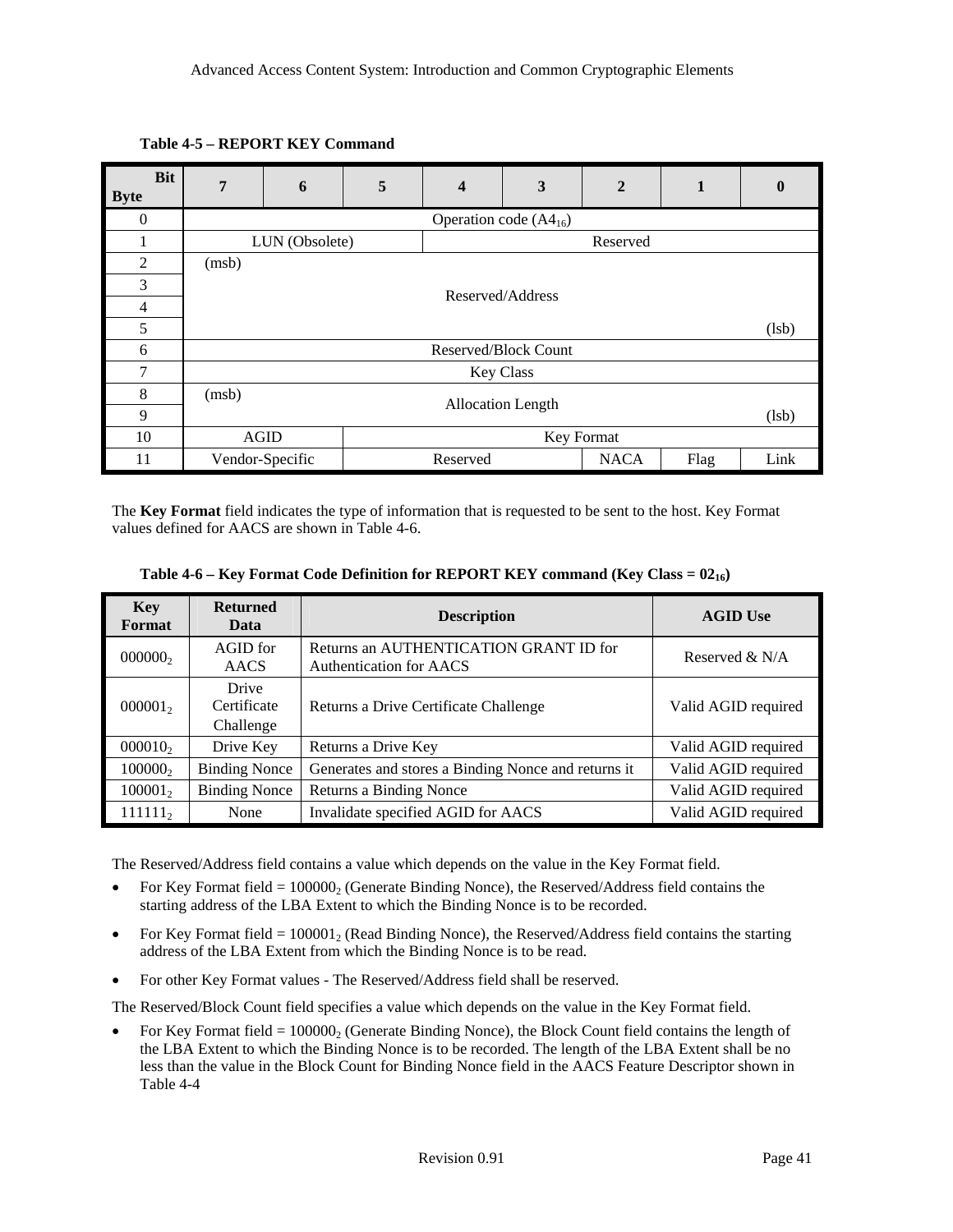| <b>Bit</b><br><b>Byte</b> | 7     | 6                                 | 5 | $\overline{\mathbf{4}}$ | 3                    | $\overline{2}$ | 1    | $\mathbf{0}$ |  |  |  |  |  |
|---------------------------|-------|-----------------------------------|---|-------------------------|----------------------|----------------|------|--------------|--|--|--|--|--|
| $\theta$                  |       | Operation code $(A4_{16})$        |   |                         |                      |                |      |              |  |  |  |  |  |
|                           |       | LUN (Obsolete)<br>Reserved        |   |                         |                      |                |      |              |  |  |  |  |  |
| $\overline{2}$            | (msb) |                                   |   |                         |                      |                |      |              |  |  |  |  |  |
| 3                         |       | Reserved/Address<br>(lsb)         |   |                         |                      |                |      |              |  |  |  |  |  |
| 4                         |       |                                   |   |                         |                      |                |      |              |  |  |  |  |  |
| 5                         |       |                                   |   |                         |                      |                |      |              |  |  |  |  |  |
| 6                         |       |                                   |   |                         | Reserved/Block Count |                |      |              |  |  |  |  |  |
| 7                         |       |                                   |   |                         | <b>Key Class</b>     |                |      |              |  |  |  |  |  |
| 8                         | (msb) |                                   |   |                         |                      |                |      |              |  |  |  |  |  |
| 9                         |       | <b>Allocation Length</b><br>(lsb) |   |                         |                      |                |      |              |  |  |  |  |  |
| 10                        |       | <b>AGID</b><br>Key Format         |   |                         |                      |                |      |              |  |  |  |  |  |
| 11                        |       | Vendor-Specific                   |   | Reserved                |                      | <b>NACA</b>    | Flag | Link         |  |  |  |  |  |

**Table 4-5 – REPORT KEY Command** 

The **Key Format** field indicates the type of information that is requested to be sent to the host. Key Format values defined for AACS are shown in Table 4-6.

| <b>Key</b><br>Format | <b>Returned</b><br>Data           | <b>Description</b>                                                       | <b>AGID Use</b>     |
|----------------------|-----------------------------------|--------------------------------------------------------------------------|---------------------|
| 000000 <sub>2</sub>  | AGID for<br>AACS                  | Returns an AUTHENTICATION GRANT ID for<br><b>Authentication for AACS</b> | Reserved $& N/A$    |
| $000001_2$           | Drive<br>Certificate<br>Challenge | Returns a Drive Certificate Challenge                                    | Valid AGID required |
| $000010_2$           | Drive Key                         | Returns a Drive Key                                                      | Valid AGID required |
| $100000_2$           | <b>Binding Nonce</b>              | Generates and stores a Binding Nonce and returns it                      | Valid AGID required |
| $100001_2$           | <b>Binding Nonce</b>              | Returns a Binding Nonce                                                  | Valid AGID required |
| $111111_2$           | None                              | Invalidate specified AGID for AACS                                       | Valid AGID required |

**Table 4-6 – Key Format Code Definition for REPORT KEY command (Key Class = 0216)** 

The Reserved/Address field contains a value which depends on the value in the Key Format field.

- For Key Format field  $= 100000<sub>2</sub>$  (Generate Binding Nonce), the Reserved/Address field contains the starting address of the LBA Extent to which the Binding Nonce is to be recorded.
- For Key Format field  $= 100001<sub>2</sub>$  (Read Binding Nonce), the Reserved/Address field contains the starting address of the LBA Extent from which the Binding Nonce is to be read.
- For other Key Format values The Reserved/Address field shall be reserved.

The Reserved/Block Count field specifies a value which depends on the value in the Key Format field.

For Key Format field  $= 100000<sub>2</sub>$  (Generate Binding Nonce), the Block Count field contains the length of the LBA Extent to which the Binding Nonce is to be recorded. The length of the LBA Extent shall be no less than the value in the Block Count for Binding Nonce field in the AACS Feature Descriptor shown in Table 4-4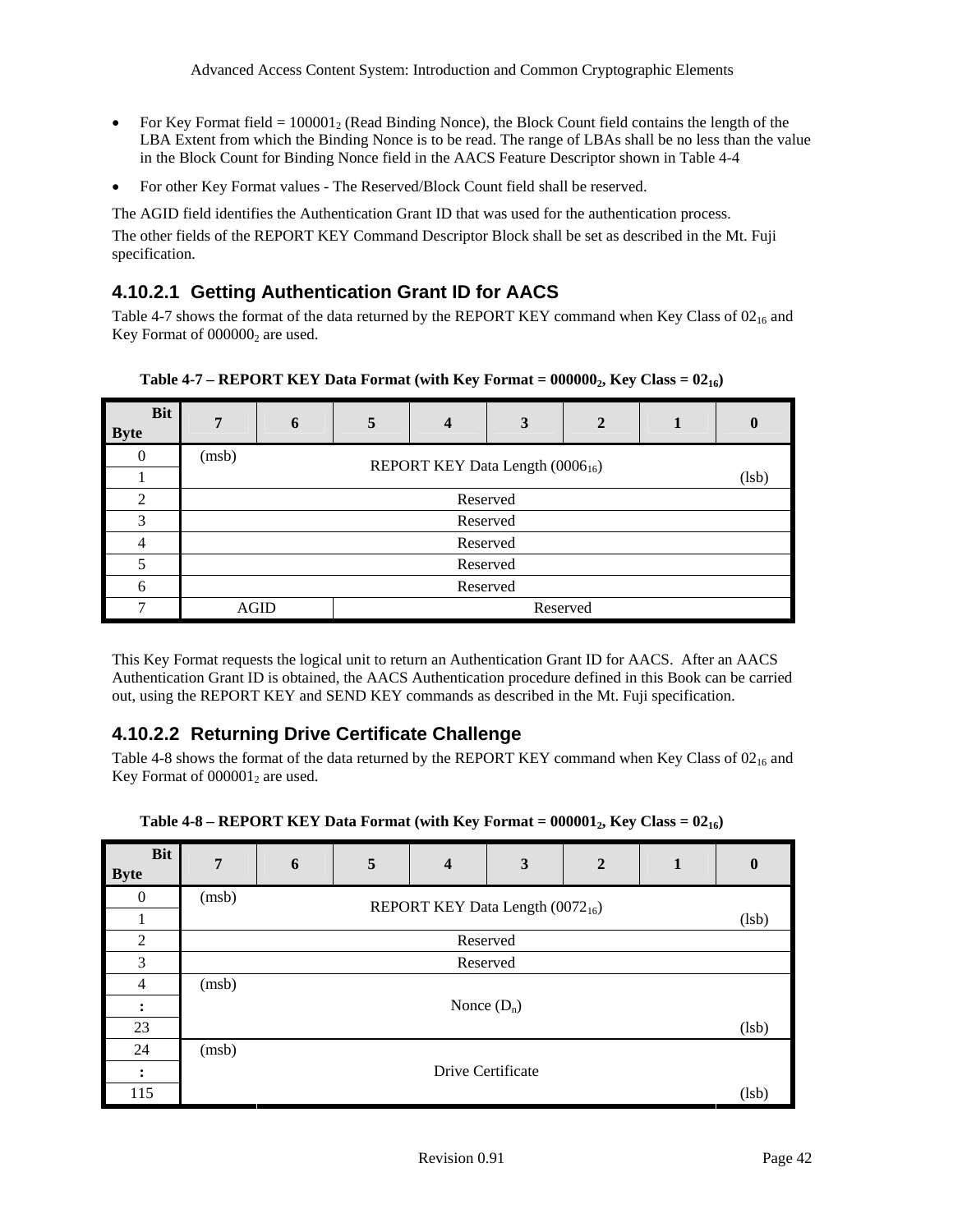- For Key Format field  $= 100001$ , (Read Binding Nonce), the Block Count field contains the length of the LBA Extent from which the Binding Nonce is to be read. The range of LBAs shall be no less than the value in the Block Count for Binding Nonce field in the AACS Feature Descriptor shown in Table 4-4
- For other Key Format values The Reserved/Block Count field shall be reserved.

The AGID field identifies the Authentication Grant ID that was used for the authentication process. The other fields of the REPORT KEY Command Descriptor Block shall be set as described in the Mt. Fuji specification.

#### **4.10.2.1 Getting Authentication Grant ID for AACS**

Table 4-7 shows the format of the data returned by the REPORT KEY command when Key Class of  $02_{16}$  and Key Format of  $000000<sub>2</sub>$  are used.

| <b>Bit</b><br><b>Byte</b> | 7           | 6                                            | 5 |          | 3        | $\mathbf{2}$ |  |       |  |  |  |
|---------------------------|-------------|----------------------------------------------|---|----------|----------|--------------|--|-------|--|--|--|
| 0                         | (msb)       | REPORT KEY Data Length (0006 <sub>16</sub> ) |   |          |          |              |  |       |  |  |  |
|                           |             |                                              |   |          |          |              |  | (lsb) |  |  |  |
| 2                         |             | Reserved                                     |   |          |          |              |  |       |  |  |  |
| 3                         |             |                                              |   | Reserved |          |              |  |       |  |  |  |
|                           |             |                                              |   | Reserved |          |              |  |       |  |  |  |
|                           |             | Reserved                                     |   |          |          |              |  |       |  |  |  |
| 6                         |             | Reserved                                     |   |          |          |              |  |       |  |  |  |
| ⇁                         | <b>AGID</b> |                                              |   |          | Reserved |              |  |       |  |  |  |

**Table 4-7 – REPORT KEY Data Format (with Key Format = 0000002, Key Class = 0216)** 

This Key Format requests the logical unit to return an Authentication Grant ID for AACS. After an AACS Authentication Grant ID is obtained, the AACS Authentication procedure defined in this Book can be carried out, using the REPORT KEY and SEND KEY commands as described in the Mt. Fuji specification.

#### **4.10.2.2 Returning Drive Certificate Challenge**

Table 4-8 shows the format of the data returned by the REPORT KEY command when Key Class of  $02_{16}$  and Key Format of  $000001_2$  are used.

| <b>Bit</b><br><b>Byte</b> | 7     | 6             | 5 | 4                                            | 3 | $\overline{2}$ | 1 | $\bf{0}$ |  |  |  |
|---------------------------|-------|---------------|---|----------------------------------------------|---|----------------|---|----------|--|--|--|
| $\theta$                  | (msb) |               |   | REPORT KEY Data Length (0072 <sub>16</sub> ) |   |                |   |          |  |  |  |
|                           |       |               |   |                                              |   |                |   | (lsb)    |  |  |  |
| 2                         |       |               |   | Reserved                                     |   |                |   |          |  |  |  |
| 3                         |       |               |   | Reserved                                     |   |                |   |          |  |  |  |
| 4                         | (msb) |               |   |                                              |   |                |   |          |  |  |  |
| $\bullet$                 |       | Nonce $(D_n)$ |   |                                              |   |                |   |          |  |  |  |
| 23                        |       |               |   |                                              |   |                |   | (lsb)    |  |  |  |
| 24                        | (msb) |               |   |                                              |   |                |   |          |  |  |  |
|                           |       |               |   | Drive Certificate                            |   |                |   |          |  |  |  |
| 115                       |       |               |   |                                              |   |                |   | (lsb)    |  |  |  |

**Table 4-8 – REPORT KEY Data Format (with Key Format = 0000012, Key Class = 0216)**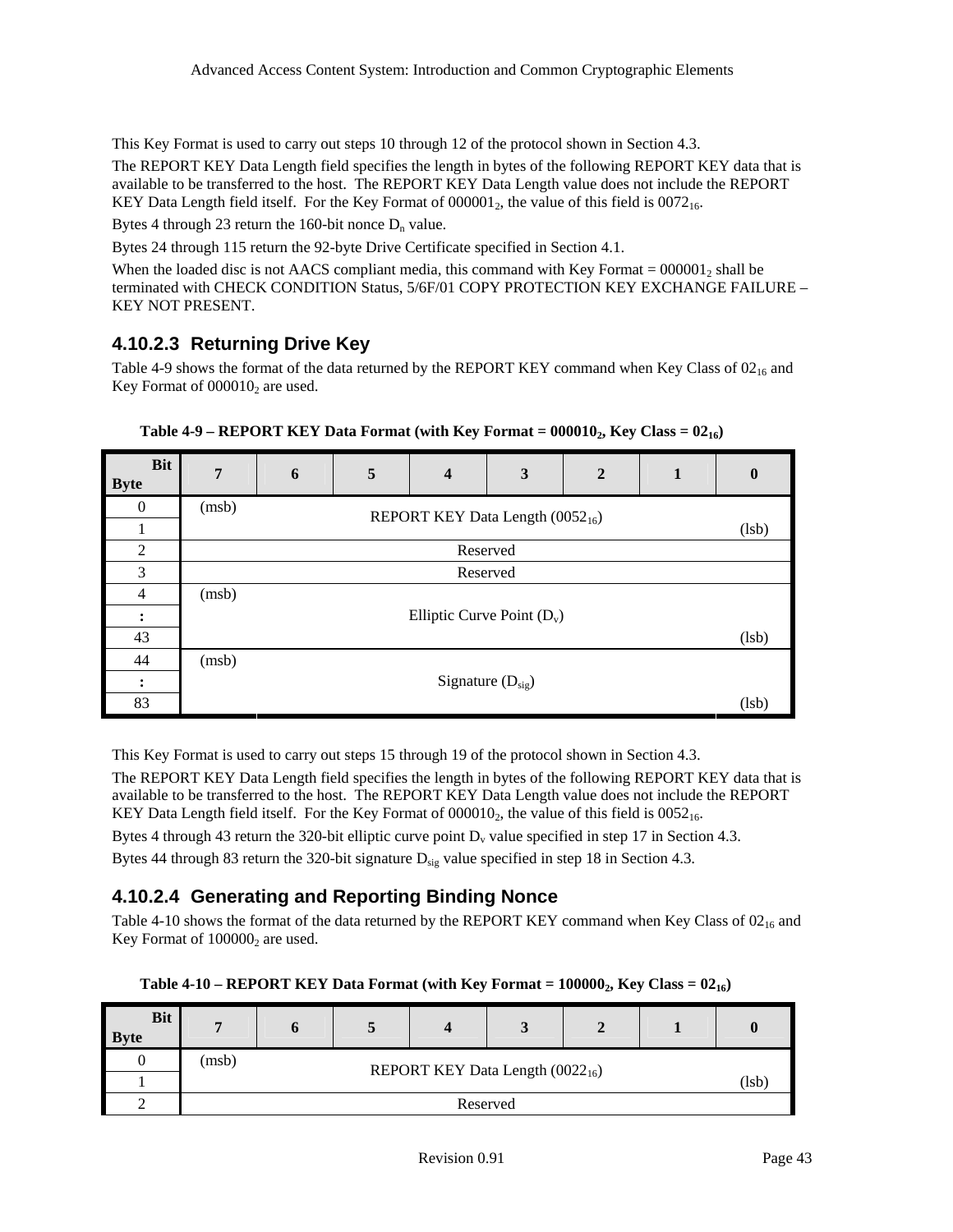This Key Format is used to carry out steps 10 through 12 of the protocol shown in Section 4.3.

The REPORT KEY Data Length field specifies the length in bytes of the following REPORT KEY data that is available to be transferred to the host. The REPORT KEY Data Length value does not include the REPORT KEY Data Length field itself. For the Key Format of 000001<sub>2</sub>, the value of this field is 0072<sub>16</sub>.

Bytes 4 through 23 return the 160-bit nonce  $D_n$  value.

Bytes 24 through 115 return the 92-byte Drive Certificate specified in Section 4.1.

When the loaded disc is not AACS compliant media, this command with Key Format  $= 000001_2$  shall be terminated with CHECK CONDITION Status, 5/6F/01 COPY PROTECTION KEY EXCHANGE FAILURE – KEY NOT PRESENT.

#### **4.10.2.3 Returning Drive Key**

Table 4-9 shows the format of the data returned by the REPORT KEY command when Key Class of  $02_{16}$  and Key Format of  $000010<sub>2</sub>$  are used.

| <b>Bit</b><br><b>Byte</b> | 7     | 6 | 5 | 4                                            | 3 | $\overline{2}$ | 1 | $\mathbf 0$ |
|---------------------------|-------|---|---|----------------------------------------------|---|----------------|---|-------------|
| $\theta$                  | (msb) |   |   | REPORT KEY Data Length (0052 <sub>16</sub> ) |   |                |   |             |
|                           |       |   |   |                                              |   |                |   | (lsb)       |
| 2                         |       |   |   | Reserved                                     |   |                |   |             |
| 3                         |       |   |   | Reserved                                     |   |                |   |             |
| $\overline{4}$            | (msb) |   |   |                                              |   |                |   |             |
|                           |       |   |   | Elliptic Curve Point $(D_v)$                 |   |                |   |             |
| 43                        |       |   |   |                                              |   |                |   | (lsb)       |
| 44                        | (msb) |   |   |                                              |   |                |   |             |
| :                         |       |   |   | Signature $(D_{sig})$                        |   |                |   |             |
| 83                        |       |   |   |                                              |   |                |   | (lsb)       |

**Table 4-9 – REPORT KEY Data Format (with Key Format =**  $000010_2$ **, Key Class =**  $02_{16}$ **)** 

This Key Format is used to carry out steps 15 through 19 of the protocol shown in Section 4.3.

The REPORT KEY Data Length field specifies the length in bytes of the following REPORT KEY data that is available to be transferred to the host. The REPORT KEY Data Length value does not include the REPORT KEY Data Length field itself. For the Key Format of  $000010<sub>2</sub>$ , the value of this field is  $0052<sub>16</sub>$ .

Bytes 4 through 43 return the 320-bit elliptic curve point  $D_v$  value specified in step 17 in Section 4.3.

Bytes 44 through 83 return the 320-bit signature  $D_{sig}$  value specified in step 18 in Section 4.3.

#### **4.10.2.4 Generating and Reporting Binding Nonce**

Table 4-10 shows the format of the data returned by the REPORT KEY command when Key Class of  $02_{16}$  and Key Format of  $100000<sub>2</sub>$  are used.

| Table 4-10 – REPORT KEY Data Format (with Key Format = $100000_2$ , Key Class = $02_{16}$ ) |  |  |
|---------------------------------------------------------------------------------------------|--|--|
|---------------------------------------------------------------------------------------------|--|--|

| <b>Bit</b><br><b>Byte</b> |       | o                                                    |  |          |  |  |  |  |
|---------------------------|-------|------------------------------------------------------|--|----------|--|--|--|--|
|                           | (msb) |                                                      |  |          |  |  |  |  |
|                           |       | REPORT KEY Data Length (0022 <sub>16</sub> )<br>(lsb |  |          |  |  |  |  |
|                           |       |                                                      |  | Reserved |  |  |  |  |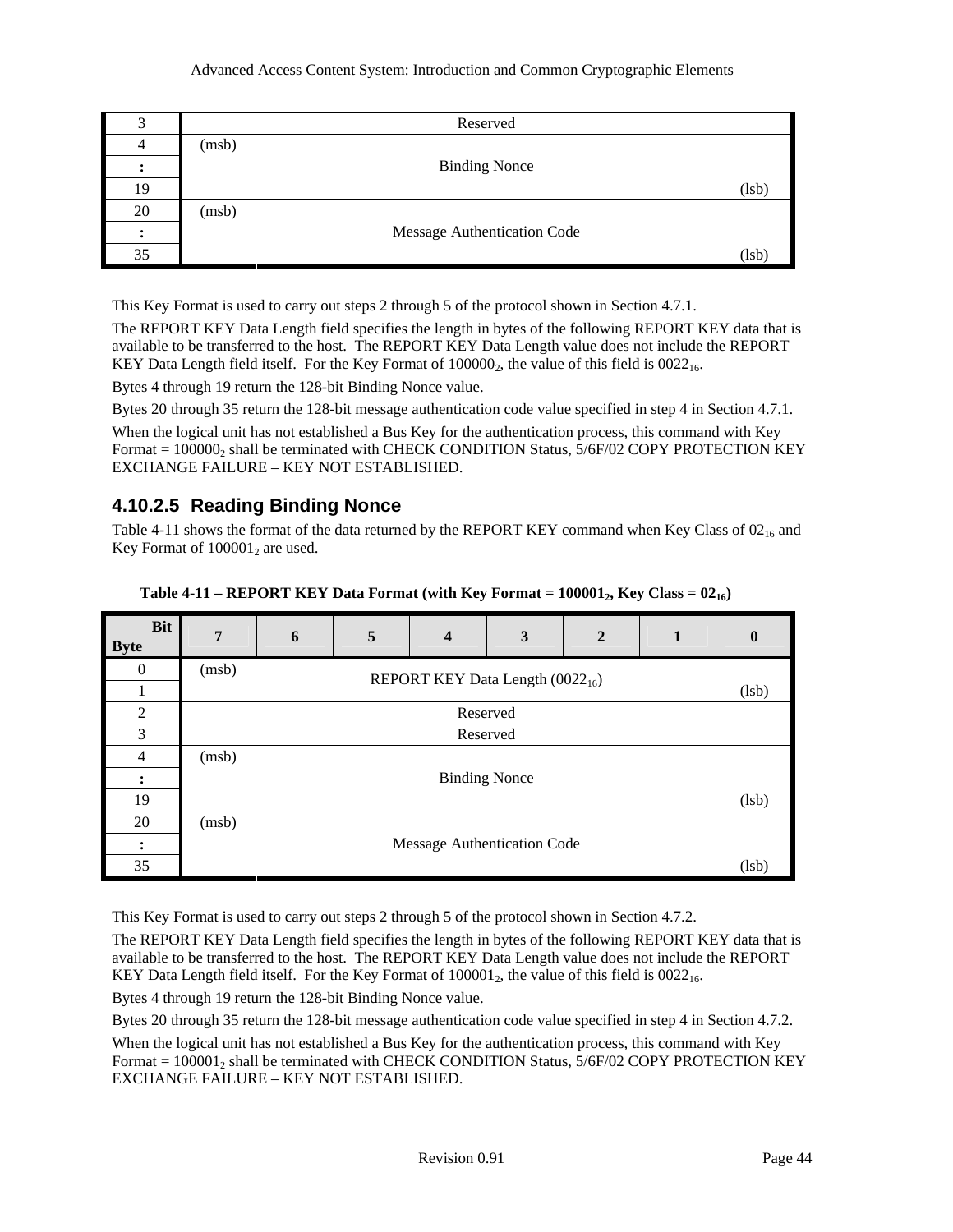| 3  |       | Reserved                    |       |
|----|-------|-----------------------------|-------|
| 4  | (msb) |                             |       |
|    |       | <b>Binding Nonce</b>        |       |
| 19 |       |                             | (lsb) |
| 20 | (msb) |                             |       |
|    |       | Message Authentication Code |       |
| 35 |       |                             | (lsb) |

This Key Format is used to carry out steps 2 through 5 of the protocol shown in Section 4.7.1.

The REPORT KEY Data Length field specifies the length in bytes of the following REPORT KEY data that is available to be transferred to the host. The REPORT KEY Data Length value does not include the REPORT KEY Data Length field itself. For the Key Format of  $100000<sub>2</sub>$ , the value of this field is  $0022<sub>16</sub>$ .

Bytes 4 through 19 return the 128-bit Binding Nonce value.

Bytes 20 through 35 return the 128-bit message authentication code value specified in step 4 in Section 4.7.1.

When the logical unit has not established a Bus Key for the authentication process, this command with Key Format = 100000<sub>2</sub> shall be terminated with CHECK CONDITION Status, 5/6F/02 COPY PROTECTION KEY EXCHANGE FAILURE – KEY NOT ESTABLISHED.

#### **4.10.2.5 Reading Binding Nonce**

Table 4-11 shows the format of the data returned by the REPORT KEY command when Key Class of  $02_{16}$  and Key Format of  $100001_2$  are used.

| <b>Bit</b><br><b>Byte</b> | 7     | 6 | 5 | $\overline{\mathbf{4}}$                      | 3 | $\overline{2}$ | $\boldsymbol{0}$ |
|---------------------------|-------|---|---|----------------------------------------------|---|----------------|------------------|
| $\mathbf{0}$              | (msb) |   |   | REPORT KEY Data Length (0022 <sub>16</sub> ) |   |                |                  |
|                           |       |   |   |                                              |   |                | (lsb)            |
| 2                         |       |   |   | Reserved                                     |   |                |                  |
| 3                         |       |   |   | Reserved                                     |   |                |                  |
| $\overline{4}$            | (msb) |   |   |                                              |   |                |                  |
| $\bullet$                 |       |   |   | <b>Binding Nonce</b>                         |   |                |                  |
| 19                        |       |   |   |                                              |   |                | (lsb)            |
| 20                        | (msb) |   |   |                                              |   |                |                  |
| $\ddot{\cdot}$            |       |   |   | Message Authentication Code                  |   |                |                  |
| 35                        |       |   |   |                                              |   |                | (lsb)            |

**Table 4-11 – REPORT KEY Data Format (with Key Format = 1000012, Key Class = 0216)** 

This Key Format is used to carry out steps 2 through 5 of the protocol shown in Section 4.7.2.

The REPORT KEY Data Length field specifies the length in bytes of the following REPORT KEY data that is available to be transferred to the host. The REPORT KEY Data Length value does not include the REPORT KEY Data Length field itself. For the Key Format of  $100001_2$ , the value of this field is  $0022_{16}$ .

Bytes 4 through 19 return the 128-bit Binding Nonce value.

Bytes 20 through 35 return the 128-bit message authentication code value specified in step 4 in Section 4.7.2.

When the logical unit has not established a Bus Key for the authentication process, this command with Key Format = 100001<sub>2</sub> shall be terminated with CHECK CONDITION Status, 5/6F/02 COPY PROTECTION KEY EXCHANGE FAILURE – KEY NOT ESTABLISHED.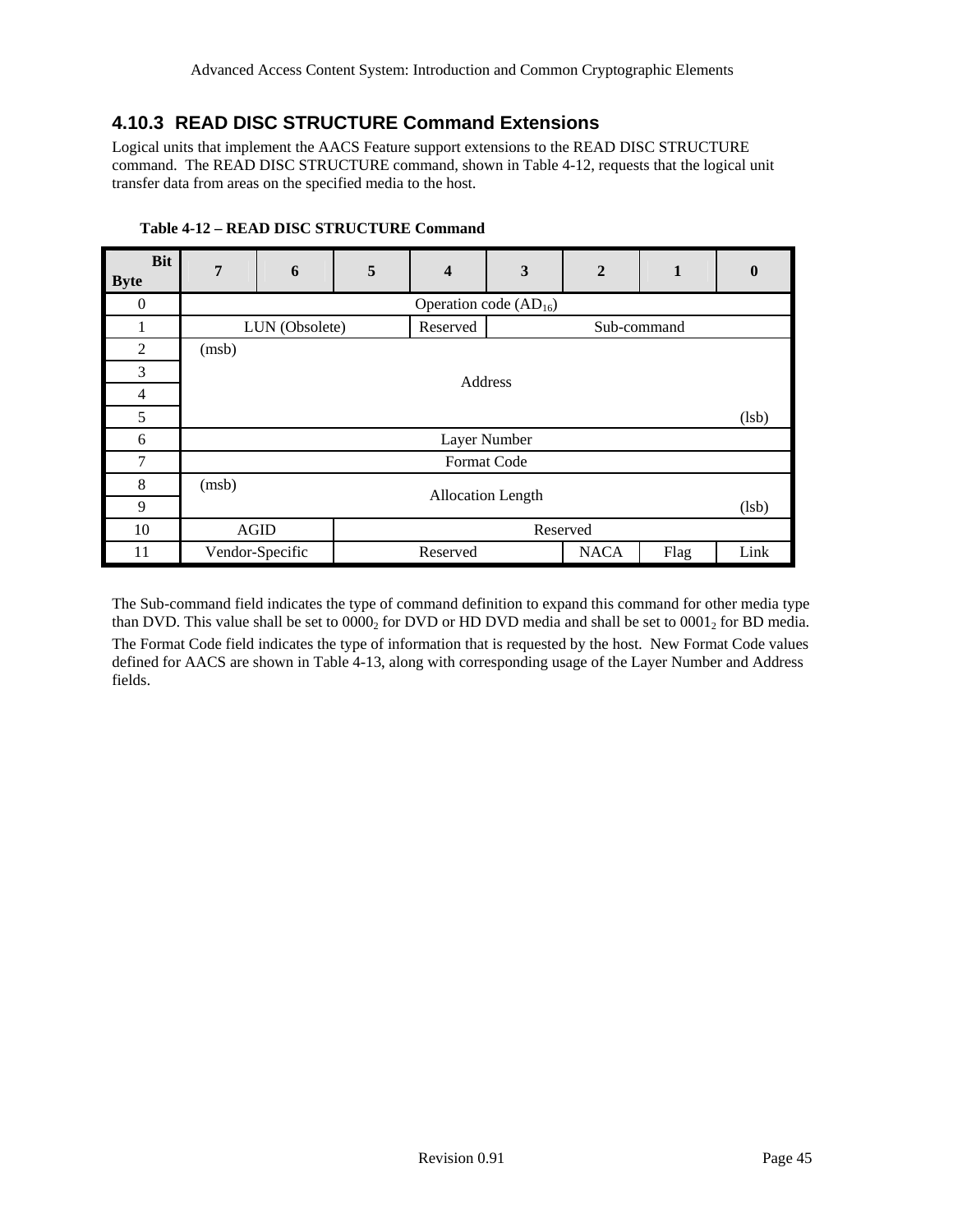#### **4.10.3 READ DISC STRUCTURE Command Extensions**

Logical units that implement the AACS Feature support extensions to the READ DISC STRUCTURE command. The READ DISC STRUCTURE command, shown in Table 4-12, requests that the logical unit transfer data from areas on the specified media to the host.

| <b>Bit</b><br><b>Byte</b> | 7           | 6               | 5                                 | $\overline{\mathbf{4}}$    | 3 | $\overline{2}$ | $\mathbf{1}$ | $\mathbf{0}$ |
|---------------------------|-------------|-----------------|-----------------------------------|----------------------------|---|----------------|--------------|--------------|
| $\mathbf{0}$              |             |                 |                                   | Operation code $(AD_{16})$ |   |                |              |              |
|                           |             | LUN (Obsolete)  |                                   | Reserved                   |   |                | Sub-command  |              |
| 2                         | (msb)       |                 |                                   |                            |   |                |              |              |
| 3                         |             |                 |                                   | Address                    |   |                |              |              |
| 4                         |             |                 |                                   |                            |   |                |              |              |
| 5                         |             |                 |                                   |                            |   |                |              | (lsb)        |
| 6                         |             |                 |                                   | Layer Number               |   |                |              |              |
| $\tau$                    |             |                 |                                   | Format Code                |   |                |              |              |
| 8                         | (msb)       |                 |                                   |                            |   |                |              |              |
| 9                         |             |                 | <b>Allocation Length</b><br>(lsb) |                            |   |                |              |              |
| 10                        | <b>AGID</b> |                 | Reserved                          |                            |   |                |              |              |
| 11                        |             | Vendor-Specific |                                   | Reserved                   |   | <b>NACA</b>    | Flag         | Link         |

**Table 4-12 – READ DISC STRUCTURE Command** 

The Sub-command field indicates the type of command definition to expand this command for other media type than DVD. This value shall be set to  $0000<sub>2</sub>$  for DVD or HD DVD media and shall be set to  $0001<sub>2</sub>$  for BD media.

The Format Code field indicates the type of information that is requested by the host. New Format Code values defined for AACS are shown in Table 4-13, along with corresponding usage of the Layer Number and Address fields.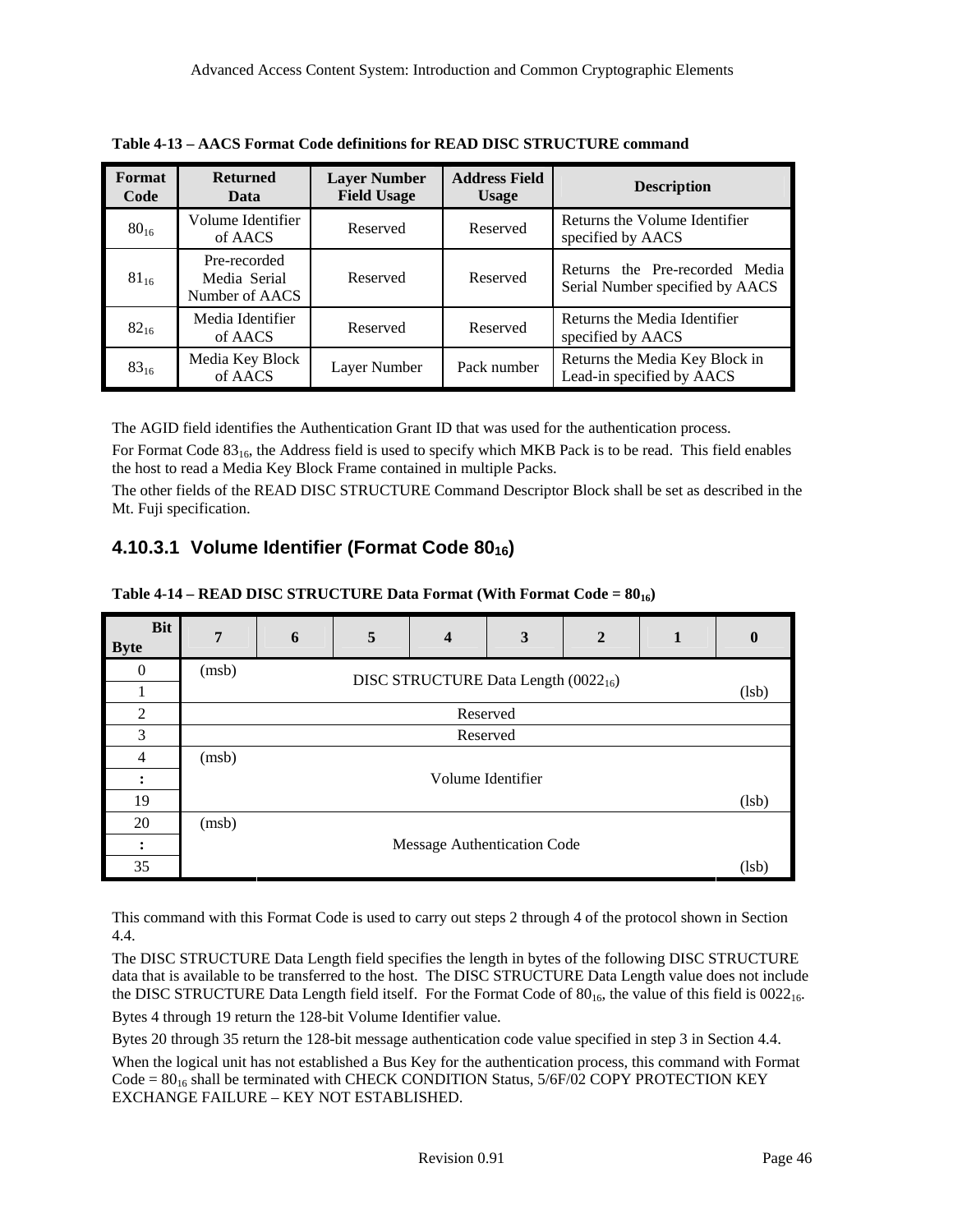| Format<br>Code | <b>Returned</b><br>Data                        | <b>Layer Number</b><br><b>Field Usage</b> | <b>Address Field</b><br><b>Usage</b> | <b>Description</b>                                                |
|----------------|------------------------------------------------|-------------------------------------------|--------------------------------------|-------------------------------------------------------------------|
| $80_{16}$      | Volume Identifier<br>of AACS                   | Reserved                                  | Reserved                             | Returns the Volume Identifier<br>specified by AACS                |
| $81_{16}$      | Pre-recorded<br>Media Serial<br>Number of AACS | Reserved                                  | Reserved                             | Returns the Pre-recorded Media<br>Serial Number specified by AACS |
| $82_{16}$      | Media Identifier<br>of AACS                    | Reserved                                  | Reserved                             | Returns the Media Identifier<br>specified by AACS                 |
| $83_{16}$      | Media Key Block<br>of AACS                     | Layer Number                              | Pack number                          | Returns the Media Key Block in<br>Lead-in specified by AACS       |

**Table 4-13 – AACS Format Code definitions for READ DISC STRUCTURE command** 

The AGID field identifies the Authentication Grant ID that was used for the authentication process.

For Format Code 83<sub>16</sub>, the Address field is used to specify which MKB Pack is to be read. This field enables the host to read a Media Key Block Frame contained in multiple Packs.

The other fields of the READ DISC STRUCTURE Command Descriptor Block shall be set as described in the Mt. Fuji specification.

## **4.10.3.1 Volume Identifier (Format Code 8016)**

| <b>Bit</b><br><b>Byte</b> | 7     | 6 | 5 | $\overline{\mathbf{4}}$                          | 3                 | $\overline{2}$ | 1 | $\boldsymbol{0}$ |
|---------------------------|-------|---|---|--------------------------------------------------|-------------------|----------------|---|------------------|
| $\Omega$                  | (msb) |   |   | DISC STRUCTURE Data Length (0022 <sub>16</sub> ) |                   |                |   |                  |
| 1                         |       |   |   |                                                  |                   |                |   | (lsb)            |
| 2                         |       |   |   | Reserved                                         |                   |                |   |                  |
| 3                         |       |   |   | Reserved                                         |                   |                |   |                  |
| 4                         | (msb) |   |   |                                                  |                   |                |   |                  |
| ፡                         |       |   |   |                                                  | Volume Identifier |                |   |                  |
| 19                        |       |   |   |                                                  |                   |                |   | (lsb)            |
| 20                        | (msb) |   |   |                                                  |                   |                |   |                  |
| ٠<br>$\bullet$            |       |   |   | Message Authentication Code                      |                   |                |   |                  |
| 35                        |       |   |   |                                                  |                   |                |   | (lsb)            |

**Table 4-14 – READ DISC STRUCTURE Data Format (With Format Code = 8016)** 

This command with this Format Code is used to carry out steps 2 through 4 of the protocol shown in Section 4.4.

The DISC STRUCTURE Data Length field specifies the length in bytes of the following DISC STRUCTURE data that is available to be transferred to the host. The DISC STRUCTURE Data Length value does not include the DISC STRUCTURE Data Length field itself. For the Format Code of  $80_{16}$ , the value of this field is 0022<sub>16</sub>.

Bytes 4 through 19 return the 128-bit Volume Identifier value.

Bytes 20 through 35 return the 128-bit message authentication code value specified in step 3 in Section 4.4.

When the logical unit has not established a Bus Key for the authentication process, this command with Format Code =  $80_{16}$  shall be terminated with CHECK CONDITION Status, 5/6F/02 COPY PROTECTION KEY EXCHANGE FAILURE – KEY NOT ESTABLISHED.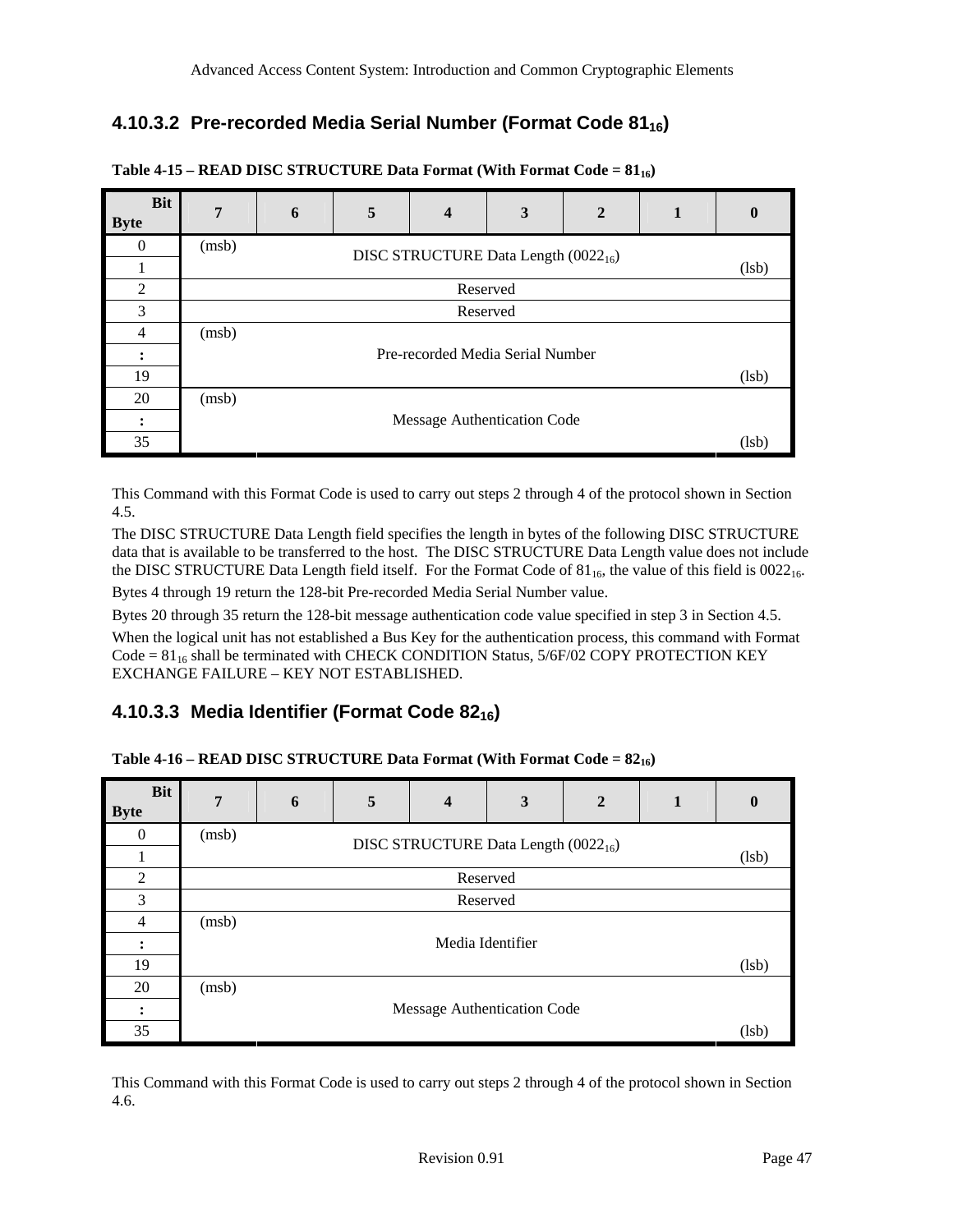## **4.10.3.2 Pre-recorded Media Serial Number (Format Code 8116)**

| <b>Bit</b><br><b>Byte</b> | 7     | 6 | 5 | $\overline{\mathbf{4}}$                          | 3 | 2 | 1 | $\boldsymbol{0}$ |
|---------------------------|-------|---|---|--------------------------------------------------|---|---|---|------------------|
| $\Omega$                  | (msb) |   |   | DISC STRUCTURE Data Length (0022 <sub>16</sub> ) |   |   |   |                  |
|                           |       |   |   |                                                  |   |   |   | (lsb)            |
| 2                         |       |   |   | Reserved                                         |   |   |   |                  |
| 3                         |       |   |   | Reserved                                         |   |   |   |                  |
| $\overline{4}$            | (msb) |   |   |                                                  |   |   |   |                  |
|                           |       |   |   | Pre-recorded Media Serial Number                 |   |   |   |                  |
| 19                        |       |   |   |                                                  |   |   |   | (lsb)            |
| 20                        | (msb) |   |   |                                                  |   |   |   |                  |
|                           |       |   |   | Message Authentication Code                      |   |   |   |                  |
| 35                        |       |   |   |                                                  |   |   |   | (lsb)            |

**Table 4-15 – READ DISC STRUCTURE Data Format (With Format Code = 8116)** 

This Command with this Format Code is used to carry out steps 2 through 4 of the protocol shown in Section 4.5.

The DISC STRUCTURE Data Length field specifies the length in bytes of the following DISC STRUCTURE data that is available to be transferred to the host. The DISC STRUCTURE Data Length value does not include the DISC STRUCTURE Data Length field itself. For the Format Code of  $81_{16}$ , the value of this field is 0022<sub>16</sub>. Bytes 4 through 19 return the 128-bit Pre-recorded Media Serial Number value.

Bytes 20 through 35 return the 128-bit message authentication code value specified in step 3 in Section 4.5. When the logical unit has not established a Bus Key for the authentication process, this command with Format Code =  $81_{16}$  shall be terminated with CHECK CONDITION Status, 5/6F/02 COPY PROTECTION KEY EXCHANGE FAILURE – KEY NOT ESTABLISHED.

## **4.10.3.3 Media Identifier (Format Code 8216)**

| <b>Bit</b><br><b>Byte</b> | 7     | 6                           | 5 | $\overline{\mathbf{4}}$                          | 3 | $\overline{2}$ | 1 | $\boldsymbol{0}$ |
|---------------------------|-------|-----------------------------|---|--------------------------------------------------|---|----------------|---|------------------|
| $\mathbf{0}$              | (msb) |                             |   | DISC STRUCTURE Data Length (0022 <sub>16</sub> ) |   |                |   |                  |
|                           |       |                             |   |                                                  |   |                |   | (lsb)            |
| 2                         |       |                             |   | Reserved                                         |   |                |   |                  |
| 3                         |       |                             |   | Reserved                                         |   |                |   |                  |
| 4                         | (msb) |                             |   |                                                  |   |                |   |                  |
|                           |       |                             |   | Media Identifier                                 |   |                |   |                  |
| 19                        |       |                             |   |                                                  |   |                |   | (lsb)            |
| 20                        | (msb) |                             |   |                                                  |   |                |   |                  |
|                           |       | Message Authentication Code |   |                                                  |   |                |   |                  |
| 35                        |       |                             |   |                                                  |   |                |   | (lsb)            |

This Command with this Format Code is used to carry out steps 2 through 4 of the protocol shown in Section 4.6.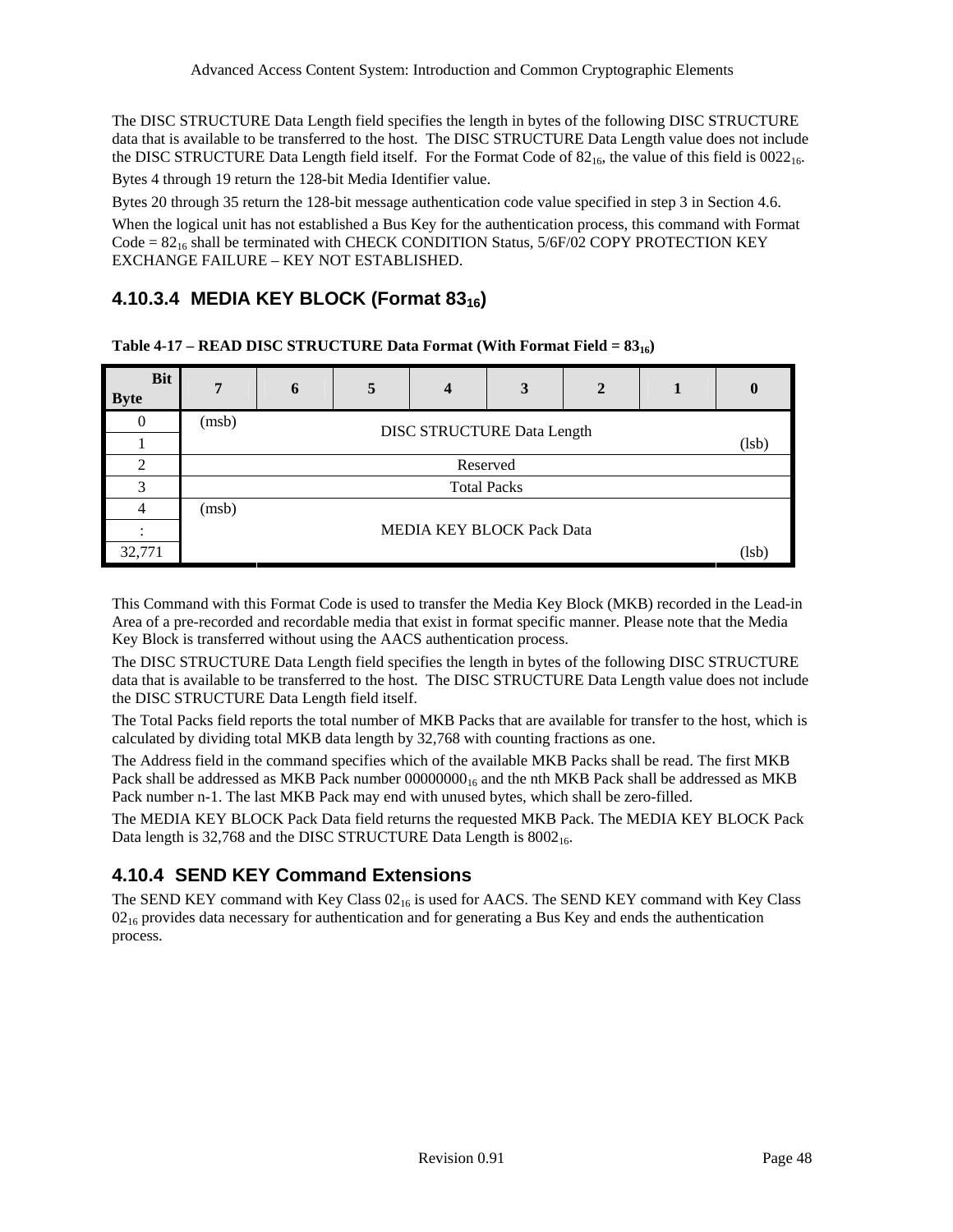The DISC STRUCTURE Data Length field specifies the length in bytes of the following DISC STRUCTURE data that is available to be transferred to the host. The DISC STRUCTURE Data Length value does not include the DISC STRUCTURE Data Length field itself. For the Format Code of  $82_{16}$ , the value of this field is 0022<sub>16</sub>.

Bytes 4 through 19 return the 128-bit Media Identifier value.

Bytes 20 through 35 return the 128-bit message authentication code value specified in step 3 in Section 4.6. When the logical unit has not established a Bus Key for the authentication process, this command with Format Code =  $82_{16}$  shall be terminated with CHECK CONDITION Status, 5/6F/02 COPY PROTECTION KEY EXCHANGE FAILURE – KEY NOT ESTABLISHED.

#### **4.10.3.4 MEDIA KEY BLOCK (Format 8316)**

| Table 4-17 – READ DISC STRUCTURE Data Format (With Format Field = $83_{16}$ ) |  |
|-------------------------------------------------------------------------------|--|
|-------------------------------------------------------------------------------|--|

| <b>Bit</b><br><b>Byte</b> | 7     | 6                                | 5 | $\overline{4}$                    | 3 | $\mathbf{2}$ |  |       |
|---------------------------|-------|----------------------------------|---|-----------------------------------|---|--------------|--|-------|
| 0                         | (msb) |                                  |   | <b>DISC STRUCTURE Data Length</b> |   |              |  |       |
|                           |       |                                  |   |                                   |   |              |  | (lsb) |
| $\mathfrak{D}$            |       | Reserved                         |   |                                   |   |              |  |       |
| 3                         |       | <b>Total Packs</b>               |   |                                   |   |              |  |       |
| 4                         | (msb) |                                  |   |                                   |   |              |  |       |
|                           |       | <b>MEDIA KEY BLOCK Pack Data</b> |   |                                   |   |              |  |       |
| 32,771                    |       |                                  |   |                                   |   |              |  | (lsb) |

This Command with this Format Code is used to transfer the Media Key Block (MKB) recorded in the Lead-in Area of a pre-recorded and recordable media that exist in format specific manner. Please note that the Media Key Block is transferred without using the AACS authentication process.

The DISC STRUCTURE Data Length field specifies the length in bytes of the following DISC STRUCTURE data that is available to be transferred to the host. The DISC STRUCTURE Data Length value does not include the DISC STRUCTURE Data Length field itself.

The Total Packs field reports the total number of MKB Packs that are available for transfer to the host, which is calculated by dividing total MKB data length by 32,768 with counting fractions as one.

The Address field in the command specifies which of the available MKB Packs shall be read. The first MKB Pack shall be addressed as MKB Pack number 00000000<sub>16</sub> and the nth MKB Pack shall be addressed as MKB Pack number n-1. The last MKB Pack may end with unused bytes, which shall be zero-filled.

The MEDIA KEY BLOCK Pack Data field returns the requested MKB Pack. The MEDIA KEY BLOCK Pack Data length is 32,768 and the DISC STRUCTURE Data Length is 8002<sub>16</sub>.

#### **4.10.4 SEND KEY Command Extensions**

The SEND KEY command with Key Class  $02_{16}$  is used for AACS. The SEND KEY command with Key Class  $02_{16}$  provides data necessary for authentication and for generating a Bus Key and ends the authentication process.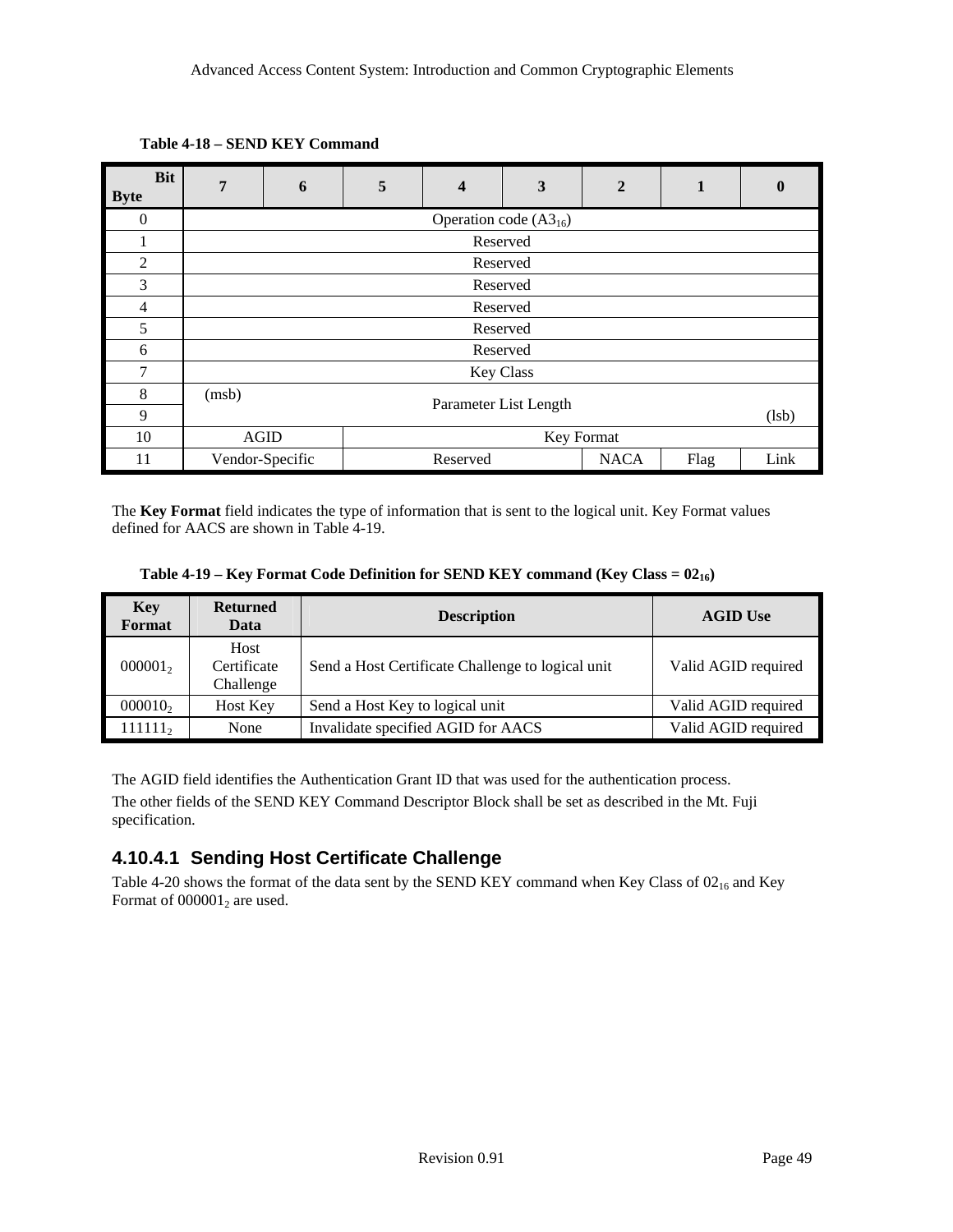| <b>Bit</b><br><b>Byte</b> | 7                              | 6               | 5                               | $\overline{\mathbf{4}}$ | 3                          | $\overline{2}$ | 1 | $\boldsymbol{0}$ |
|---------------------------|--------------------------------|-----------------|---------------------------------|-------------------------|----------------------------|----------------|---|------------------|
| $\theta$                  |                                |                 |                                 |                         | Operation code $(A3_{16})$ |                |   |                  |
|                           |                                |                 |                                 |                         | Reserved                   |                |   |                  |
| $\overline{2}$            |                                |                 |                                 |                         | Reserved                   |                |   |                  |
| 3                         |                                |                 |                                 |                         | Reserved                   |                |   |                  |
| $\overline{4}$            | Reserved                       |                 |                                 |                         |                            |                |   |                  |
| 5                         | Reserved                       |                 |                                 |                         |                            |                |   |                  |
| 6                         | Reserved                       |                 |                                 |                         |                            |                |   |                  |
| 7                         | Key Class                      |                 |                                 |                         |                            |                |   |                  |
| 8                         | (msb)<br>Parameter List Length |                 |                                 |                         |                            |                |   |                  |
| 9                         | (lsb)                          |                 |                                 |                         |                            |                |   |                  |
| 10                        |                                | <b>AGID</b>     | Key Format                      |                         |                            |                |   |                  |
| 11                        |                                | Vendor-Specific | <b>NACA</b><br>Flag<br>Reserved |                         |                            | Link           |   |                  |

**Table 4-18 – SEND KEY Command** 

The **Key Format** field indicates the type of information that is sent to the logical unit. Key Format values defined for AACS are shown in Table 4-19.

| Table 4-19 – Key Format Code Definition for SEND KEY command (Key Class = $02_{16}$ ) |
|---------------------------------------------------------------------------------------|
|---------------------------------------------------------------------------------------|

| <b>Key</b><br>Format | <b>Returned</b><br>Data          | <b>Description</b>                                | <b>AGID Use</b>     |  |
|----------------------|----------------------------------|---------------------------------------------------|---------------------|--|
| $000001_2$           | Host<br>Certificate<br>Challenge | Send a Host Certificate Challenge to logical unit | Valid AGID required |  |
| $000010_2$           | <b>Host Key</b>                  | Send a Host Key to logical unit                   | Valid AGID required |  |
| 111111 <sub>2</sub>  | None                             | Invalidate specified AGID for AACS                | Valid AGID required |  |

The AGID field identifies the Authentication Grant ID that was used for the authentication process.

The other fields of the SEND KEY Command Descriptor Block shall be set as described in the Mt. Fuji specification.

## **4.10.4.1 Sending Host Certificate Challenge**

Table 4-20 shows the format of the data sent by the SEND KEY command when Key Class of  $02_{16}$  and Key Format of  $000001_2$  are used.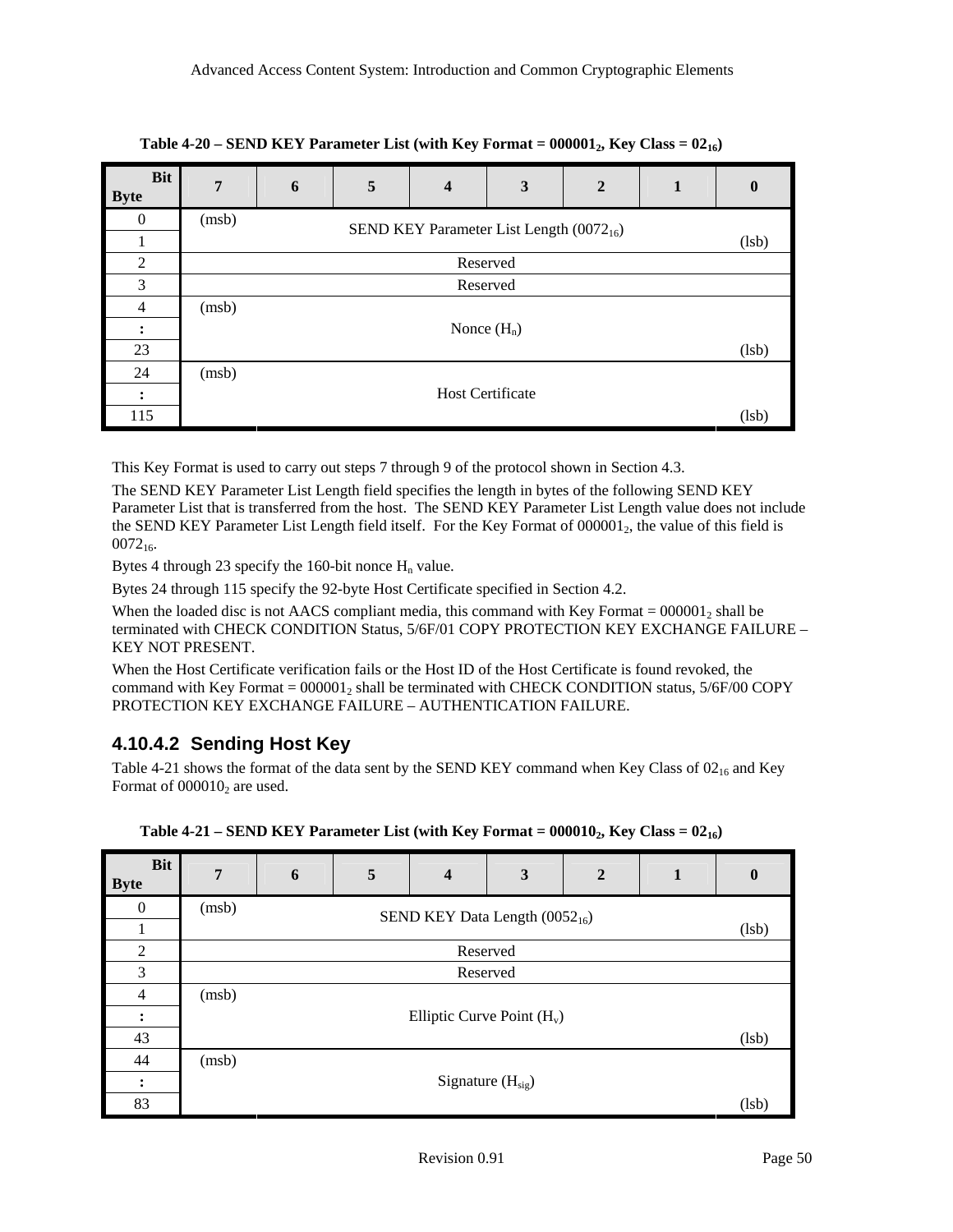| <b>Bit</b><br><b>Byte</b> | 7     | 6             | 5 | $\overline{\mathbf{4}}$                      | 3 | $\overline{2}$ | 1 | $\mathbf 0$ |
|---------------------------|-------|---------------|---|----------------------------------------------|---|----------------|---|-------------|
| $\Omega$                  | (msb) |               |   | SEND KEY Parameter List Length $(0072_{16})$ |   |                |   |             |
|                           |       |               |   |                                              |   |                |   | (lsb)       |
| $\overline{2}$            |       | Reserved      |   |                                              |   |                |   |             |
| 3                         |       | Reserved      |   |                                              |   |                |   |             |
| 4                         | (msb) |               |   |                                              |   |                |   |             |
|                           |       | Nonce $(H_n)$ |   |                                              |   |                |   |             |
| 23                        |       | (lsb)         |   |                                              |   |                |   |             |
| 24                        | (msb) |               |   |                                              |   |                |   |             |
|                           |       |               |   | <b>Host Certificate</b>                      |   |                |   |             |
| 115                       |       |               |   |                                              |   |                |   | (lsb)       |

Table 4-20 – SEND KEY Parameter List (with Key Format =  $000001_2$ , Key Class =  $02_{16}$ )

This Key Format is used to carry out steps 7 through 9 of the protocol shown in Section 4.3.

The SEND KEY Parameter List Length field specifies the length in bytes of the following SEND KEY Parameter List that is transferred from the host. The SEND KEY Parameter List Length value does not include the SEND KEY Parameter List Length field itself. For the Key Format of 0000012, the value of this field is  $0072_{16}$ .

Bytes 4 through 23 specify the 160-bit nonce  $H_n$  value.

Bytes 24 through 115 specify the 92-byte Host Certificate specified in Section 4.2.

When the loaded disc is not AACS compliant media, this command with Key Format  $= 000001_2$  shall be terminated with CHECK CONDITION Status, 5/6F/01 COPY PROTECTION KEY EXCHANGE FAILURE – KEY NOT PRESENT.

When the Host Certificate verification fails or the Host ID of the Host Certificate is found revoked, the command with Key Format =  $000001_2$  shall be terminated with CHECK CONDITION status, 5/6F/00 COPY PROTECTION KEY EXCHANGE FAILURE – AUTHENTICATION FAILURE.

## **4.10.4.2 Sending Host Key**

Table 4-21 shows the format of the data sent by the SEND KEY command when Key Class of  $02_{16}$  and Key Format of  $000010_2$  are used.

| <b>Bit</b><br><b>Byte</b> | 7     | 6                            | 5 | $\overline{\mathbf{4}}$            | 3 | $\boldsymbol{2}$ |  | $\boldsymbol{0}$ |
|---------------------------|-------|------------------------------|---|------------------------------------|---|------------------|--|------------------|
| $\boldsymbol{0}$          | (msb) |                              |   | SEND KEY Data Length $(0052_{16})$ |   |                  |  |                  |
|                           |       |                              |   |                                    |   |                  |  | (lsb)            |
| $\overline{c}$            |       |                              |   | Reserved                           |   |                  |  |                  |
| 3                         |       | Reserved                     |   |                                    |   |                  |  |                  |
| $\overline{4}$            | (msb) |                              |   |                                    |   |                  |  |                  |
| $\ddot{\cdot}$            |       | Elliptic Curve Point $(H_v)$ |   |                                    |   |                  |  |                  |
| 43                        |       |                              |   |                                    |   |                  |  | (lsb)            |
| 44                        | (msb) |                              |   |                                    |   |                  |  |                  |
| $\ddot{\cdot}$            |       | Signature $(H_{sig})$        |   |                                    |   |                  |  |                  |
| 83                        |       |                              |   |                                    |   |                  |  | (lsb)            |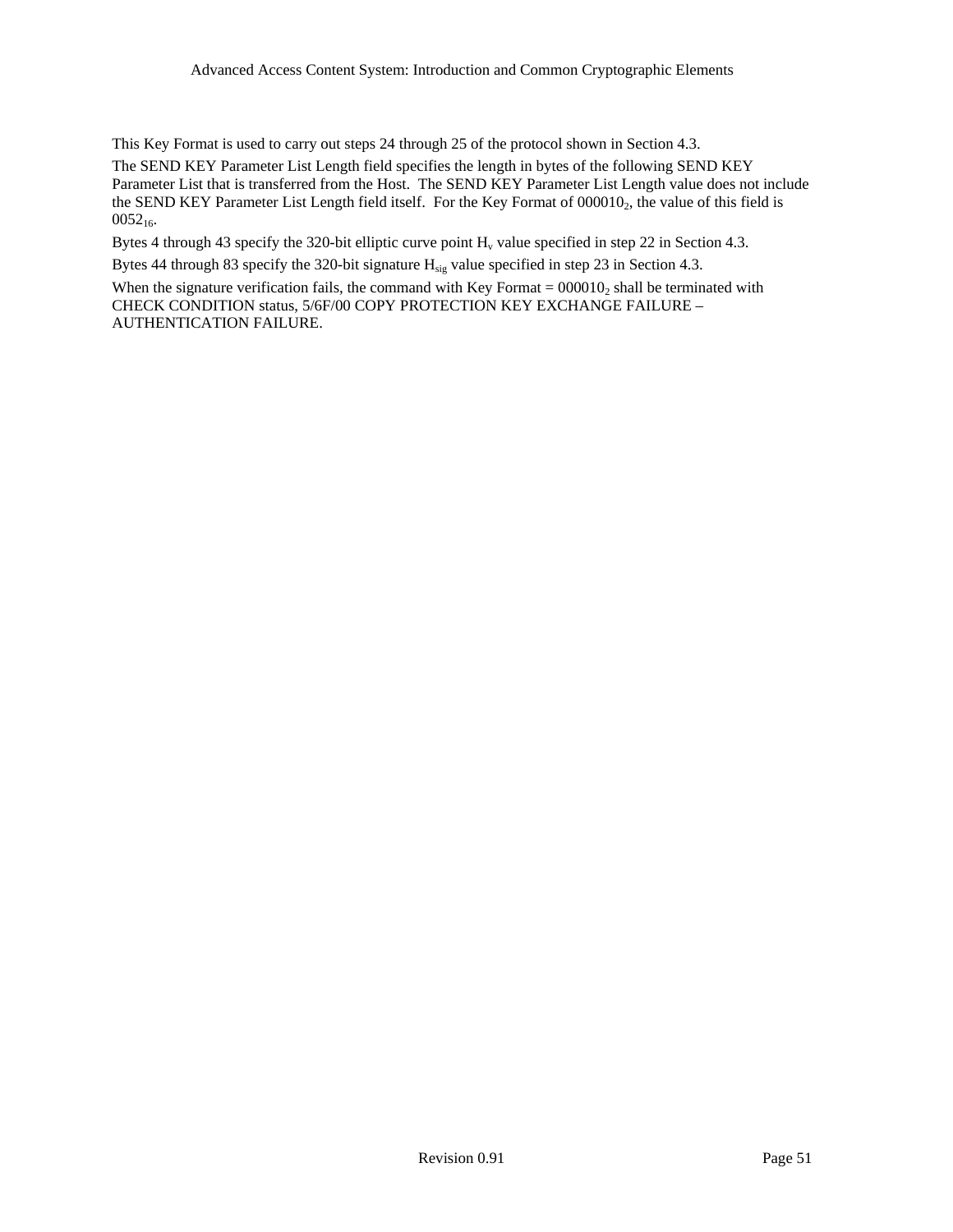This Key Format is used to carry out steps 24 through 25 of the protocol shown in Section 4.3.

The SEND KEY Parameter List Length field specifies the length in bytes of the following SEND KEY Parameter List that is transferred from the Host. The SEND KEY Parameter List Length value does not include the SEND KEY Parameter List Length field itself. For the Key Format of 000010<sub>2</sub>, the value of this field is  $0052_{16}$ .

Bytes 4 through 43 specify the 320-bit elliptic curve point  $H<sub>v</sub>$  value specified in step 22 in Section 4.3.

Bytes 44 through 83 specify the 320-bit signature  $H_{sig}$  value specified in step 23 in Section 4.3.

When the signature verification fails, the command with Key Format  $= 000010<sub>2</sub>$  shall be terminated with CHECK CONDITION status, 5/6F/00 COPY PROTECTION KEY EXCHANGE FAILURE – AUTHENTICATION FAILURE.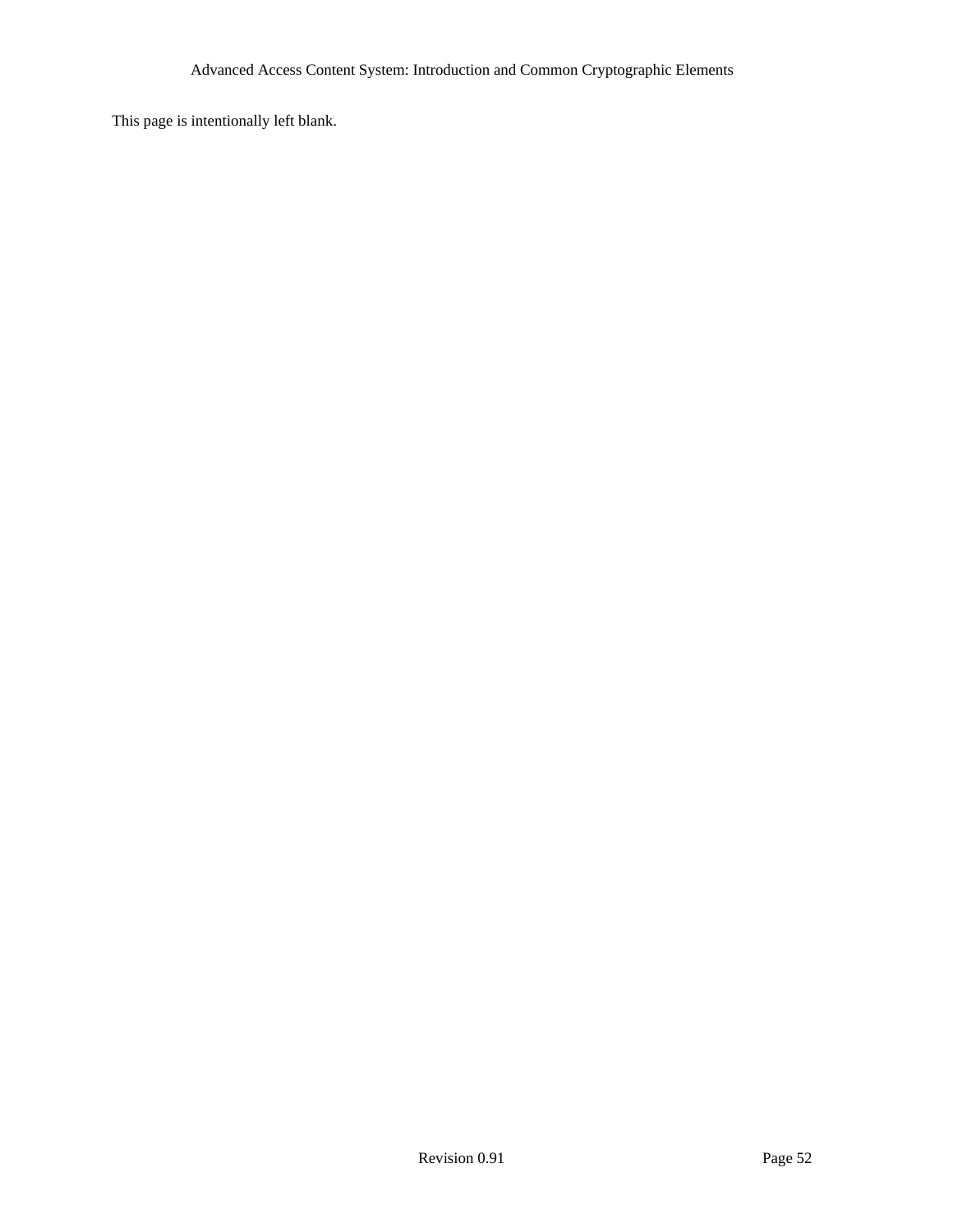This page is intentionally left blank.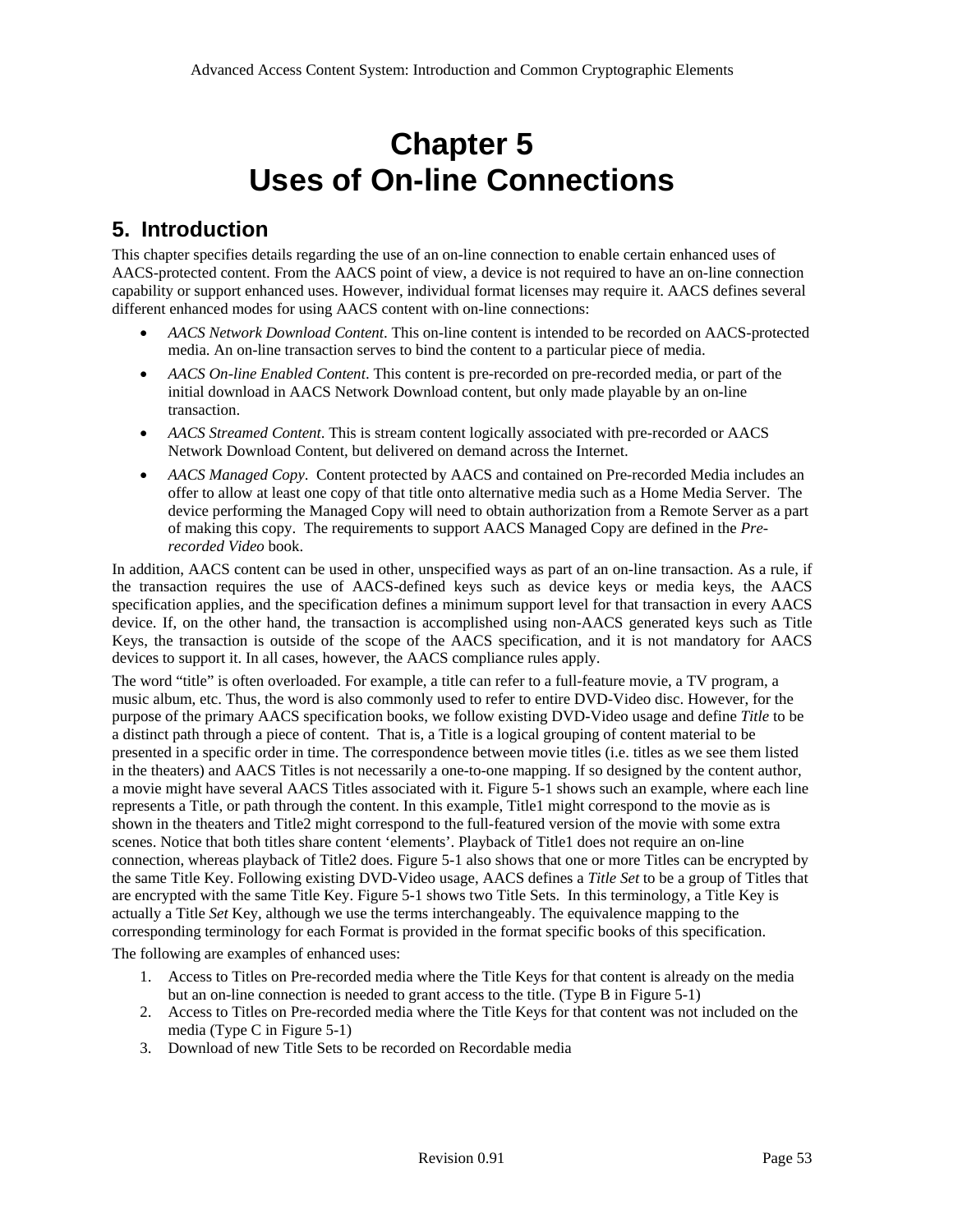# **Chapter 5 Uses of On-line Connections**

## **5. Introduction**

This chapter specifies details regarding the use of an on-line connection to enable certain enhanced uses of AACS-protected content. From the AACS point of view, a device is not required to have an on-line connection capability or support enhanced uses. However, individual format licenses may require it. AACS defines several different enhanced modes for using AACS content with on-line connections:

- *AACS Network Download Content*. This on-line content is intended to be recorded on AACS-protected media. An on-line transaction serves to bind the content to a particular piece of media.
- *AACS On-line Enabled Content*. This content is pre-recorded on pre-recorded media, or part of the initial download in AACS Network Download content, but only made playable by an on-line transaction.
- *AACS Streamed Content*. This is stream content logically associated with pre-recorded or AACS Network Download Content, but delivered on demand across the Internet.
- *AACS Managed Copy*. Content protected by AACS and contained on Pre-recorded Media includes an offer to allow at least one copy of that title onto alternative media such as a Home Media Server. The device performing the Managed Copy will need to obtain authorization from a Remote Server as a part of making this copy. The requirements to support AACS Managed Copy are defined in the *Prerecorded Video* book.

In addition, AACS content can be used in other, unspecified ways as part of an on-line transaction. As a rule, if the transaction requires the use of AACS-defined keys such as device keys or media keys, the AACS specification applies, and the specification defines a minimum support level for that transaction in every AACS device. If, on the other hand, the transaction is accomplished using non-AACS generated keys such as Title Keys, the transaction is outside of the scope of the AACS specification, and it is not mandatory for AACS devices to support it. In all cases, however, the AACS compliance rules apply.

The word "title" is often overloaded. For example, a title can refer to a full-feature movie, a TV program, a music album, etc. Thus, the word is also commonly used to refer to entire DVD-Video disc. However, for the purpose of the primary AACS specification books, we follow existing DVD-Video usage and define *Title* to be a distinct path through a piece of content. That is, a Title is a logical grouping of content material to be presented in a specific order in time. The correspondence between movie titles (i.e. titles as we see them listed in the theaters) and AACS Titles is not necessarily a one-to-one mapping. If so designed by the content author, a movie might have several AACS Titles associated with it. Figure 5-1 shows such an example, where each line represents a Title, or path through the content. In this example, Title1 might correspond to the movie as is shown in the theaters and Title2 might correspond to the full-featured version of the movie with some extra scenes. Notice that both titles share content 'elements'. Playback of Title1 does not require an on-line connection, whereas playback of Title2 does. Figure 5-1 also shows that one or more Titles can be encrypted by the same Title Key. Following existing DVD-Video usage, AACS defines a *Title Set* to be a group of Titles that are encrypted with the same Title Key. Figure 5-1 shows two Title Sets. In this terminology, a Title Key is actually a Title *Set* Key, although we use the terms interchangeably. The equivalence mapping to the corresponding terminology for each Format is provided in the format specific books of this specification.

The following are examples of enhanced uses:

- 1. Access to Titles on Pre-recorded media where the Title Keys for that content is already on the media but an on-line connection is needed to grant access to the title. (Type B in Figure 5-1)
- 2. Access to Titles on Pre-recorded media where the Title Keys for that content was not included on the media (Type C in Figure 5-1)
- 3. Download of new Title Sets to be recorded on Recordable media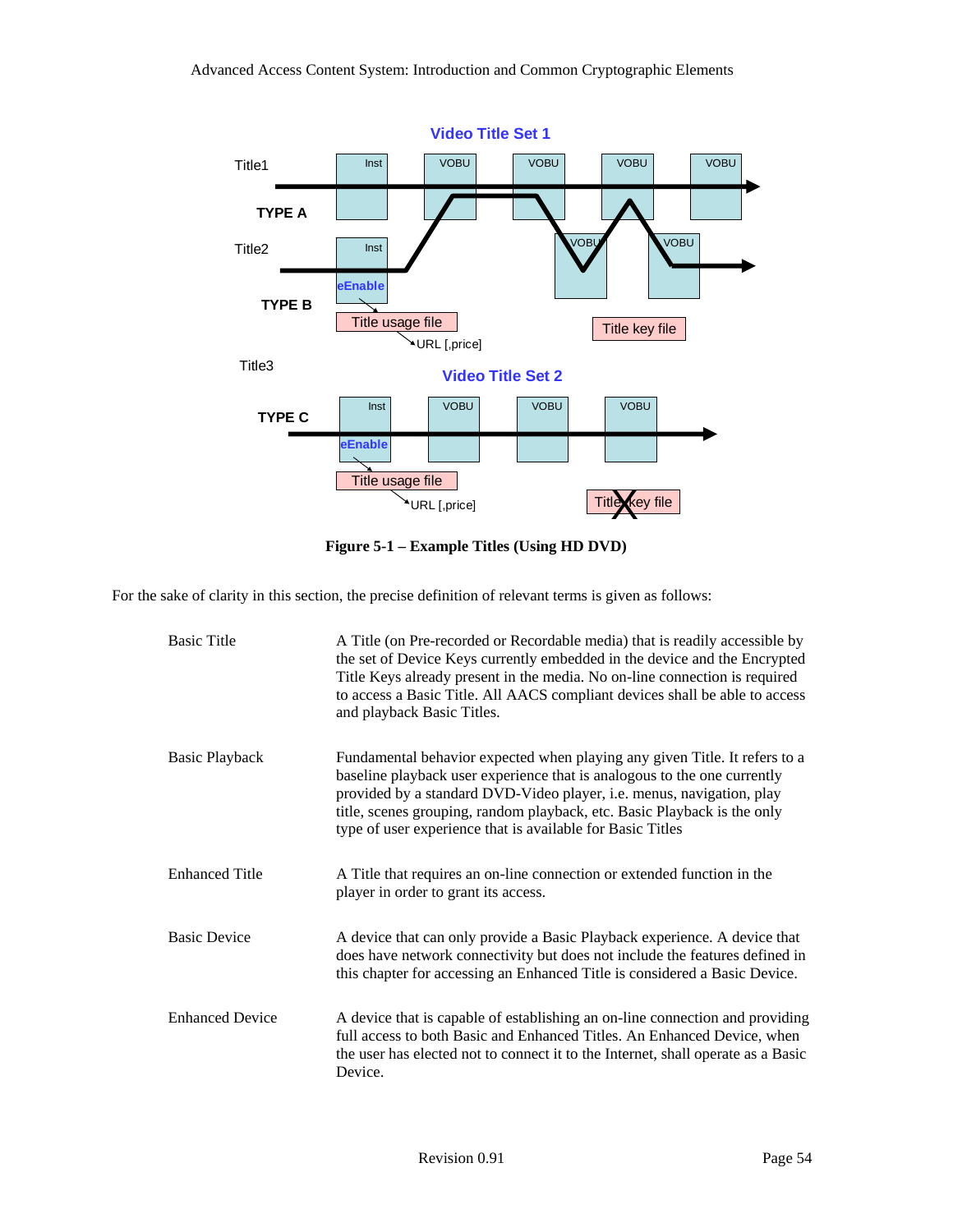

**Figure 5-1 – Example Titles (Using HD DVD)** 

For the sake of clarity in this section, the precise definition of relevant terms is given as follows:

| <b>Basic Title</b>     | A Title (on Pre-recorded or Recordable media) that is readily accessible by<br>the set of Device Keys currently embedded in the device and the Encrypted<br>Title Keys already present in the media. No on-line connection is required<br>to access a Basic Title. All AACS compliant devices shall be able to access<br>and playback Basic Titles.                       |
|------------------------|---------------------------------------------------------------------------------------------------------------------------------------------------------------------------------------------------------------------------------------------------------------------------------------------------------------------------------------------------------------------------|
| <b>Basic Playback</b>  | Fundamental behavior expected when playing any given Title. It refers to a<br>baseline playback user experience that is analogous to the one currently<br>provided by a standard DVD-Video player, i.e. menus, navigation, play<br>title, scenes grouping, random playback, etc. Basic Playback is the only<br>type of user experience that is available for Basic Titles |
| <b>Enhanced Title</b>  | A Title that requires an on-line connection or extended function in the<br>player in order to grant its access.                                                                                                                                                                                                                                                           |
| <b>Basic Device</b>    | A device that can only provide a Basic Playback experience. A device that<br>does have network connectivity but does not include the features defined in<br>this chapter for accessing an Enhanced Title is considered a Basic Device.                                                                                                                                    |
| <b>Enhanced Device</b> | A device that is capable of establishing an on-line connection and providing<br>full access to both Basic and Enhanced Titles. An Enhanced Device, when<br>the user has elected not to connect it to the Internet, shall operate as a Basic<br>Device.                                                                                                                    |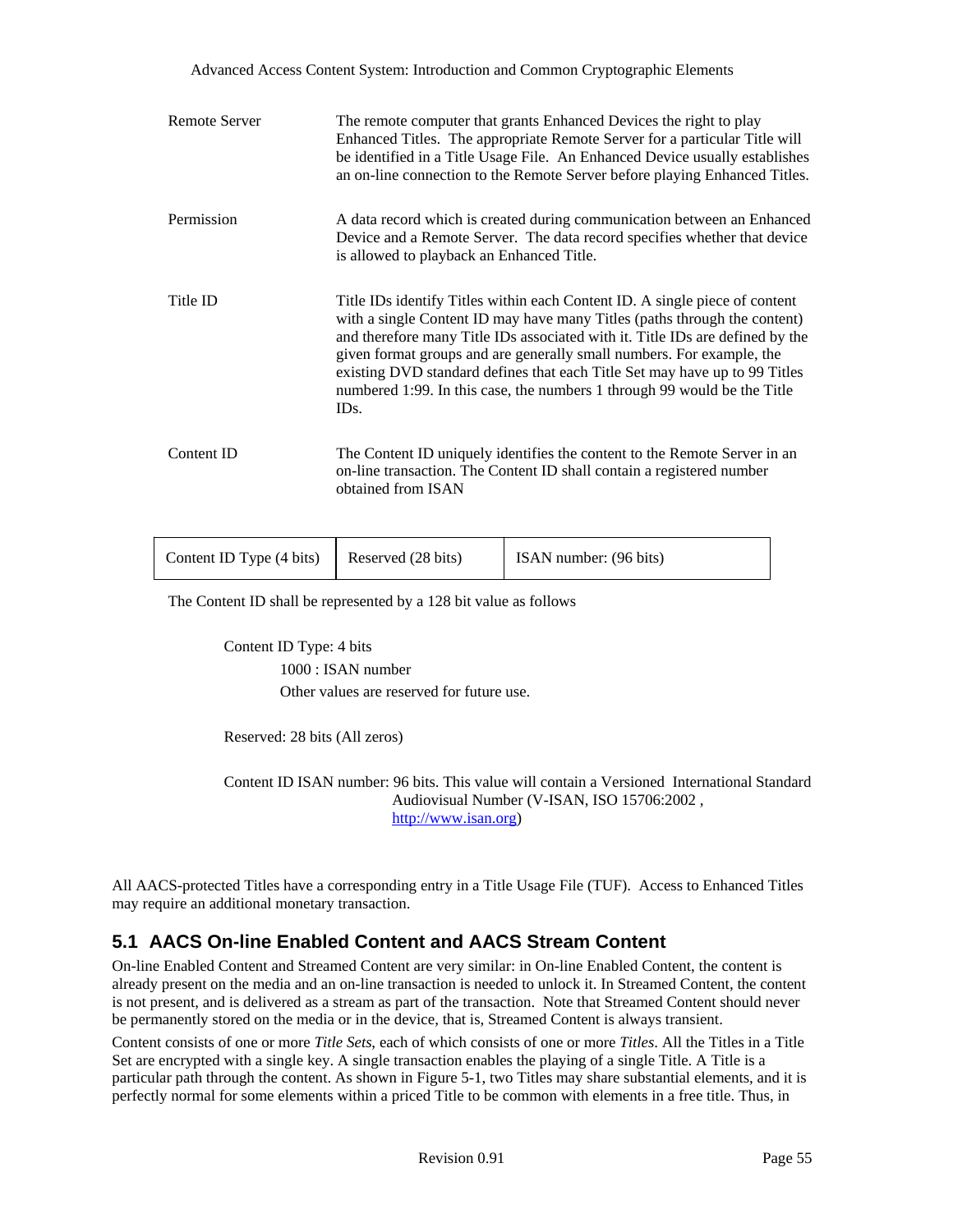Advanced Access Content System: Introduction and Common Cryptographic Elements

| Remote Server            |                                                                                                                                                                                                                                                                                                                                                                                                                                                                                      | The remote computer that grants Enhanced Devices the right to play<br>Enhanced Titles. The appropriate Remote Server for a particular Title will<br>be identified in a Title Usage File. An Enhanced Device usually establishes<br>an on-line connection to the Remote Server before playing Enhanced Titles. |  |  |  |
|--------------------------|--------------------------------------------------------------------------------------------------------------------------------------------------------------------------------------------------------------------------------------------------------------------------------------------------------------------------------------------------------------------------------------------------------------------------------------------------------------------------------------|---------------------------------------------------------------------------------------------------------------------------------------------------------------------------------------------------------------------------------------------------------------------------------------------------------------|--|--|--|
| Permission               | is allowed to playback an Enhanced Title.                                                                                                                                                                                                                                                                                                                                                                                                                                            | A data record which is created during communication between an Enhanced<br>Device and a Remote Server. The data record specifies whether that device                                                                                                                                                          |  |  |  |
| Title ID                 | Title IDs identify Titles within each Content ID. A single piece of content<br>with a single Content ID may have many Titles (paths through the content)<br>and therefore many Title IDs associated with it. Title IDs are defined by the<br>given format groups and are generally small numbers. For example, the<br>existing DVD standard defines that each Title Set may have up to 99 Titles<br>numbered 1:99. In this case, the numbers 1 through 99 would be the Title<br>IDs. |                                                                                                                                                                                                                                                                                                               |  |  |  |
| Content ID               | The Content ID uniquely identifies the content to the Remote Server in an<br>on-line transaction. The Content ID shall contain a registered number<br>obtained from ISAN                                                                                                                                                                                                                                                                                                             |                                                                                                                                                                                                                                                                                                               |  |  |  |
| Content ID Type (4 bits) | Reserved (28 bits)                                                                                                                                                                                                                                                                                                                                                                                                                                                                   | ISAN number: (96 bits)                                                                                                                                                                                                                                                                                        |  |  |  |

The Content ID shall be represented by a 128 bit value as follows

Content ID Type: 4 bits 1000 : ISAN number Other values are reserved for future use.

Reserved: 28 bits (All zeros)

Content ID ISAN number: 96 bits. This value will contain a Versioned International Standard Audiovisual Number (V-ISAN, ISO 15706:2002 , http://www.isan.org)

All AACS-protected Titles have a corresponding entry in a Title Usage File (TUF). Access to Enhanced Titles may require an additional monetary transaction.

#### **5.1 AACS On-line Enabled Content and AACS Stream Content**

On-line Enabled Content and Streamed Content are very similar: in On-line Enabled Content, the content is already present on the media and an on-line transaction is needed to unlock it. In Streamed Content, the content is not present, and is delivered as a stream as part of the transaction. Note that Streamed Content should never be permanently stored on the media or in the device, that is, Streamed Content is always transient.

Content consists of one or more *Title Sets*, each of which consists of one or more *Titles*. All the Titles in a Title Set are encrypted with a single key. A single transaction enables the playing of a single Title. A Title is a particular path through the content. As shown in Figure 5-1, two Titles may share substantial elements, and it is perfectly normal for some elements within a priced Title to be common with elements in a free title. Thus, in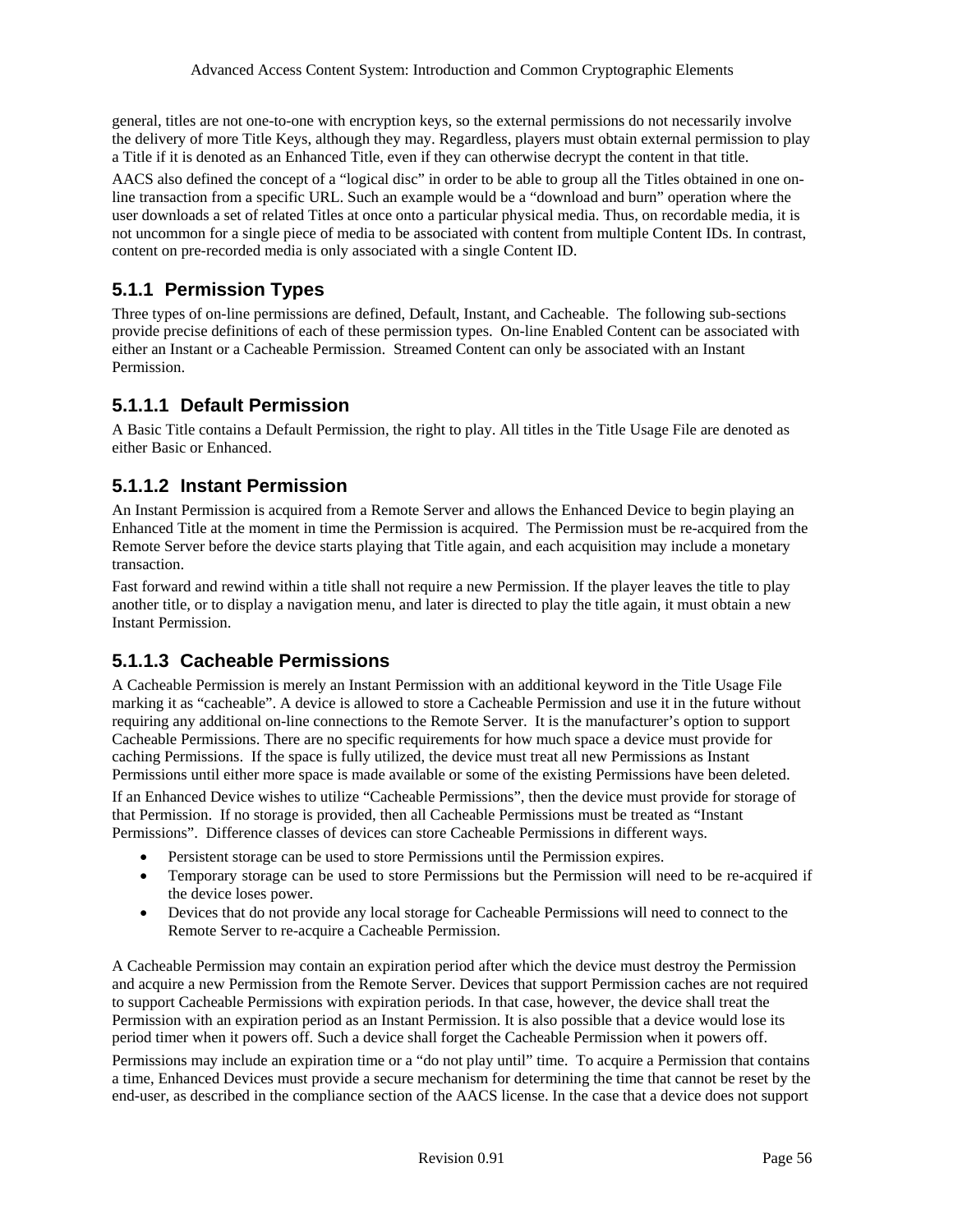general, titles are not one-to-one with encryption keys, so the external permissions do not necessarily involve the delivery of more Title Keys, although they may. Regardless, players must obtain external permission to play a Title if it is denoted as an Enhanced Title, even if they can otherwise decrypt the content in that title.

AACS also defined the concept of a "logical disc" in order to be able to group all the Titles obtained in one online transaction from a specific URL. Such an example would be a "download and burn" operation where the user downloads a set of related Titles at once onto a particular physical media. Thus, on recordable media, it is not uncommon for a single piece of media to be associated with content from multiple Content IDs. In contrast, content on pre-recorded media is only associated with a single Content ID.

## **5.1.1 Permission Types**

Three types of on-line permissions are defined, Default, Instant, and Cacheable. The following sub-sections provide precise definitions of each of these permission types. On-line Enabled Content can be associated with either an Instant or a Cacheable Permission. Streamed Content can only be associated with an Instant Permission.

## **5.1.1.1 Default Permission**

A Basic Title contains a Default Permission, the right to play. All titles in the Title Usage File are denoted as either Basic or Enhanced.

#### **5.1.1.2 Instant Permission**

An Instant Permission is acquired from a Remote Server and allows the Enhanced Device to begin playing an Enhanced Title at the moment in time the Permission is acquired. The Permission must be re-acquired from the Remote Server before the device starts playing that Title again, and each acquisition may include a monetary transaction.

Fast forward and rewind within a title shall not require a new Permission. If the player leaves the title to play another title, or to display a navigation menu, and later is directed to play the title again, it must obtain a new Instant Permission.

## **5.1.1.3 Cacheable Permissions**

A Cacheable Permission is merely an Instant Permission with an additional keyword in the Title Usage File marking it as "cacheable". A device is allowed to store a Cacheable Permission and use it in the future without requiring any additional on-line connections to the Remote Server. It is the manufacturer's option to support Cacheable Permissions. There are no specific requirements for how much space a device must provide for caching Permissions. If the space is fully utilized, the device must treat all new Permissions as Instant Permissions until either more space is made available or some of the existing Permissions have been deleted.

If an Enhanced Device wishes to utilize "Cacheable Permissions", then the device must provide for storage of that Permission. If no storage is provided, then all Cacheable Permissions must be treated as "Instant Permissions". Difference classes of devices can store Cacheable Permissions in different ways.

- Persistent storage can be used to store Permissions until the Permission expires.
- Temporary storage can be used to store Permissions but the Permission will need to be re-acquired if the device loses power.
- Devices that do not provide any local storage for Cacheable Permissions will need to connect to the Remote Server to re-acquire a Cacheable Permission.

A Cacheable Permission may contain an expiration period after which the device must destroy the Permission and acquire a new Permission from the Remote Server. Devices that support Permission caches are not required to support Cacheable Permissions with expiration periods. In that case, however, the device shall treat the Permission with an expiration period as an Instant Permission. It is also possible that a device would lose its period timer when it powers off. Such a device shall forget the Cacheable Permission when it powers off.

Permissions may include an expiration time or a "do not play until" time. To acquire a Permission that contains a time, Enhanced Devices must provide a secure mechanism for determining the time that cannot be reset by the end-user, as described in the compliance section of the AACS license. In the case that a device does not support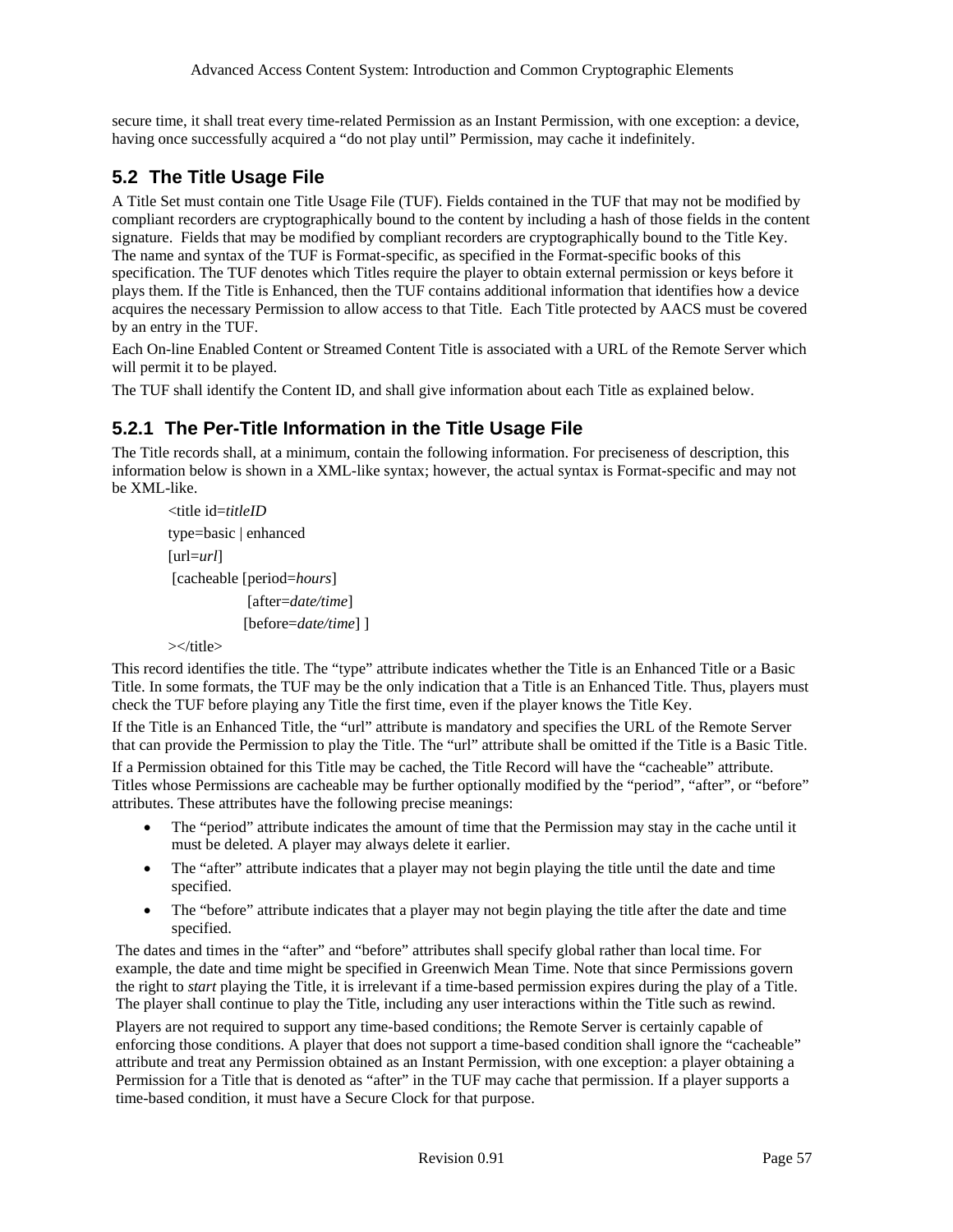secure time, it shall treat every time-related Permission as an Instant Permission, with one exception: a device, having once successfully acquired a "do not play until" Permission, may cache it indefinitely.

## **5.2 The Title Usage File**

A Title Set must contain one Title Usage File (TUF). Fields contained in the TUF that may not be modified by compliant recorders are cryptographically bound to the content by including a hash of those fields in the content signature. Fields that may be modified by compliant recorders are cryptographically bound to the Title Key. The name and syntax of the TUF is Format-specific, as specified in the Format-specific books of this specification. The TUF denotes which Titles require the player to obtain external permission or keys before it plays them. If the Title is Enhanced, then the TUF contains additional information that identifies how a device acquires the necessary Permission to allow access to that Title. Each Title protected by AACS must be covered by an entry in the TUF.

Each On-line Enabled Content or Streamed Content Title is associated with a URL of the Remote Server which will permit it to be played.

The TUF shall identify the Content ID, and shall give information about each Title as explained below.

#### **5.2.1 The Per-Title Information in the Title Usage File**

The Title records shall, at a minimum, contain the following information. For preciseness of description, this information below is shown in a XML-like syntax; however, the actual syntax is Format-specific and may not be XML-like.

```
<title id=titleID
type=basic | enhanced 
[url=url] 
 [cacheable [period=hours] 
              [after=date/time] 
              [before=date/time] ]
```
></title>

This record identifies the title. The "type" attribute indicates whether the Title is an Enhanced Title or a Basic Title. In some formats, the TUF may be the only indication that a Title is an Enhanced Title. Thus, players must check the TUF before playing any Title the first time, even if the player knows the Title Key.

If the Title is an Enhanced Title, the "url" attribute is mandatory and specifies the URL of the Remote Server that can provide the Permission to play the Title. The "url" attribute shall be omitted if the Title is a Basic Title. If a Permission obtained for this Title may be cached, the Title Record will have the "cacheable" attribute. Titles whose Permissions are cacheable may be further optionally modified by the "period", "after", or "before" attributes. These attributes have the following precise meanings:

- The "period" attribute indicates the amount of time that the Permission may stay in the cache until it must be deleted. A player may always delete it earlier.
- The "after" attribute indicates that a player may not begin playing the title until the date and time specified.
- The "before" attribute indicates that a player may not begin playing the title after the date and time specified.

The dates and times in the "after" and "before" attributes shall specify global rather than local time. For example, the date and time might be specified in Greenwich Mean Time. Note that since Permissions govern the right to *start* playing the Title, it is irrelevant if a time-based permission expires during the play of a Title. The player shall continue to play the Title, including any user interactions within the Title such as rewind.

Players are not required to support any time-based conditions; the Remote Server is certainly capable of enforcing those conditions. A player that does not support a time-based condition shall ignore the "cacheable" attribute and treat any Permission obtained as an Instant Permission, with one exception: a player obtaining a Permission for a Title that is denoted as "after" in the TUF may cache that permission. If a player supports a time-based condition, it must have a Secure Clock for that purpose.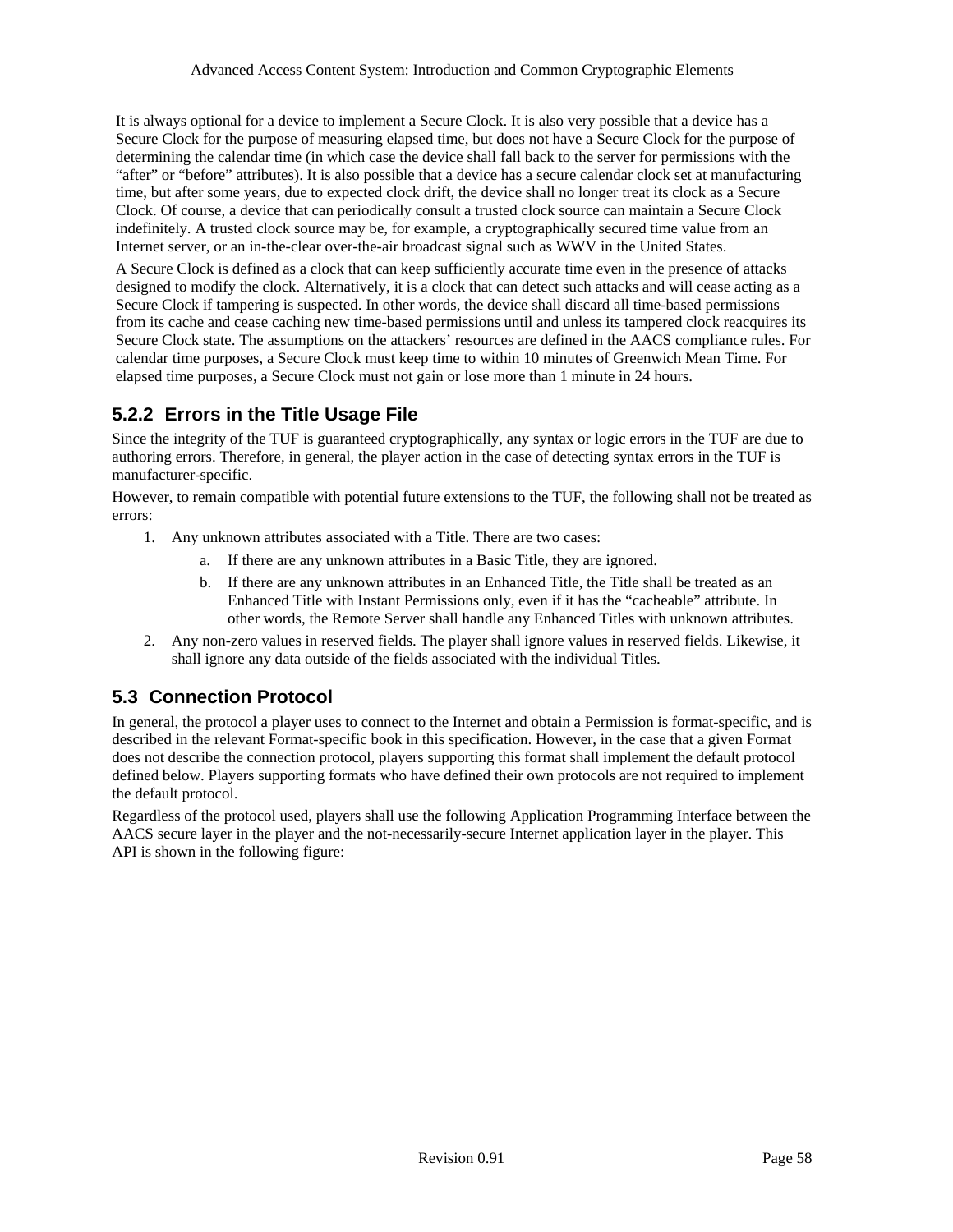It is always optional for a device to implement a Secure Clock. It is also very possible that a device has a Secure Clock for the purpose of measuring elapsed time, but does not have a Secure Clock for the purpose of determining the calendar time (in which case the device shall fall back to the server for permissions with the "after" or "before" attributes). It is also possible that a device has a secure calendar clock set at manufacturing time, but after some years, due to expected clock drift, the device shall no longer treat its clock as a Secure Clock. Of course, a device that can periodically consult a trusted clock source can maintain a Secure Clock indefinitely. A trusted clock source may be, for example, a cryptographically secured time value from an Internet server, or an in-the-clear over-the-air broadcast signal such as WWV in the United States.

A Secure Clock is defined as a clock that can keep sufficiently accurate time even in the presence of attacks designed to modify the clock. Alternatively, it is a clock that can detect such attacks and will cease acting as a Secure Clock if tampering is suspected. In other words, the device shall discard all time-based permissions from its cache and cease caching new time-based permissions until and unless its tampered clock reacquires its Secure Clock state. The assumptions on the attackers' resources are defined in the AACS compliance rules. For calendar time purposes, a Secure Clock must keep time to within 10 minutes of Greenwich Mean Time. For elapsed time purposes, a Secure Clock must not gain or lose more than 1 minute in 24 hours.

#### **5.2.2 Errors in the Title Usage File**

Since the integrity of the TUF is guaranteed cryptographically, any syntax or logic errors in the TUF are due to authoring errors. Therefore, in general, the player action in the case of detecting syntax errors in the TUF is manufacturer-specific.

However, to remain compatible with potential future extensions to the TUF, the following shall not be treated as errors:

- 1. Any unknown attributes associated with a Title. There are two cases:
	- a. If there are any unknown attributes in a Basic Title, they are ignored.
	- b. If there are any unknown attributes in an Enhanced Title, the Title shall be treated as an Enhanced Title with Instant Permissions only, even if it has the "cacheable" attribute. In other words, the Remote Server shall handle any Enhanced Titles with unknown attributes.
- 2. Any non-zero values in reserved fields. The player shall ignore values in reserved fields. Likewise, it shall ignore any data outside of the fields associated with the individual Titles.

## **5.3 Connection Protocol**

In general, the protocol a player uses to connect to the Internet and obtain a Permission is format-specific, and is described in the relevant Format-specific book in this specification. However, in the case that a given Format does not describe the connection protocol, players supporting this format shall implement the default protocol defined below. Players supporting formats who have defined their own protocols are not required to implement the default protocol.

Regardless of the protocol used, players shall use the following Application Programming Interface between the AACS secure layer in the player and the not-necessarily-secure Internet application layer in the player. This API is shown in the following figure: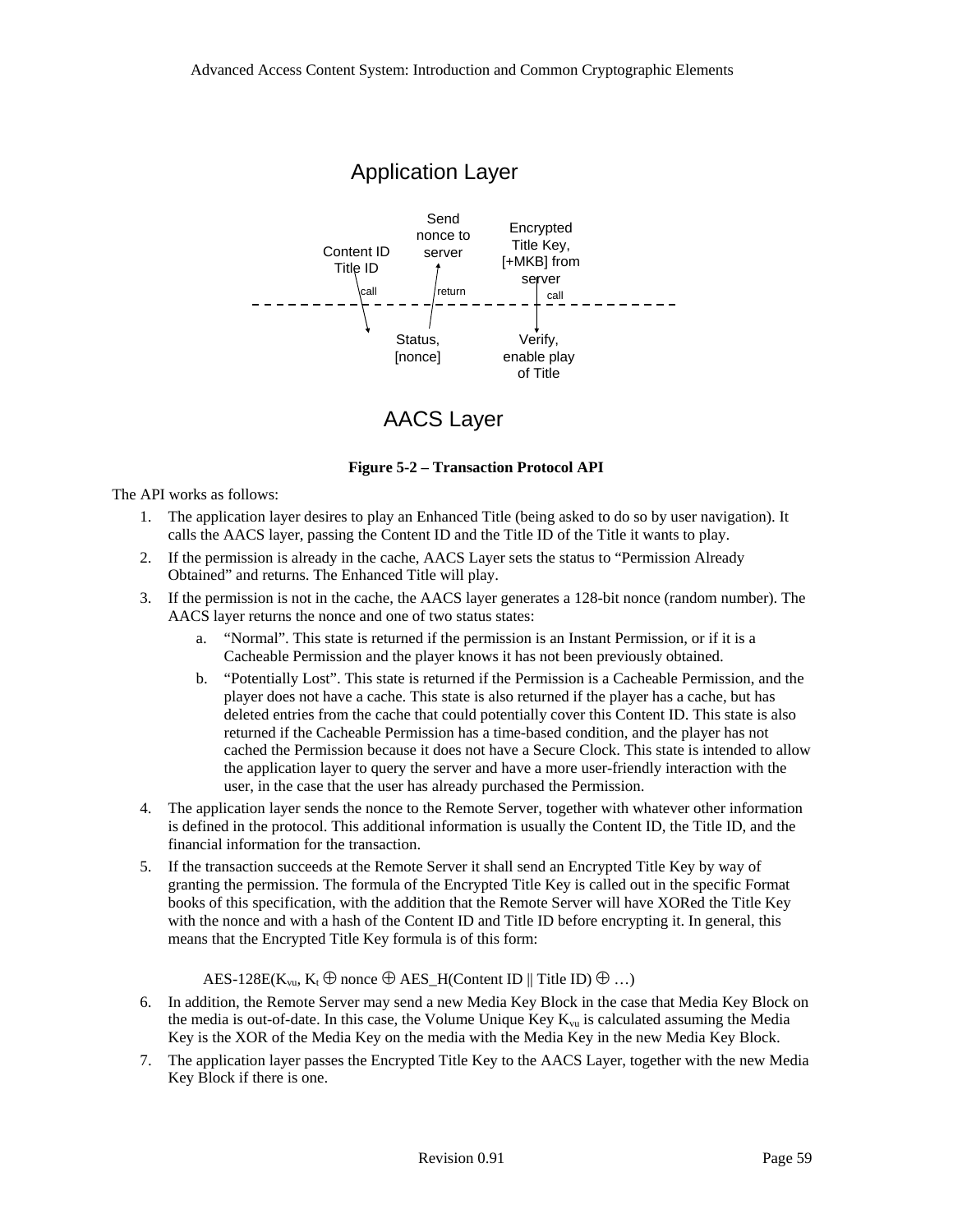

## AACS Layer

**Figure 5-2 – Transaction Protocol API** 

The API works as follows:

- 1. The application layer desires to play an Enhanced Title (being asked to do so by user navigation). It calls the AACS layer, passing the Content ID and the Title ID of the Title it wants to play.
- 2. If the permission is already in the cache, AACS Layer sets the status to "Permission Already Obtained" and returns. The Enhanced Title will play.
- 3. If the permission is not in the cache, the AACS layer generates a 128-bit nonce (random number). The AACS layer returns the nonce and one of two status states:
	- a. "Normal". This state is returned if the permission is an Instant Permission, or if it is a Cacheable Permission and the player knows it has not been previously obtained.
	- b. "Potentially Lost". This state is returned if the Permission is a Cacheable Permission, and the player does not have a cache. This state is also returned if the player has a cache, but has deleted entries from the cache that could potentially cover this Content ID. This state is also returned if the Cacheable Permission has a time-based condition, and the player has not cached the Permission because it does not have a Secure Clock. This state is intended to allow the application layer to query the server and have a more user-friendly interaction with the user, in the case that the user has already purchased the Permission.
- 4. The application layer sends the nonce to the Remote Server, together with whatever other information is defined in the protocol. This additional information is usually the Content ID, the Title ID, and the financial information for the transaction.
- 5. If the transaction succeeds at the Remote Server it shall send an Encrypted Title Key by way of granting the permission. The formula of the Encrypted Title Key is called out in the specific Format books of this specification, with the addition that the Remote Server will have XORed the Title Key with the nonce and with a hash of the Content ID and Title ID before encrypting it. In general, this means that the Encrypted Title Key formula is of this form:

AES-128E(K<sub>vu</sub>, K<sub>t</sub> ⊕ nonce ⊕ AES H(Content ID || Title ID) ⊕ …)

- 6. In addition, the Remote Server may send a new Media Key Block in the case that Media Key Block on the media is out-of-date. In this case, the Volume Unique Key  $K_{vu}$  is calculated assuming the Media Key is the XOR of the Media Key on the media with the Media Key in the new Media Key Block.
- 7. The application layer passes the Encrypted Title Key to the AACS Layer, together with the new Media Key Block if there is one.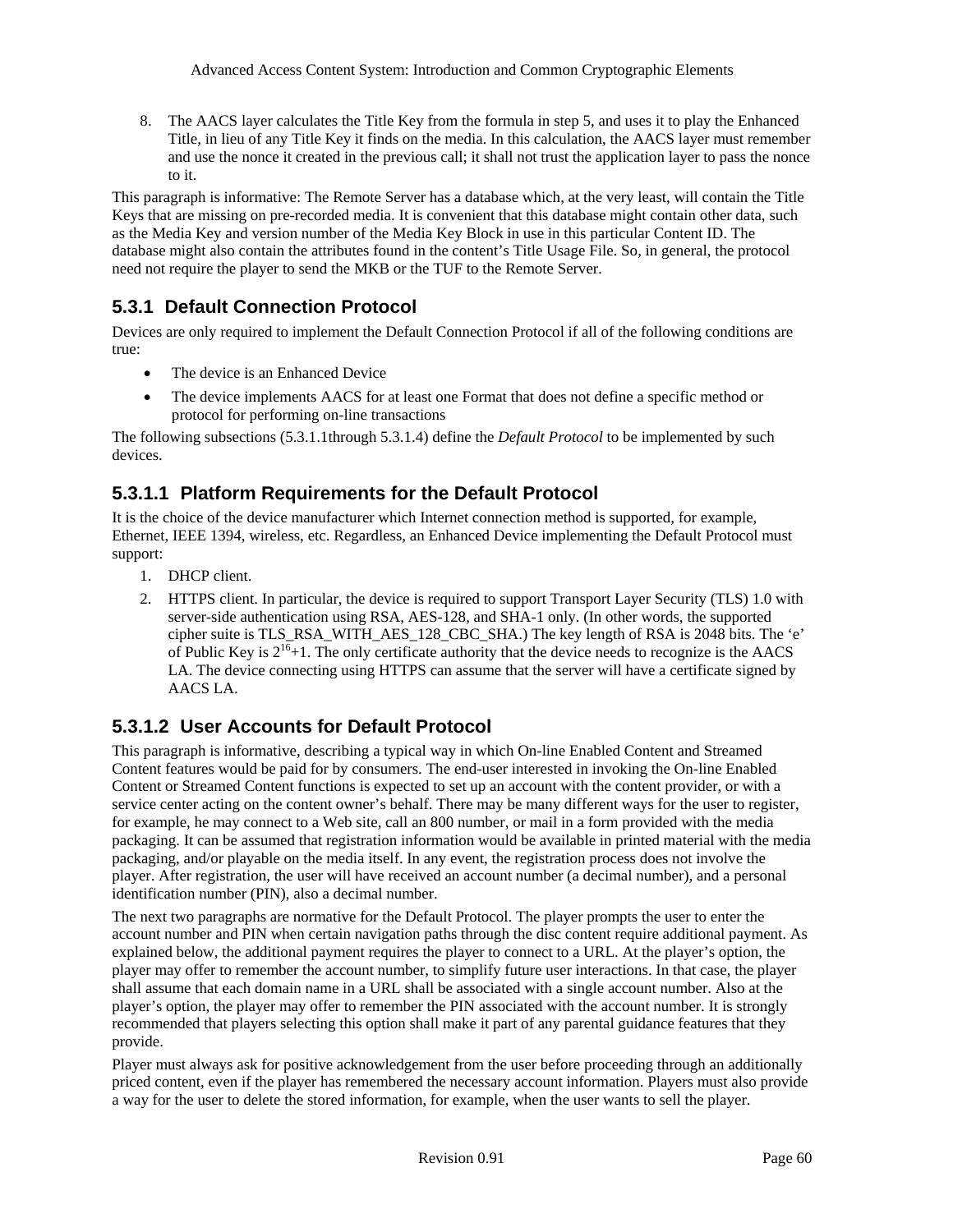8. The AACS layer calculates the Title Key from the formula in step 5, and uses it to play the Enhanced Title, in lieu of any Title Key it finds on the media. In this calculation, the AACS layer must remember and use the nonce it created in the previous call; it shall not trust the application layer to pass the nonce to it.

This paragraph is informative: The Remote Server has a database which, at the very least, will contain the Title Keys that are missing on pre-recorded media. It is convenient that this database might contain other data, such as the Media Key and version number of the Media Key Block in use in this particular Content ID. The database might also contain the attributes found in the content's Title Usage File. So, in general, the protocol need not require the player to send the MKB or the TUF to the Remote Server.

## **5.3.1 Default Connection Protocol**

Devices are only required to implement the Default Connection Protocol if all of the following conditions are true:

- The device is an Enhanced Device
- The device implements AACS for at least one Format that does not define a specific method or protocol for performing on-line transactions

The following subsections (5.3.1.1through 5.3.1.4) define the *Default Protocol* to be implemented by such devices.

#### **5.3.1.1 Platform Requirements for the Default Protocol**

It is the choice of the device manufacturer which Internet connection method is supported, for example, Ethernet, IEEE 1394, wireless, etc. Regardless, an Enhanced Device implementing the Default Protocol must support:

- 1. DHCP client.
- 2. HTTPS client. In particular, the device is required to support Transport Layer Security (TLS) 1.0 with server-side authentication using RSA, AES-128, and SHA-1 only. (In other words, the supported cipher suite is TLS\_RSA\_WITH\_AES\_128\_CBC\_SHA.) The key length of RSA is 2048 bits. The 'e' of Public Key is  $2^{16}+1$ . The only certificate authority that the device needs to recognize is the AACS LA. The device connecting using HTTPS can assume that the server will have a certificate signed by AACS LA.

## **5.3.1.2 User Accounts for Default Protocol**

This paragraph is informative, describing a typical way in which On-line Enabled Content and Streamed Content features would be paid for by consumers. The end-user interested in invoking the On-line Enabled Content or Streamed Content functions is expected to set up an account with the content provider, or with a service center acting on the content owner's behalf. There may be many different ways for the user to register, for example, he may connect to a Web site, call an 800 number, or mail in a form provided with the media packaging. It can be assumed that registration information would be available in printed material with the media packaging, and/or playable on the media itself. In any event, the registration process does not involve the player. After registration, the user will have received an account number (a decimal number), and a personal identification number (PIN), also a decimal number.

The next two paragraphs are normative for the Default Protocol. The player prompts the user to enter the account number and PIN when certain navigation paths through the disc content require additional payment. As explained below, the additional payment requires the player to connect to a URL. At the player's option, the player may offer to remember the account number, to simplify future user interactions. In that case, the player shall assume that each domain name in a URL shall be associated with a single account number. Also at the player's option, the player may offer to remember the PIN associated with the account number. It is strongly recommended that players selecting this option shall make it part of any parental guidance features that they provide.

Player must always ask for positive acknowledgement from the user before proceeding through an additionally priced content, even if the player has remembered the necessary account information. Players must also provide a way for the user to delete the stored information, for example, when the user wants to sell the player.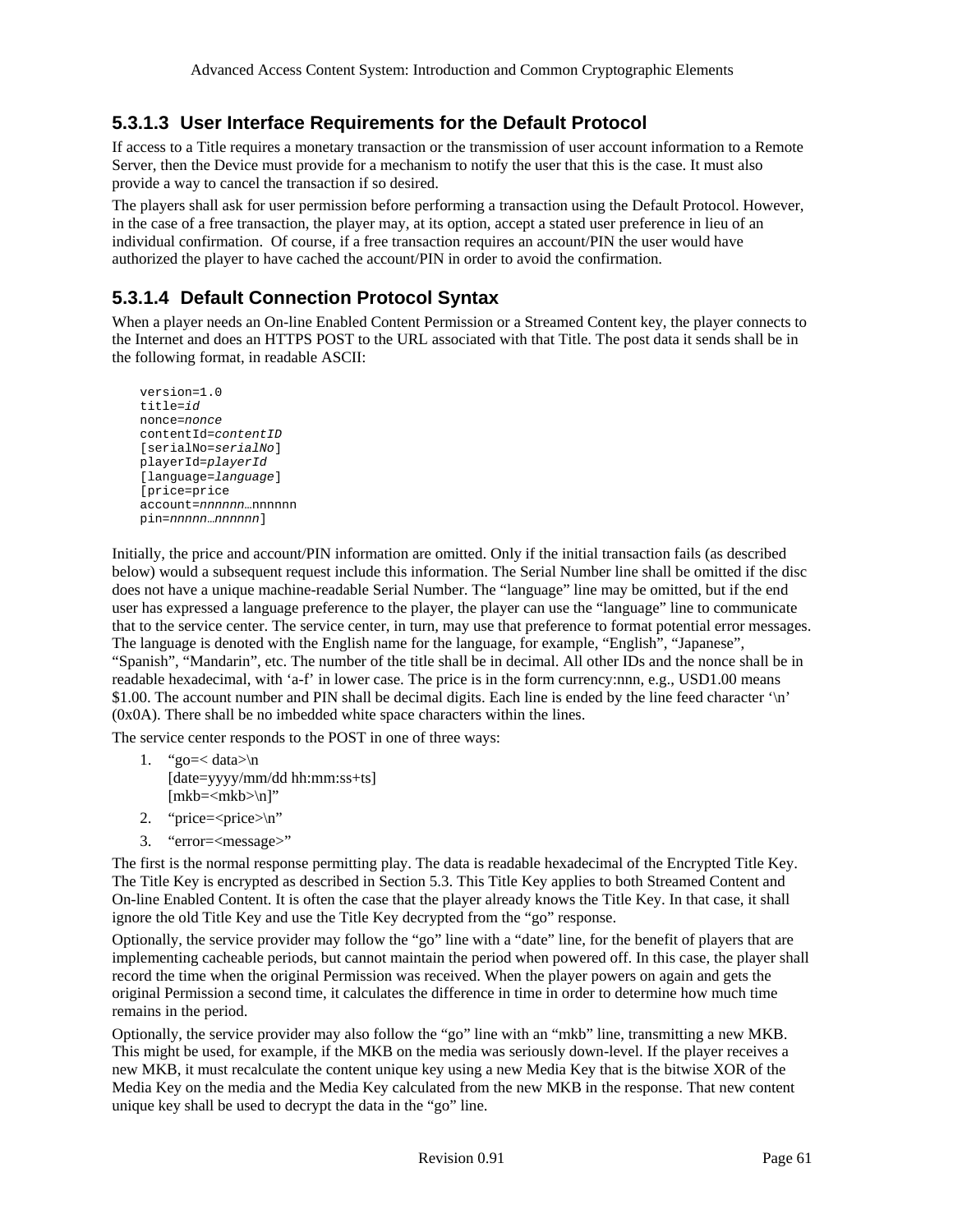### **5.3.1.3 User Interface Requirements for the Default Protocol**

If access to a Title requires a monetary transaction or the transmission of user account information to a Remote Server, then the Device must provide for a mechanism to notify the user that this is the case. It must also provide a way to cancel the transaction if so desired.

The players shall ask for user permission before performing a transaction using the Default Protocol. However, in the case of a free transaction, the player may, at its option, accept a stated user preference in lieu of an individual confirmation. Of course, if a free transaction requires an account/PIN the user would have authorized the player to have cached the account/PIN in order to avoid the confirmation.

## **5.3.1.4 Default Connection Protocol Syntax**

When a player needs an On-line Enabled Content Permission or a Streamed Content key, the player connects to the Internet and does an HTTPS POST to the URL associated with that Title. The post data it sends shall be in the following format, in readable ASCII:

version=1.0 title=*id*  nonce=*nonce*  contentId=*contentID* [serialNo=*serialNo*] playerId=*playerId* [language=*language*] [price=price account=*nnnnnn*…nnnnnn pin=*nnnnn*…*nnnnnn*]

Initially, the price and account/PIN information are omitted. Only if the initial transaction fails (as described below) would a subsequent request include this information. The Serial Number line shall be omitted if the disc does not have a unique machine-readable Serial Number. The "language" line may be omitted, but if the end user has expressed a language preference to the player, the player can use the "language" line to communicate that to the service center. The service center, in turn, may use that preference to format potential error messages. The language is denoted with the English name for the language, for example, "English", "Japanese", "Spanish", "Mandarin", etc. The number of the title shall be in decimal. All other IDs and the nonce shall be in readable hexadecimal, with 'a-f' in lower case. The price is in the form currency:nnn, e.g., USD1.00 means \$1.00. The account number and PIN shall be decimal digits. Each line is ended by the line feed character '\n' (0x0A). There shall be no imbedded white space characters within the lines.

The service center responds to the POST in one of three ways:

- 1. "go= $<$ data> $\ln$ [date=yyyy/mm/dd hh:mm:ss+ts]  $[mkb=\n$ "
- 2. "price=<price>\n"
- 3. "error=<message>"

The first is the normal response permitting play. The data is readable hexadecimal of the Encrypted Title Key. The Title Key is encrypted as described in Section 5.3. This Title Key applies to both Streamed Content and On-line Enabled Content. It is often the case that the player already knows the Title Key. In that case, it shall ignore the old Title Key and use the Title Key decrypted from the "go" response.

Optionally, the service provider may follow the "go" line with a "date" line, for the benefit of players that are implementing cacheable periods, but cannot maintain the period when powered off. In this case, the player shall record the time when the original Permission was received. When the player powers on again and gets the original Permission a second time, it calculates the difference in time in order to determine how much time remains in the period.

Optionally, the service provider may also follow the "go" line with an "mkb" line, transmitting a new MKB. This might be used, for example, if the MKB on the media was seriously down-level. If the player receives a new MKB, it must recalculate the content unique key using a new Media Key that is the bitwise XOR of the Media Key on the media and the Media Key calculated from the new MKB in the response. That new content unique key shall be used to decrypt the data in the "go" line.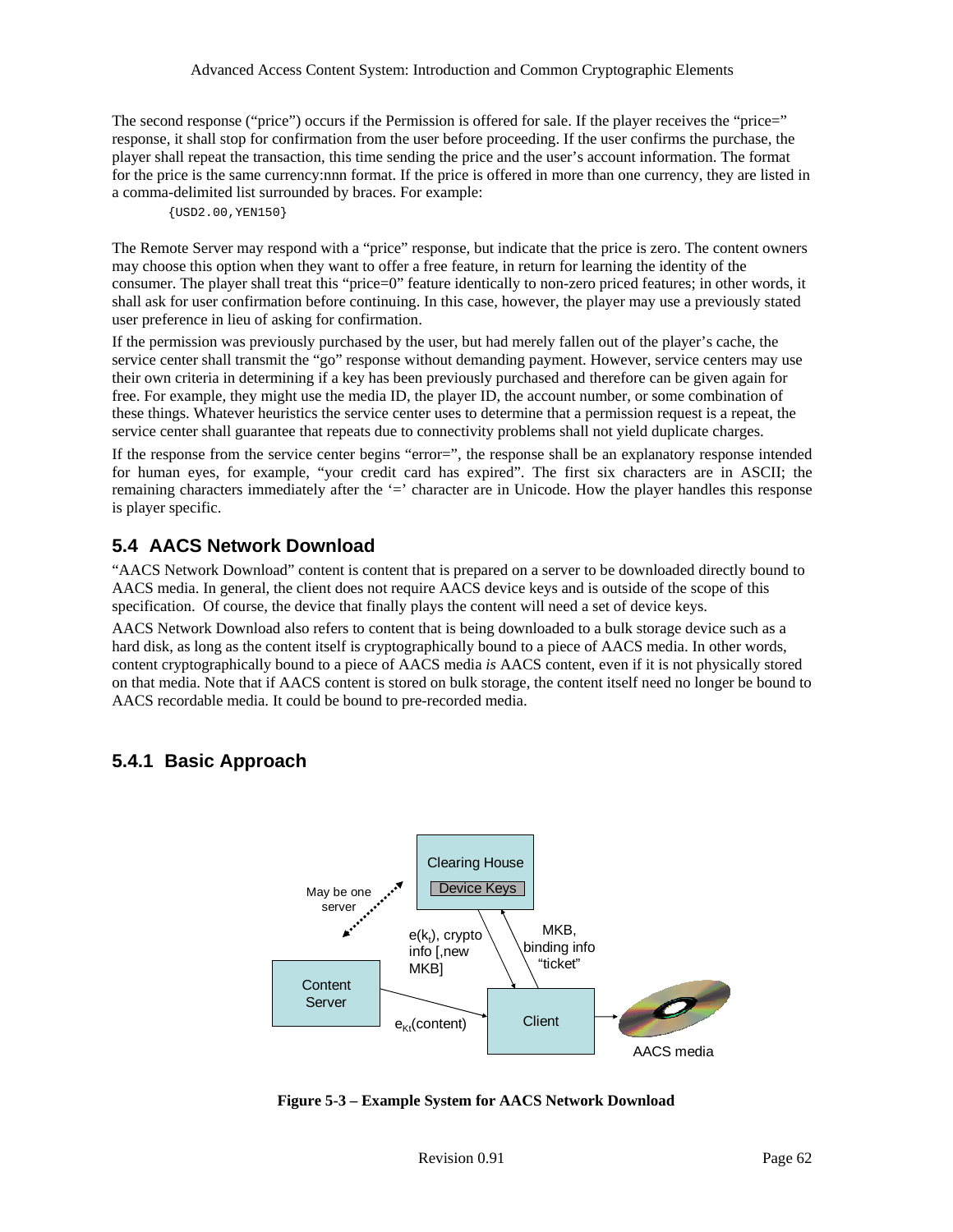The second response ("price") occurs if the Permission is offered for sale. If the player receives the "price=" response, it shall stop for confirmation from the user before proceeding. If the user confirms the purchase, the player shall repeat the transaction, this time sending the price and the user's account information. The format for the price is the same currency:nnn format. If the price is offered in more than one currency, they are listed in a comma-delimited list surrounded by braces. For example:

```
 {USD2.00,YEN150}
```
The Remote Server may respond with a "price" response, but indicate that the price is zero. The content owners may choose this option when they want to offer a free feature, in return for learning the identity of the consumer. The player shall treat this "price=0" feature identically to non-zero priced features; in other words, it shall ask for user confirmation before continuing. In this case, however, the player may use a previously stated user preference in lieu of asking for confirmation.

If the permission was previously purchased by the user, but had merely fallen out of the player's cache, the service center shall transmit the "go" response without demanding payment. However, service centers may use their own criteria in determining if a key has been previously purchased and therefore can be given again for free. For example, they might use the media ID, the player ID, the account number, or some combination of these things. Whatever heuristics the service center uses to determine that a permission request is a repeat, the service center shall guarantee that repeats due to connectivity problems shall not yield duplicate charges.

If the response from the service center begins "error=", the response shall be an explanatory response intended for human eyes, for example, "your credit card has expired". The first six characters are in ASCII; the remaining characters immediately after the '=' character are in Unicode. How the player handles this response is player specific.

### **5.4 AACS Network Download**

"AACS Network Download" content is content that is prepared on a server to be downloaded directly bound to AACS media. In general, the client does not require AACS device keys and is outside of the scope of this specification. Of course, the device that finally plays the content will need a set of device keys.

AACS Network Download also refers to content that is being downloaded to a bulk storage device such as a hard disk, as long as the content itself is cryptographically bound to a piece of AACS media. In other words, content cryptographically bound to a piece of AACS media *is* AACS content, even if it is not physically stored on that media. Note that if AACS content is stored on bulk storage, the content itself need no longer be bound to AACS recordable media. It could be bound to pre-recorded media.

# **5.4.1 Basic Approach**



**Figure 5-3 – Example System for AACS Network Download**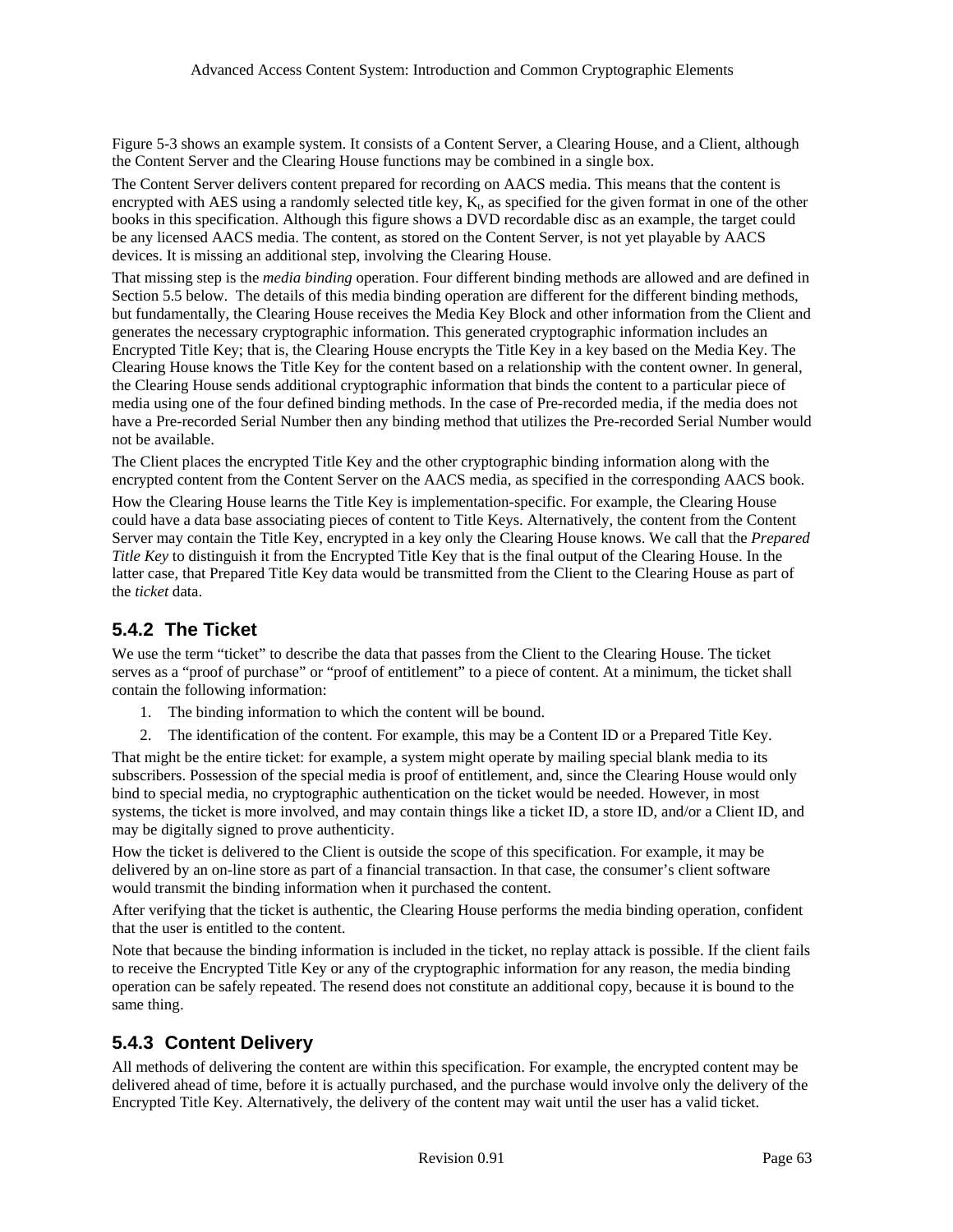Figure 5-3 shows an example system. It consists of a Content Server, a Clearing House, and a Client, although the Content Server and the Clearing House functions may be combined in a single box.

The Content Server delivers content prepared for recording on AACS media. This means that the content is encrypted with AES using a randomly selected title key,  $K_t$ , as specified for the given format in one of the other books in this specification. Although this figure shows a DVD recordable disc as an example, the target could be any licensed AACS media. The content, as stored on the Content Server, is not yet playable by AACS devices. It is missing an additional step, involving the Clearing House.

That missing step is the *media binding* operation. Four different binding methods are allowed and are defined in Section 5.5 below. The details of this media binding operation are different for the different binding methods, but fundamentally, the Clearing House receives the Media Key Block and other information from the Client and generates the necessary cryptographic information. This generated cryptographic information includes an Encrypted Title Key; that is, the Clearing House encrypts the Title Key in a key based on the Media Key. The Clearing House knows the Title Key for the content based on a relationship with the content owner. In general, the Clearing House sends additional cryptographic information that binds the content to a particular piece of media using one of the four defined binding methods. In the case of Pre-recorded media, if the media does not have a Pre-recorded Serial Number then any binding method that utilizes the Pre-recorded Serial Number would not be available.

The Client places the encrypted Title Key and the other cryptographic binding information along with the encrypted content from the Content Server on the AACS media, as specified in the corresponding AACS book.

How the Clearing House learns the Title Key is implementation-specific. For example, the Clearing House could have a data base associating pieces of content to Title Keys. Alternatively, the content from the Content Server may contain the Title Key, encrypted in a key only the Clearing House knows. We call that the *Prepared Title Key* to distinguish it from the Encrypted Title Key that is the final output of the Clearing House. In the latter case, that Prepared Title Key data would be transmitted from the Client to the Clearing House as part of the *ticket* data.

### **5.4.2 The Ticket**

We use the term "ticket" to describe the data that passes from the Client to the Clearing House. The ticket serves as a "proof of purchase" or "proof of entitlement" to a piece of content. At a minimum, the ticket shall contain the following information:

- 1. The binding information to which the content will be bound.
- 2. The identification of the content. For example, this may be a Content ID or a Prepared Title Key.

That might be the entire ticket: for example, a system might operate by mailing special blank media to its subscribers. Possession of the special media is proof of entitlement, and, since the Clearing House would only bind to special media, no cryptographic authentication on the ticket would be needed. However, in most systems, the ticket is more involved, and may contain things like a ticket ID, a store ID, and/or a Client ID, and may be digitally signed to prove authenticity.

How the ticket is delivered to the Client is outside the scope of this specification. For example, it may be delivered by an on-line store as part of a financial transaction. In that case, the consumer's client software would transmit the binding information when it purchased the content.

After verifying that the ticket is authentic, the Clearing House performs the media binding operation, confident that the user is entitled to the content.

Note that because the binding information is included in the ticket, no replay attack is possible. If the client fails to receive the Encrypted Title Key or any of the cryptographic information for any reason, the media binding operation can be safely repeated. The resend does not constitute an additional copy, because it is bound to the same thing.

### **5.4.3 Content Delivery**

All methods of delivering the content are within this specification. For example, the encrypted content may be delivered ahead of time, before it is actually purchased, and the purchase would involve only the delivery of the Encrypted Title Key. Alternatively, the delivery of the content may wait until the user has a valid ticket.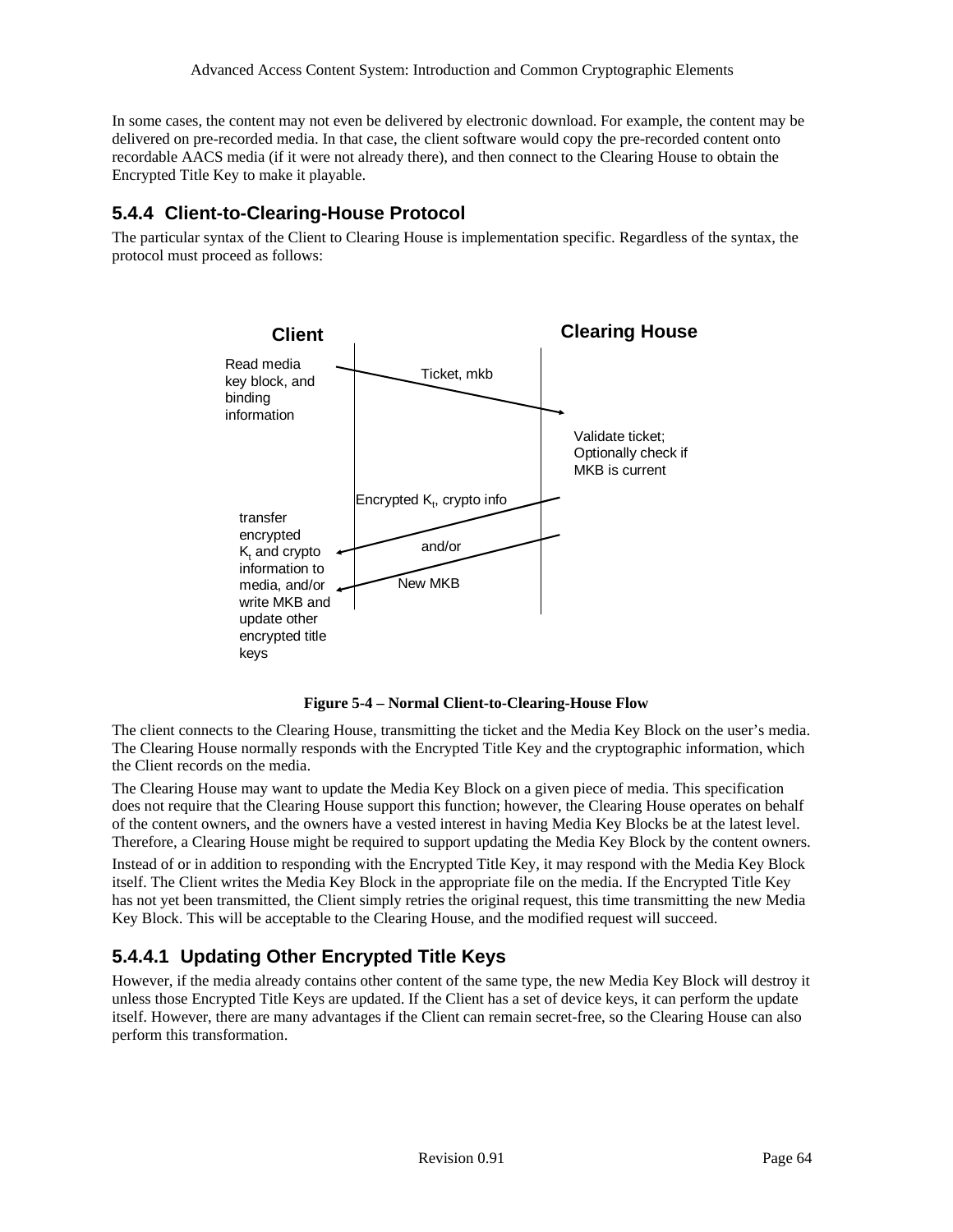In some cases, the content may not even be delivered by electronic download. For example, the content may be delivered on pre-recorded media. In that case, the client software would copy the pre-recorded content onto recordable AACS media (if it were not already there), and then connect to the Clearing House to obtain the Encrypted Title Key to make it playable.

### **5.4.4 Client-to-Clearing-House Protocol**

The particular syntax of the Client to Clearing House is implementation specific. Regardless of the syntax, the protocol must proceed as follows:



**Figure 5-4 – Normal Client-to-Clearing-House Flow** 

The client connects to the Clearing House, transmitting the ticket and the Media Key Block on the user's media. The Clearing House normally responds with the Encrypted Title Key and the cryptographic information, which the Client records on the media.

The Clearing House may want to update the Media Key Block on a given piece of media. This specification does not require that the Clearing House support this function; however, the Clearing House operates on behalf of the content owners, and the owners have a vested interest in having Media Key Blocks be at the latest level. Therefore, a Clearing House might be required to support updating the Media Key Block by the content owners.

Instead of or in addition to responding with the Encrypted Title Key, it may respond with the Media Key Block itself. The Client writes the Media Key Block in the appropriate file on the media. If the Encrypted Title Key has not yet been transmitted, the Client simply retries the original request, this time transmitting the new Media Key Block. This will be acceptable to the Clearing House, and the modified request will succeed.

# **5.4.4.1 Updating Other Encrypted Title Keys**

However, if the media already contains other content of the same type, the new Media Key Block will destroy it unless those Encrypted Title Keys are updated. If the Client has a set of device keys, it can perform the update itself. However, there are many advantages if the Client can remain secret-free, so the Clearing House can also perform this transformation.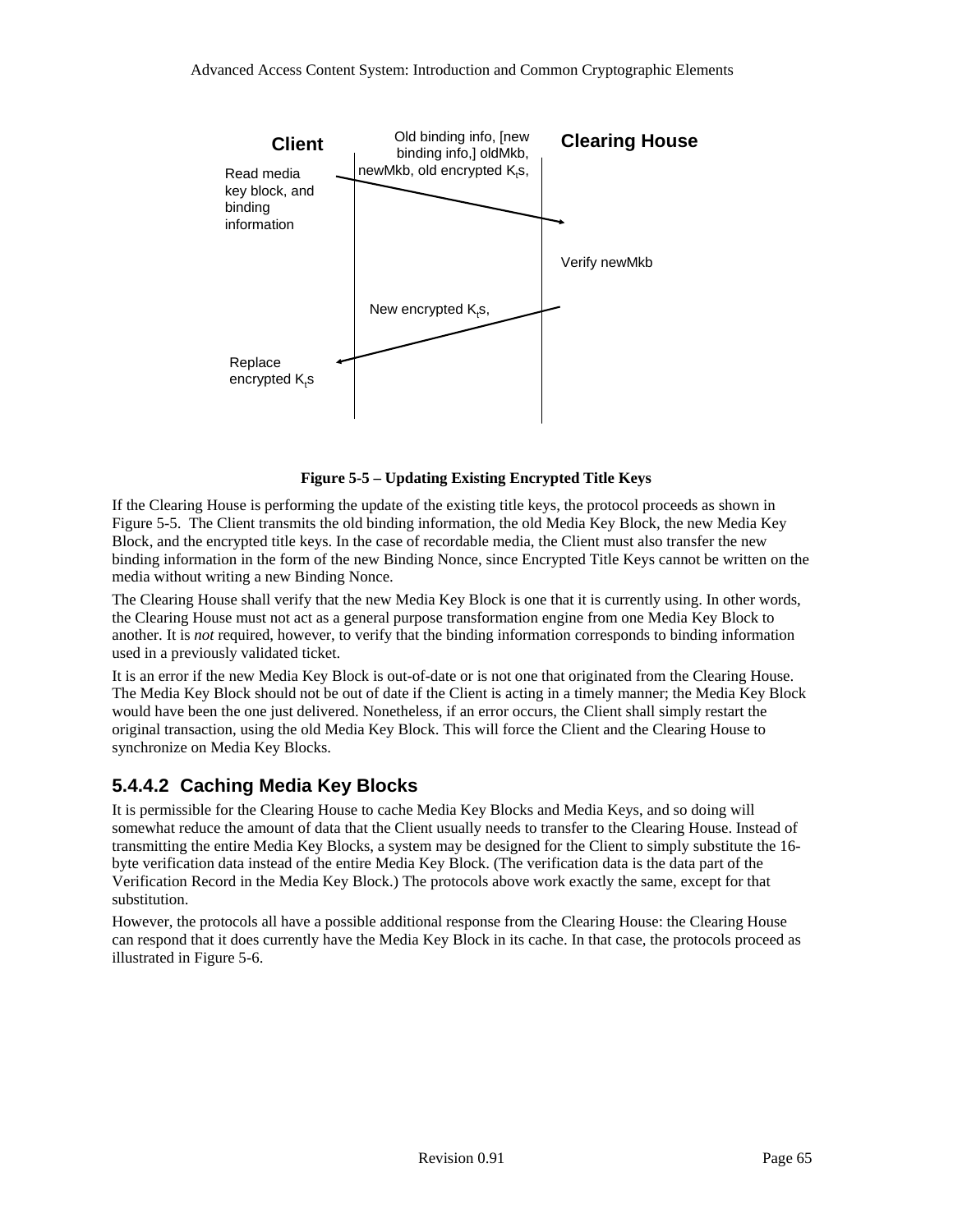

**Figure 5-5 – Updating Existing Encrypted Title Keys** 

If the Clearing House is performing the update of the existing title keys, the protocol proceeds as shown in Figure 5-5. The Client transmits the old binding information, the old Media Key Block, the new Media Key Block, and the encrypted title keys. In the case of recordable media, the Client must also transfer the new binding information in the form of the new Binding Nonce, since Encrypted Title Keys cannot be written on the media without writing a new Binding Nonce.

The Clearing House shall verify that the new Media Key Block is one that it is currently using. In other words, the Clearing House must not act as a general purpose transformation engine from one Media Key Block to another. It is *not* required, however, to verify that the binding information corresponds to binding information used in a previously validated ticket.

It is an error if the new Media Key Block is out-of-date or is not one that originated from the Clearing House. The Media Key Block should not be out of date if the Client is acting in a timely manner; the Media Key Block would have been the one just delivered. Nonetheless, if an error occurs, the Client shall simply restart the original transaction, using the old Media Key Block. This will force the Client and the Clearing House to synchronize on Media Key Blocks.

### **5.4.4.2 Caching Media Key Blocks**

It is permissible for the Clearing House to cache Media Key Blocks and Media Keys, and so doing will somewhat reduce the amount of data that the Client usually needs to transfer to the Clearing House. Instead of transmitting the entire Media Key Blocks, a system may be designed for the Client to simply substitute the 16 byte verification data instead of the entire Media Key Block. (The verification data is the data part of the Verification Record in the Media Key Block.) The protocols above work exactly the same, except for that substitution.

However, the protocols all have a possible additional response from the Clearing House: the Clearing House can respond that it does currently have the Media Key Block in its cache. In that case, the protocols proceed as illustrated in Figure 5-6.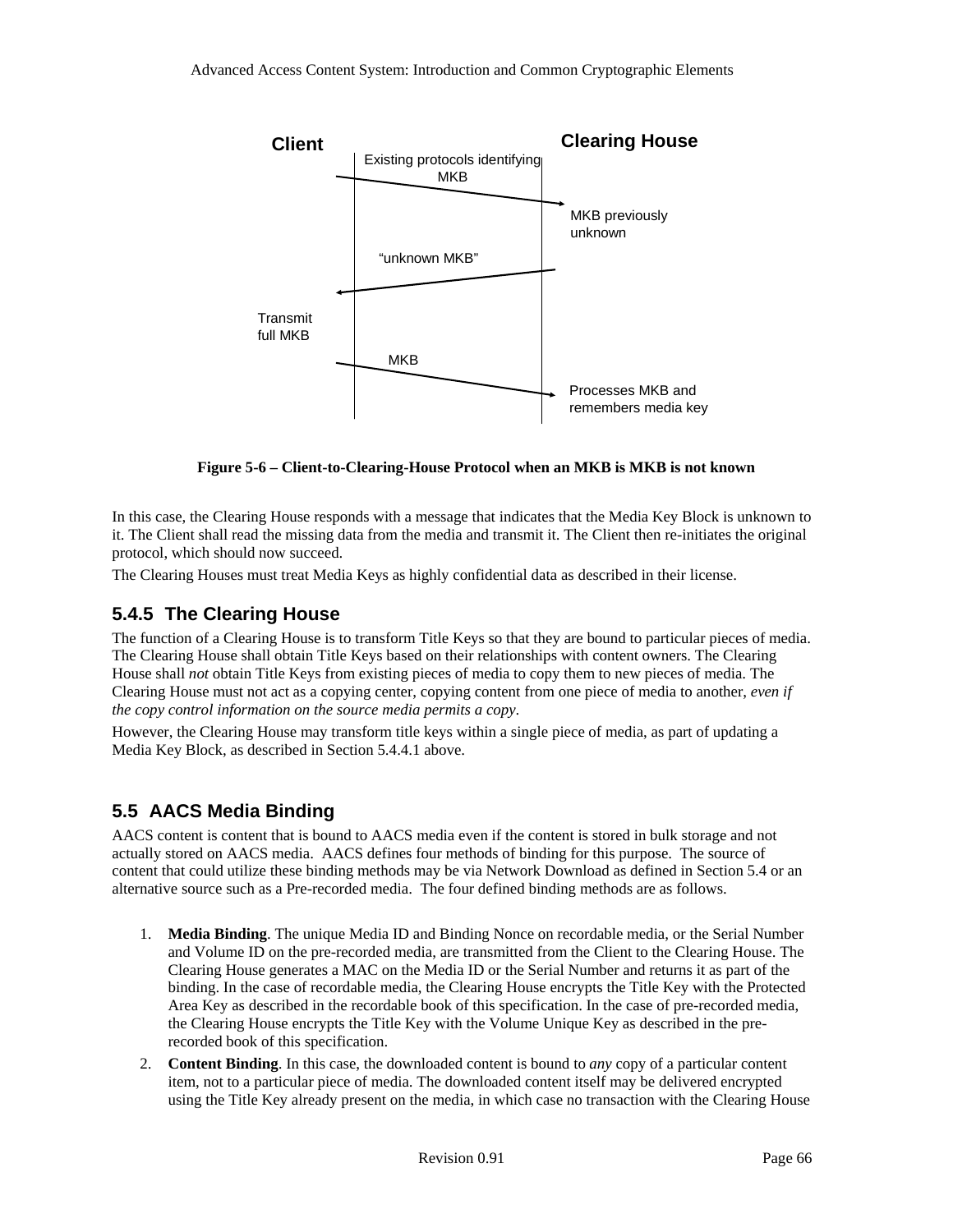

**Figure 5-6 – Client-to-Clearing-House Protocol when an MKB is MKB is not known** 

In this case, the Clearing House responds with a message that indicates that the Media Key Block is unknown to it. The Client shall read the missing data from the media and transmit it. The Client then re-initiates the original protocol, which should now succeed.

The Clearing Houses must treat Media Keys as highly confidential data as described in their license.

### **5.4.5 The Clearing House**

The function of a Clearing House is to transform Title Keys so that they are bound to particular pieces of media. The Clearing House shall obtain Title Keys based on their relationships with content owners. The Clearing House shall *not* obtain Title Keys from existing pieces of media to copy them to new pieces of media. The Clearing House must not act as a copying center, copying content from one piece of media to another, *even if the copy control information on the source media permits a copy*.

However, the Clearing House may transform title keys within a single piece of media, as part of updating a Media Key Block, as described in Section 5.4.4.1 above.

### **5.5 AACS Media Binding**

AACS content is content that is bound to AACS media even if the content is stored in bulk storage and not actually stored on AACS media. AACS defines four methods of binding for this purpose. The source of content that could utilize these binding methods may be via Network Download as defined in Section 5.4 or an alternative source such as a Pre-recorded media. The four defined binding methods are as follows.

- 1. **Media Binding**. The unique Media ID and Binding Nonce on recordable media, or the Serial Number and Volume ID on the pre-recorded media, are transmitted from the Client to the Clearing House. The Clearing House generates a MAC on the Media ID or the Serial Number and returns it as part of the binding. In the case of recordable media, the Clearing House encrypts the Title Key with the Protected Area Key as described in the recordable book of this specification. In the case of pre-recorded media, the Clearing House encrypts the Title Key with the Volume Unique Key as described in the prerecorded book of this specification.
- 2. **Content Binding**. In this case, the downloaded content is bound to *any* copy of a particular content item, not to a particular piece of media. The downloaded content itself may be delivered encrypted using the Title Key already present on the media, in which case no transaction with the Clearing House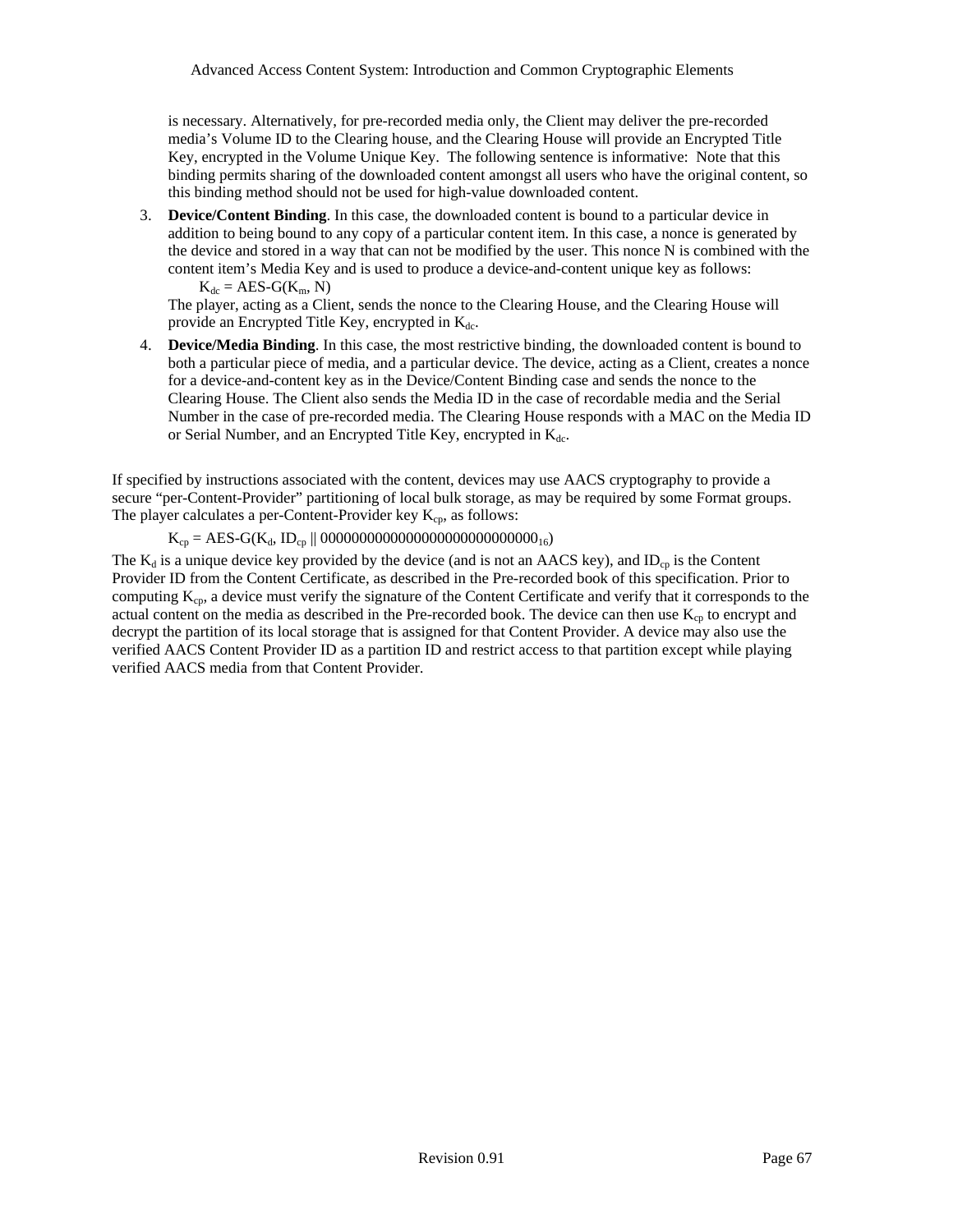is necessary. Alternatively, for pre-recorded media only, the Client may deliver the pre-recorded media's Volume ID to the Clearing house, and the Clearing House will provide an Encrypted Title Key, encrypted in the Volume Unique Key. The following sentence is informative: Note that this binding permits sharing of the downloaded content amongst all users who have the original content, so this binding method should not be used for high-value downloaded content.

3. **Device/Content Binding**. In this case, the downloaded content is bound to a particular device in addition to being bound to any copy of a particular content item. In this case, a nonce is generated by the device and stored in a way that can not be modified by the user. This nonce N is combined with the content item's Media Key and is used to produce a device-and-content unique key as follows:

 $K_{dc} = AES-G(K_m, N)$ 

The player, acting as a Client, sends the nonce to the Clearing House, and the Clearing House will provide an Encrypted Title Key, encrypted in  $K_{dc}$ .

4. **Device/Media Binding**. In this case, the most restrictive binding, the downloaded content is bound to both a particular piece of media, and a particular device. The device, acting as a Client, creates a nonce for a device-and-content key as in the Device/Content Binding case and sends the nonce to the Clearing House. The Client also sends the Media ID in the case of recordable media and the Serial Number in the case of pre-recorded media. The Clearing House responds with a MAC on the Media ID or Serial Number, and an Encrypted Title Key, encrypted in  $K_{dc}$ .

If specified by instructions associated with the content, devices may use AACS cryptography to provide a secure "per-Content-Provider" partitioning of local bulk storage, as may be required by some Format groups. The player calculates a per-Content-Provider key  $K_{cp}$ , as follows:

 $K_{cp} = AES-G(K_d, ID_{cp} || 000000000000000000000000000_{16})$ 

The  $K_d$  is a unique device key provided by the device (and is not an AACS key), and  $ID_{cp}$  is the Content Provider ID from the Content Certificate, as described in the Pre-recorded book of this specification. Prior to computing  $K_{cp}$ , a device must verify the signature of the Content Certificate and verify that it corresponds to the actual content on the media as described in the Pre-recorded book. The device can then use  $K_{cp}$  to encrypt and decrypt the partition of its local storage that is assigned for that Content Provider. A device may also use the verified AACS Content Provider ID as a partition ID and restrict access to that partition except while playing verified AACS media from that Content Provider.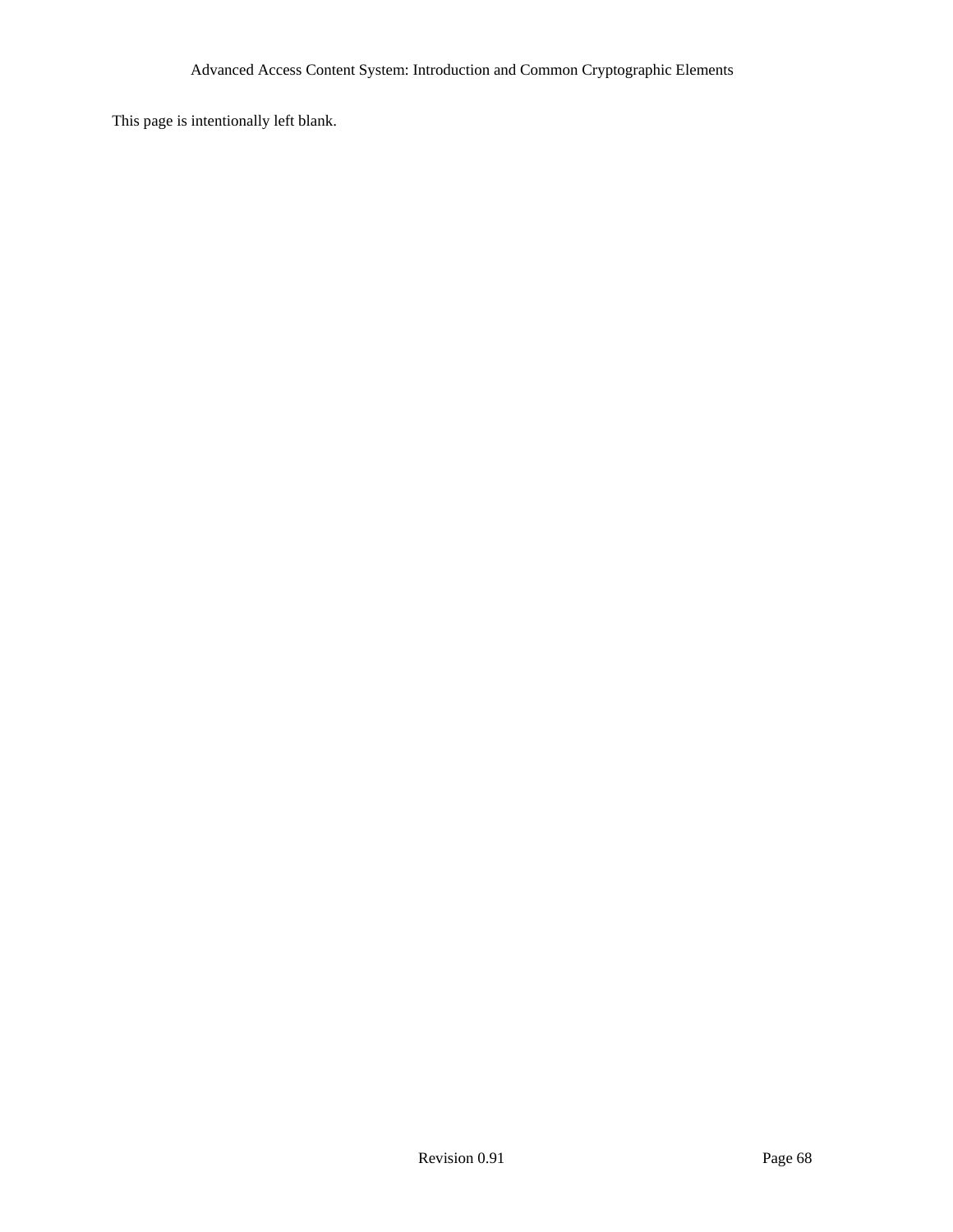This page is intentionally left blank.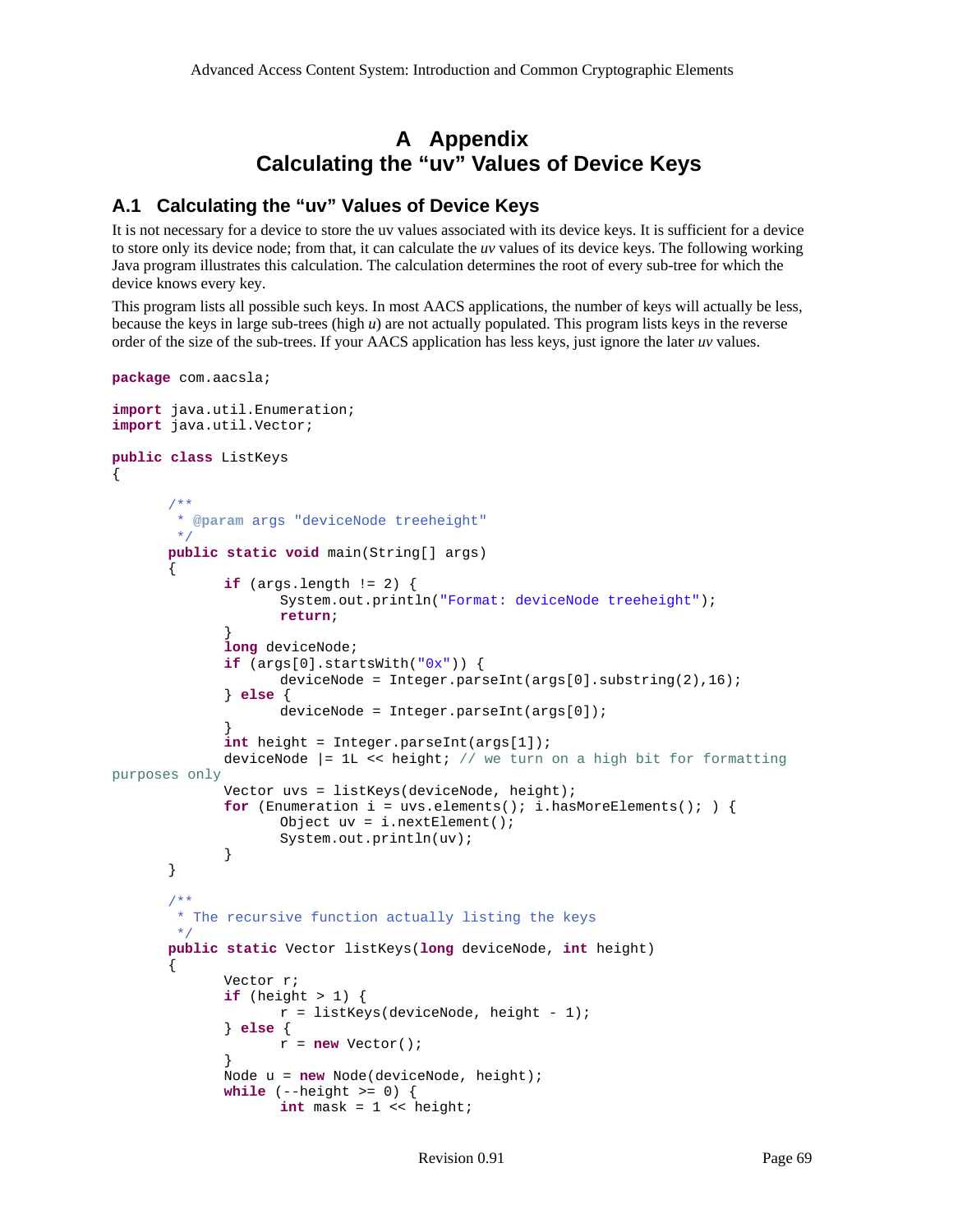# **A Appendix Calculating the "uv" Values of Device Keys**

#### **A.1 Calculating the "uv" Values of Device Keys**

It is not necessary for a device to store the uv values associated with its device keys. It is sufficient for a device to store only its device node; from that, it can calculate the *uv* values of its device keys. The following working Java program illustrates this calculation. The calculation determines the root of every sub-tree for which the device knows every key.

This program lists all possible such keys. In most AACS applications, the number of keys will actually be less, because the keys in large sub-trees (high *u*) are not actually populated. This program lists keys in the reverse order of the size of the sub-trees. If your AACS application has less keys, just ignore the later *uv* values.

```
package com.aacsla; 
import java.util.Enumeration; 
import java.util.Vector; 
public class ListKeys 
{ 
      /**
        * @param args "deviceNode treeheight"
        */
      public static void main(String[] args) 
       { 
              if (args.length != 2) { 
                     System.out.println("Format: deviceNode treeheight"); 
                     return; 
 } 
              long deviceNode; 
             if (\arg s[0].startsWith("0x")) {
                     deviceNode = Integer.parseInt(args[0].substring(2),16); 
              } else { 
                     deviceNode = Integer.parseInt(args[0]); 
 } 
              int height = Integer.parseInt(args[1]); 
              deviceNode |= 1L << height; // we turn on a high bit for formatting 
purposes only
              Vector uvs = listKeys(deviceNode, height); 
             for (Enumeration i = uvs.elements(); i.hasMoreElements(); ) {
                     Object uv = i.nextElement(); 
                     System.out.println(uv); 
 } 
       } 
       /**
        * The recursive function actually listing the keys
        */
      public static Vector listKeys(long deviceNode, int height) 
\{ Vector r; 
              if (height > 1) { 
                    r = 1istKeys(deviceNode, height - 1);
              } else { 
                     r = new Vector(); 
 } 
              Node u = new Node(deviceNode, height); 
              while (--height >= 0) { 
                     int mask = 1 << height;
```